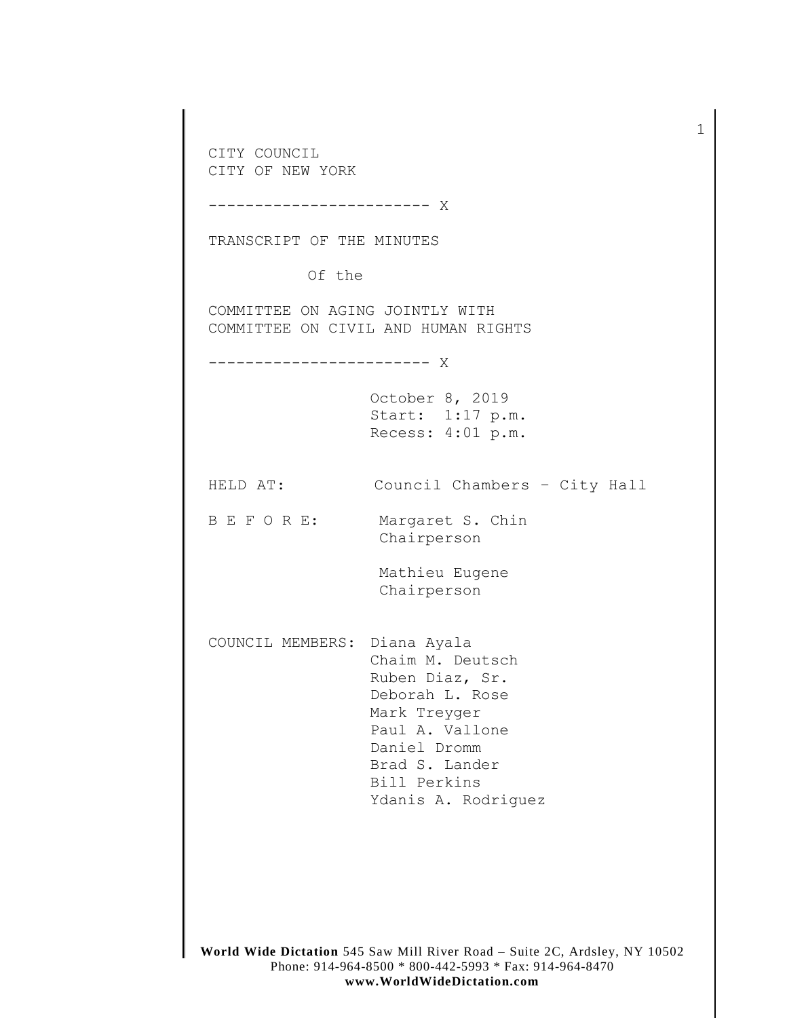**World Wide Dictation** 545 Saw Mill River Road – Suite 2C, Ardsley, NY 10502 Phone: 914-964-8500 \* 800-442-5993 \* Fax: 914-964-8470 CITY COUNCIL CITY OF NEW YORK ------------------------ X TRANSCRIPT OF THE MINUTES Of the COMMITTEE ON AGING JOINTLY WITH COMMITTEE ON CIVIL AND HUMAN RIGHTS ------------------------ X October 8, 2019 Start: 1:17 p.m. Recess: 4:01 p.m. HELD AT: Council Chambers – City Hall B E F O R E: Margaret S. Chin Chairperson Mathieu Eugene Chairperson COUNCIL MEMBERS: Diana Ayala Chaim M. Deutsch Ruben Diaz, Sr. Deborah L. Rose Mark Treyger Paul A. Vallone Daniel Dromm Brad S. Lander Bill Perkins Ydanis A. Rodriguez

1

**www.WorldWideDictation.com**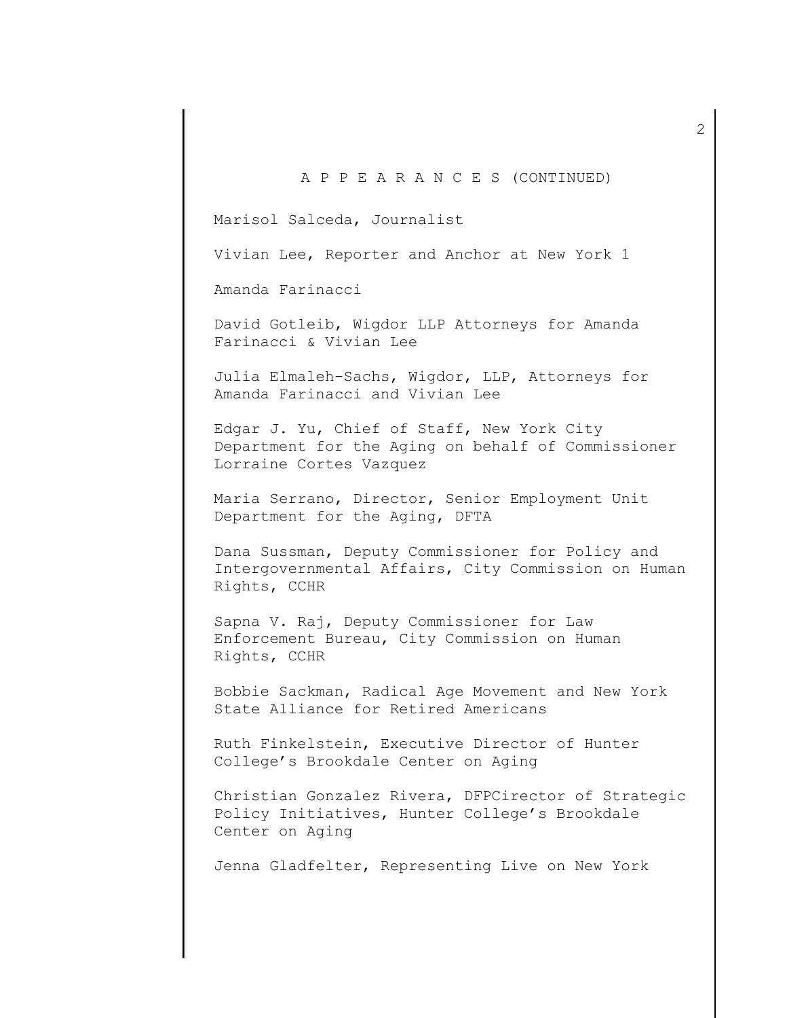## A P P E A R A N C E S (CONTINUED)

Marisol Salceda, Journalist

Vivian Lee, Reporter and Anchor at New York 1

Amanda Farinacci

David Gotleib, Wigdor LLP Attorneys for Amanda Farinacci & Vivian Lee

Julia Elmaleh-Sachs, Wigdor, LLP, Attorneys for Amanda Farinacci and Vivian Lee

Edgar J. Yu, Chief of Staff, New York City Department for the Aging on behalf of Commissioner Lorraine Cortes Vazquez

Maria Serrano, Director, Senior Employment Unit Department for the Aging, DFTA

Dana Sussman, Deputy Commissioner for Policy and Intergovernmental Affairs, City Commission on Human Rights, CCHR

Sapna V. Raj, Deputy Commissioner for Law Enforcement Bureau, City Commission on Human Rights, CCHR

Bobbie Sackman, Radical Age Movement and New York State Alliance for Retired Americans

Ruth Finkelstein, Executive Director of Hunter College's Brookdale Center on Aging

Christian Gonzalez Rivera, DFPCirector of Strategic Policy Initiatives, Hunter College's Brookdale Center on Aging

Jenna Gladfelter, Representing Live on New York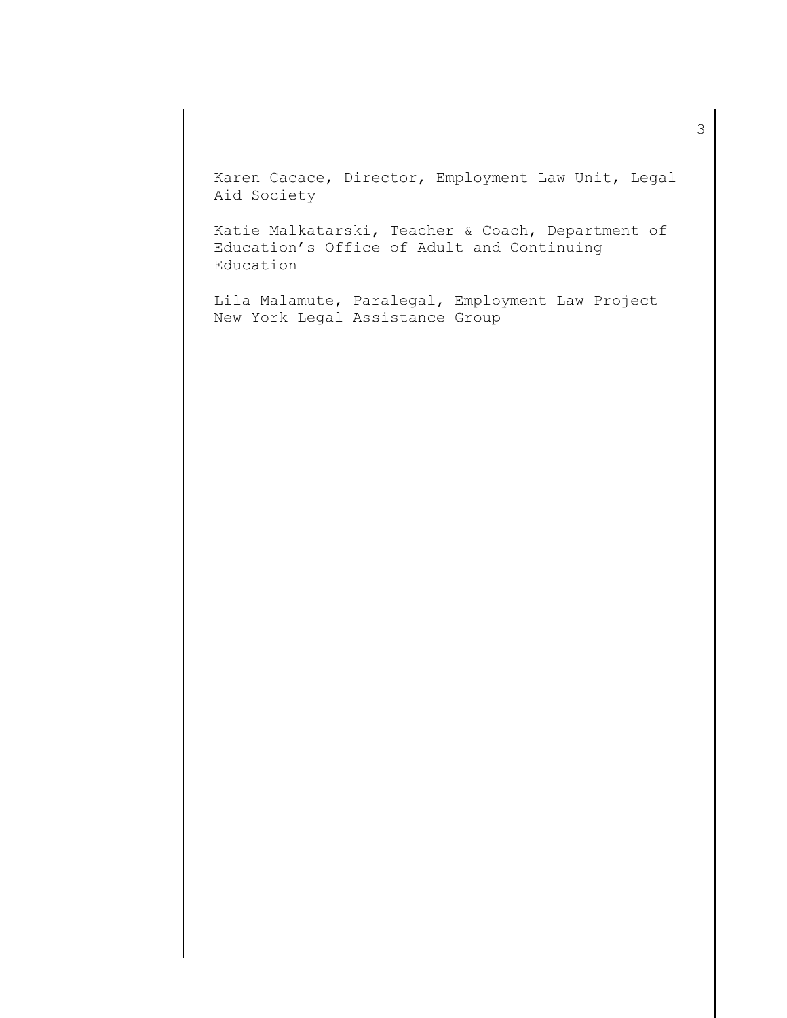Karen Cacace, Director, Employment Law Unit, Legal Aid Society

Katie Malkatarski, Teacher & Coach, Department of Education's Office of Adult and Continuing Education

Lila Malamute, Paralegal, Employment Law Project New York Legal Assistance Group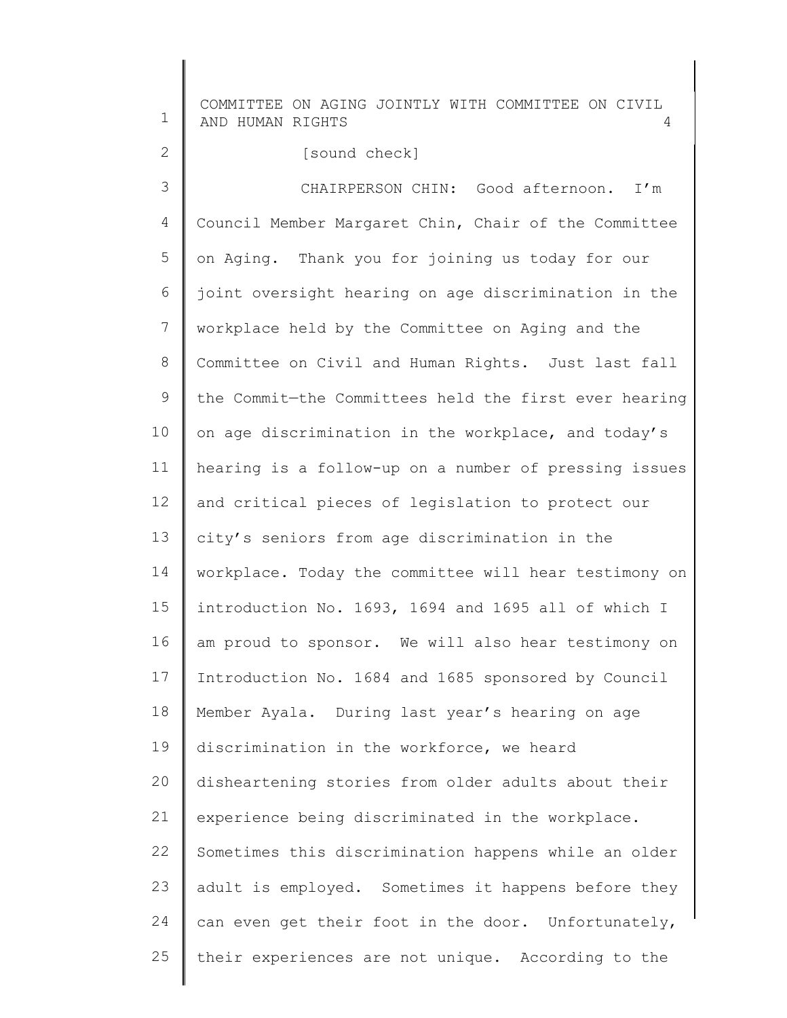1 2 3 4 5 6 7 8 9 10 11 12 13 14 15 16 17 18 19 20 21 22 23 24 25 COMMITTEE ON AGING JOINTLY WITH COMMITTEE ON CIVIL AND HUMAN RIGHTS Council Member Margaret Chin, Chair of the Committee [sound check] CHAIRPERSON CHIN: Good afternoon. I'm on Aging. Thank you for joining us today for our joint oversight hearing on age discrimination in the workplace held by the Committee on Aging and the Committee on Civil and Human Rights. Just last fall the Commit—the Committees held the first ever hearing on age discrimination in the workplace, and today's hearing is a follow-up on a number of pressing issues and critical pieces of legislation to protect our city's seniors from age discrimination in the workplace. Today the committee will hear testimony on introduction No. 1693, 1694 and 1695 all of which I am proud to sponsor. We will also hear testimony on Introduction No. 1684 and 1685 sponsored by Council Member Ayala. During last year's hearing on age discrimination in the workforce, we heard disheartening stories from older adults about their experience being discriminated in the workplace. Sometimes this discrimination happens while an older adult is employed. Sometimes it happens before they can even get their foot in the door. Unfortunately, their experiences are not unique. According to the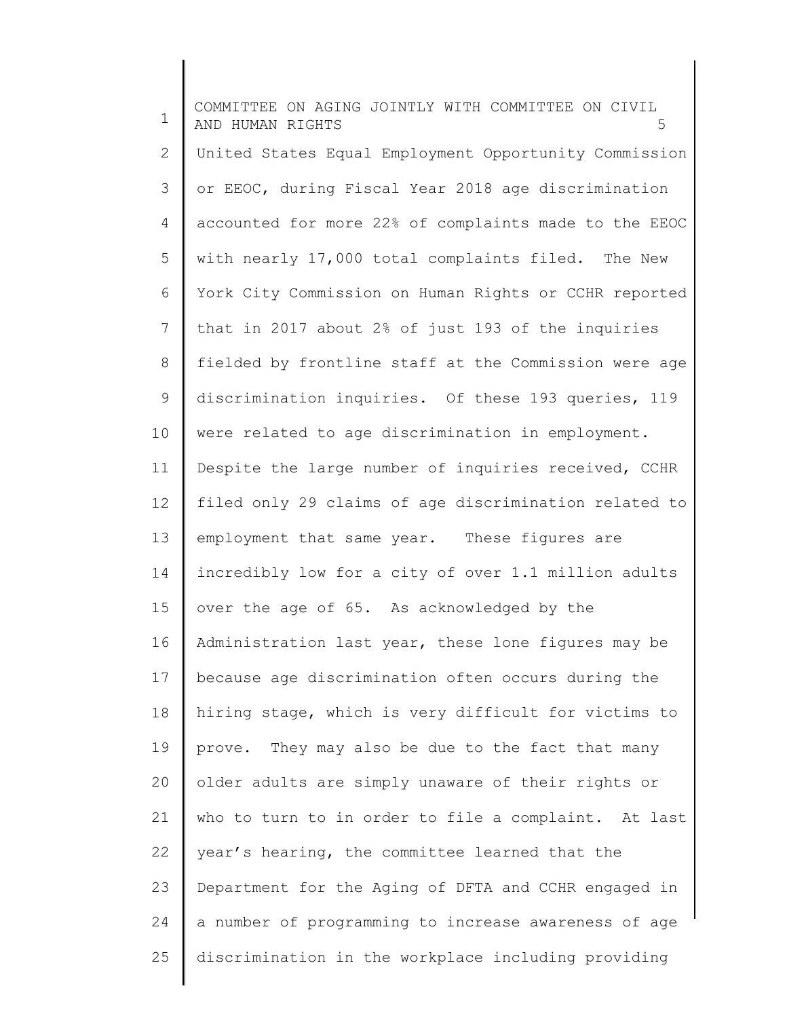1 2 3 4 5 6 7 8 9 10 11 12 13 14 15 16 17 18 19 20 21 22 23 24 25 COMMITTEE ON AGING JOINTLY WITH COMMITTEE ON CIVIL AND HUMAN RIGHTS 5 United States Equal Employment Opportunity Commission or EEOC, during Fiscal Year 2018 age discrimination accounted for more 22% of complaints made to the EEOC with nearly 17,000 total complaints filed. The New York City Commission on Human Rights or CCHR reported that in 2017 about 2% of just 193 of the inquiries fielded by frontline staff at the Commission were age discrimination inquiries. Of these 193 queries, 119 were related to age discrimination in employment. Despite the large number of inquiries received, CCHR filed only 29 claims of age discrimination related to employment that same year. These figures are incredibly low for a city of over 1.1 million adults over the age of 65. As acknowledged by the Administration last year, these lone figures may be because age discrimination often occurs during the hiring stage, which is very difficult for victims to prove. They may also be due to the fact that many older adults are simply unaware of their rights or who to turn to in order to file a complaint. At last year's hearing, the committee learned that the Department for the Aging of DFTA and CCHR engaged in a number of programming to increase awareness of age discrimination in the workplace including providing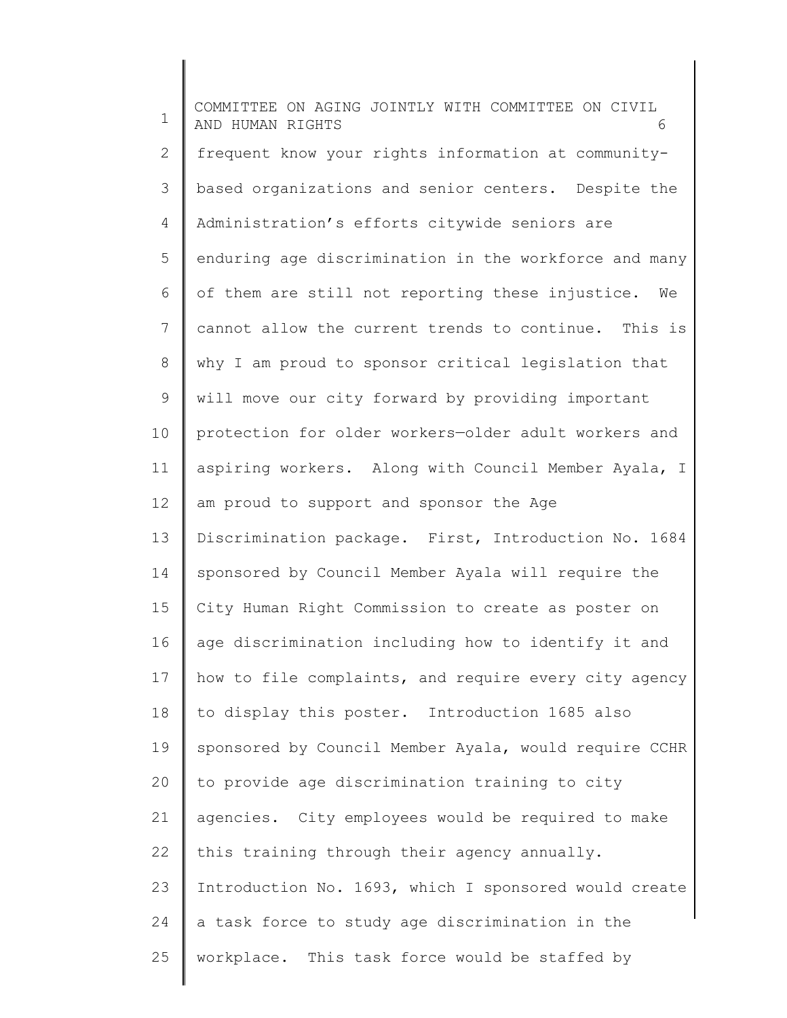1 2 3 4 5 6 7 8 9 10 11 12 13 14 15 16 17 18 19 20 21 22 23 24 25 COMMITTEE ON AGING JOINTLY WITH COMMITTEE ON CIVIL AND HUMAN RIGHTS 6 frequent know your rights information at communitybased organizations and senior centers. Despite the Administration's efforts citywide seniors are enduring age discrimination in the workforce and many of them are still not reporting these injustice. We cannot allow the current trends to continue. This is why I am proud to sponsor critical legislation that will move our city forward by providing important protection for older workers—older adult workers and aspiring workers. Along with Council Member Ayala, I am proud to support and sponsor the Age Discrimination package. First, Introduction No. 1684 sponsored by Council Member Ayala will require the City Human Right Commission to create as poster on age discrimination including how to identify it and how to file complaints, and require every city agency to display this poster. Introduction 1685 also sponsored by Council Member Ayala, would require CCHR to provide age discrimination training to city agencies. City employees would be required to make this training through their agency annually. Introduction No. 1693, which I sponsored would create a task force to study age discrimination in the workplace. This task force would be staffed by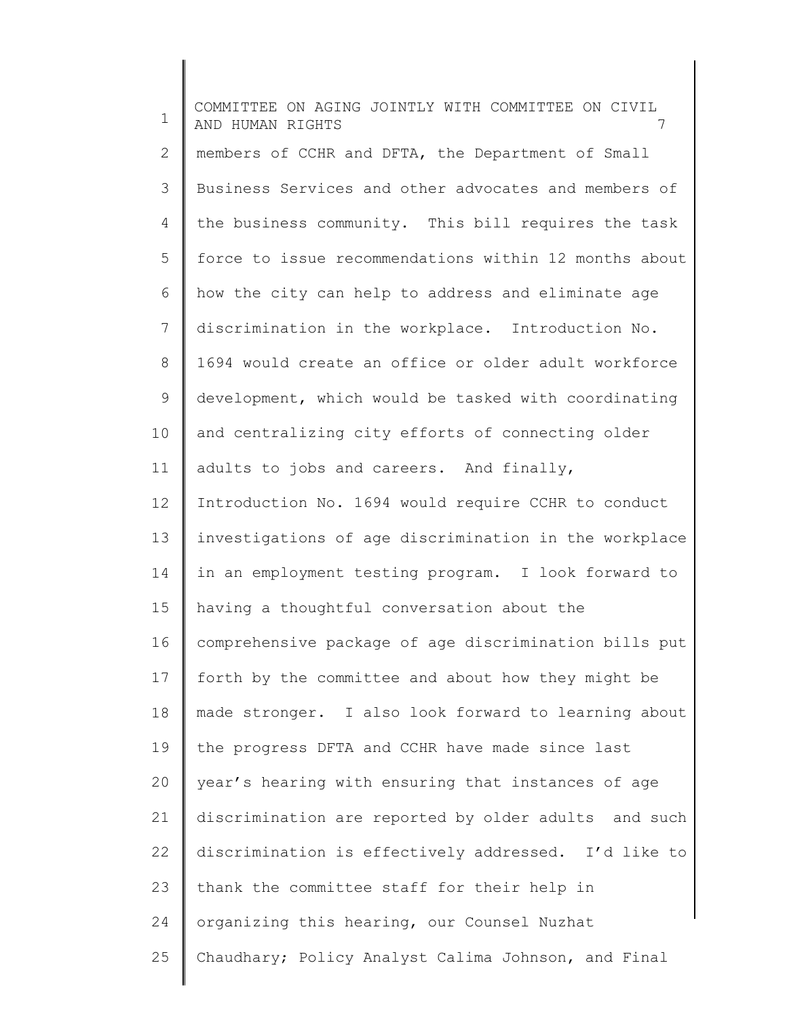1 2 3 4 5 6 7 8 9 10 11 12 13 14 15 16 17 18 19 20 21 22 23 24 25 COMMITTEE ON AGING JOINTLY WITH COMMITTEE ON CIVIL AND HUMAN RIGHTS 7 members of CCHR and DFTA, the Department of Small Business Services and other advocates and members of the business community. This bill requires the task force to issue recommendations within 12 months about how the city can help to address and eliminate age discrimination in the workplace. Introduction No. 1694 would create an office or older adult workforce development, which would be tasked with coordinating and centralizing city efforts of connecting older adults to jobs and careers. And finally, Introduction No. 1694 would require CCHR to conduct investigations of age discrimination in the workplace in an employment testing program. I look forward to having a thoughtful conversation about the comprehensive package of age discrimination bills put forth by the committee and about how they might be made stronger. I also look forward to learning about the progress DFTA and CCHR have made since last year's hearing with ensuring that instances of age discrimination are reported by older adults and such discrimination is effectively addressed. I'd like to thank the committee staff for their help in organizing this hearing, our Counsel Nuzhat Chaudhary; Policy Analyst Calima Johnson, and Final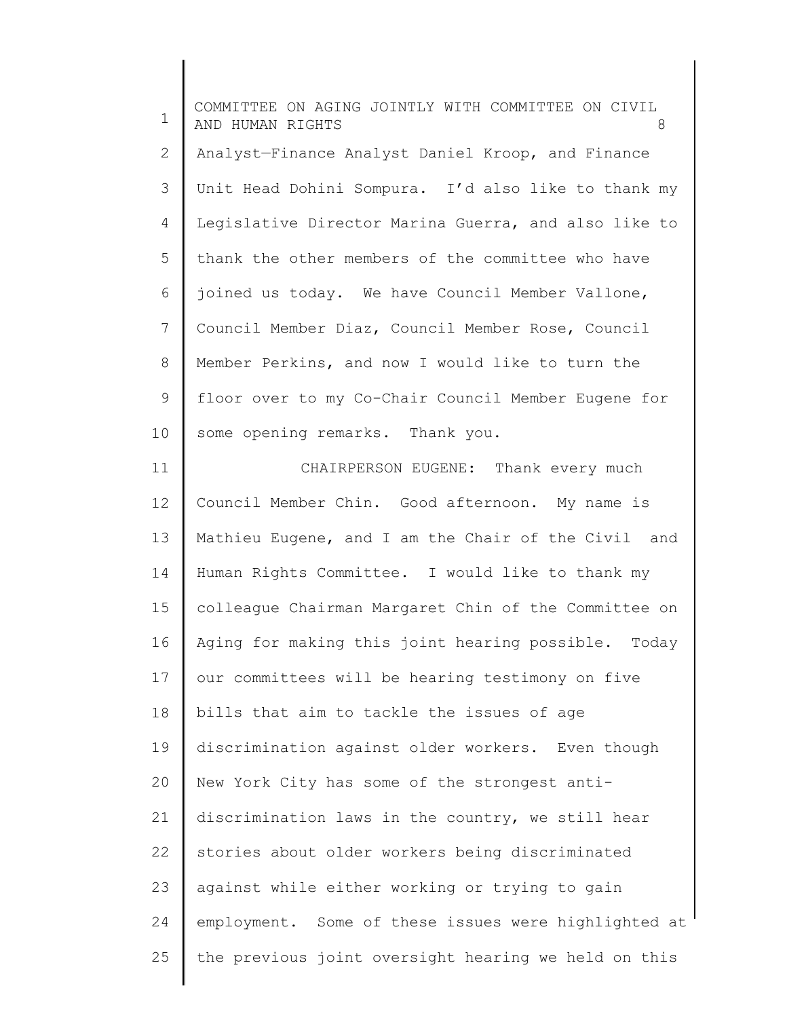1 2 3 4 5 6 7 8 9 10 COMMITTEE ON AGING JOINTLY WITH COMMITTEE ON CIVIL AND HUMAN RIGHTS 8 Analyst—Finance Analyst Daniel Kroop, and Finance Unit Head Dohini Sompura. I'd also like to thank my Legislative Director Marina Guerra, and also like to thank the other members of the committee who have joined us today. We have Council Member Vallone, Council Member Diaz, Council Member Rose, Council Member Perkins, and now I would like to turn the floor over to my Co-Chair Council Member Eugene for some opening remarks. Thank you.

11 12 13 14 15 16 17 18 19 20 21 22 23 24 25 CHAIRPERSON EUGENE: Thank every much Council Member Chin. Good afternoon. My name is Mathieu Eugene, and I am the Chair of the Civil and Human Rights Committee. I would like to thank my colleague Chairman Margaret Chin of the Committee on Aging for making this joint hearing possible. Today our committees will be hearing testimony on five bills that aim to tackle the issues of age discrimination against older workers. Even though New York City has some of the strongest antidiscrimination laws in the country, we still hear stories about older workers being discriminated against while either working or trying to gain employment. Some of these issues were highlighted at the previous joint oversight hearing we held on this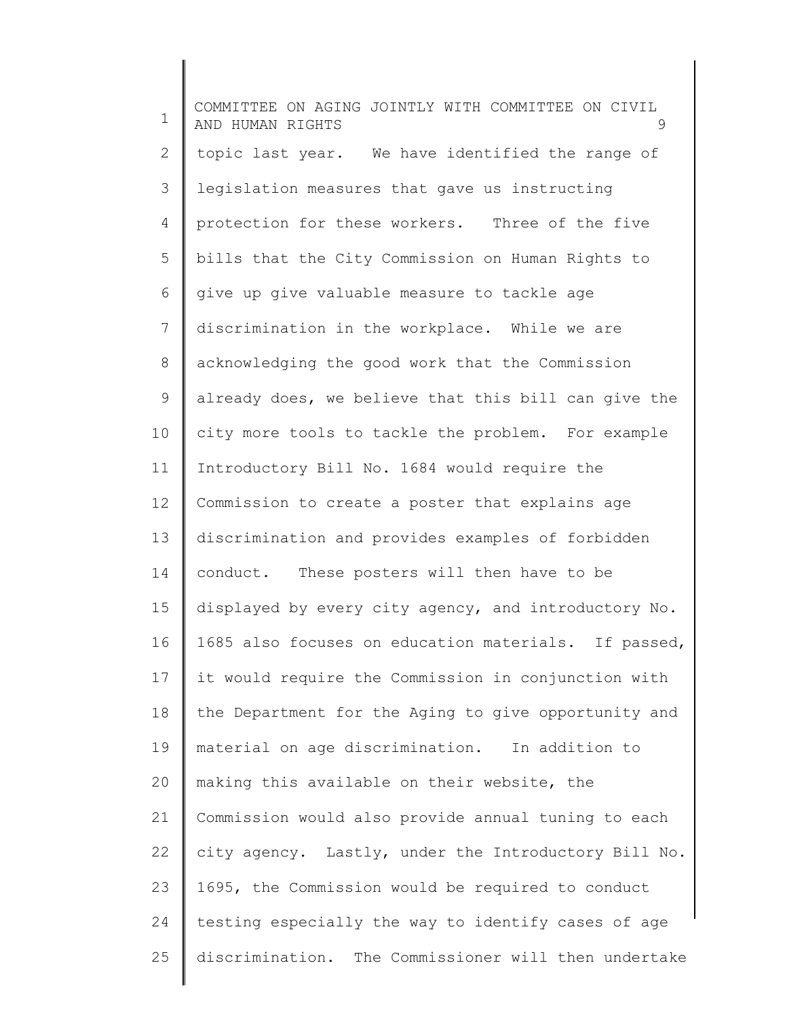1 2 3 4 5 6 7 8 9 10 11 12 13 14 15 16 17 18 19 20 21 22 23 24 25 COMMITTEE ON AGING JOINTLY WITH COMMITTEE ON CIVIL AND HUMAN RIGHTS 9 topic last year. We have identified the range of legislation measures that gave us instructing protection for these workers. Three of the five bills that the City Commission on Human Rights to give up give valuable measure to tackle age discrimination in the workplace. While we are acknowledging the good work that the Commission already does, we believe that this bill can give the city more tools to tackle the problem. For example Introductory Bill No. 1684 would require the Commission to create a poster that explains age discrimination and provides examples of forbidden conduct. These posters will then have to be displayed by every city agency, and introductory No. 1685 also focuses on education materials. If passed, it would require the Commission in conjunction with the Department for the Aging to give opportunity and material on age discrimination. In addition to making this available on their website, the Commission would also provide annual tuning to each city agency. Lastly, under the Introductory Bill No. 1695, the Commission would be required to conduct testing especially the way to identify cases of age discrimination. The Commissioner will then undertake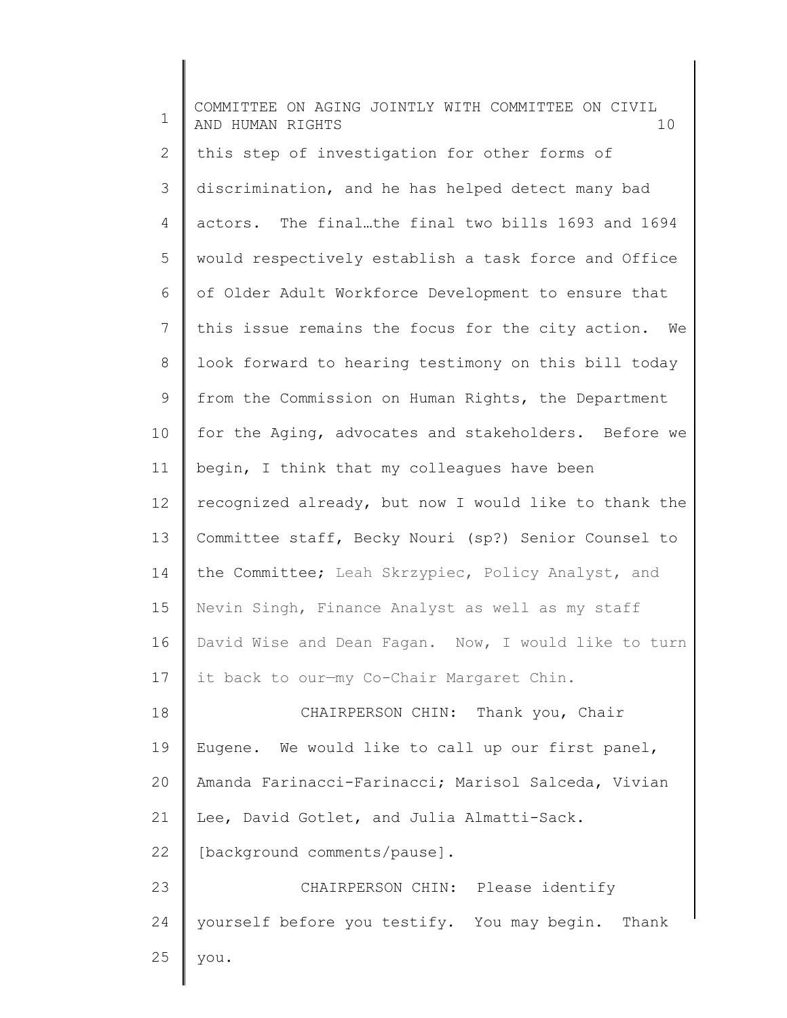| $\mathbf 1$ | COMMITTEE ON AGING JOINTLY WITH COMMITTEE ON CIVIL<br>AND HUMAN RIGHTS<br>10 |
|-------------|------------------------------------------------------------------------------|
| 2           | this step of investigation for other forms of                                |
| 3           | discrimination, and he has helped detect many bad                            |
| 4           | actors. The finalthe final two bills 1693 and 1694                           |
| 5           | would respectively establish a task force and Office                         |
| 6           | of Older Adult Workforce Development to ensure that                          |
| 7           | this issue remains the focus for the city action. We                         |
| 8           | look forward to hearing testimony on this bill today                         |
| 9           | from the Commission on Human Rights, the Department                          |
| 10          | for the Aging, advocates and stakeholders. Before we                         |
| 11          | begin, I think that my colleagues have been                                  |
| 12          | recognized already, but now I would like to thank the                        |
| 13          | Committee staff, Becky Nouri (sp?) Senior Counsel to                         |
| 14          | the Committee; Leah Skrzypiec, Policy Analyst, and                           |
| 15          | Nevin Singh, Finance Analyst as well as my staff                             |
| 16          | David Wise and Dean Fagan. Now, I would like to turn                         |
| 17          | it back to our-my Co-Chair Margaret Chin.                                    |
| 18          | CHAIRPERSON CHIN: Thank you, Chair                                           |
| 19          | Eugene. We would like to call up our first panel,                            |
| 20          | Amanda Farinacci-Farinacci; Marisol Salceda, Vivian                          |
| 21          | Lee, David Gotlet, and Julia Almatti-Sack.                                   |
| 22          | [background comments/pause].                                                 |
| 23          | CHAIRPERSON CHIN: Please identify                                            |
| 24          | yourself before you testify. You may begin. Thank                            |
| 25          | you.                                                                         |
|             |                                                                              |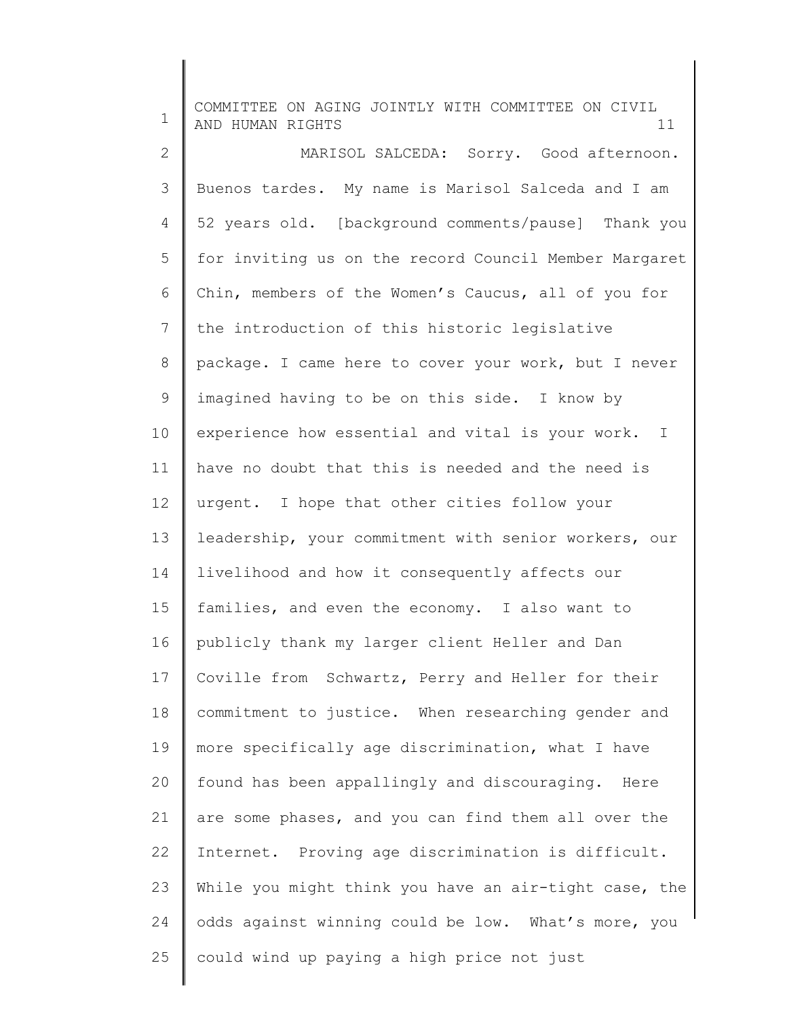1 2 3 4 5 6 7 8 9 10 11 12 13 14 15 16 17 18 19 20 21 22 23 24 25 COMMITTEE ON AGING JOINTLY WITH COMMITTEE ON CIVIL AND HUMAN RIGHTS 11 MARISOL SALCEDA: Sorry. Good afternoon. Buenos tardes. My name is Marisol Salceda and I am 52 years old. [background comments/pause] Thank you for inviting us on the record Council Member Margaret Chin, members of the Women's Caucus, all of you for the introduction of this historic legislative package. I came here to cover your work, but I never imagined having to be on this side. I know by experience how essential and vital is your work. I have no doubt that this is needed and the need is urgent. I hope that other cities follow your leadership, your commitment with senior workers, our livelihood and how it consequently affects our families, and even the economy. I also want to publicly thank my larger client Heller and Dan Coville from Schwartz, Perry and Heller for their commitment to justice. When researching gender and more specifically age discrimination, what I have found has been appallingly and discouraging. Here are some phases, and you can find them all over the Internet. Proving age discrimination is difficult. While you might think you have an air-tight case, the odds against winning could be low. What's more, you could wind up paying a high price not just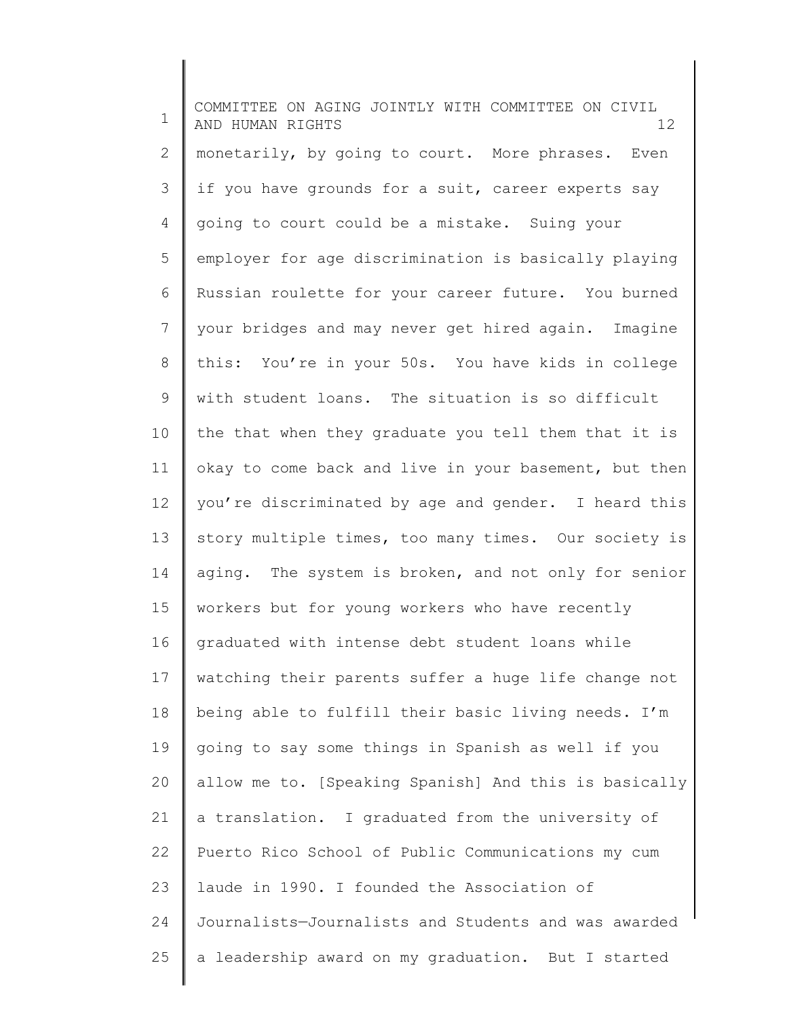1 2 3 4 5 6 7 8 9 10 11 12 13 14 15 16 17 18 19 20 21 22 23 24 25 COMMITTEE ON AGING JOINTLY WITH COMMITTEE ON CIVIL AND HUMAN RIGHTS 12 monetarily, by going to court. More phrases. Even if you have grounds for a suit, career experts say going to court could be a mistake. Suing your employer for age discrimination is basically playing Russian roulette for your career future. You burned your bridges and may never get hired again. Imagine this: You're in your 50s. You have kids in college with student loans. The situation is so difficult the that when they graduate you tell them that it is okay to come back and live in your basement, but then you're discriminated by age and gender. I heard this story multiple times, too many times. Our society is aging. The system is broken, and not only for senior workers but for young workers who have recently graduated with intense debt student loans while watching their parents suffer a huge life change not being able to fulfill their basic living needs. I'm going to say some things in Spanish as well if you allow me to. [Speaking Spanish] And this is basically a translation. I graduated from the university of Puerto Rico School of Public Communications my cum laude in 1990. I founded the Association of Journalists—Journalists and Students and was awarded a leadership award on my graduation. But I started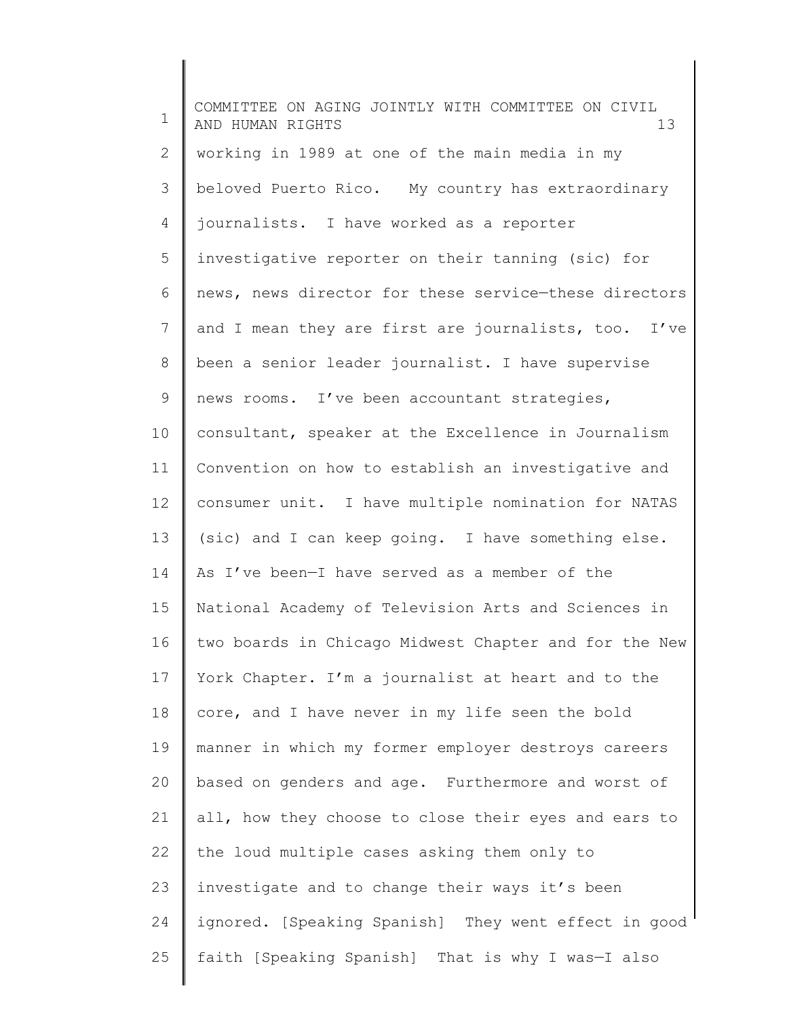1 2 3 4 5 6 7 8 9 10 11 12 13 14 15 16 17 18 19 20 21 22 23 24 25 COMMITTEE ON AGING JOINTLY WITH COMMITTEE ON CIVIL AND HUMAN RIGHTS 13 working in 1989 at one of the main media in my beloved Puerto Rico. My country has extraordinary journalists. I have worked as a reporter investigative reporter on their tanning (sic) for news, news director for these service—these directors and I mean they are first are journalists, too. I've been a senior leader journalist. I have supervise news rooms. I've been accountant strategies, consultant, speaker at the Excellence in Journalism Convention on how to establish an investigative and consumer unit. I have multiple nomination for NATAS (sic) and I can keep going. I have something else. As I've been—I have served as a member of the National Academy of Television Arts and Sciences in two boards in Chicago Midwest Chapter and for the New York Chapter. I'm a journalist at heart and to the core, and I have never in my life seen the bold manner in which my former employer destroys careers based on genders and age. Furthermore and worst of all, how they choose to close their eyes and ears to the loud multiple cases asking them only to investigate and to change their ways it's been ignored. [Speaking Spanish] They went effect in good faith [Speaking Spanish] That is why I was—I also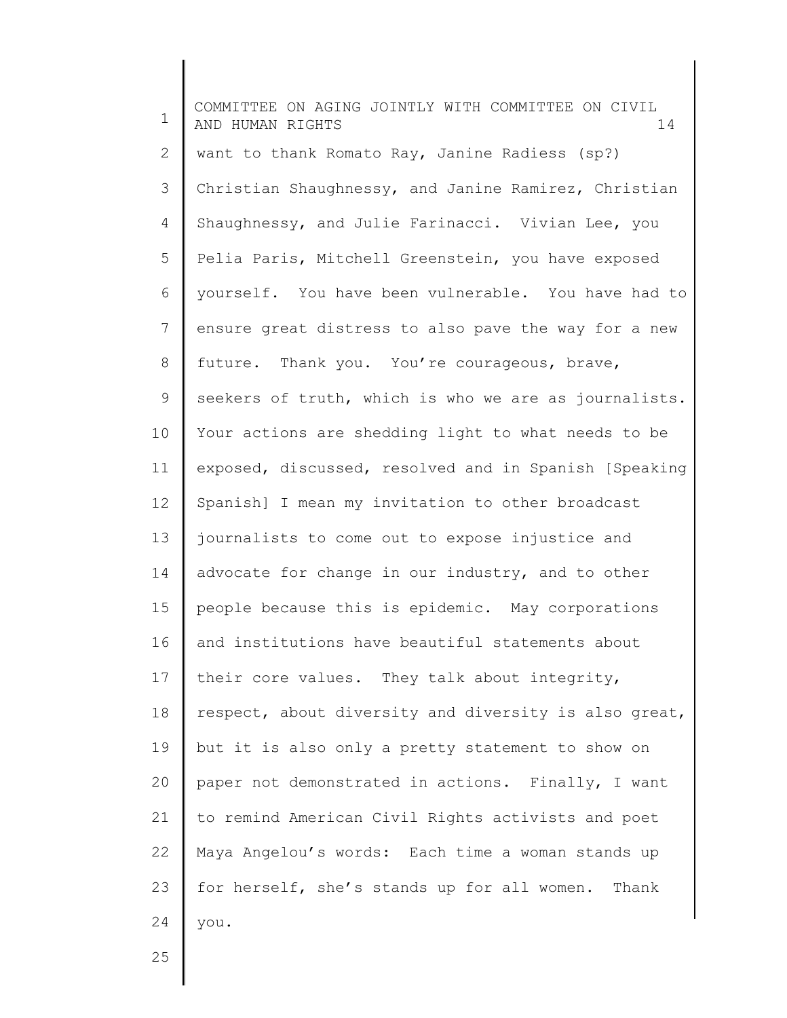1 2 3 4 5 6 7 8 9 10 11 12 13 14 15 16 17 18 19 20 21 22 23 24 COMMITTEE ON AGING JOINTLY WITH COMMITTEE ON CIVIL AND HUMAN RIGHTS 14 want to thank Romato Ray, Janine Radiess (sp?) Christian Shaughnessy, and Janine Ramirez, Christian Shaughnessy, and Julie Farinacci. Vivian Lee, you Pelia Paris, Mitchell Greenstein, you have exposed yourself. You have been vulnerable. You have had to ensure great distress to also pave the way for a new future. Thank you. You're courageous, brave, seekers of truth, which is who we are as journalists. Your actions are shedding light to what needs to be exposed, discussed, resolved and in Spanish [Speaking Spanish] I mean my invitation to other broadcast journalists to come out to expose injustice and advocate for change in our industry, and to other people because this is epidemic. May corporations and institutions have beautiful statements about their core values. They talk about integrity, respect, about diversity and diversity is also great, but it is also only a pretty statement to show on paper not demonstrated in actions. Finally, I want to remind American Civil Rights activists and poet Maya Angelou's words: Each time a woman stands up for herself, she's stands up for all women. Thank you.

25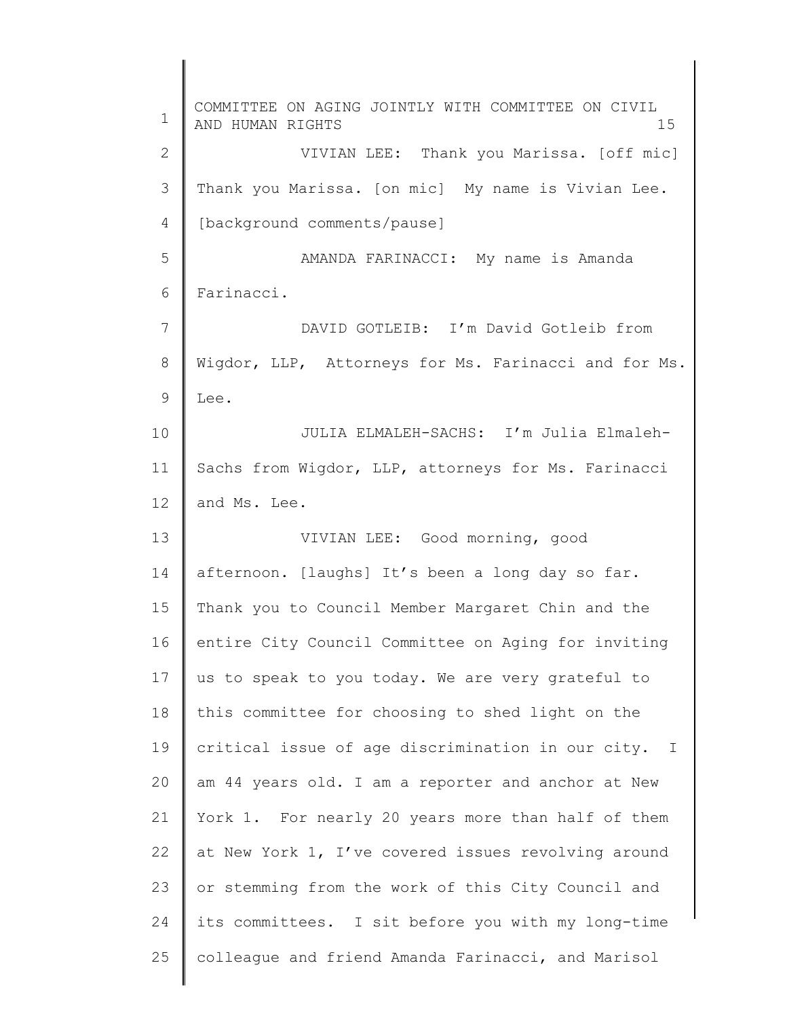1 2 3 4 5 6 7 8 9 10 11 12 13 14 15 16 17 18 19 20 21 22 23 24 25 COMMITTEE ON AGING JOINTLY WITH COMMITTEE ON CIVIL AND HUMAN RIGHTS 15 VIVIAN LEE: Thank you Marissa. [off mic] Thank you Marissa. [on mic] My name is Vivian Lee. [background comments/pause] AMANDA FARINACCI: My name is Amanda Farinacci. DAVID GOTLEIB: I'm David Gotleib from Wigdor, LLP, Attorneys for Ms. Farinacci and for Ms. Lee. JULIA ELMALEH-SACHS: I'm Julia Elmaleh-Sachs from Wigdor, LLP, attorneys for Ms. Farinacci and Ms. Lee. VIVIAN LEE: Good morning, good afternoon. [laughs] It's been a long day so far. Thank you to Council Member Margaret Chin and the entire City Council Committee on Aging for inviting us to speak to you today. We are very grateful to this committee for choosing to shed light on the critical issue of age discrimination in our city. I am 44 years old. I am a reporter and anchor at New York 1. For nearly 20 years more than half of them at New York 1, I've covered issues revolving around or stemming from the work of this City Council and its committees. I sit before you with my long-time colleague and friend Amanda Farinacci, and Marisol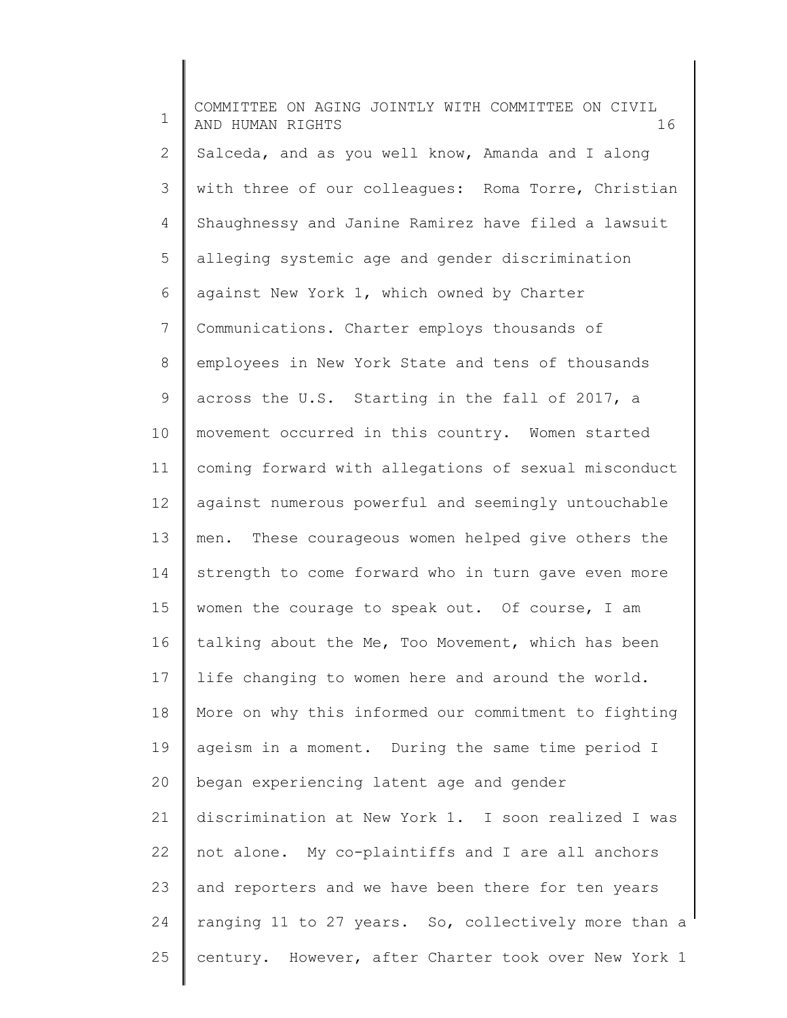1 2 3 4 5 6 7 8 9 10 11 12 13 14 15 16 17 18 19 20 21 22 23 24 25 COMMITTEE ON AGING JOINTLY WITH COMMITTEE ON CIVIL AND HUMAN RIGHTS 16 Salceda, and as you well know, Amanda and I along with three of our colleagues: Roma Torre, Christian Shaughnessy and Janine Ramirez have filed a lawsuit alleging systemic age and gender discrimination against New York 1, which owned by Charter Communications. Charter employs thousands of employees in New York State and tens of thousands across the U.S. Starting in the fall of 2017, a movement occurred in this country. Women started coming forward with allegations of sexual misconduct against numerous powerful and seemingly untouchable men. These courageous women helped give others the strength to come forward who in turn gave even more women the courage to speak out. Of course, I am talking about the Me, Too Movement, which has been life changing to women here and around the world. More on why this informed our commitment to fighting ageism in a moment. During the same time period I began experiencing latent age and gender discrimination at New York 1. I soon realized I was not alone. My co-plaintiffs and I are all anchors and reporters and we have been there for ten years ranging 11 to 27 years. So, collectively more than a century. However, after Charter took over New York 1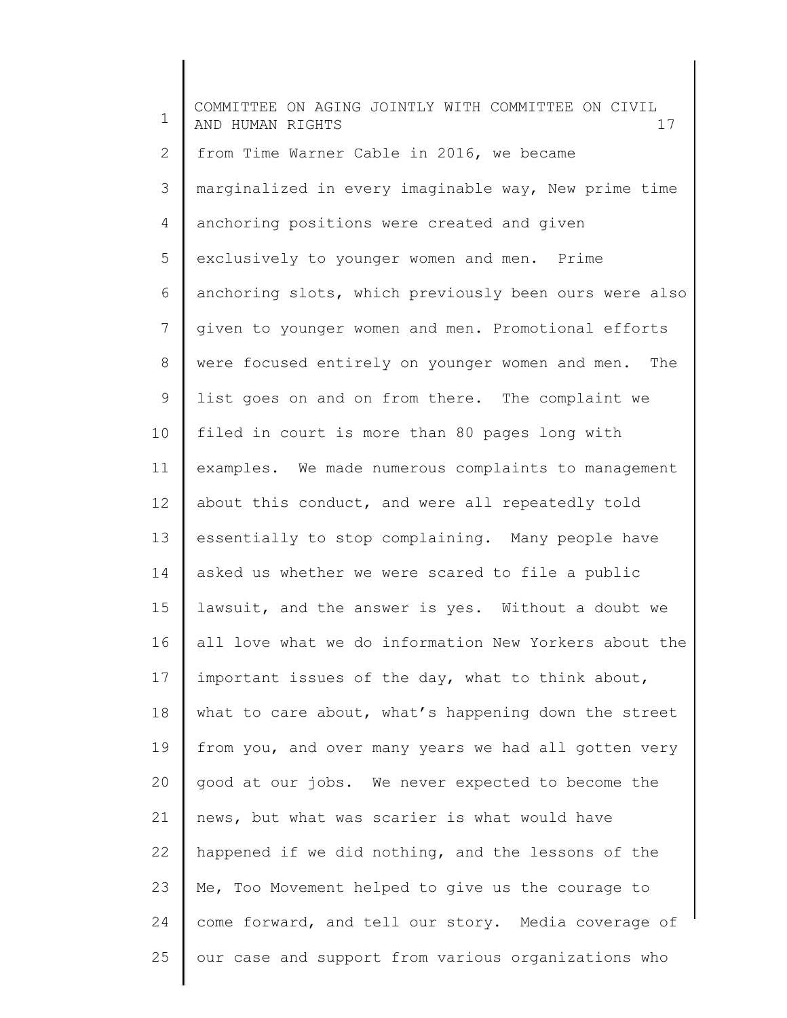1 2 3 4 5 6 7 8 9 10 11 12 13 14 15 16 17 18 19 20 21 22 23 24 25 COMMITTEE ON AGING JOINTLY WITH COMMITTEE ON CIVIL AND HUMAN RIGHTS 17 from Time Warner Cable in 2016, we became marginalized in every imaginable way, New prime time anchoring positions were created and given exclusively to younger women and men. Prime anchoring slots, which previously been ours were also given to younger women and men. Promotional efforts were focused entirely on younger women and men. The list goes on and on from there. The complaint we filed in court is more than 80 pages long with examples. We made numerous complaints to management about this conduct, and were all repeatedly told essentially to stop complaining. Many people have asked us whether we were scared to file a public lawsuit, and the answer is yes. Without a doubt we all love what we do information New Yorkers about the important issues of the day, what to think about, what to care about, what's happening down the street from you, and over many years we had all gotten very good at our jobs. We never expected to become the news, but what was scarier is what would have happened if we did nothing, and the lessons of the Me, Too Movement helped to give us the courage to come forward, and tell our story. Media coverage of our case and support from various organizations who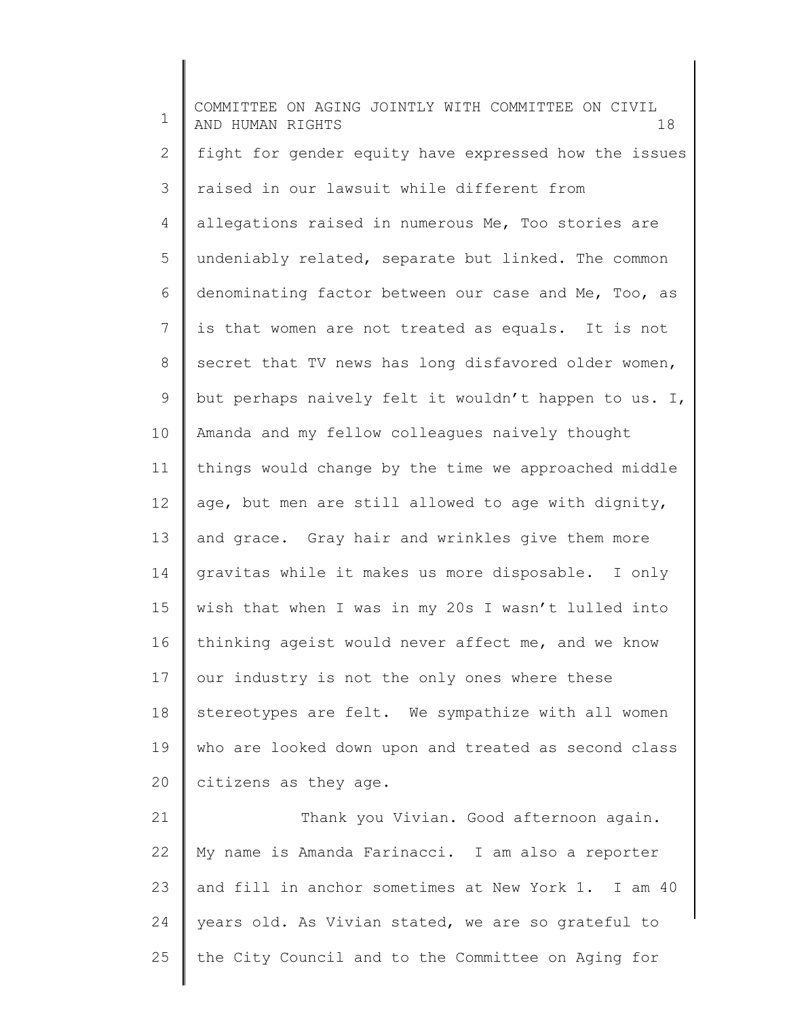1 2 3 4 5 6 7 8 9 10 11 12 13 14 15 16 17 18 19 20 21 22 23 COMMITTEE ON AGING JOINTLY WITH COMMITTEE ON CIVIL AND HUMAN RIGHTS 18 fight for gender equity have expressed how the issues raised in our lawsuit while different from allegations raised in numerous Me, Too stories are undeniably related, separate but linked. The common denominating factor between our case and Me, Too, as is that women are not treated as equals. It is not secret that TV news has long disfavored older women, but perhaps naively felt it wouldn't happen to us. I, Amanda and my fellow colleagues naively thought things would change by the time we approached middle age, but men are still allowed to age with dignity, and grace. Gray hair and wrinkles give them more gravitas while it makes us more disposable. I only wish that when I was in my 20s I wasn't lulled into thinking ageist would never affect me, and we know our industry is not the only ones where these stereotypes are felt. We sympathize with all women who are looked down upon and treated as second class citizens as they age. Thank you Vivian. Good afternoon again. My name is Amanda Farinacci. I am also a reporter and fill in anchor sometimes at New York 1. I am 40

years old. As Vivian stated, we are so grateful to

the City Council and to the Committee on Aging for

24

25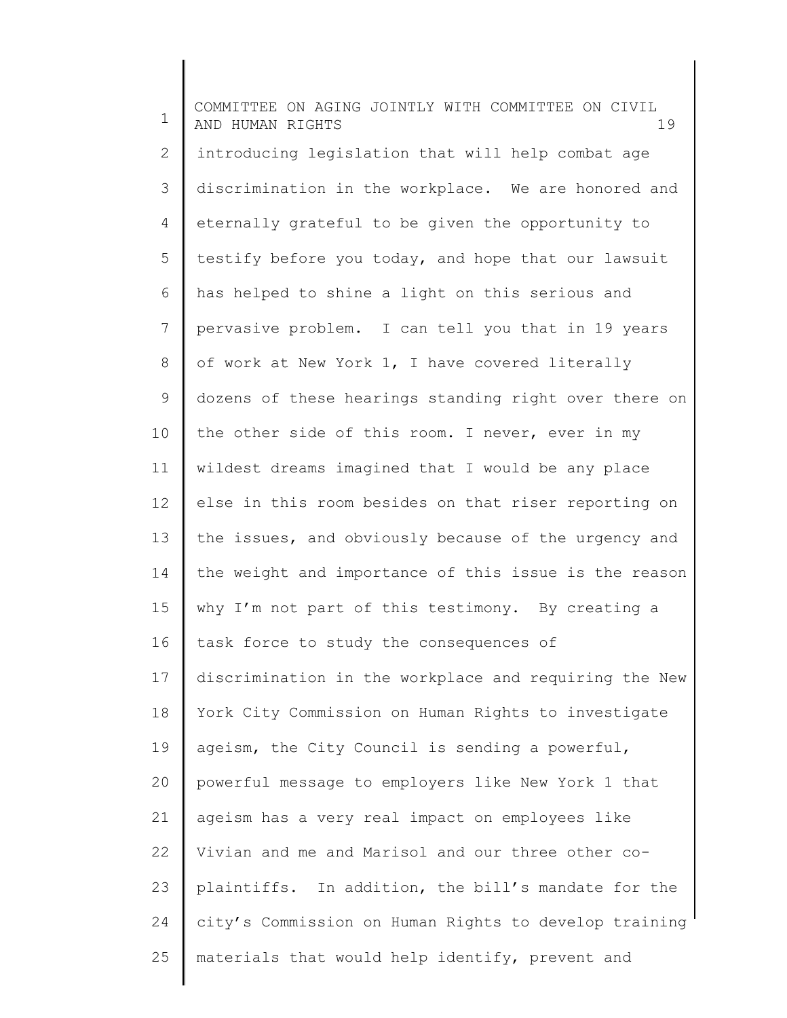1 2 3 4 5 6 7 8 9 10 11 12 13 14 15 16 17 18 19 20 21 22 23 24 25 COMMITTEE ON AGING JOINTLY WITH COMMITTEE ON CIVIL AND HUMAN RIGHTS 19 introducing legislation that will help combat age discrimination in the workplace. We are honored and eternally grateful to be given the opportunity to testify before you today, and hope that our lawsuit has helped to shine a light on this serious and pervasive problem. I can tell you that in 19 years of work at New York 1, I have covered literally dozens of these hearings standing right over there on the other side of this room. I never, ever in my wildest dreams imagined that I would be any place else in this room besides on that riser reporting on the issues, and obviously because of the urgency and the weight and importance of this issue is the reason why I'm not part of this testimony. By creating a task force to study the consequences of discrimination in the workplace and requiring the New York City Commission on Human Rights to investigate ageism, the City Council is sending a powerful, powerful message to employers like New York 1 that ageism has a very real impact on employees like Vivian and me and Marisol and our three other coplaintiffs. In addition, the bill's mandate for the city's Commission on Human Rights to develop training materials that would help identify, prevent and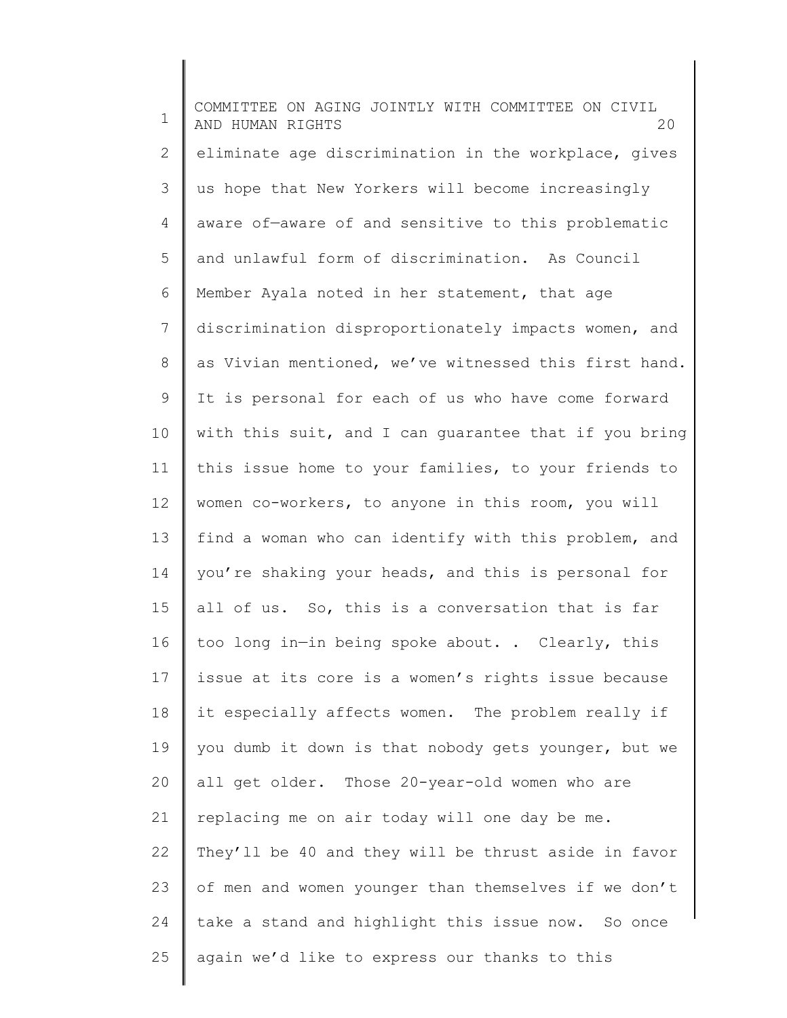1 2 3 4 5 6 7 8 9 10 11 12 13 14 15 16 17 18 19 20 21 22 23 24 25 COMMITTEE ON AGING JOINTLY WITH COMMITTEE ON CIVIL AND HUMAN RIGHTS 20 eliminate age discrimination in the workplace, gives us hope that New Yorkers will become increasingly aware of—aware of and sensitive to this problematic and unlawful form of discrimination. As Council Member Ayala noted in her statement, that age discrimination disproportionately impacts women, and as Vivian mentioned, we've witnessed this first hand. It is personal for each of us who have come forward with this suit, and I can guarantee that if you bring this issue home to your families, to your friends to women co-workers, to anyone in this room, you will find a woman who can identify with this problem, and you're shaking your heads, and this is personal for all of us. So, this is a conversation that is far too long in—in being spoke about. . Clearly, this issue at its core is a women's rights issue because it especially affects women. The problem really if you dumb it down is that nobody gets younger, but we all get older. Those 20-year-old women who are replacing me on air today will one day be me. They'll be 40 and they will be thrust aside in favor of men and women younger than themselves if we don't take a stand and highlight this issue now. So once again we'd like to express our thanks to this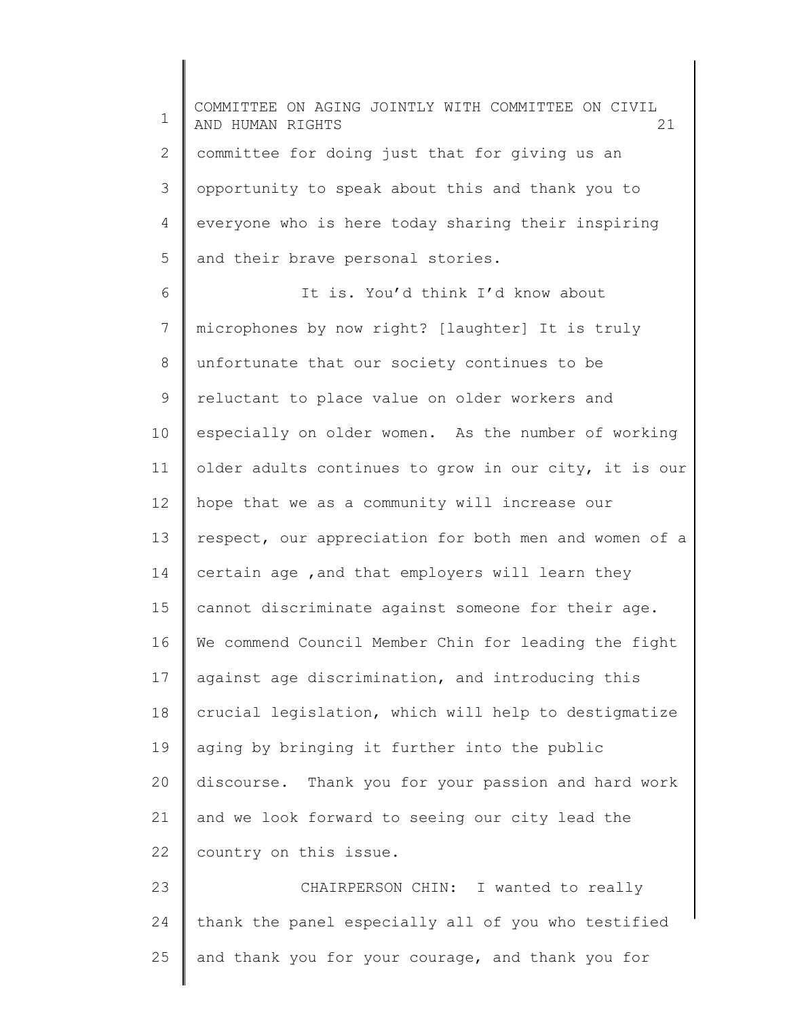1 2 3 4 5 6 7 8 9 10 11 12 13 14 15 16 17 18 19 20 21 22 23 24 25 COMMITTEE ON AGING JOINTLY WITH COMMITTEE ON CIVIL AND HUMAN RIGHTS 21 committee for doing just that for giving us an opportunity to speak about this and thank you to everyone who is here today sharing their inspiring and their brave personal stories. It is. You'd think I'd know about microphones by now right? [laughter] It is truly unfortunate that our society continues to be reluctant to place value on older workers and especially on older women. As the number of working older adults continues to grow in our city, it is our hope that we as a community will increase our respect, our appreciation for both men and women of a certain age ,and that employers will learn they cannot discriminate against someone for their age. We commend Council Member Chin for leading the fight against age discrimination, and introducing this crucial legislation, which will help to destigmatize aging by bringing it further into the public discourse. Thank you for your passion and hard work and we look forward to seeing our city lead the country on this issue. CHAIRPERSON CHIN: I wanted to really thank the panel especially all of you who testified and thank you for your courage, and thank you for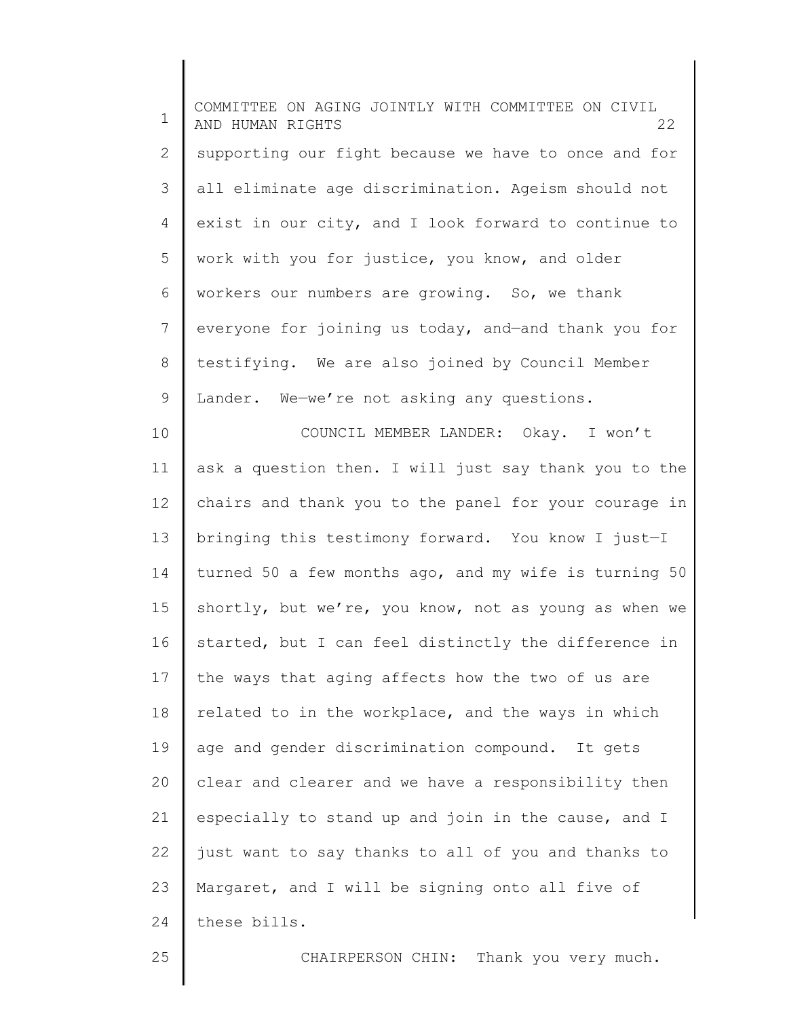1 2 3 4 5 6 7 8 9 10 11 12 13 14 15 16 17 18 19 20 21 22 23 24 COMMITTEE ON AGING JOINTLY WITH COMMITTEE ON CIVIL AND HUMAN RIGHTS 22 supporting our fight because we have to once and for all eliminate age discrimination. Ageism should not exist in our city, and I look forward to continue to work with you for justice, you know, and older workers our numbers are growing. So, we thank everyone for joining us today, and—and thank you for testifying. We are also joined by Council Member Lander. We—we're not asking any questions. COUNCIL MEMBER LANDER: Okay. I won't ask a question then. I will just say thank you to the chairs and thank you to the panel for your courage in bringing this testimony forward. You know I just—I turned 50 a few months ago, and my wife is turning 50 shortly, but we're, you know, not as young as when we started, but I can feel distinctly the difference in the ways that aging affects how the two of us are related to in the workplace, and the ways in which age and gender discrimination compound. It gets clear and clearer and we have a responsibility then especially to stand up and join in the cause, and I just want to say thanks to all of you and thanks to Margaret, and I will be signing onto all five of these bills.

25

CHAIRPERSON CHIN: Thank you very much.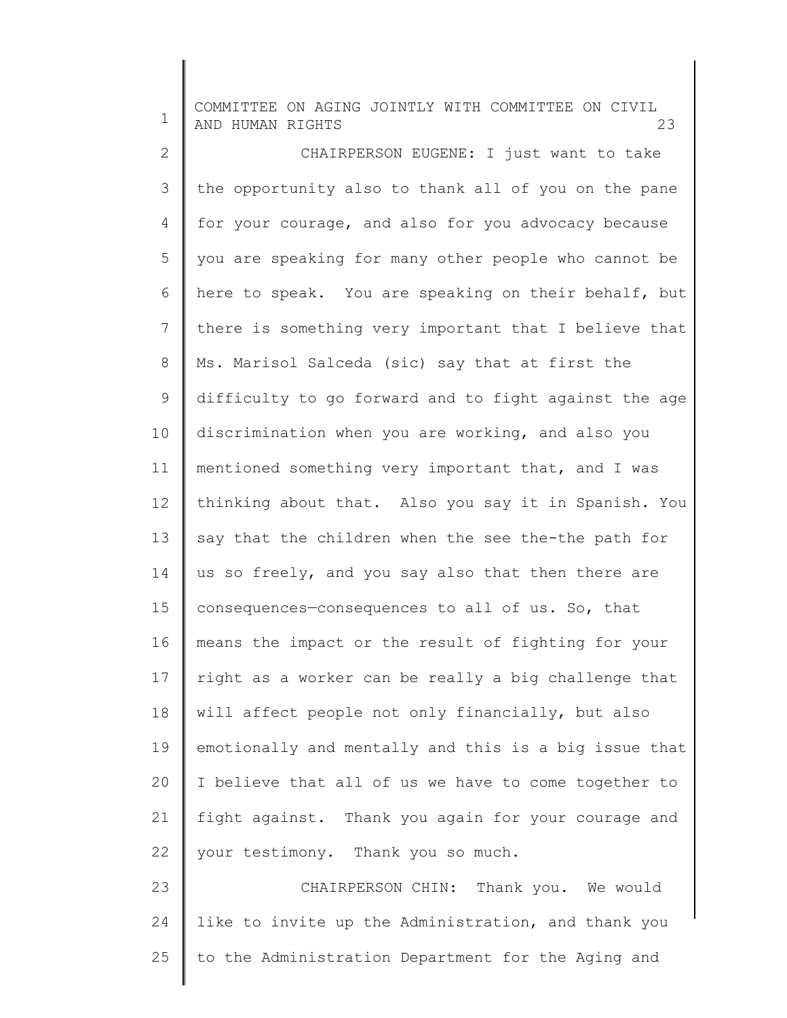| 1            | COMMITTEE ON AGING JOINTLY WITH COMMITTEE ON CIVIL<br>AND HUMAN RIGHTS<br>23 |
|--------------|------------------------------------------------------------------------------|
| $\mathbf{2}$ | CHAIRPERSON EUGENE: I just want to take                                      |
| 3            | the opportunity also to thank all of you on the pane                         |
| 4            | for your courage, and also for you advocacy because                          |
| 5            | you are speaking for many other people who cannot be                         |
| 6            | here to speak. You are speaking on their behalf, but                         |
| 7            | there is something very important that I believe that                        |
| 8            | Ms. Marisol Salceda (sic) say that at first the                              |
| 9            | difficulty to go forward and to fight against the age                        |
| 10           | discrimination when you are working, and also you                            |
| 11           | mentioned something very important that, and I was                           |
| 12           | thinking about that. Also you say it in Spanish. You                         |
| 13           | say that the children when the see the-the path for                          |
| 14           | us so freely, and you say also that then there are                           |
| 15           | consequences-consequences to all of us. So, that                             |
| 16           | means the impact or the result of fighting for your                          |
| 17           | right as a worker can be really a big challenge that                         |
| 18           | will affect people not only financially, but also                            |
| 19           | emotionally and mentally and this is a big issue that                        |
| 20           | I believe that all of us we have to come together to                         |
| 21           | fight against. Thank you again for your courage and                          |
| 22           | your testimony. Thank you so much.                                           |
| 23           | CHAIRPERSON CHIN: Thank you. We would                                        |
| 24           | like to invite up the Administration, and thank you                          |
| 25           | to the Administration Department for the Aging and                           |

║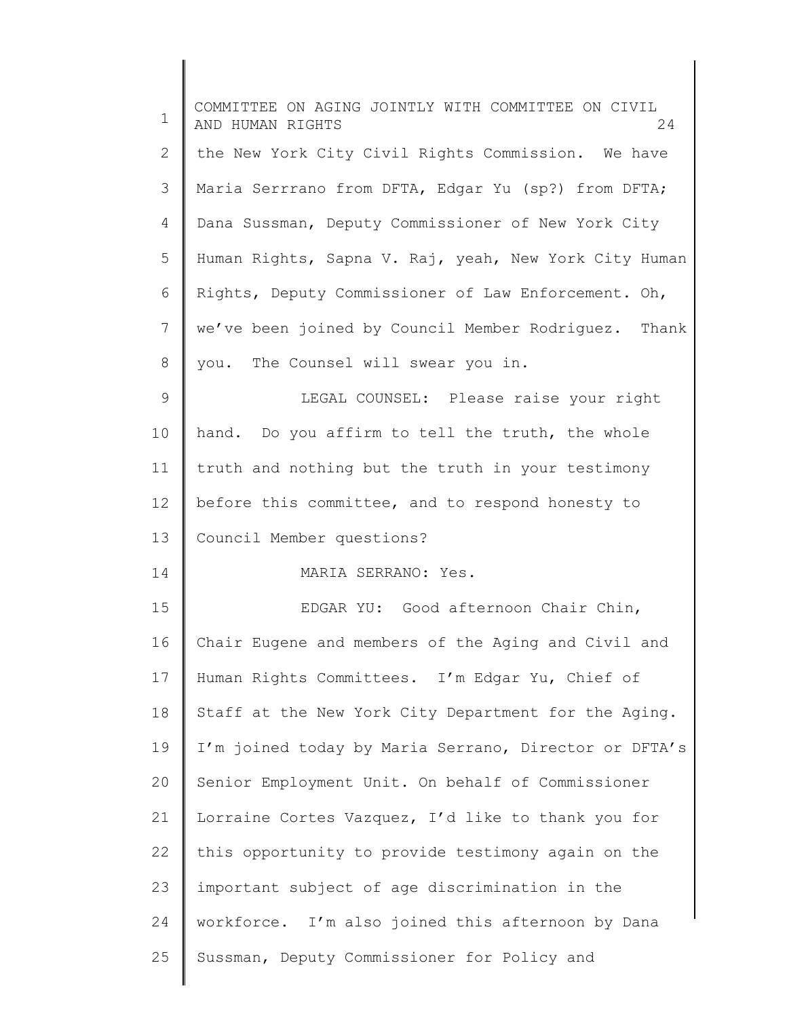| $\mathbf 1$ | COMMITTEE ON AGING JOINTLY WITH COMMITTEE ON CIVIL<br>AND HUMAN RIGHTS<br>24 |
|-------------|------------------------------------------------------------------------------|
| 2           | the New York City Civil Rights Commission. We have                           |
| 3           | Maria Serrrano from DFTA, Edgar Yu (sp?) from DFTA;                          |
| 4           | Dana Sussman, Deputy Commissioner of New York City                           |
| 5           | Human Rights, Sapna V. Raj, yeah, New York City Human                        |
| 6           | Rights, Deputy Commissioner of Law Enforcement. Oh,                          |
| 7           | we've been joined by Council Member Rodriquez. Thank                         |
| 8           | you. The Counsel will swear you in.                                          |
| 9           | LEGAL COUNSEL: Please raise your right                                       |
| 10          | hand. Do you affirm to tell the truth, the whole                             |
| 11          | truth and nothing but the truth in your testimony                            |
| 12          | before this committee, and to respond honesty to                             |
| 13          | Council Member questions?                                                    |
| 14          | MARIA SERRANO: Yes.                                                          |
| 15          | EDGAR YU: Good afternoon Chair Chin,                                         |
| 16          | Chair Eugene and members of the Aging and Civil and                          |
| 17          | Human Rights Committees. I'm Edgar Yu, Chief of                              |
| 18          | Staff at the New York City Department for the Aging.                         |
| 19          | I'm joined today by Maria Serrano, Director or DFTA's                        |
| 20          | Senior Employment Unit. On behalf of Commissioner                            |
| 21          | Lorraine Cortes Vazquez, I'd like to thank you for                           |
| 22          | this opportunity to provide testimony again on the                           |
| 23          | important subject of age discrimination in the                               |
| 24          | workforce. I'm also joined this afternoon by Dana                            |
| 25          | Sussman, Deputy Commissioner for Policy and                                  |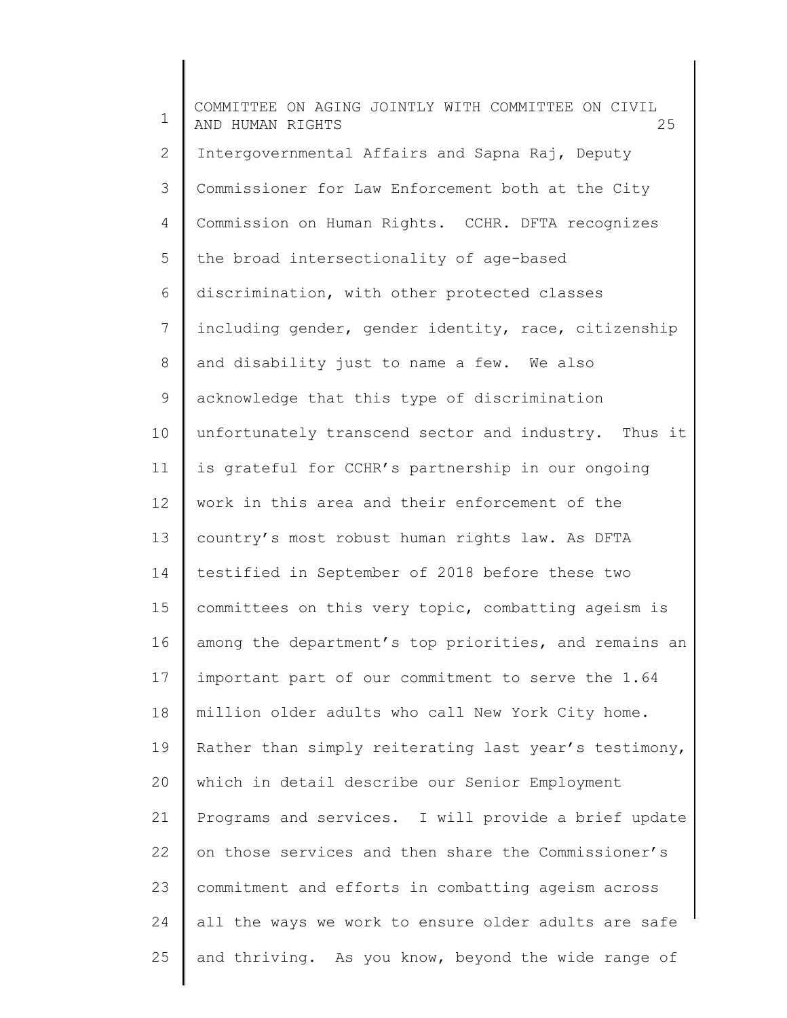1 2 3 4 5 6 7 8 9 10 11 12 13 14 15 16 17 18 19 20 21 22 23 24 25 COMMITTEE ON AGING JOINTLY WITH COMMITTEE ON CIVIL AND HUMAN RIGHTS 25 Intergovernmental Affairs and Sapna Raj, Deputy Commissioner for Law Enforcement both at the City Commission on Human Rights. CCHR. DFTA recognizes the broad intersectionality of age-based discrimination, with other protected classes including gender, gender identity, race, citizenship and disability just to name a few. We also acknowledge that this type of discrimination unfortunately transcend sector and industry. Thus it is grateful for CCHR's partnership in our ongoing work in this area and their enforcement of the country's most robust human rights law. As DFTA testified in September of 2018 before these two committees on this very topic, combatting ageism is among the department's top priorities, and remains an important part of our commitment to serve the 1.64 million older adults who call New York City home. Rather than simply reiterating last year's testimony, which in detail describe our Senior Employment Programs and services. I will provide a brief update on those services and then share the Commissioner's commitment and efforts in combatting ageism across all the ways we work to ensure older adults are safe and thriving. As you know, beyond the wide range of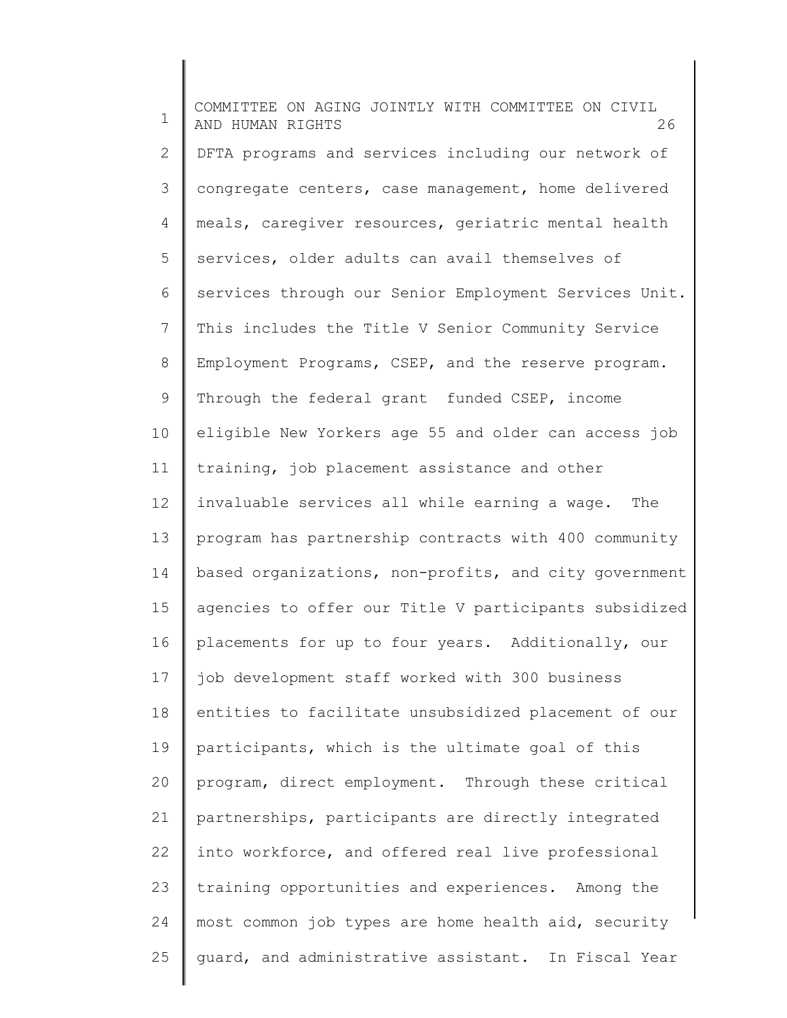1 2 3 4 5 6 7 8 9 10 11 12 13 14 15 16 17 18 19 20 21 22 23 24 25 COMMITTEE ON AGING JOINTLY WITH COMMITTEE ON CIVIL AND HUMAN RIGHTS 26 DFTA programs and services including our network of congregate centers, case management, home delivered meals, caregiver resources, geriatric mental health services, older adults can avail themselves of services through our Senior Employment Services Unit. This includes the Title V Senior Community Service Employment Programs, CSEP, and the reserve program. Through the federal grant funded CSEP, income eligible New Yorkers age 55 and older can access job training, job placement assistance and other invaluable services all while earning a wage. The program has partnership contracts with 400 community based organizations, non-profits, and city government agencies to offer our Title V participants subsidized placements for up to four years. Additionally, our job development staff worked with 300 business entities to facilitate unsubsidized placement of our participants, which is the ultimate goal of this program, direct employment. Through these critical partnerships, participants are directly integrated into workforce, and offered real live professional training opportunities and experiences. Among the most common job types are home health aid, security guard, and administrative assistant. In Fiscal Year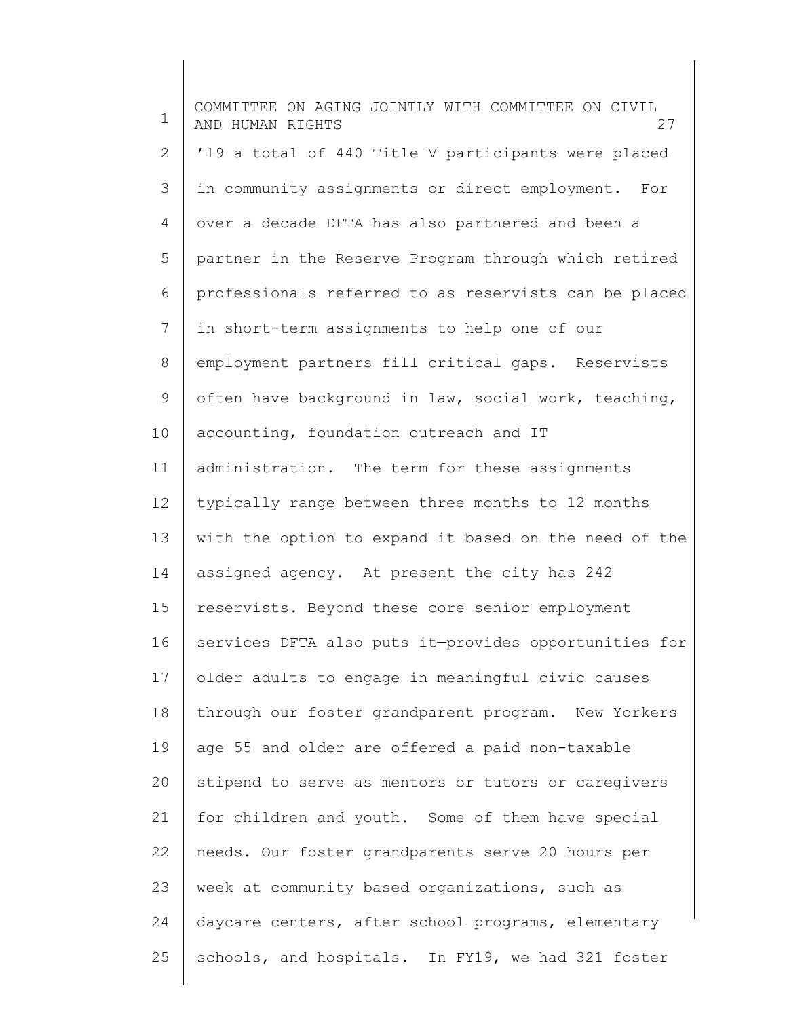1 2 3 4 5 6 7 8 9 10 11 12 13 14 15 16 17 18 19 20 21 22 23 24 25 COMMITTEE ON AGING JOINTLY WITH COMMITTEE ON CIVIL AND HUMAN RIGHTS 27 '19 a total of 440 Title V participants were placed in community assignments or direct employment. For over a decade DFTA has also partnered and been a partner in the Reserve Program through which retired professionals referred to as reservists can be placed in short-term assignments to help one of our employment partners fill critical gaps. Reservists often have background in law, social work, teaching, accounting, foundation outreach and IT administration. The term for these assignments typically range between three months to 12 months with the option to expand it based on the need of the assigned agency. At present the city has 242 reservists. Beyond these core senior employment services DFTA also puts it—provides opportunities for older adults to engage in meaningful civic causes through our foster grandparent program. New Yorkers age 55 and older are offered a paid non-taxable stipend to serve as mentors or tutors or caregivers for children and youth. Some of them have special needs. Our foster grandparents serve 20 hours per week at community based organizations, such as daycare centers, after school programs, elementary schools, and hospitals. In FY19, we had 321 foster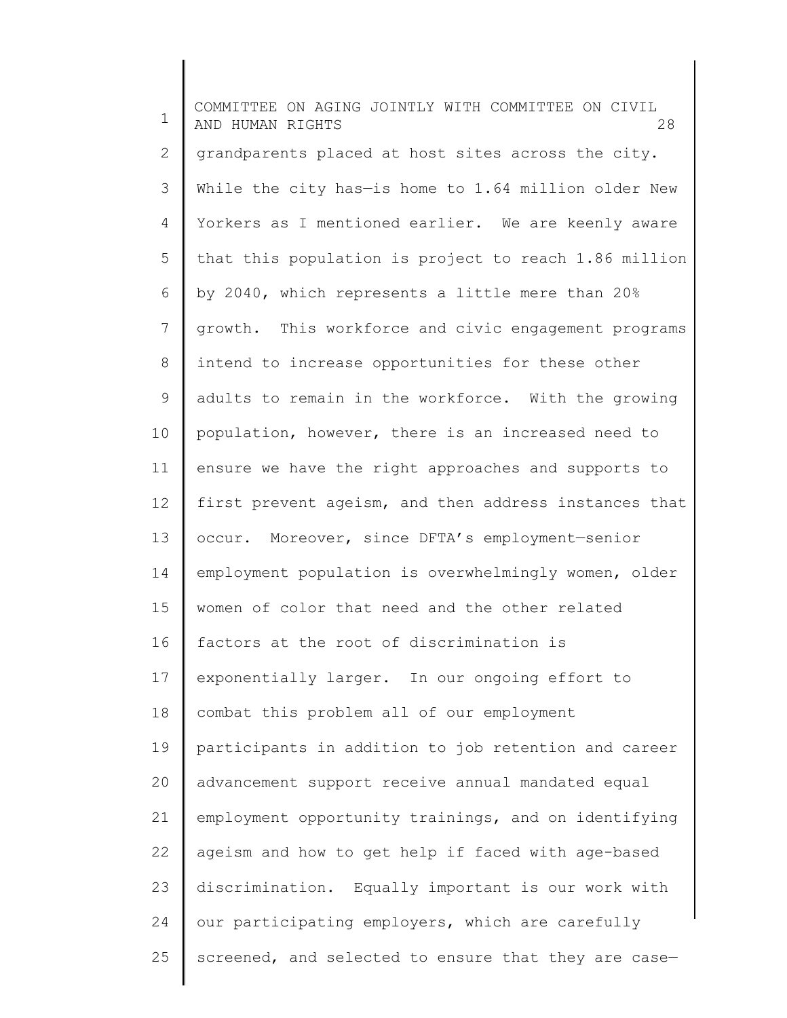1 2 3 4 5 6 7 8 9 10 11 12 13 14 15 16 17 18 19 20 21 22 23 24 25 COMMITTEE ON AGING JOINTLY WITH COMMITTEE ON CIVIL AND HUMAN RIGHTS 28 grandparents placed at host sites across the city. While the city has-is home to 1.64 million older New Yorkers as I mentioned earlier. We are keenly aware that this population is project to reach 1.86 million by 2040, which represents a little mere than 20% growth. This workforce and civic engagement programs intend to increase opportunities for these other adults to remain in the workforce. With the growing population, however, there is an increased need to ensure we have the right approaches and supports to first prevent ageism, and then address instances that occur. Moreover, since DFTA's employment—senior employment population is overwhelmingly women, older women of color that need and the other related factors at the root of discrimination is exponentially larger. In our ongoing effort to combat this problem all of our employment participants in addition to job retention and career advancement support receive annual mandated equal employment opportunity trainings, and on identifying ageism and how to get help if faced with age-based discrimination. Equally important is our work with our participating employers, which are carefully screened, and selected to ensure that they are case—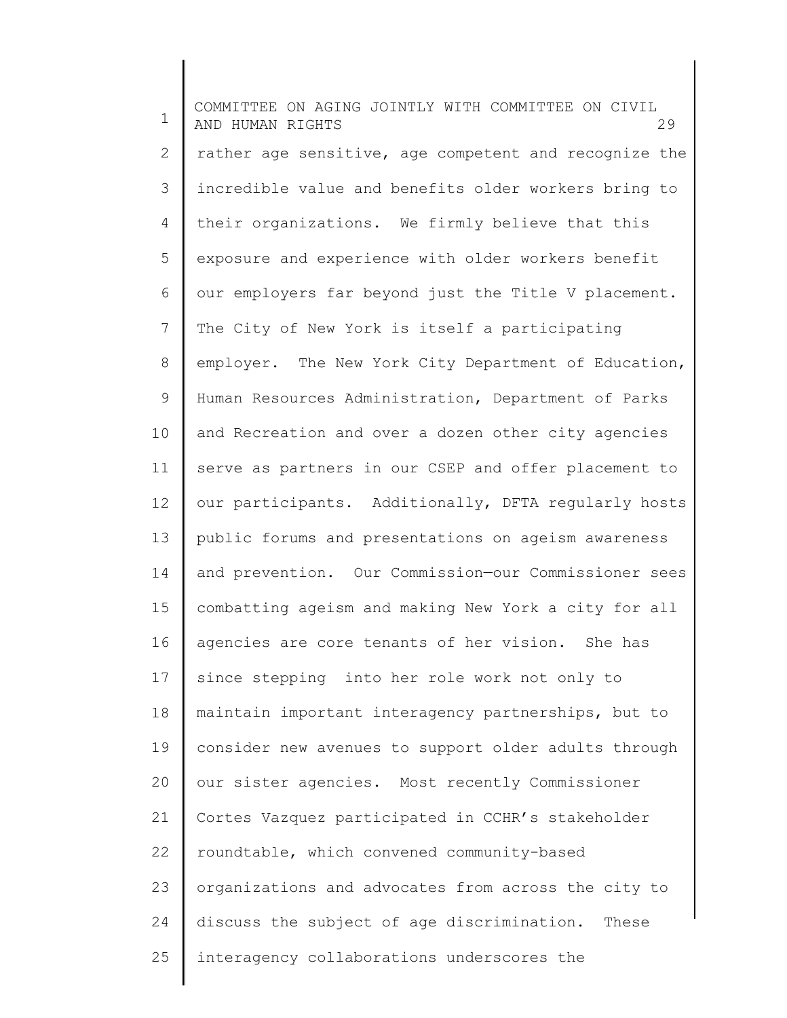1 2 3 4 5 6 7 8 9 10 11 12 13 14 15 16 17 18 19 20 21 22 23 24 25 COMMITTEE ON AGING JOINTLY WITH COMMITTEE ON CIVIL AND HUMAN RIGHTS 29 rather age sensitive, age competent and recognize the incredible value and benefits older workers bring to their organizations. We firmly believe that this exposure and experience with older workers benefit our employers far beyond just the Title V placement. The City of New York is itself a participating employer. The New York City Department of Education, Human Resources Administration, Department of Parks and Recreation and over a dozen other city agencies serve as partners in our CSEP and offer placement to our participants. Additionally, DFTA regularly hosts public forums and presentations on ageism awareness and prevention. Our Commission—our Commissioner sees combatting ageism and making New York a city for all agencies are core tenants of her vision. She has since stepping into her role work not only to maintain important interagency partnerships, but to consider new avenues to support older adults through our sister agencies. Most recently Commissioner Cortes Vazquez participated in CCHR's stakeholder roundtable, which convened community-based organizations and advocates from across the city to discuss the subject of age discrimination. These interagency collaborations underscores the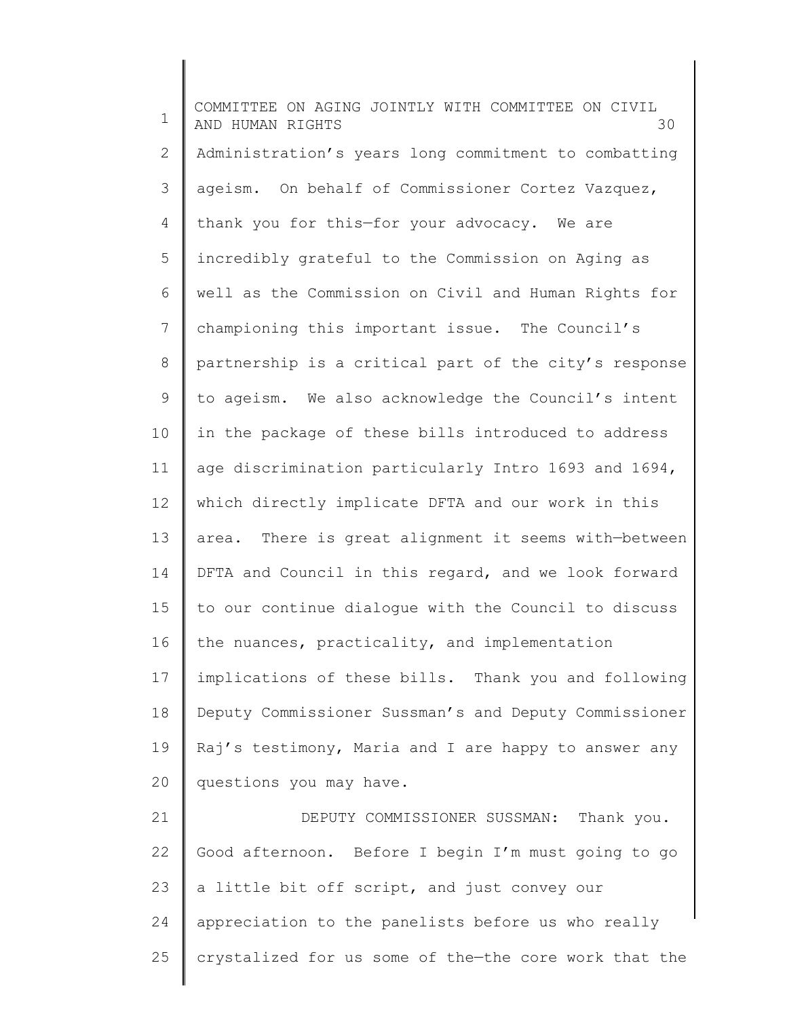1 2 3 4 5 6 7 8 9 10 11 12 13 14 15 16 17 18 19 20 21 22 23 24 COMMITTEE ON AGING JOINTLY WITH COMMITTEE ON CIVIL AND HUMAN RIGHTS 30 Administration's years long commitment to combatting ageism. On behalf of Commissioner Cortez Vazquez, thank you for this—for your advocacy. We are incredibly grateful to the Commission on Aging as well as the Commission on Civil and Human Rights for championing this important issue. The Council's partnership is a critical part of the city's response to ageism. We also acknowledge the Council's intent in the package of these bills introduced to address age discrimination particularly Intro 1693 and 1694, which directly implicate DFTA and our work in this area. There is great alignment it seems with—between DFTA and Council in this regard, and we look forward to our continue dialogue with the Council to discuss the nuances, practicality, and implementation implications of these bills. Thank you and following Deputy Commissioner Sussman's and Deputy Commissioner Raj's testimony, Maria and I are happy to answer any questions you may have. DEPUTY COMMISSIONER SUSSMAN: Thank you. Good afternoon. Before I begin I'm must going to go a little bit off script, and just convey our appreciation to the panelists before us who really

crystalized for us some of the—the core work that the

25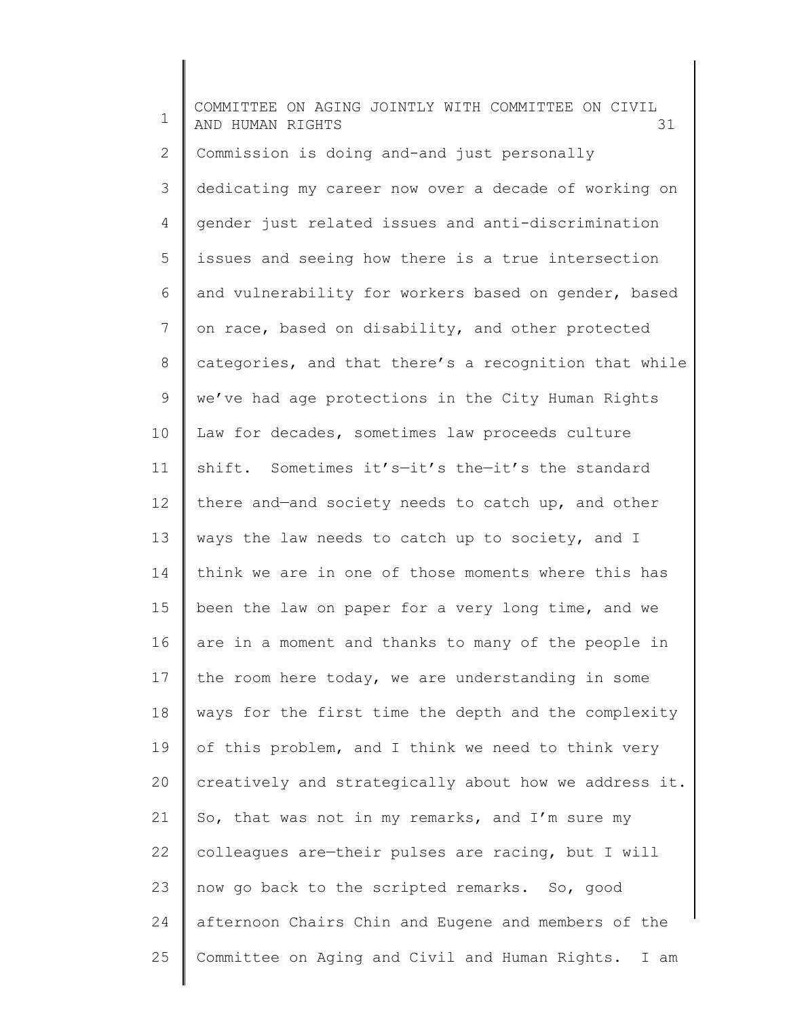1 2 3 4 5 6 7 8 9 10 11 12 13 14 15 16 17 18 19 20 21 22 23 24 25 COMMITTEE ON AGING JOINTLY WITH COMMITTEE ON CIVIL AND HUMAN RIGHTS 31 Commission is doing and-and just personally dedicating my career now over a decade of working on gender just related issues and anti-discrimination issues and seeing how there is a true intersection and vulnerability for workers based on gender, based on race, based on disability, and other protected categories, and that there's a recognition that while we've had age protections in the City Human Rights Law for decades, sometimes law proceeds culture shift. Sometimes it's—it's the—it's the standard there and—and society needs to catch up, and other ways the law needs to catch up to society, and I think we are in one of those moments where this has been the law on paper for a very long time, and we are in a moment and thanks to many of the people in the room here today, we are understanding in some ways for the first time the depth and the complexity of this problem, and I think we need to think very creatively and strategically about how we address it. So, that was not in my remarks, and I'm sure my colleagues are—their pulses are racing, but I will now go back to the scripted remarks. So, good afternoon Chairs Chin and Eugene and members of the Committee on Aging and Civil and Human Rights. I am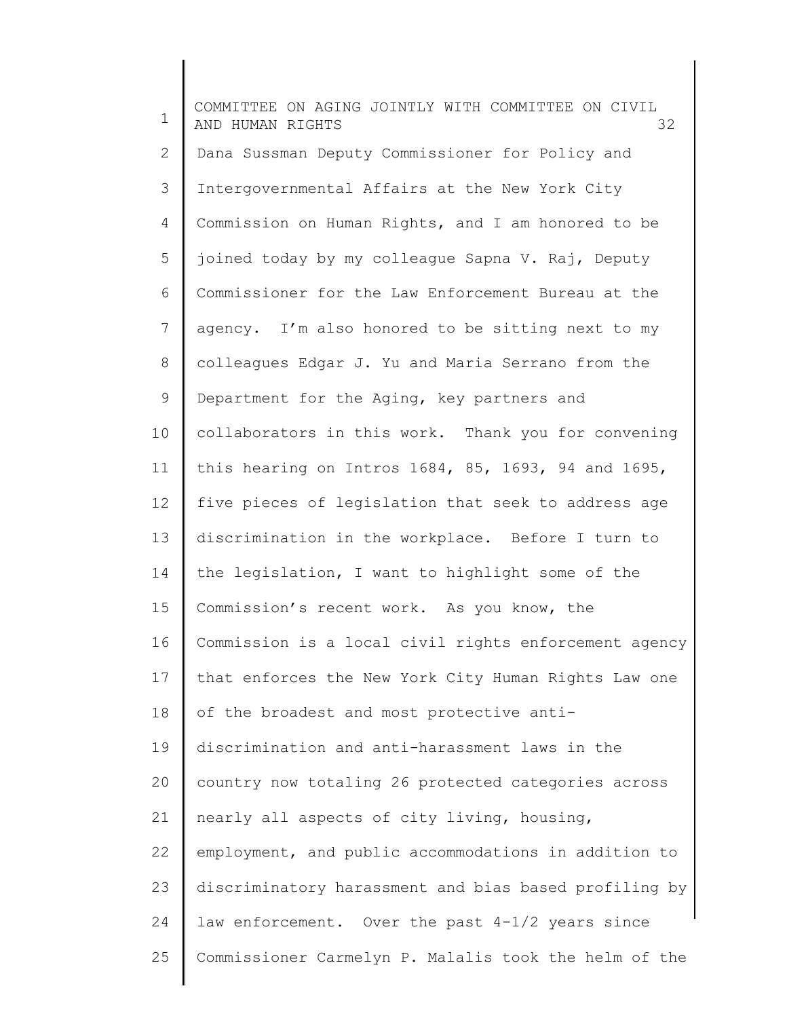1 2 3 4 5 6 7 8 9 10 11 12 13 14 15 16 17 18 19 20 21 22 23 24 25 COMMITTEE ON AGING JOINTLY WITH COMMITTEE ON CIVIL AND HUMAN RIGHTS 32 Dana Sussman Deputy Commissioner for Policy and Intergovernmental Affairs at the New York City Commission on Human Rights, and I am honored to be joined today by my colleague Sapna V. Raj, Deputy Commissioner for the Law Enforcement Bureau at the agency. I'm also honored to be sitting next to my colleagues Edgar J. Yu and Maria Serrano from the Department for the Aging, key partners and collaborators in this work. Thank you for convening this hearing on Intros 1684, 85, 1693, 94 and 1695, five pieces of legislation that seek to address age discrimination in the workplace. Before I turn to the legislation, I want to highlight some of the Commission's recent work. As you know, the Commission is a local civil rights enforcement agency that enforces the New York City Human Rights Law one of the broadest and most protective antidiscrimination and anti-harassment laws in the country now totaling 26 protected categories across nearly all aspects of city living, housing, employment, and public accommodations in addition to discriminatory harassment and bias based profiling by law enforcement. Over the past 4-1/2 years since Commissioner Carmelyn P. Malalis took the helm of the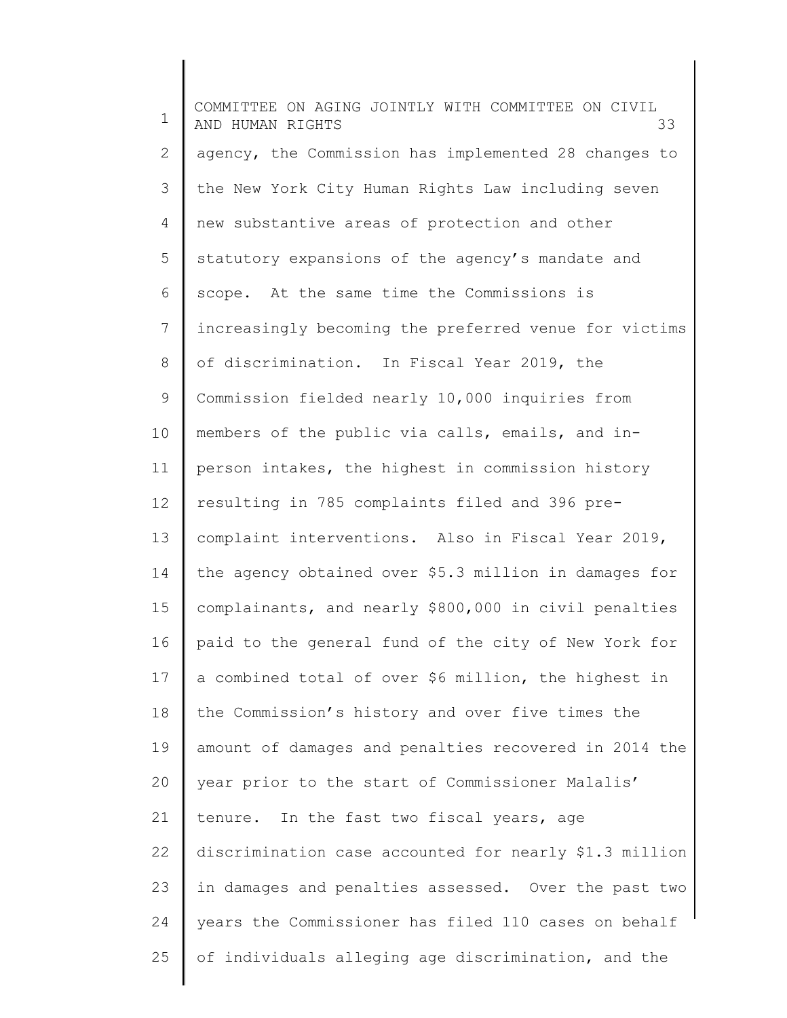1 2 3 4 5 6 7 8 9 10 11 12 13 14 15 16 17 18 19 20 21 22 23 24 25 COMMITTEE ON AGING JOINTLY WITH COMMITTEE ON CIVIL AND HUMAN RIGHTS 33 agency, the Commission has implemented 28 changes to the New York City Human Rights Law including seven new substantive areas of protection and other statutory expansions of the agency's mandate and scope. At the same time the Commissions is increasingly becoming the preferred venue for victims of discrimination. In Fiscal Year 2019, the Commission fielded nearly 10,000 inquiries from members of the public via calls, emails, and inperson intakes, the highest in commission history resulting in 785 complaints filed and 396 precomplaint interventions. Also in Fiscal Year 2019, the agency obtained over \$5.3 million in damages for complainants, and nearly \$800,000 in civil penalties paid to the general fund of the city of New York for a combined total of over \$6 million, the highest in the Commission's history and over five times the amount of damages and penalties recovered in 2014 the year prior to the start of Commissioner Malalis' tenure. In the fast two fiscal years, age discrimination case accounted for nearly \$1.3 million in damages and penalties assessed. Over the past two years the Commissioner has filed 110 cases on behalf of individuals alleging age discrimination, and the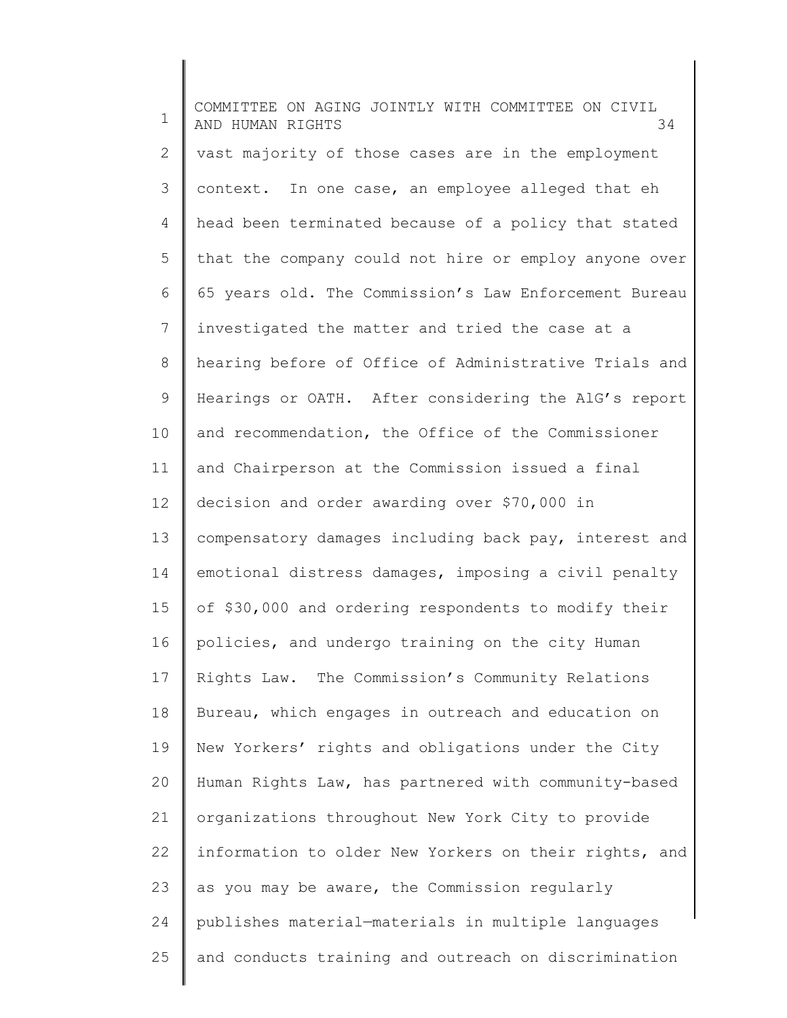1 2 3 4 5 6 7 8 9 10 11 12 13 14 15 16 17 18 19 20 21 22 23 24 25 COMMITTEE ON AGING JOINTLY WITH COMMITTEE ON CIVIL AND HUMAN RIGHTS 34 vast majority of those cases are in the employment context. In one case, an employee alleged that eh head been terminated because of a policy that stated that the company could not hire or employ anyone over 65 years old. The Commission's Law Enforcement Bureau investigated the matter and tried the case at a hearing before of Office of Administrative Trials and Hearings or OATH. After considering the AlG's report and recommendation, the Office of the Commissioner and Chairperson at the Commission issued a final decision and order awarding over \$70,000 in compensatory damages including back pay, interest and emotional distress damages, imposing a civil penalty of \$30,000 and ordering respondents to modify their policies, and undergo training on the city Human Rights Law. The Commission's Community Relations Bureau, which engages in outreach and education on New Yorkers' rights and obligations under the City Human Rights Law, has partnered with community-based organizations throughout New York City to provide information to older New Yorkers on their rights, and as you may be aware, the Commission regularly publishes material—materials in multiple languages and conducts training and outreach on discrimination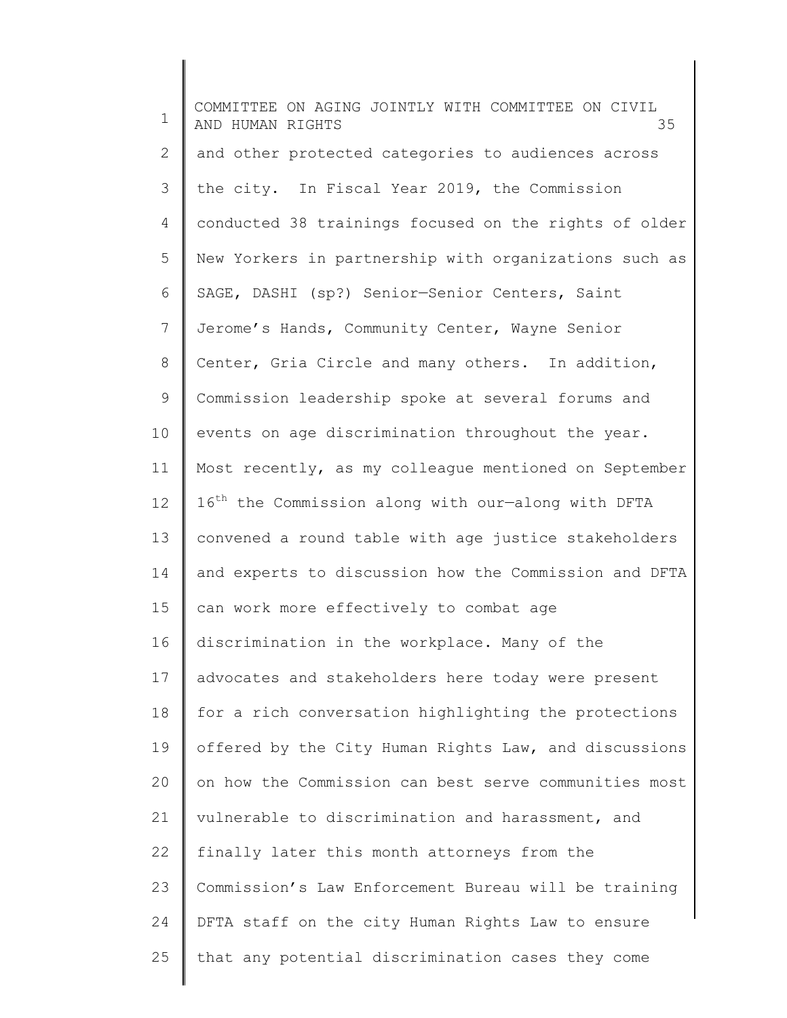| $\mathbf 1$    | COMMITTEE ON AGING JOINTLY WITH COMMITTEE ON CIVIL<br>AND HUMAN RIGHTS<br>35 |
|----------------|------------------------------------------------------------------------------|
| $\mathbf{2}$   | and other protected categories to audiences across                           |
| 3              | the city. In Fiscal Year 2019, the Commission                                |
| $\overline{4}$ | conducted 38 trainings focused on the rights of older                        |
| 5              | New Yorkers in partnership with organizations such as                        |
| 6              | SAGE, DASHI (sp?) Senior-Senior Centers, Saint                               |
| 7              | Jerome's Hands, Community Center, Wayne Senior                               |
| 8              | Center, Gria Circle and many others. In addition,                            |
| 9              | Commission leadership spoke at several forums and                            |
| 10             | events on age discrimination throughout the year.                            |
| 11             | Most recently, as my colleague mentioned on September                        |
| 12             | 16 <sup>th</sup> the Commission along with our-along with DFTA               |
| 13             | convened a round table with age justice stakeholders                         |
| 14             | and experts to discussion how the Commission and DFTA                        |
| 15             | can work more effectively to combat age                                      |
| 16             | discrimination in the workplace. Many of the                                 |
| 17             | advocates and stakeholders here today were present                           |
| 18             | for a rich conversation highlighting the protections                         |
| 19             | offered by the City Human Rights Law, and discussions                        |
| 20             | on how the Commission can best serve communities most                        |
| 21             | vulnerable to discrimination and harassment, and                             |
| 22             | finally later this month attorneys from the                                  |
| 23             | Commission's Law Enforcement Bureau will be training                         |
| 24             | DFTA staff on the city Human Rights Law to ensure                            |
| 25             | that any potential discrimination cases they come                            |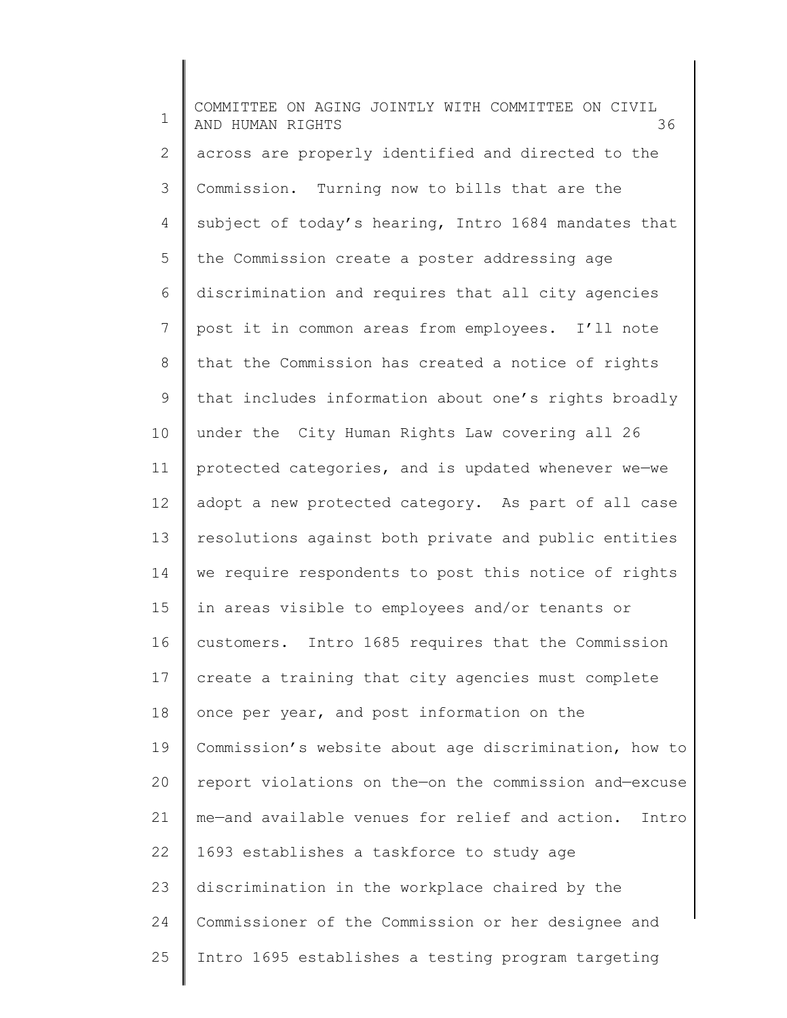1 2 3 4 5 6 7 8 9 10 11 12 13 14 15 16 17 18 19 20 21 22 23 24 25 COMMITTEE ON AGING JOINTLY WITH COMMITTEE ON CIVIL AND HUMAN RIGHTS 36 across are properly identified and directed to the Commission. Turning now to bills that are the subject of today's hearing, Intro 1684 mandates that the Commission create a poster addressing age discrimination and requires that all city agencies post it in common areas from employees. I'll note that the Commission has created a notice of rights that includes information about one's rights broadly under the City Human Rights Law covering all 26 protected categories, and is updated whenever we—we adopt a new protected category. As part of all case resolutions against both private and public entities we require respondents to post this notice of rights in areas visible to employees and/or tenants or customers. Intro 1685 requires that the Commission create a training that city agencies must complete once per year, and post information on the Commission's website about age discrimination, how to report violations on the—on the commission and—excuse me—and available venues for relief and action. Intro 1693 establishes a taskforce to study age discrimination in the workplace chaired by the Commissioner of the Commission or her designee and Intro 1695 establishes a testing program targeting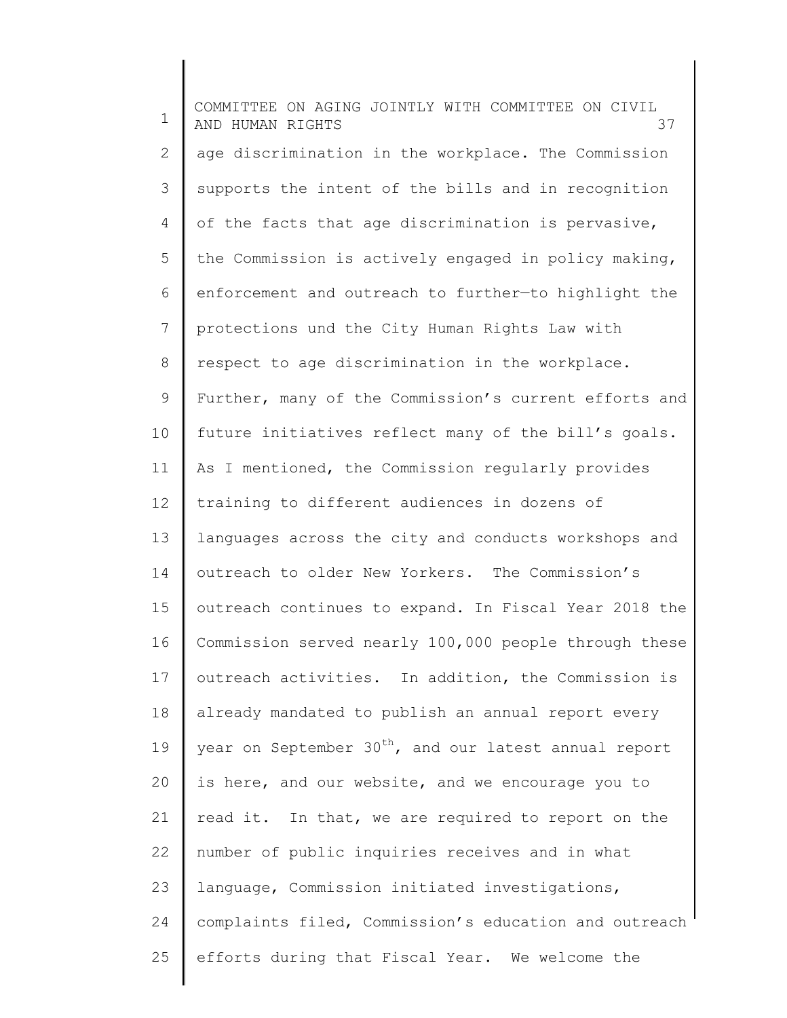1 2 3 4 5 6 7 8 9 10 11 12 13 14 15 16 17 18 19 20 21 22 23 24 25 COMMITTEE ON AGING JOINTLY WITH COMMITTEE ON CIVIL AND HUMAN RIGHTS 37 age discrimination in the workplace. The Commission supports the intent of the bills and in recognition of the facts that age discrimination is pervasive, the Commission is actively engaged in policy making, enforcement and outreach to further—to highlight the protections und the City Human Rights Law with respect to age discrimination in the workplace. Further, many of the Commission's current efforts and future initiatives reflect many of the bill's goals. As I mentioned, the Commission regularly provides training to different audiences in dozens of languages across the city and conducts workshops and outreach to older New Yorkers. The Commission's outreach continues to expand. In Fiscal Year 2018 the Commission served nearly 100,000 people through these outreach activities. In addition, the Commission is already mandated to publish an annual report every year on September  $30<sup>th</sup>$ , and our latest annual report is here, and our website, and we encourage you to read it. In that, we are required to report on the number of public inquiries receives and in what language, Commission initiated investigations, complaints filed, Commission's education and outreach efforts during that Fiscal Year. We welcome the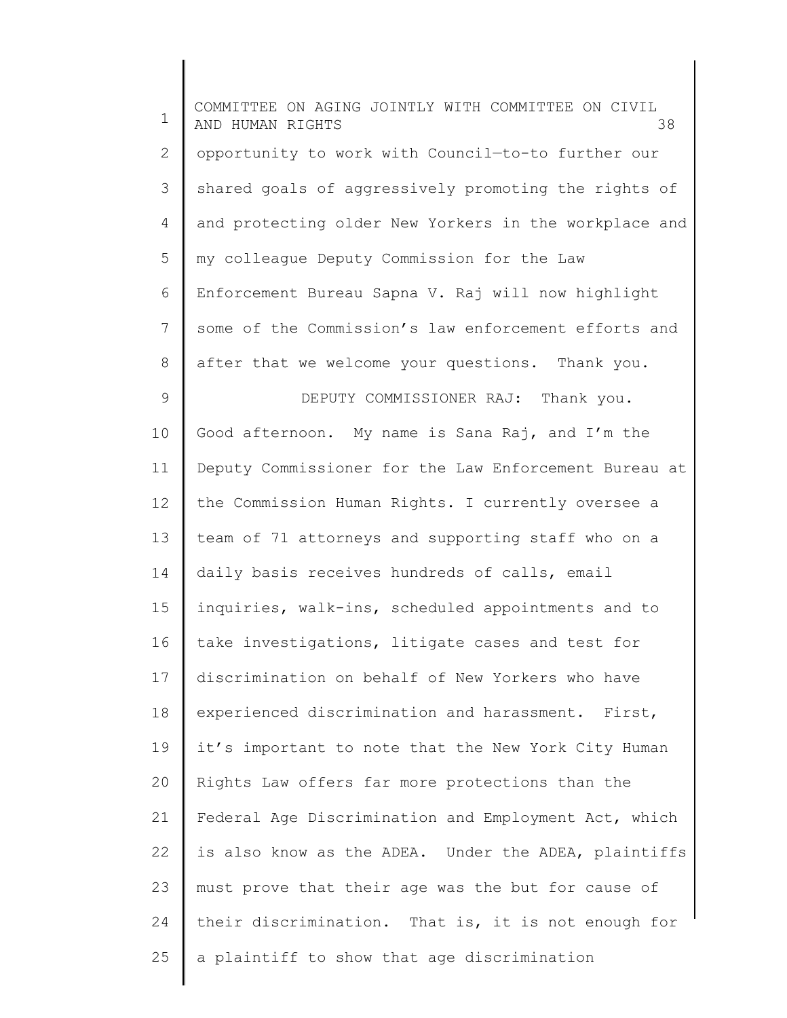| $\mathbf 1$    | COMMITTEE ON AGING JOINTLY WITH COMMITTEE ON CIVIL<br>AND HUMAN RIGHTS<br>38 |
|----------------|------------------------------------------------------------------------------|
| $\mathbf{2}$   | opportunity to work with Council-to-to further our                           |
| 3              | shared goals of aggressively promoting the rights of                         |
| $\overline{4}$ | and protecting older New Yorkers in the workplace and                        |
| 5              | my colleague Deputy Commission for the Law                                   |
| 6              | Enforcement Bureau Sapna V. Raj will now highlight                           |
| 7              | some of the Commission's law enforcement efforts and                         |
| $\,8\,$        | after that we welcome your questions. Thank you.                             |
| $\mathsf 9$    | DEPUTY COMMISSIONER RAJ: Thank you.                                          |
| 10             | Good afternoon. My name is Sana Raj, and I'm the                             |
| 11             | Deputy Commissioner for the Law Enforcement Bureau at                        |
| 12             | the Commission Human Rights. I currently oversee a                           |
| 13             | team of 71 attorneys and supporting staff who on a                           |
| 14             | daily basis receives hundreds of calls, email                                |
| 15             | inquiries, walk-ins, scheduled appointments and to                           |
| 16             | take investigations, litigate cases and test for                             |
| 17             | discrimination on behalf of New Yorkers who have                             |
| 18             | experienced discrimination and harassment. First,                            |
| 19             | it's important to note that the New York City Human                          |
| 20             | Rights Law offers far more protections than the                              |
| 21             | Federal Age Discrimination and Employment Act, which                         |
| 22             | is also know as the ADEA. Under the ADEA, plaintiffs                         |
| 23             | must prove that their age was the but for cause of                           |
| 24             | their discrimination. That is, it is not enough for                          |
| 25             | a plaintiff to show that age discrimination                                  |
|                |                                                                              |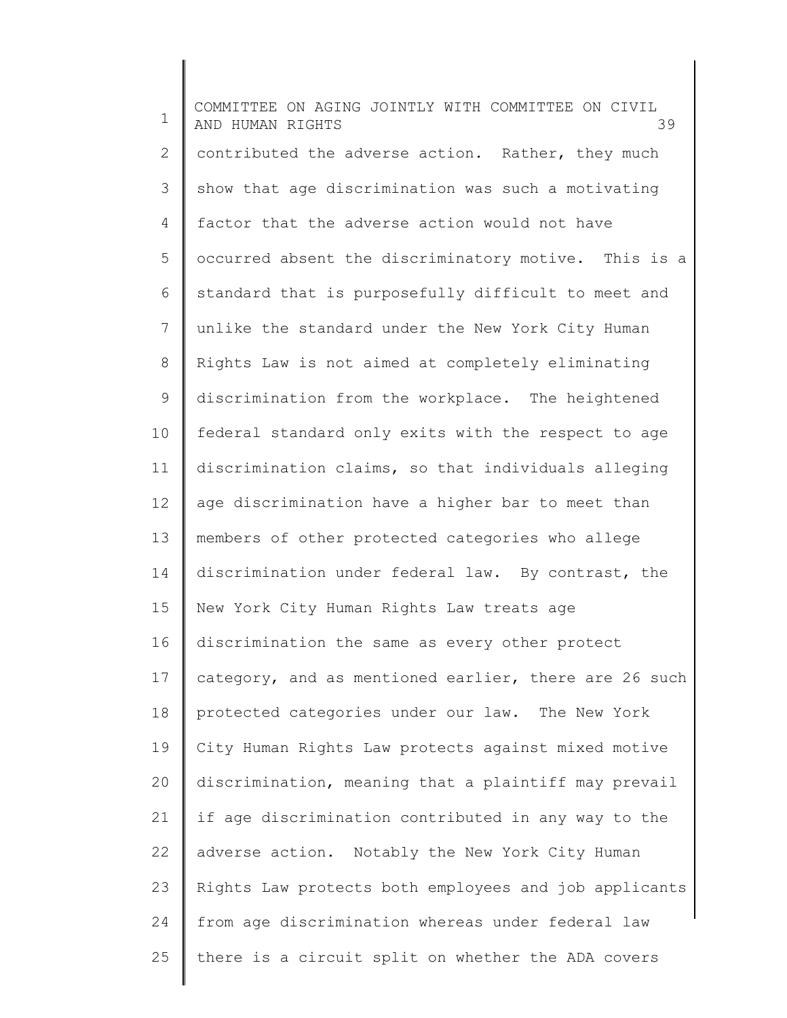1 2 3 4 5 6 7 8 9 10 11 12 13 14 15 16 17 18 19 20 21 22 23 24 25 COMMITTEE ON AGING JOINTLY WITH COMMITTEE ON CIVIL AND HUMAN RIGHTS 39 contributed the adverse action. Rather, they much show that age discrimination was such a motivating factor that the adverse action would not have occurred absent the discriminatory motive. This is a standard that is purposefully difficult to meet and unlike the standard under the New York City Human Rights Law is not aimed at completely eliminating discrimination from the workplace. The heightened federal standard only exits with the respect to age discrimination claims, so that individuals alleging age discrimination have a higher bar to meet than members of other protected categories who allege discrimination under federal law. By contrast, the New York City Human Rights Law treats age discrimination the same as every other protect category, and as mentioned earlier, there are 26 such protected categories under our law. The New York City Human Rights Law protects against mixed motive discrimination, meaning that a plaintiff may prevail if age discrimination contributed in any way to the adverse action. Notably the New York City Human Rights Law protects both employees and job applicants from age discrimination whereas under federal law there is a circuit split on whether the ADA covers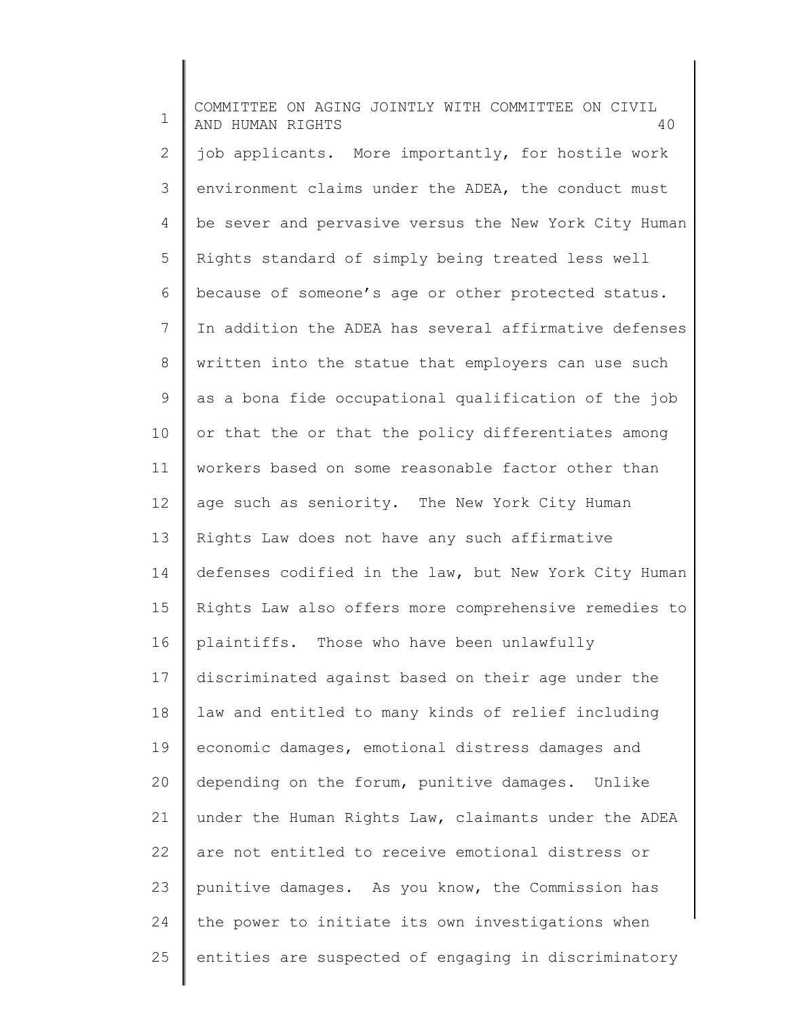1 2 3 4 5 6 7 8 9 10 11 12 13 14 15 16 17 18 19 20 21 22 23 24 25 COMMITTEE ON AGING JOINTLY WITH COMMITTEE ON CIVIL AND HUMAN RIGHTS 40 job applicants. More importantly, for hostile work environment claims under the ADEA, the conduct must be sever and pervasive versus the New York City Human Rights standard of simply being treated less well because of someone's age or other protected status. In addition the ADEA has several affirmative defenses written into the statue that employers can use such as a bona fide occupational qualification of the job or that the or that the policy differentiates among workers based on some reasonable factor other than age such as seniority. The New York City Human Rights Law does not have any such affirmative defenses codified in the law, but New York City Human Rights Law also offers more comprehensive remedies to plaintiffs. Those who have been unlawfully discriminated against based on their age under the law and entitled to many kinds of relief including economic damages, emotional distress damages and depending on the forum, punitive damages. Unlike under the Human Rights Law, claimants under the ADEA are not entitled to receive emotional distress or punitive damages. As you know, the Commission has the power to initiate its own investigations when entities are suspected of engaging in discriminatory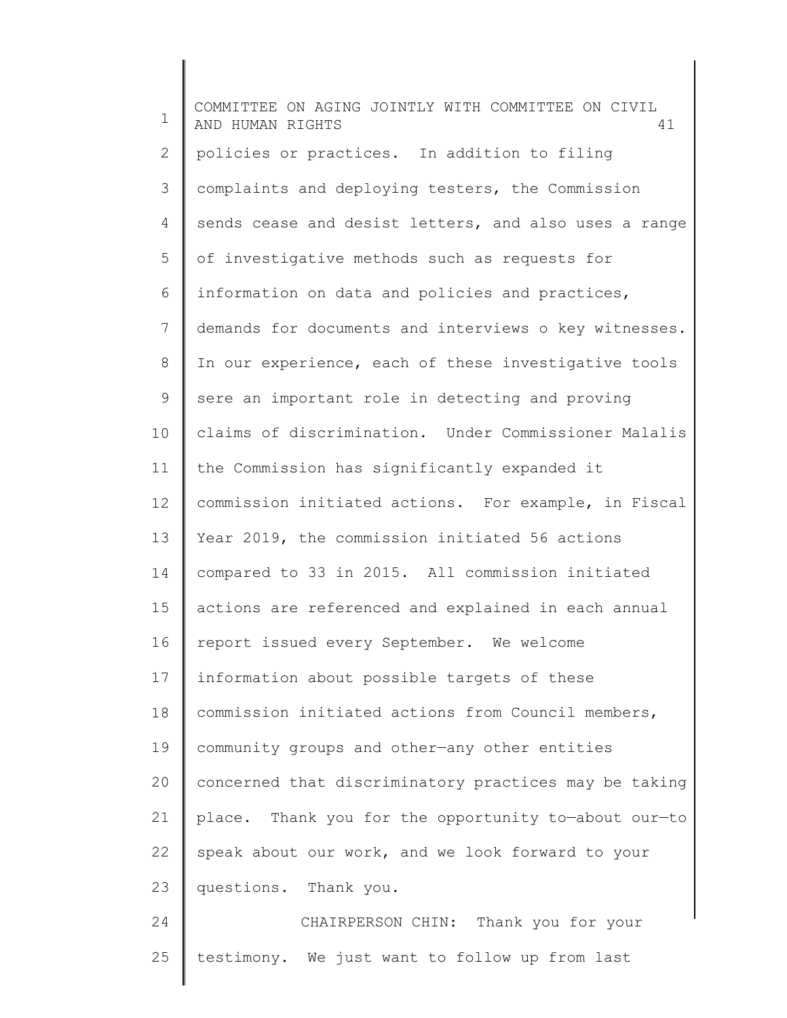| $\mathbf 1$  | COMMITTEE ON AGING JOINTLY WITH COMMITTEE ON CIVIL<br>AND HUMAN RIGHTS<br>41 |
|--------------|------------------------------------------------------------------------------|
| $\mathbf{2}$ | policies or practices. In addition to filing                                 |
| 3            | complaints and deploying testers, the Commission                             |
| 4            | sends cease and desist letters, and also uses a range                        |
| 5            | of investigative methods such as requests for                                |
| 6            | information on data and policies and practices,                              |
| 7            | demands for documents and interviews o key witnesses.                        |
| 8            | In our experience, each of these investigative tools                         |
| 9            | sere an important role in detecting and proving                              |
| 10           | claims of discrimination. Under Commissioner Malalis                         |
| 11           | the Commission has significantly expanded it                                 |
| 12           | commission initiated actions. For example, in Fiscal                         |
| 13           | Year 2019, the commission initiated 56 actions                               |
| 14           | compared to 33 in 2015. All commission initiated                             |
| 15           | actions are referenced and explained in each annual                          |
| 16           | report issued every September. We welcome                                    |
| 17           | information about possible targets of these                                  |
| 18           | commission initiated actions from Council members,                           |
| 19           | community groups and other-any other entities                                |
| 20           | concerned that discriminatory practices may be taking                        |
| 21           | place. Thank you for the opportunity to-about our-to                         |
| 22           | speak about our work, and we look forward to your                            |
| 23           | questions. Thank you.                                                        |
| 24           | CHAIRPERSON CHIN: Thank you for your                                         |
| 25           | testimony. We just want to follow up from last                               |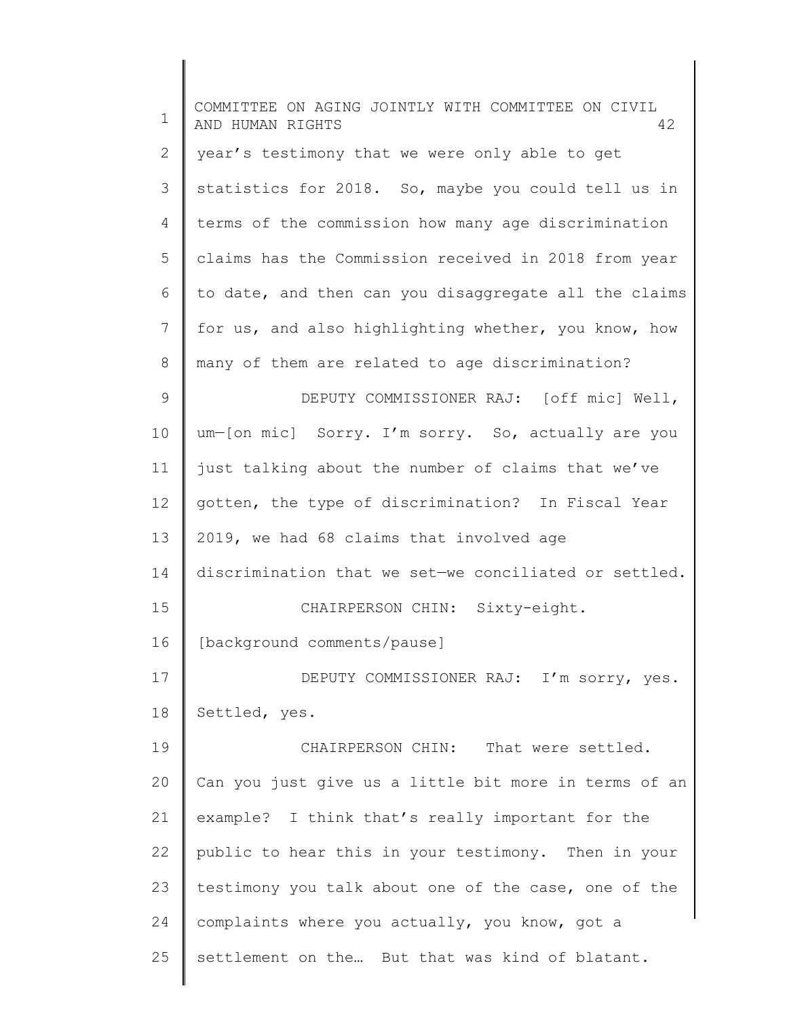| $\mathbf 1$   | COMMITTEE ON AGING JOINTLY WITH COMMITTEE ON CIVIL<br>AND HUMAN RIGHTS<br>42 |
|---------------|------------------------------------------------------------------------------|
| $\mathbf{2}$  | year's testimony that we were only able to get                               |
| 3             | statistics for 2018. So, maybe you could tell us in                          |
| 4             | terms of the commission how many age discrimination                          |
| 5             | claims has the Commission received in 2018 from year                         |
| 6             | to date, and then can you disaggregate all the claims                        |
| 7             | for us, and also highlighting whether, you know, how                         |
| 8             | many of them are related to age discrimination?                              |
| $\mathcal{G}$ | DEPUTY COMMISSIONER RAJ: [off mic] Well,                                     |
| 10            | um-[on mic] Sorry. I'm sorry. So, actually are you                           |
| 11            | just talking about the number of claims that we've                           |
| 12            | gotten, the type of discrimination? In Fiscal Year                           |
| 13            | 2019, we had 68 claims that involved age                                     |
| 14            | discrimination that we set-we conciliated or settled.                        |
| 15            | CHAIRPERSON CHIN: Sixty-eight.                                               |
| 16            | [background comments/pause]                                                  |
| 17            | DEPUTY COMMISSIONER RAJ: I'm sorry, yes.                                     |
| 18            | Settled, yes.                                                                |
| 19            | CHAIRPERSON CHIN:<br>That were settled.                                      |
| 20            | Can you just give us a little bit more in terms of an                        |
| 21            | example? I think that's really important for the                             |
| 22            | public to hear this in your testimony. Then in your                          |
| 23            | testimony you talk about one of the case, one of the                         |
| 24            | complaints where you actually, you know, got a                               |
| 25            | settlement on the But that was kind of blatant.                              |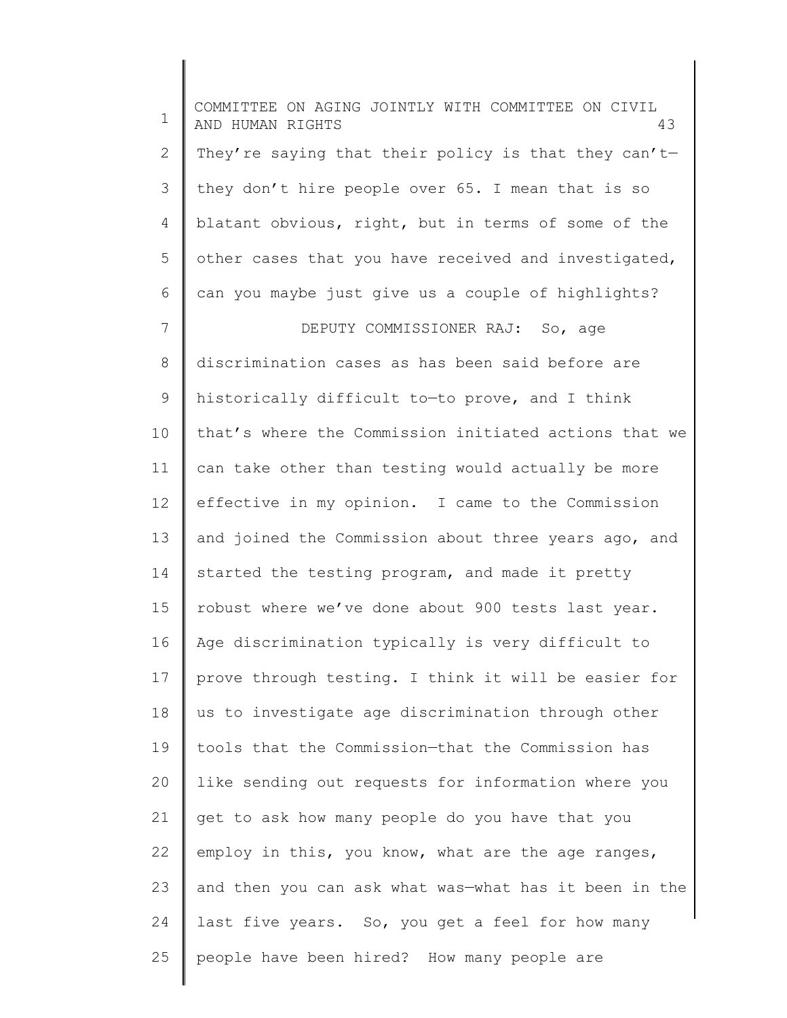1 2 3 4 5 6 7 8 9 10 11 12 13 14 15 16 17 18 19 20 21 22 23 24 25 COMMITTEE ON AGING JOINTLY WITH COMMITTEE ON CIVIL AND HUMAN RIGHTS 43 They're saying that their policy is that they can'tthey don't hire people over 65. I mean that is so blatant obvious, right, but in terms of some of the other cases that you have received and investigated, can you maybe just give us a couple of highlights? DEPUTY COMMISSIONER RAJ: So, age discrimination cases as has been said before are historically difficult to—to prove, and I think that's where the Commission initiated actions that we can take other than testing would actually be more effective in my opinion. I came to the Commission and joined the Commission about three years ago, and started the testing program, and made it pretty robust where we've done about 900 tests last year. Age discrimination typically is very difficult to prove through testing. I think it will be easier for us to investigate age discrimination through other tools that the Commission—that the Commission has like sending out requests for information where you get to ask how many people do you have that you employ in this, you know, what are the age ranges, and then you can ask what was—what has it been in the last five years. So, you get a feel for how many people have been hired? How many people are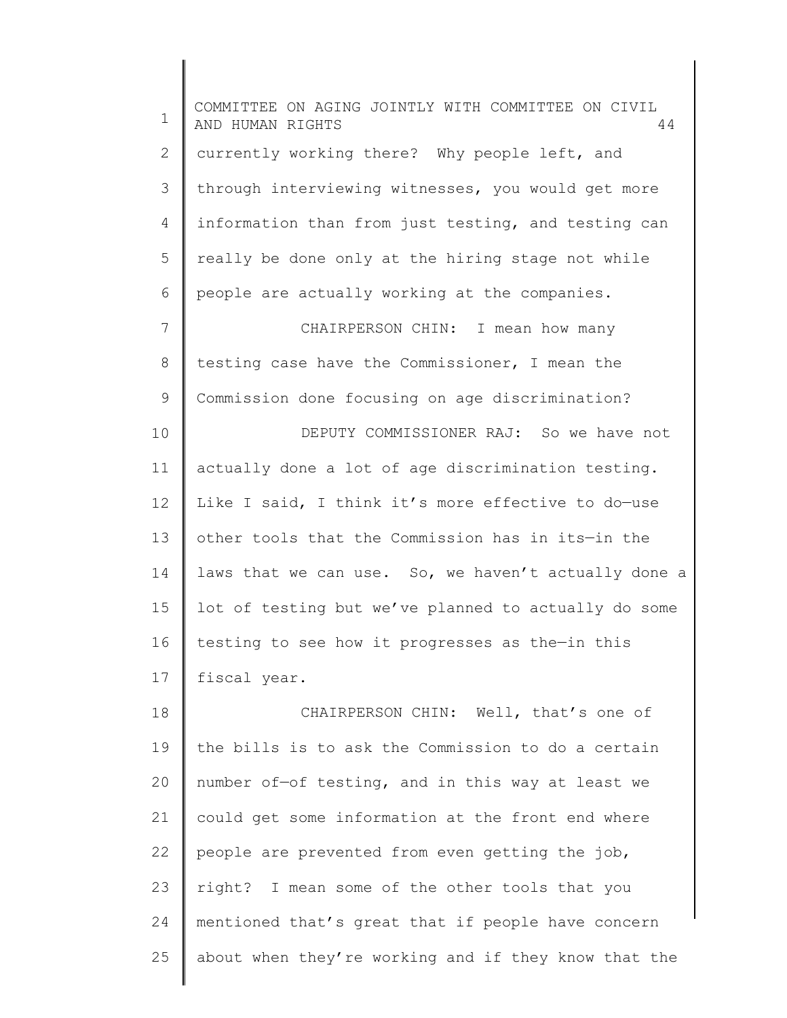1 2 3 4 5 6 7 8 9 10 11 12 13 14 15 16 17 18 19 20 21 22 23 24 25 COMMITTEE ON AGING JOINTLY WITH COMMITTEE ON CIVIL AND HUMAN RIGHTS 44 currently working there? Why people left, and through interviewing witnesses, you would get more information than from just testing, and testing can really be done only at the hiring stage not while people are actually working at the companies. CHAIRPERSON CHIN: I mean how many testing case have the Commissioner, I mean the Commission done focusing on age discrimination? DEPUTY COMMISSIONER RAJ: So we have not actually done a lot of age discrimination testing. Like I said, I think it's more effective to do—use other tools that the Commission has in its—in the laws that we can use. So, we haven't actually done a lot of testing but we've planned to actually do some testing to see how it progresses as the—in this fiscal year. CHAIRPERSON CHIN: Well, that's one of the bills is to ask the Commission to do a certain number of—of testing, and in this way at least we could get some information at the front end where people are prevented from even getting the job, right? I mean some of the other tools that you mentioned that's great that if people have concern about when they're working and if they know that the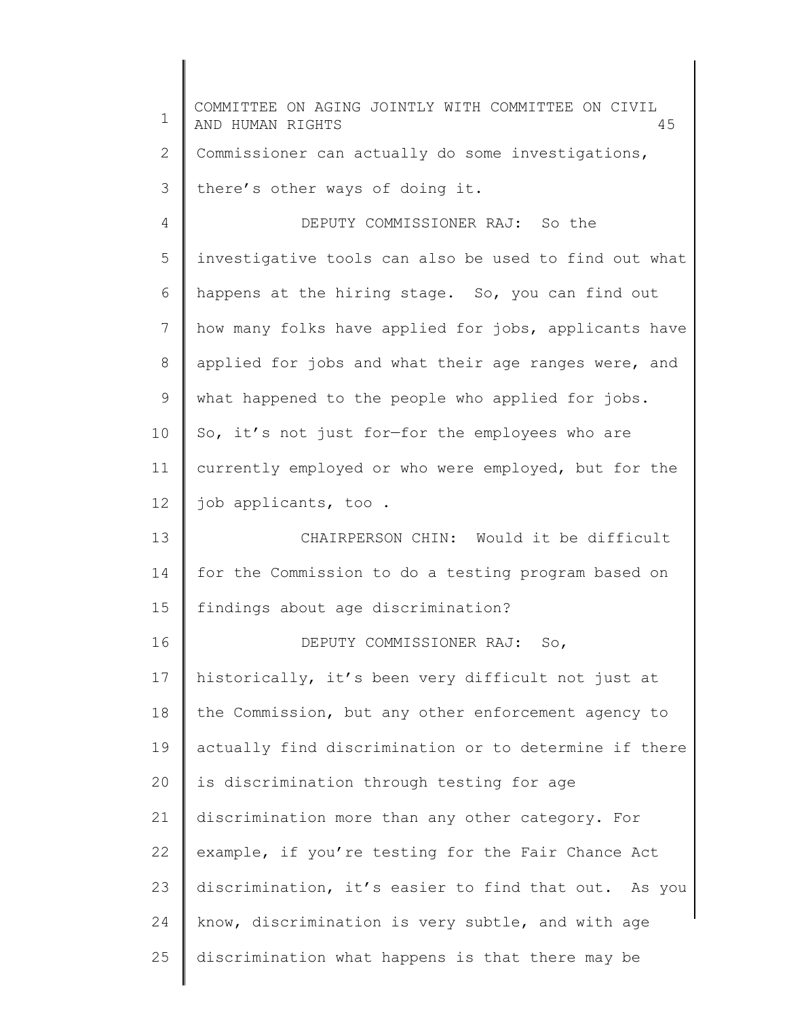| 1     | COMMITTEE ON AGING JOINTLY WITH COMMITTEE ON CIVIL<br>AND HUMAN RIGHTS<br>45 |
|-------|------------------------------------------------------------------------------|
| 2     | Commissioner can actually do some investigations,                            |
| 3     | there's other ways of doing it.                                              |
| 4     | DEPUTY COMMISSIONER RAJ: So the                                              |
| 5     | investigative tools can also be used to find out what                        |
| 6     | happens at the hiring stage. So, you can find out                            |
| 7     | how many folks have applied for jobs, applicants have                        |
| $8\,$ | applied for jobs and what their age ranges were, and                         |
| 9     | what happened to the people who applied for jobs.                            |
| 10    | So, it's not just for-for the employees who are                              |
| 11    | currently employed or who were employed, but for the                         |
| 12    | job applicants, too.                                                         |
| 13    | CHAIRPERSON CHIN: Would it be difficult                                      |
| 14    | for the Commission to do a testing program based on                          |
| 15    | findings about age discrimination?                                           |
| 16    | DEPUTY COMMISSIONER RAJ: So,                                                 |
| 17    | historically, it's been very difficult not just at                           |
| 18    | the Commission, but any other enforcement agency to                          |
| 19    | actually find discrimination or to determine if there                        |
| 20    | is discrimination through testing for age                                    |
| 21    | discrimination more than any other category. For                             |
| 22    | example, if you're testing for the Fair Chance Act                           |
| 23    | discrimination, it's easier to find that out. As you                         |
| 24    | know, discrimination is very subtle, and with age                            |
| 25    | discrimination what happens is that there may be                             |
|       |                                                                              |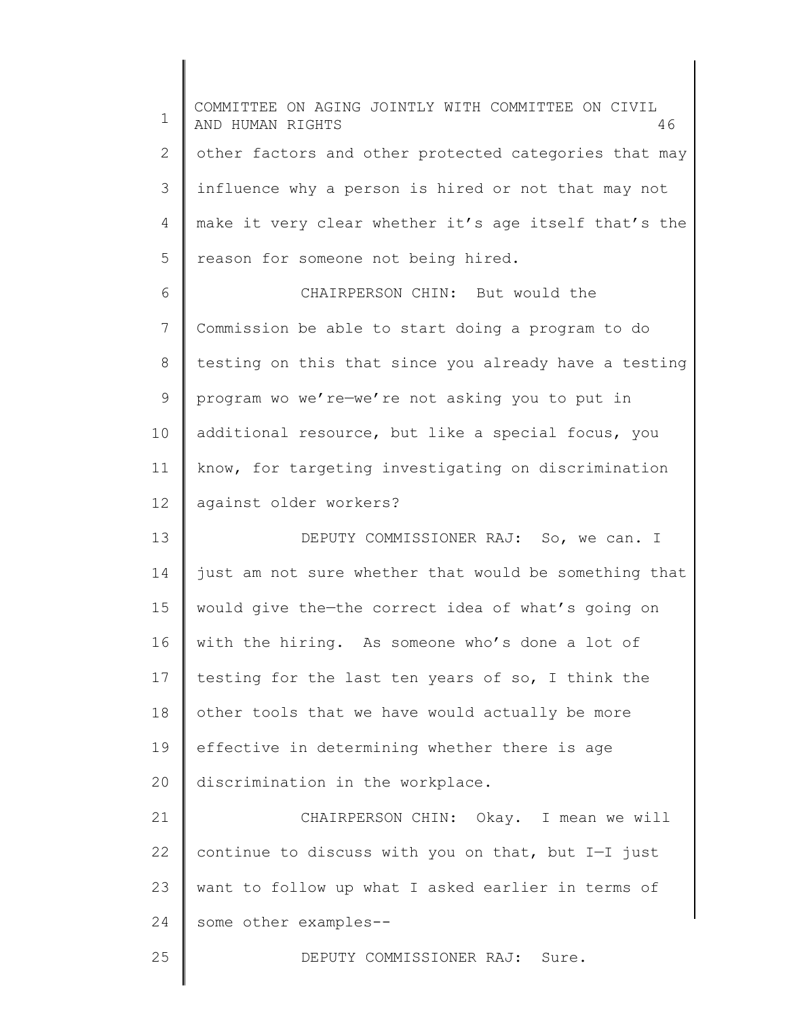1 2 3 4 5 6 7 8 9 10 11 12 13 14 15 16 17 18 19 20 21 22 23 24 25 COMMITTEE ON AGING JOINTLY WITH COMMITTEE ON CIVIL AND HUMAN RIGHTS 46 other factors and other protected categories that may influence why a person is hired or not that may not make it very clear whether it's age itself that's the reason for someone not being hired. CHAIRPERSON CHIN: But would the Commission be able to start doing a program to do testing on this that since you already have a testing program wo we're—we're not asking you to put in additional resource, but like a special focus, you know, for targeting investigating on discrimination against older workers? DEPUTY COMMISSIONER RAJ: So, we can. I just am not sure whether that would be something that would give the—the correct idea of what's going on with the hiring. As someone who's done a lot of testing for the last ten years of so, I think the other tools that we have would actually be more effective in determining whether there is age discrimination in the workplace. CHAIRPERSON CHIN: Okay. I mean we will continue to discuss with you on that, but I—I just want to follow up what I asked earlier in terms of some other examples-- DEPUTY COMMISSIONER RAJ: Sure.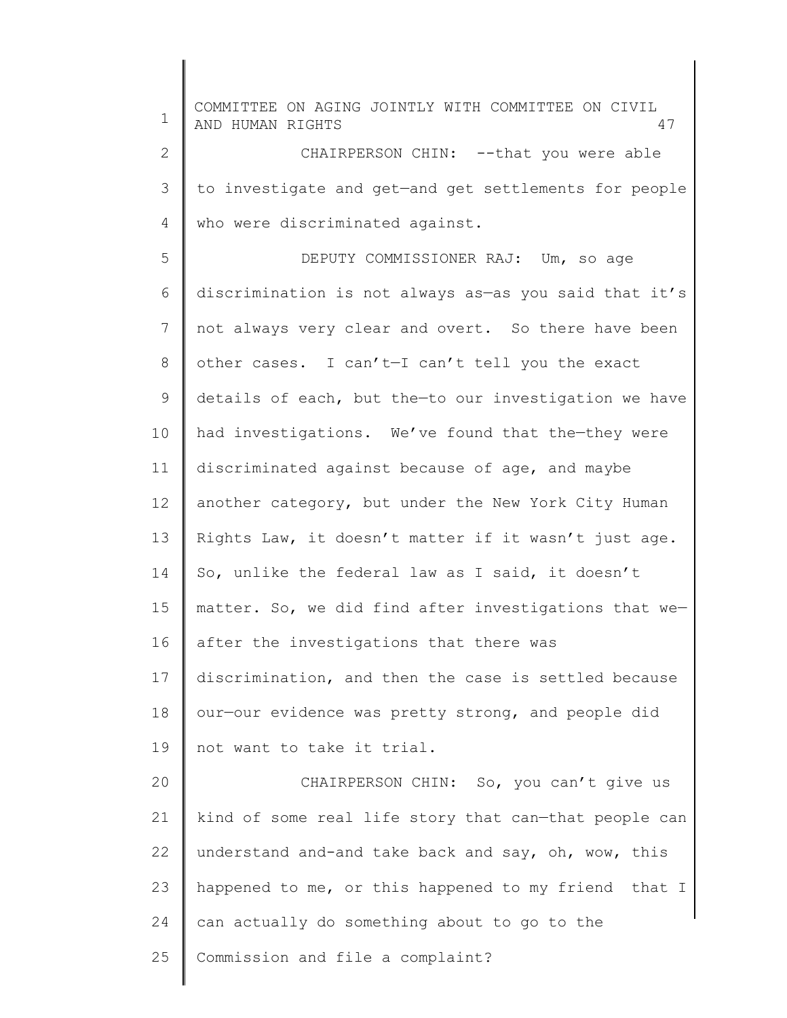1 2 3 4 5 6 7 8 9 10 11 12 13 14 15 16 17 18 19 20 21 22 23 24 25 COMMITTEE ON AGING JOINTLY WITH COMMITTEE ON CIVIL AND HUMAN RIGHTS 47 CHAIRPERSON CHIN: -- that you were able to investigate and get—and get settlements for people who were discriminated against. DEPUTY COMMISSIONER RAJ: Um, so age discrimination is not always as—as you said that it's not always very clear and overt. So there have been other cases. I can't—I can't tell you the exact details of each, but the—to our investigation we have had investigations. We've found that the—they were discriminated against because of age, and maybe another category, but under the New York City Human Rights Law, it doesn't matter if it wasn't just age. So, unlike the federal law as I said, it doesn't matter. So, we did find after investigations that we after the investigations that there was discrimination, and then the case is settled because our—our evidence was pretty strong, and people did not want to take it trial. CHAIRPERSON CHIN: So, you can't give us kind of some real life story that can—that people can understand and-and take back and say, oh, wow, this happened to me, or this happened to my friend that I can actually do something about to go to the Commission and file a complaint?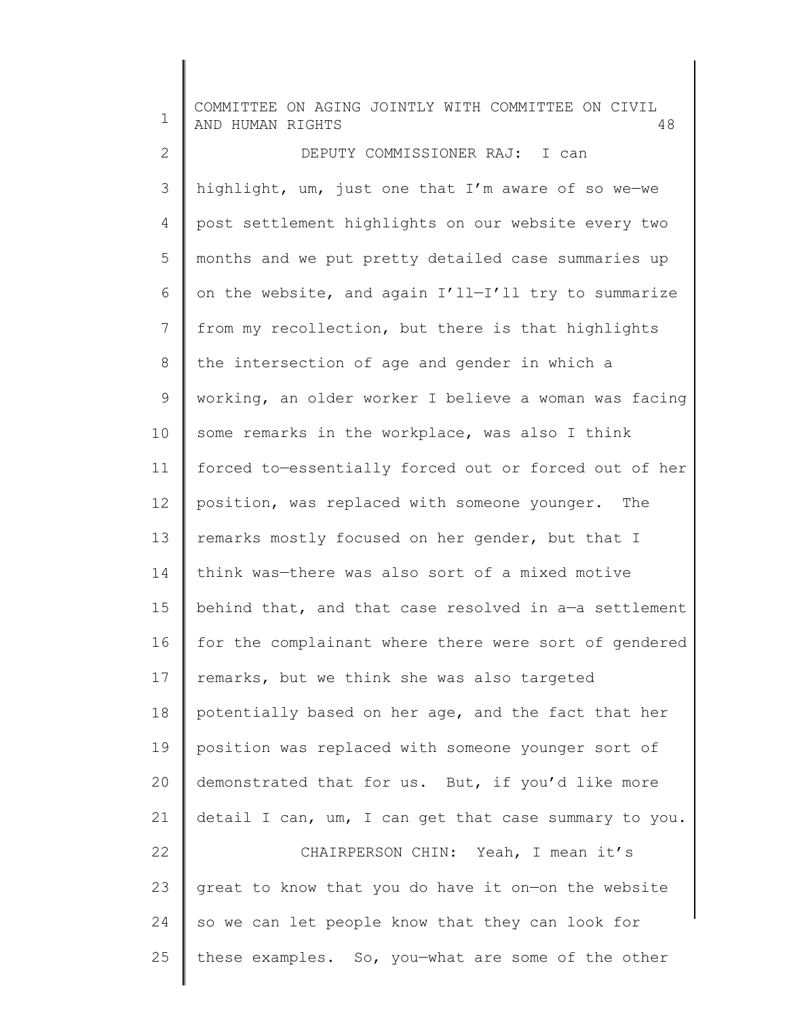| $\mathbf 1$ | COMMITTEE ON AGING JOINTLY WITH COMMITTEE ON CIVIL<br>AND HUMAN RIGHTS<br>48 |
|-------------|------------------------------------------------------------------------------|
| 2           | DEPUTY COMMISSIONER RAJ: I can                                               |
| 3           | highlight, um, just one that I'm aware of so we-we                           |
| 4           | post settlement highlights on our website every two                          |
| 5           | months and we put pretty detailed case summaries up                          |
| 6           | on the website, and again I'll-I'll try to summarize                         |
| 7           | from my recollection, but there is that highlights                           |
| 8           | the intersection of age and gender in which a                                |
| 9           | working, an older worker I believe a woman was facing                        |
| 10          | some remarks in the workplace, was also I think                              |
| 11          | forced to-essentially forced out or forced out of her                        |
| 12          | position, was replaced with someone younger. The                             |
| 13          | remarks mostly focused on her gender, but that I                             |
| 14          | think was-there was also sort of a mixed motive                              |
| 15          | behind that, and that case resolved in a-a settlement                        |
| 16          | for the complainant where there were sort of gendered                        |
| 17          | remarks, but we think she was also targeted                                  |
| 18          | potentially based on her age, and the fact that her                          |
| 19          | position was replaced with someone younger sort of                           |
| 20          | demonstrated that for us. But, if you'd like more                            |
| 21          | detail I can, um, I can get that case summary to you.                        |
| 22          | CHAIRPERSON CHIN: Yeah, I mean it's                                          |
| 23          | great to know that you do have it on-on the website                          |
| 24          | so we can let people know that they can look for                             |
| 25          | these examples. So, you-what are some of the other                           |
|             |                                                                              |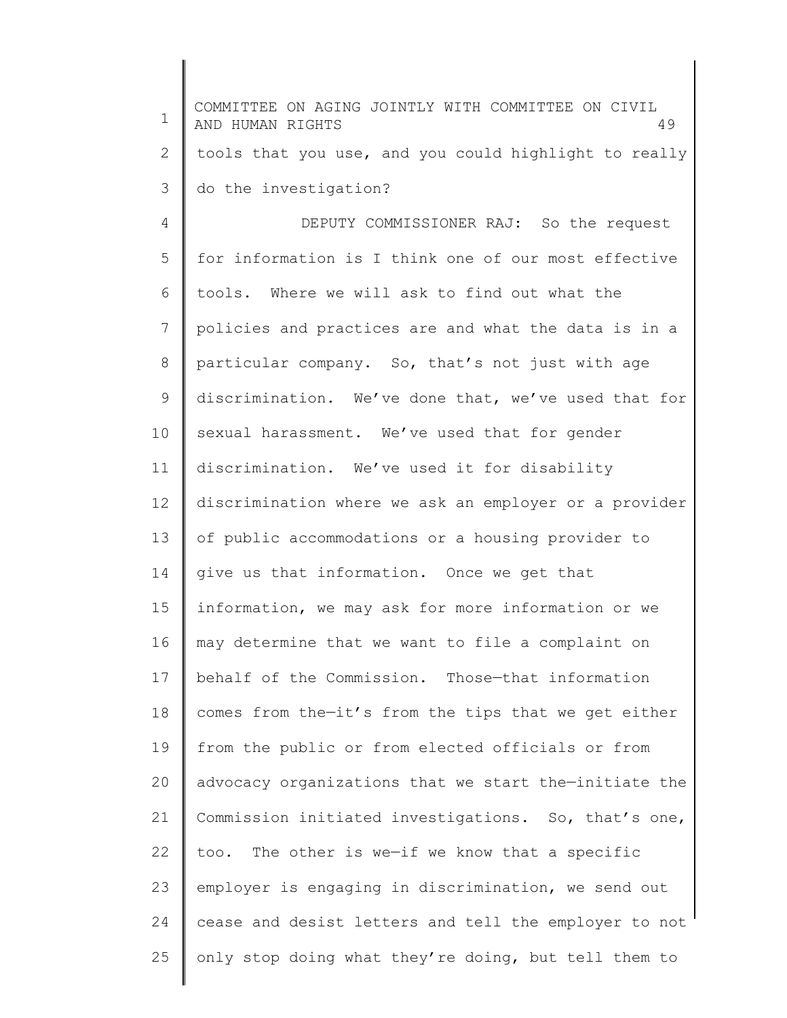1 2 3 4 5 6 7 8 9 10 11 12 13 14 15 16 17 18 19 20 21 22 23 24 25 COMMITTEE ON AGING JOINTLY WITH COMMITTEE ON CIVIL AND HUMAN RIGHTS 49 tools that you use, and you could highlight to really do the investigation? DEPUTY COMMISSIONER RAJ: So the request for information is I think one of our most effective tools. Where we will ask to find out what the policies and practices are and what the data is in a particular company. So, that's not just with age discrimination. We've done that, we've used that for sexual harassment. We've used that for gender discrimination. We've used it for disability discrimination where we ask an employer or a provider of public accommodations or a housing provider to give us that information. Once we get that information, we may ask for more information or we may determine that we want to file a complaint on behalf of the Commission. Those—that information comes from the—it's from the tips that we get either from the public or from elected officials or from advocacy organizations that we start the—initiate the Commission initiated investigations. So, that's one, too. The other is we—if we know that a specific employer is engaging in discrimination, we send out cease and desist letters and tell the employer to not only stop doing what they're doing, but tell them to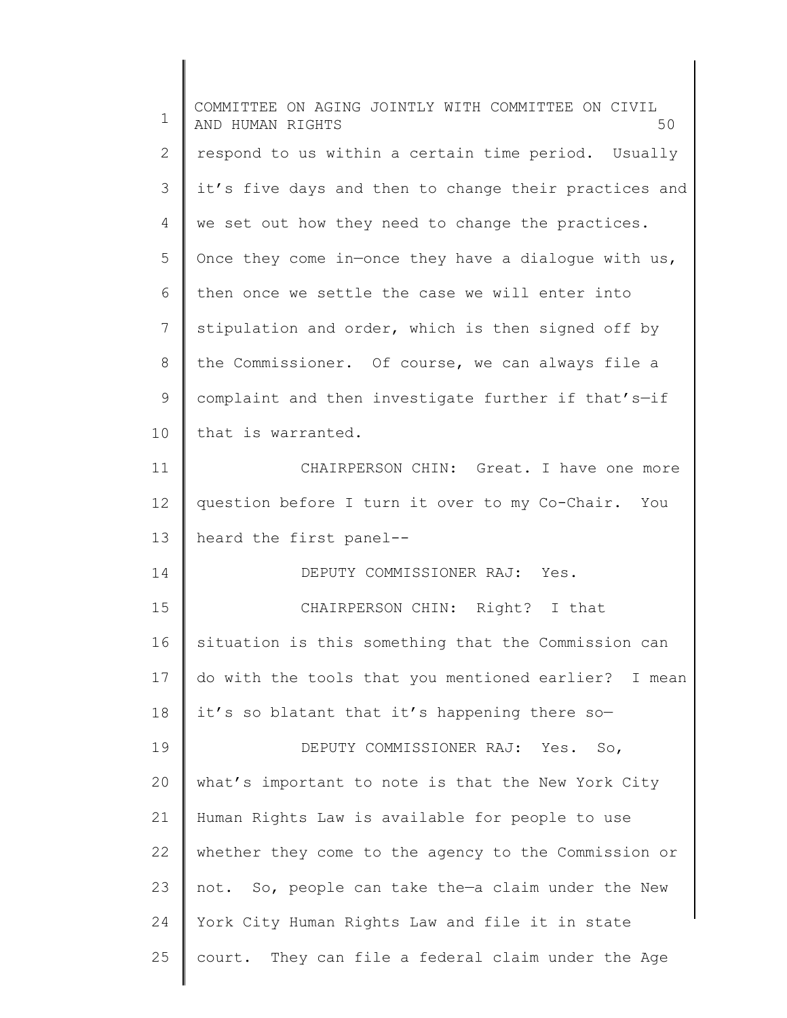| $\mathbf 1$  | COMMITTEE ON AGING JOINTLY WITH COMMITTEE ON CIVIL<br>50<br>AND HUMAN RIGHTS |
|--------------|------------------------------------------------------------------------------|
| $\mathbf{2}$ | respond to us within a certain time period. Usually                          |
| 3            | it's five days and then to change their practices and                        |
| 4            | we set out how they need to change the practices.                            |
| 5            | Once they come in-once they have a dialogue with us,                         |
| 6            | then once we settle the case we will enter into                              |
| 7            | stipulation and order, which is then signed off by                           |
| $8\,$        | the Commissioner. Of course, we can always file a                            |
| 9            | complaint and then investigate further if that's-if                          |
| 10           | that is warranted.                                                           |
| 11           | CHAIRPERSON CHIN: Great. I have one more                                     |
| 12           | question before I turn it over to my Co-Chair. You                           |
| 13           | heard the first panel--                                                      |
| 14           | DEPUTY COMMISSIONER RAJ: Yes.                                                |
| 15           | CHAIRPERSON CHIN: Right? I that                                              |
| 16           | situation is this something that the Commission can                          |
| 17           | do with the tools that you mentioned earlier? I mean                         |
| 18           | it's so blatant that it's happening there so-                                |
| 19           | DEPUTY COMMISSIONER RAJ: Yes. So,                                            |
| 20           | what's important to note is that the New York City                           |
| 21           | Human Rights Law is available for people to use                              |
| 22           | whether they come to the agency to the Commission or                         |
| 23           | not. So, people can take the-a claim under the New                           |
| 24           | York City Human Rights Law and file it in state                              |
| 25           | court. They can file a federal claim under the Age                           |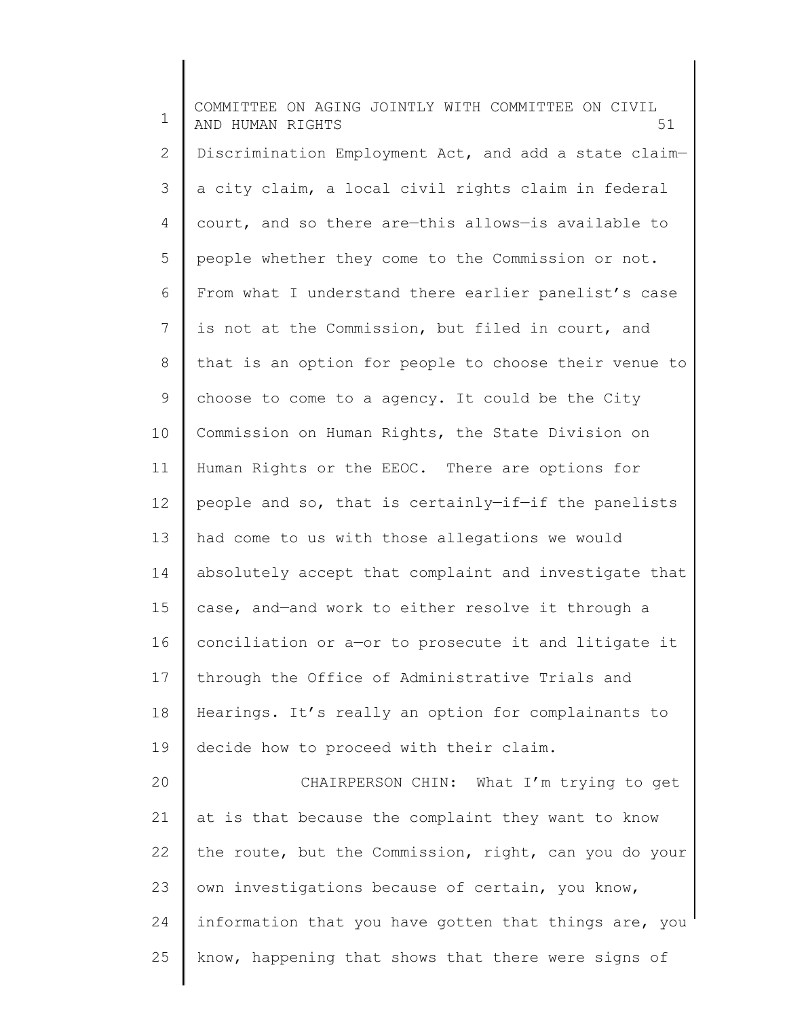1 2 3 4 5 6 7 8 9 10 11 12 13 14 15 16 17 18 19 20 21 22 23 24 25 COMMITTEE ON AGING JOINTLY WITH COMMITTEE ON CIVIL AND HUMAN RIGHTS 51 Discrimination Employment Act, and add a state claim a city claim, a local civil rights claim in federal court, and so there are—this allows—is available to people whether they come to the Commission or not. From what I understand there earlier panelist's case is not at the Commission, but filed in court, and that is an option for people to choose their venue to choose to come to a agency. It could be the City Commission on Human Rights, the State Division on Human Rights or the EEOC. There are options for people and so, that is certainly—if—if the panelists had come to us with those allegations we would absolutely accept that complaint and investigate that case, and—and work to either resolve it through a conciliation or a—or to prosecute it and litigate it through the Office of Administrative Trials and Hearings. It's really an option for complainants to decide how to proceed with their claim. CHAIRPERSON CHIN: What I'm trying to get at is that because the complaint they want to know the route, but the Commission, right, can you do your own investigations because of certain, you know, information that you have gotten that things are, you know, happening that shows that there were signs of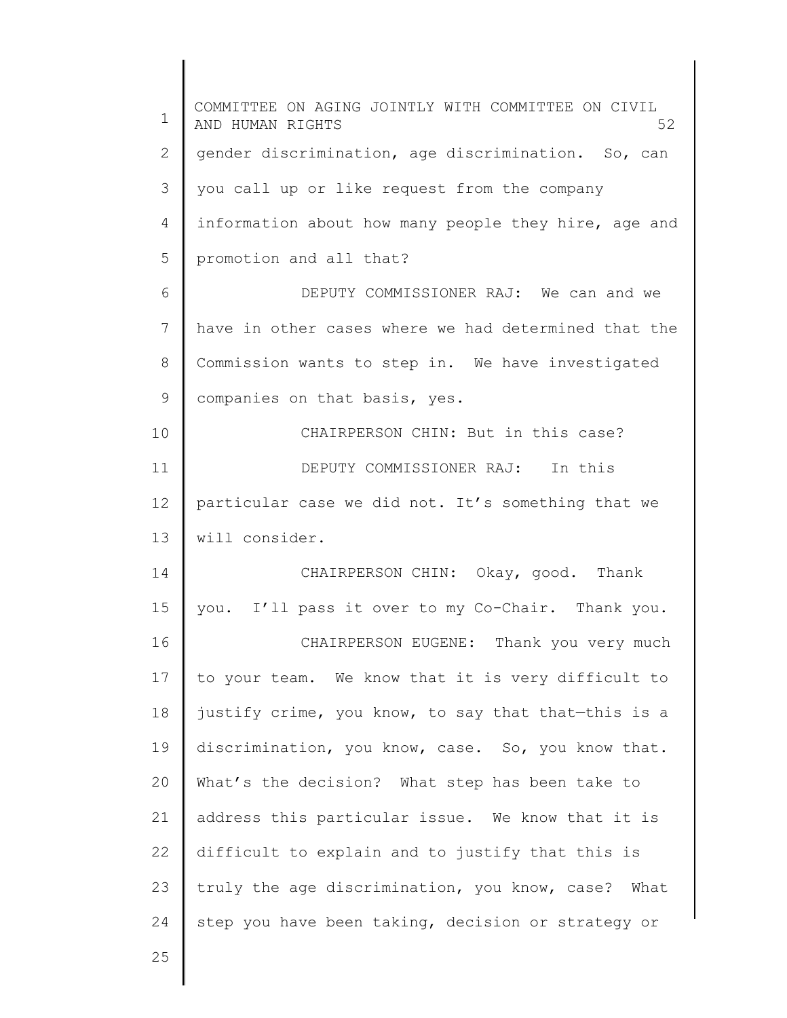| 1            | COMMITTEE ON AGING JOINTLY WITH COMMITTEE ON CIVIL<br>52<br>AND HUMAN RIGHTS |
|--------------|------------------------------------------------------------------------------|
| $\mathbf{2}$ | gender discrimination, age discrimination. So, can                           |
| 3            | you call up or like request from the company                                 |
| 4            | information about how many people they hire, age and                         |
| 5            | promotion and all that?                                                      |
| 6            | DEPUTY COMMISSIONER RAJ: We can and we                                       |
| 7            | have in other cases where we had determined that the                         |
| 8            | Commission wants to step in. We have investigated                            |
| 9            | companies on that basis, yes.                                                |
| 10           | CHAIRPERSON CHIN: But in this case?                                          |
| 11           | DEPUTY COMMISSIONER RAJ: In this                                             |
| 12           | particular case we did not. It's something that we                           |
| 13           | will consider.                                                               |
| 14           | CHAIRPERSON CHIN: Okay, good. Thank                                          |
| 15           | you. I'll pass it over to my Co-Chair. Thank you.                            |
| 16           | CHAIRPERSON EUGENE: Thank you very much                                      |
| 17           | to your team. We know that it is very difficult to                           |
| 18           | justify crime, you know, to say that that-this is a                          |
| 19           | discrimination, you know, case. So, you know that.                           |
| 20           | What's the decision? What step has been take to                              |
| 21           | address this particular issue. We know that it is                            |
| 22           | difficult to explain and to justify that this is                             |
| 23           | truly the age discrimination, you know, case? What                           |
| 24           | step you have been taking, decision or strategy or                           |
| 25           |                                                                              |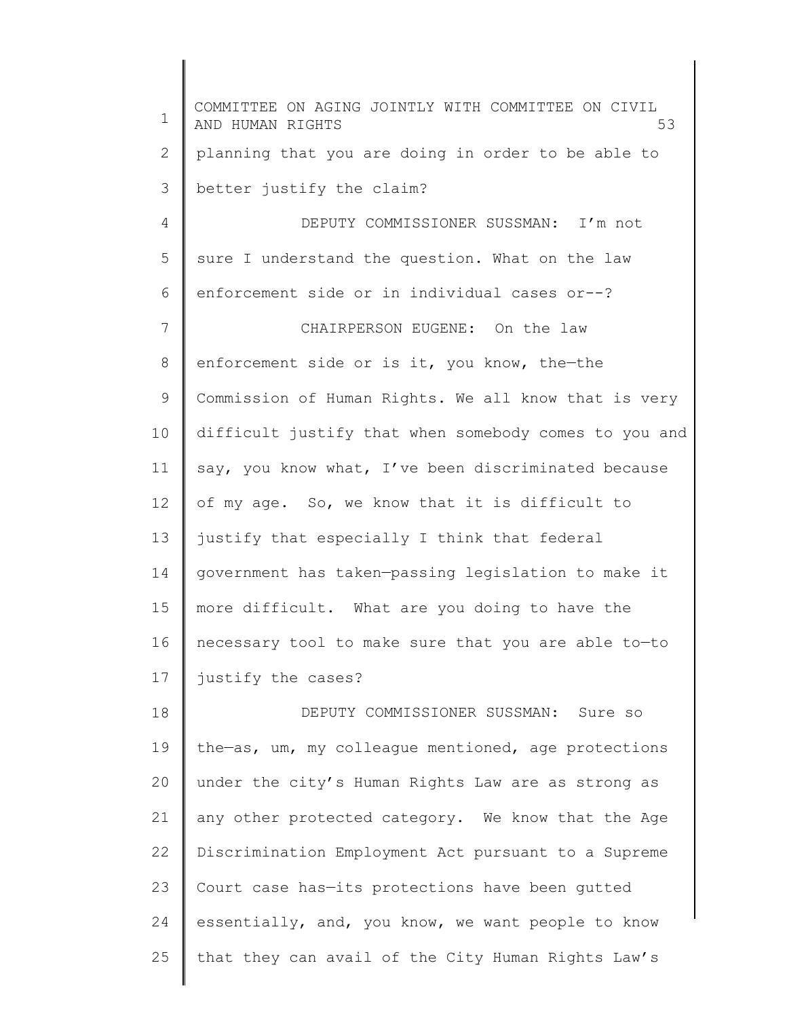1 2 3 4 5 6 7 8 9 10 11 12 13 14 15 16 17 18 19 20 21 22 23 24 25 COMMITTEE ON AGING JOINTLY WITH COMMITTEE ON CIVIL AND HUMAN RIGHTS 53 planning that you are doing in order to be able to better justify the claim? DEPUTY COMMISSIONER SUSSMAN: I'm not sure I understand the question. What on the law enforcement side or in individual cases or--? CHAIRPERSON EUGENE: On the law enforcement side or is it, you know, the—the Commission of Human Rights. We all know that is very difficult justify that when somebody comes to you and say, you know what, I've been discriminated because of my age. So, we know that it is difficult to justify that especially I think that federal government has taken—passing legislation to make it more difficult. What are you doing to have the necessary tool to make sure that you are able to—to justify the cases? DEPUTY COMMISSIONER SUSSMAN: Sure so the—as, um, my colleague mentioned, age protections under the city's Human Rights Law are as strong as any other protected category. We know that the Age Discrimination Employment Act pursuant to a Supreme Court case has—its protections have been gutted essentially, and, you know, we want people to know that they can avail of the City Human Rights Law's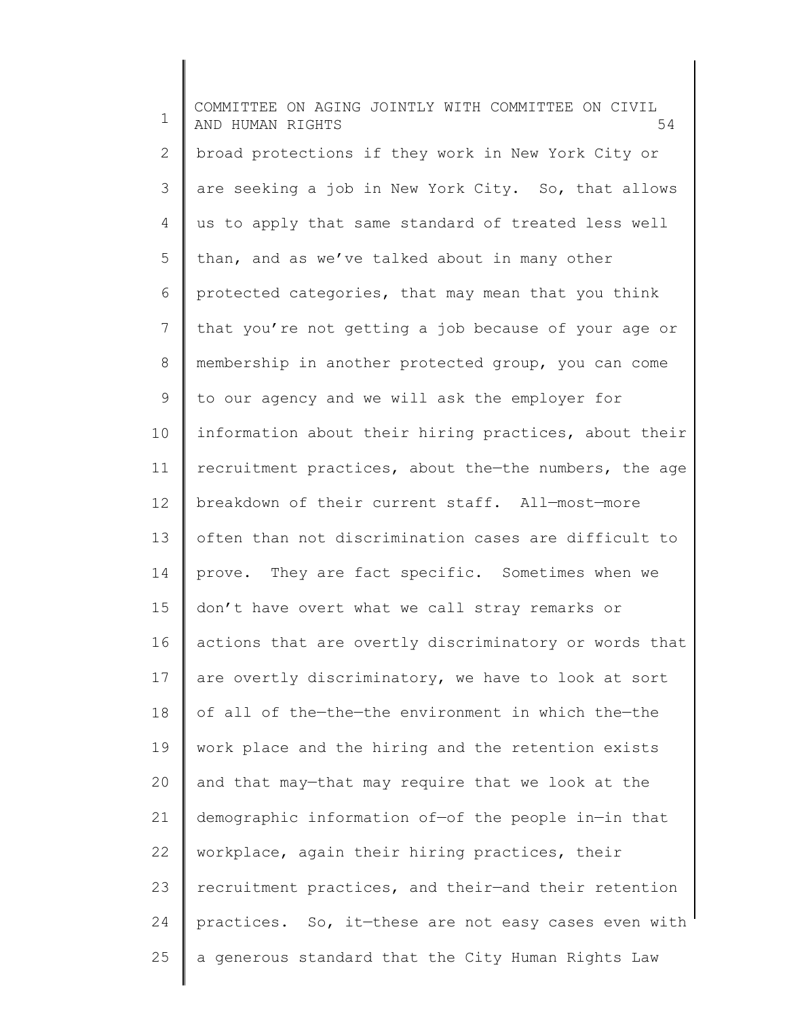1 2 3 4 5 6 7 8 9 10 11 12 13 14 15 16 17 18 19 20 21 22 23 24 25 COMMITTEE ON AGING JOINTLY WITH COMMITTEE ON CIVIL AND HUMAN RIGHTS 54 broad protections if they work in New York City or are seeking a job in New York City. So, that allows us to apply that same standard of treated less well than, and as we've talked about in many other protected categories, that may mean that you think that you're not getting a job because of your age or membership in another protected group, you can come to our agency and we will ask the employer for information about their hiring practices, about their recruitment practices, about the—the numbers, the age breakdown of their current staff. All—most—more often than not discrimination cases are difficult to prove. They are fact specific. Sometimes when we don't have overt what we call stray remarks or actions that are overtly discriminatory or words that are overtly discriminatory, we have to look at sort of all of the—the—the environment in which the—the work place and the hiring and the retention exists and that may—that may require that we look at the demographic information of—of the people in—in that workplace, again their hiring practices, their recruitment practices, and their—and their retention practices. So, it—these are not easy cases even with a generous standard that the City Human Rights Law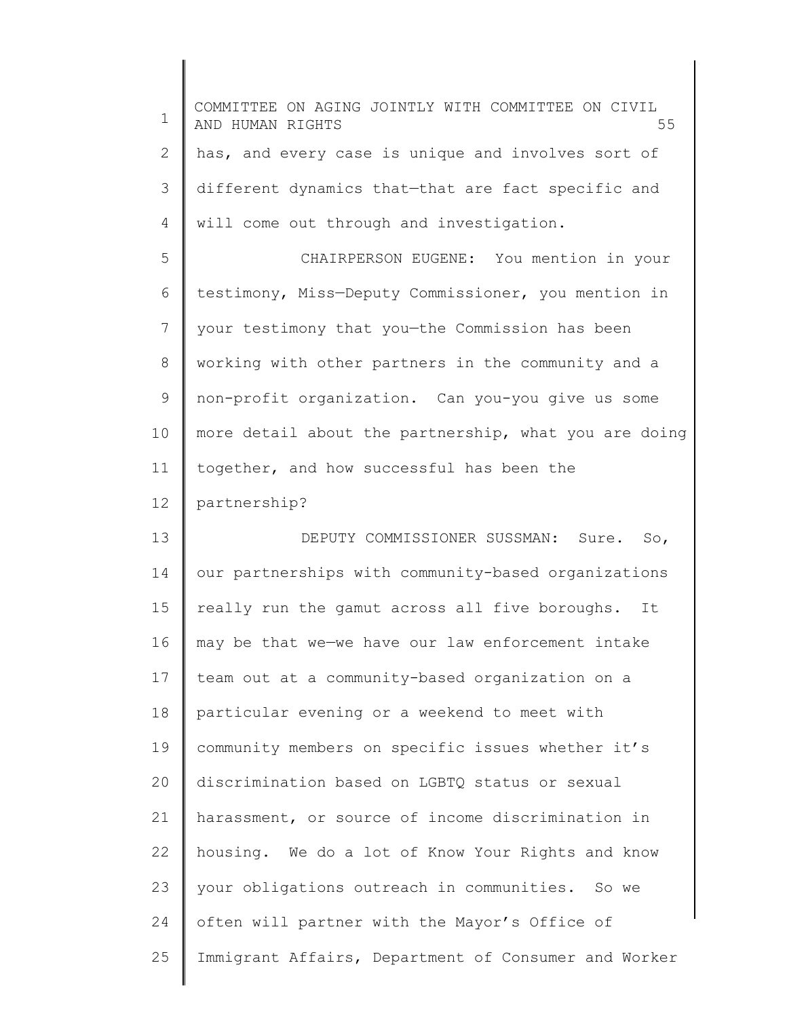| $\mathbf 1$ | COMMITTEE ON AGING JOINTLY WITH COMMITTEE ON CIVIL<br>55<br>AND HUMAN RIGHTS |
|-------------|------------------------------------------------------------------------------|
| 2           | has, and every case is unique and involves sort of                           |
| 3           | different dynamics that-that are fact specific and                           |
| 4           | will come out through and investigation.                                     |
| 5           | CHAIRPERSON EUGENE: You mention in your                                      |
| 6           | testimony, Miss-Deputy Commissioner, you mention in                          |
| 7           | your testimony that you-the Commission has been                              |
| 8           | working with other partners in the community and a                           |
| 9           | non-profit organization. Can you-you give us some                            |
| 10          | more detail about the partnership, what you are doing                        |
| 11          | together, and how successful has been the                                    |
| 12          | partnership?                                                                 |
| 13          | DEPUTY COMMISSIONER SUSSMAN: Sure.<br>So,                                    |
| 14          | our partnerships with community-based organizations                          |
| 15          | really run the gamut across all five boroughs.<br>It                         |
| 16          | may be that we-we have our law enforcement intake                            |
| 17          | team out at a community-based organization on a                              |
| 18          | particular evening or a weekend to meet with                                 |
| 19          | community members on specific issues whether it's                            |
| 20          | discrimination based on LGBTQ status or sexual                               |
| 21          | harassment, or source of income discrimination in                            |
| 22          | housing. We do a lot of Know Your Rights and know                            |
| 23          | your obligations outreach in communities. So we                              |
| 24          | often will partner with the Mayor's Office of                                |
| 25          | Immigrant Affairs, Department of Consumer and Worker                         |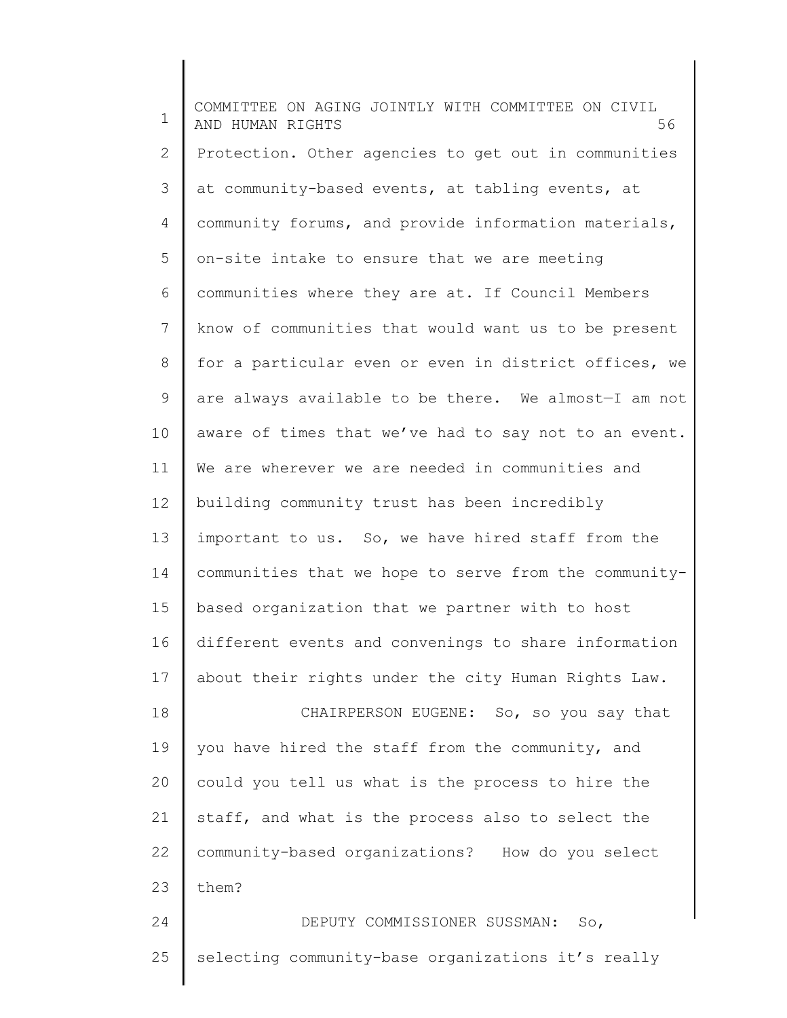1 2 3 4 5 6 7 8 9 10 11 12 13 14 15 16 17 18 19 20 21 22 23 24 25 COMMITTEE ON AGING JOINTLY WITH COMMITTEE ON CIVIL AND HUMAN RIGHTS 56 Protection. Other agencies to get out in communities at community-based events, at tabling events, at community forums, and provide information materials, on-site intake to ensure that we are meeting communities where they are at. If Council Members know of communities that would want us to be present for a particular even or even in district offices, we are always available to be there. We almost—I am not aware of times that we've had to say not to an event. We are wherever we are needed in communities and building community trust has been incredibly important to us. So, we have hired staff from the communities that we hope to serve from the communitybased organization that we partner with to host different events and convenings to share information about their rights under the city Human Rights Law. CHAIRPERSON EUGENE: So, so you say that you have hired the staff from the community, and could you tell us what is the process to hire the staff, and what is the process also to select the community-based organizations? How do you select them? DEPUTY COMMISSIONER SUSSMAN: So, selecting community-base organizations it's really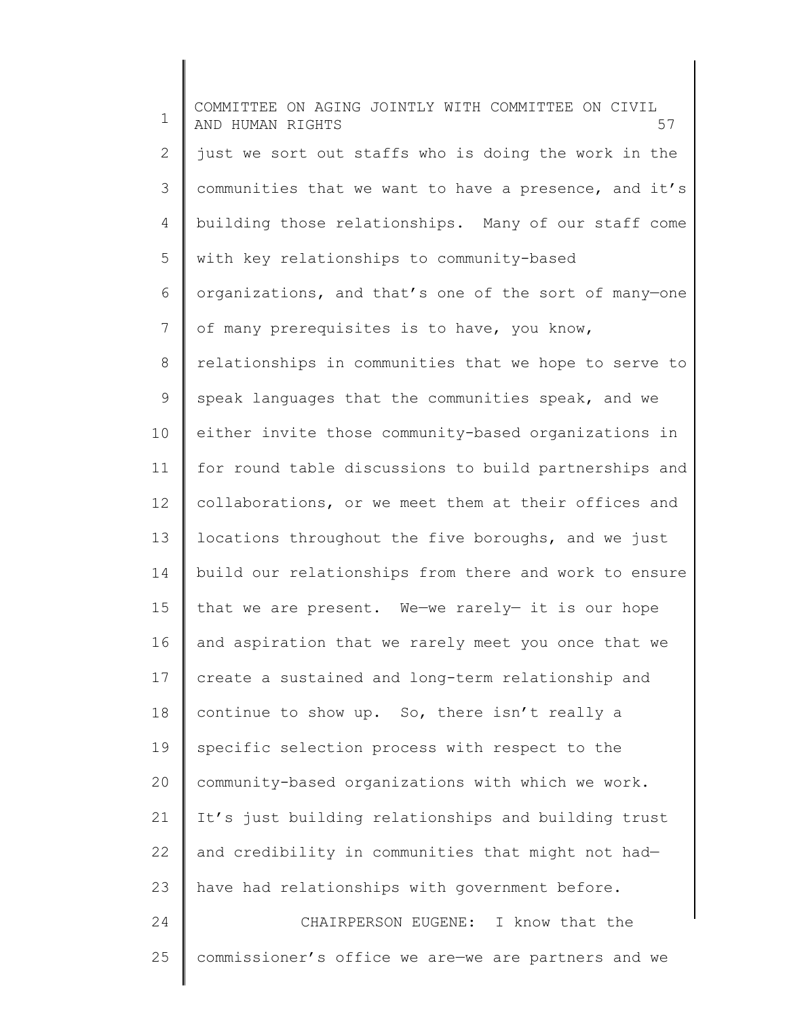1 2 3 4 5 6 7 8 9 10 11 12 13 14 15 16 17 18 19 20 21 22 23 24 25 COMMITTEE ON AGING JOINTLY WITH COMMITTEE ON CIVIL AND HUMAN RIGHTS 57 just we sort out staffs who is doing the work in the communities that we want to have a presence, and it's building those relationships. Many of our staff come with key relationships to community-based organizations, and that's one of the sort of many—one of many prerequisites is to have, you know, relationships in communities that we hope to serve to speak languages that the communities speak, and we either invite those community-based organizations in for round table discussions to build partnerships and collaborations, or we meet them at their offices and locations throughout the five boroughs, and we just build our relationships from there and work to ensure that we are present. We—we rarely— it is our hope and aspiration that we rarely meet you once that we create a sustained and long-term relationship and continue to show up. So, there isn't really a specific selection process with respect to the community-based organizations with which we work. It's just building relationships and building trust and credibility in communities that might not had have had relationships with government before. CHAIRPERSON EUGENE: I know that the commissioner's office we are—we are partners and we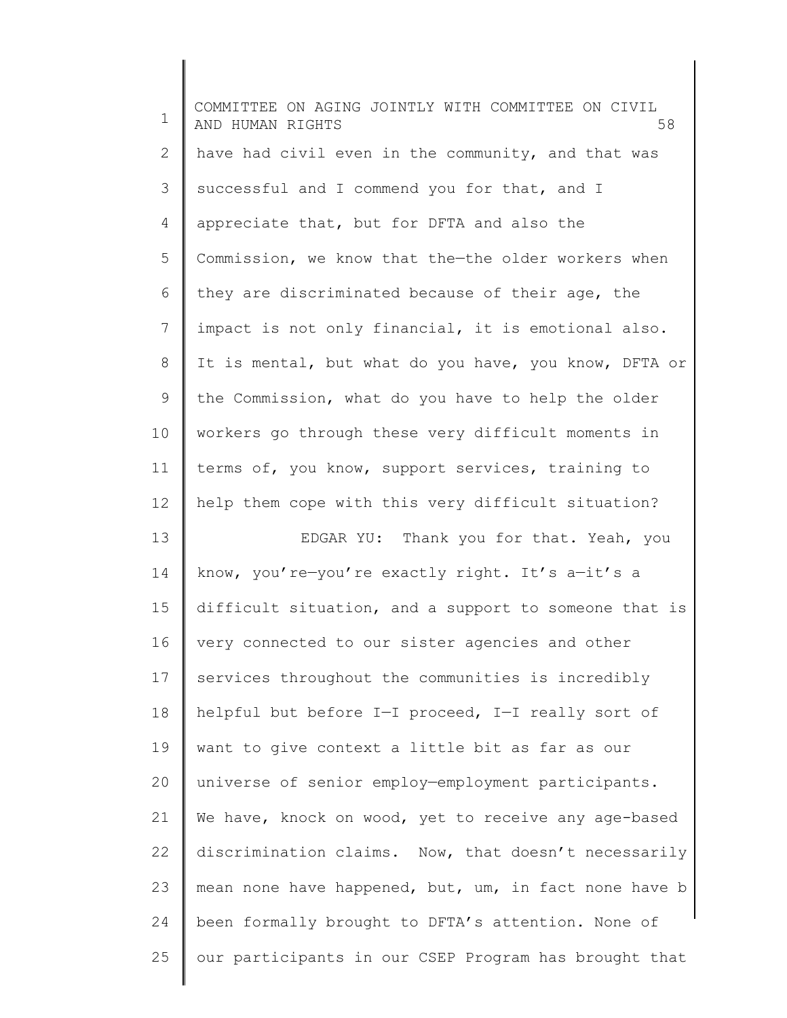| 1                                      | COMMITTEE ON AGING JOINTLY WITH COMMITTEE ON CIVIL<br>58<br>AND HUMAN RIGHTS |
|----------------------------------------|------------------------------------------------------------------------------|
| 2                                      | have had civil even in the community, and that was                           |
| 3                                      | successful and I commend you for that, and I                                 |
| 4                                      | appreciate that, but for DFTA and also the                                   |
| 5                                      | Commission, we know that the-the older workers when                          |
| 6                                      | they are discriminated because of their age, the                             |
| 7                                      | impact is not only financial, it is emotional also.                          |
| 8                                      | It is mental, but what do you have, you know, DFTA or                        |
| 9                                      | the Commission, what do you have to help the older                           |
| 10                                     | workers go through these very difficult moments in                           |
| 11                                     | terms of, you know, support services, training to                            |
| 12                                     | help them cope with this very difficult situation?                           |
|                                        |                                                                              |
|                                        | EDGAR YU: Thank you for that. Yeah, you                                      |
| 13<br>14                               | know, you're-you're exactly right. It's a-it's a                             |
|                                        | difficult situation, and a support to someone that is                        |
|                                        | very connected to our sister agencies and other                              |
|                                        | services throughout the communities is incredibly                            |
|                                        | helpful but before I-I proceed, I-I really sort of                           |
|                                        | want to give context a little bit as far as our                              |
|                                        | universe of senior employ-employment participants.                           |
| 15<br>16<br>17<br>18<br>19<br>20<br>21 | We have, knock on wood, yet to receive any age-based                         |
|                                        | discrimination claims. Now, that doesn't necessarily                         |
|                                        | mean none have happened, but, um, in fact none have b                        |
| 22<br>23<br>24                         | been formally brought to DFTA's attention. None of                           |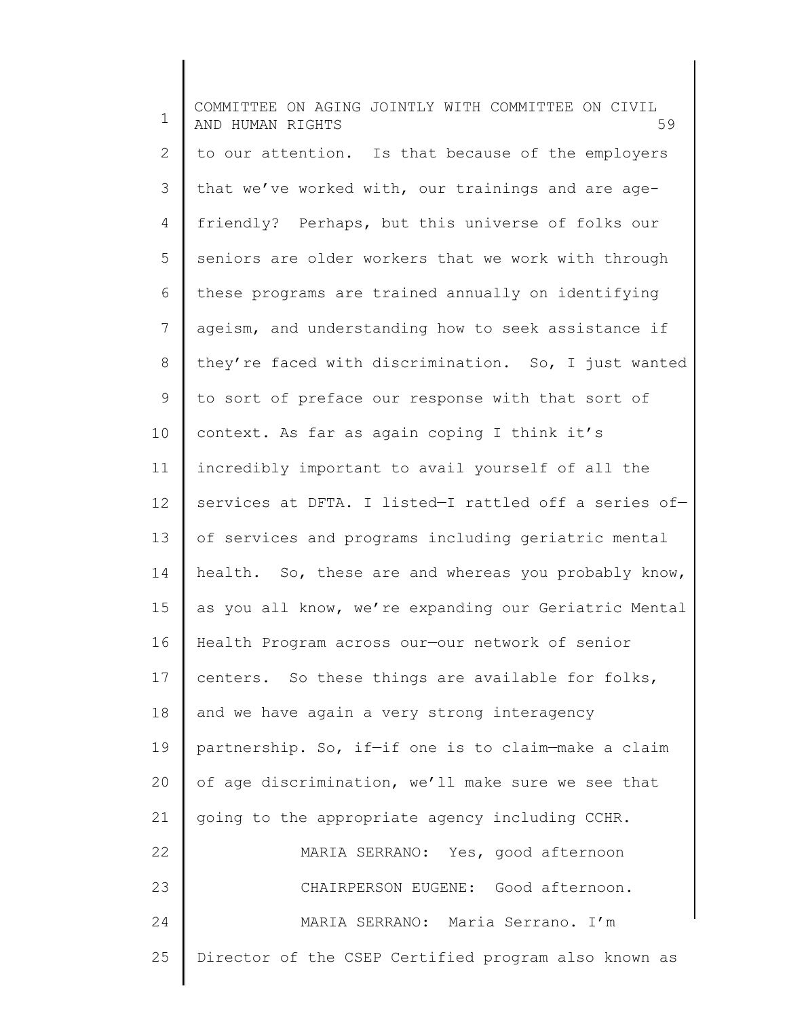1 2 3 4 5 6 7 8 9 10 11 12 13 14 15 16 17 18 19 20 21 22 23 24 25 COMMITTEE ON AGING JOINTLY WITH COMMITTEE ON CIVIL AND HUMAN RIGHTS 59 to our attention. Is that because of the employers that we've worked with, our trainings and are agefriendly? Perhaps, but this universe of folks our seniors are older workers that we work with through these programs are trained annually on identifying ageism, and understanding how to seek assistance if they're faced with discrimination. So, I just wanted to sort of preface our response with that sort of context. As far as again coping I think it's incredibly important to avail yourself of all the services at DFTA. I listed—I rattled off a series of of services and programs including geriatric mental health. So, these are and whereas you probably know, as you all know, we're expanding our Geriatric Mental Health Program across our—our network of senior centers. So these things are available for folks, and we have again a very strong interagency partnership. So, if—if one is to claim—make a claim of age discrimination, we'll make sure we see that going to the appropriate agency including CCHR. MARIA SERRANO: Yes, good afternoon CHAIRPERSON EUGENE: Good afternoon. MARIA SERRANO: Maria Serrano. I'm Director of the CSEP Certified program also known as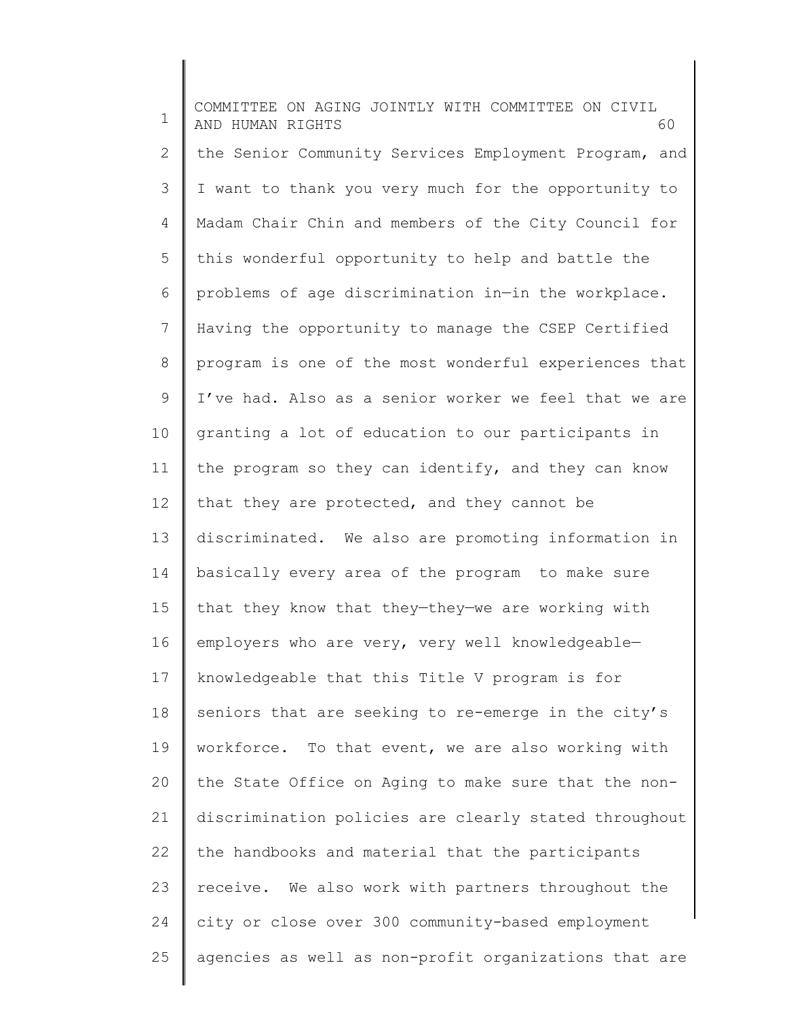1 2 3 4 5 6 7 8 9 10 11 12 13 14 15 16 17 18 19 20 21 22 23 24 25 COMMITTEE ON AGING JOINTLY WITH COMMITTEE ON CIVIL AND HUMAN RIGHTS 60 the Senior Community Services Employment Program, and I want to thank you very much for the opportunity to Madam Chair Chin and members of the City Council for this wonderful opportunity to help and battle the problems of age discrimination in—in the workplace. Having the opportunity to manage the CSEP Certified program is one of the most wonderful experiences that I've had. Also as a senior worker we feel that we are granting a lot of education to our participants in the program so they can identify, and they can know that they are protected, and they cannot be discriminated. We also are promoting information in basically every area of the program to make sure that they know that they—they—we are working with employers who are very, very well knowledgeable knowledgeable that this Title V program is for seniors that are seeking to re-emerge in the city's workforce. To that event, we are also working with the State Office on Aging to make sure that the nondiscrimination policies are clearly stated throughout the handbooks and material that the participants receive. We also work with partners throughout the city or close over 300 community-based employment agencies as well as non-profit organizations that are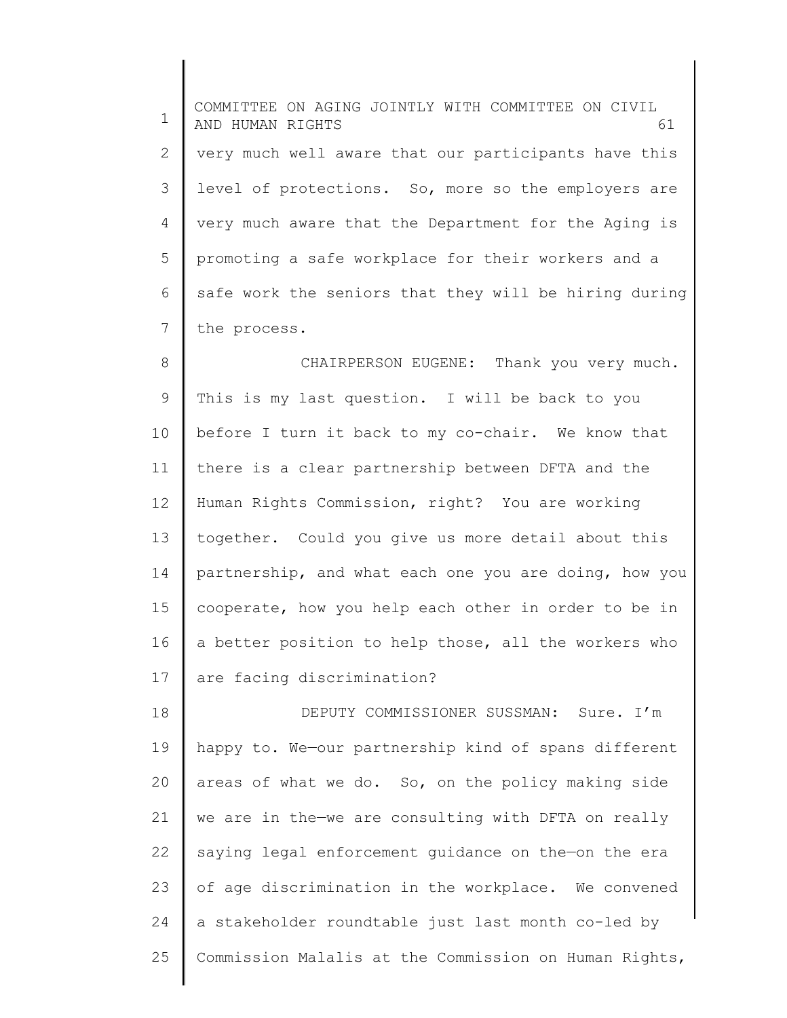1 2 3 4 5 6 7 COMMITTEE ON AGING JOINTLY WITH COMMITTEE ON CIVIL AND HUMAN RIGHTS 61 very much well aware that our participants have this level of protections. So, more so the employers are very much aware that the Department for the Aging is promoting a safe workplace for their workers and a safe work the seniors that they will be hiring during the process.

8 9 10 11 12 13 14 15 16 17 CHAIRPERSON EUGENE: Thank you very much. This is my last question. I will be back to you before I turn it back to my co-chair. We know that there is a clear partnership between DFTA and the Human Rights Commission, right? You are working together. Could you give us more detail about this partnership, and what each one you are doing, how you cooperate, how you help each other in order to be in a better position to help those, all the workers who are facing discrimination?

18 19 20 21 22 23 24 25 DEPUTY COMMISSIONER SUSSMAN: Sure. I'm happy to. We—our partnership kind of spans different areas of what we do. So, on the policy making side we are in the—we are consulting with DFTA on really saying legal enforcement guidance on the—on the era of age discrimination in the workplace. We convened a stakeholder roundtable just last month co-led by Commission Malalis at the Commission on Human Rights,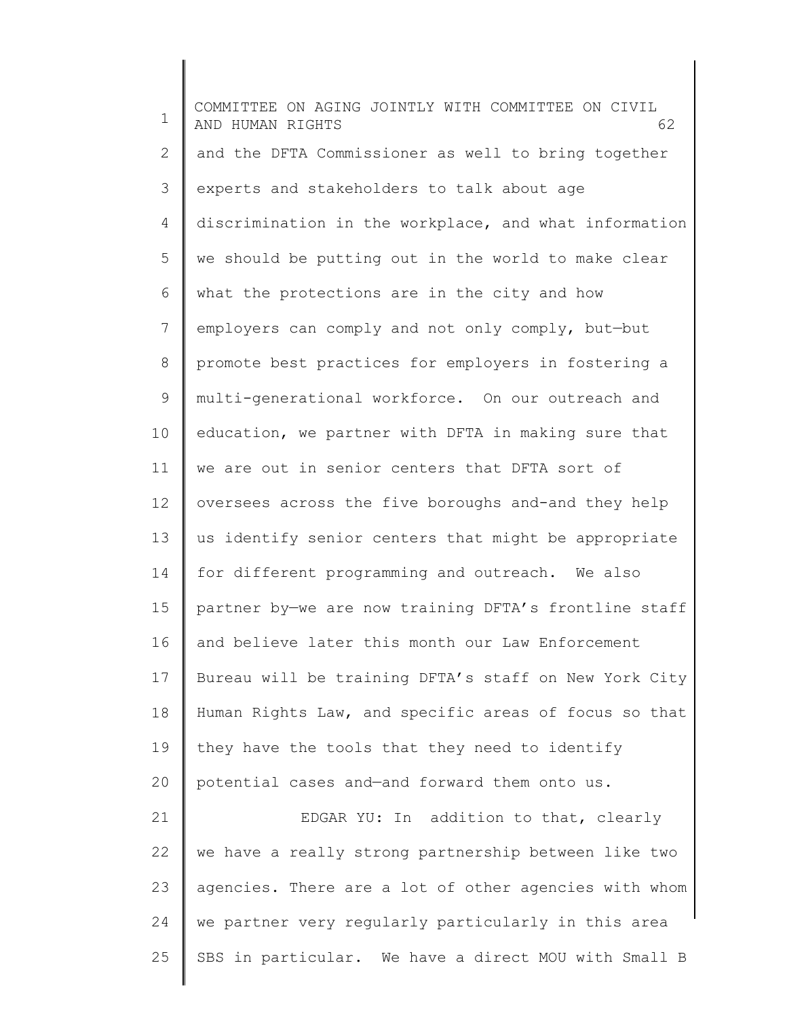1 2 3 4 5 6 7 8 9 10 11 12 13 14 15 16 17 18 19 20 21 22 23 24 COMMITTEE ON AGING JOINTLY WITH COMMITTEE ON CIVIL AND HUMAN RIGHTS 62 and the DFTA Commissioner as well to bring together experts and stakeholders to talk about age discrimination in the workplace, and what information we should be putting out in the world to make clear what the protections are in the city and how employers can comply and not only comply, but—but promote best practices for employers in fostering a multi-generational workforce. On our outreach and education, we partner with DFTA in making sure that we are out in senior centers that DFTA sort of oversees across the five boroughs and-and they help us identify senior centers that might be appropriate for different programming and outreach. We also partner by—we are now training DFTA's frontline staff and believe later this month our Law Enforcement Bureau will be training DFTA's staff on New York City Human Rights Law, and specific areas of focus so that they have the tools that they need to identify potential cases and—and forward them onto us. EDGAR YU: In addition to that, clearly we have a really strong partnership between like two agencies. There are a lot of other agencies with whom we partner very regularly particularly in this area

SBS in particular. We have a direct MOU with Small B

25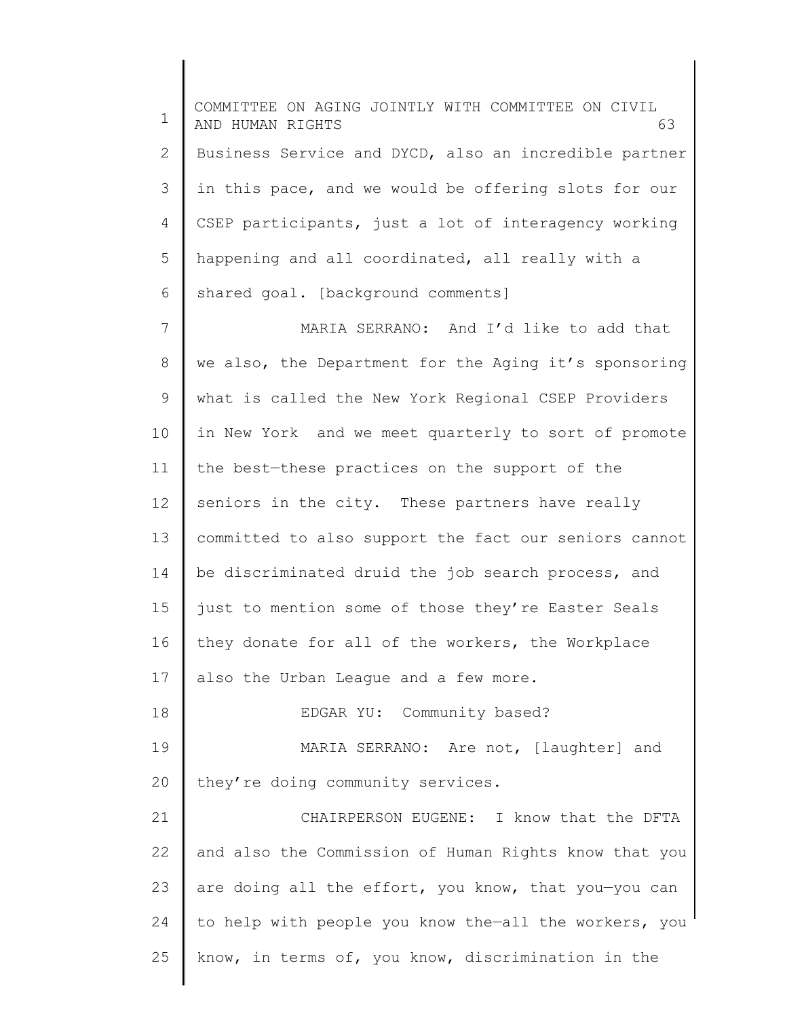1 2 3 4 5 6 COMMITTEE ON AGING JOINTLY WITH COMMITTEE ON CIVIL AND HUMAN RIGHTS 63 Business Service and DYCD, also an incredible partner in this pace, and we would be offering slots for our CSEP participants, just a lot of interagency working happening and all coordinated, all really with a shared goal. [background comments]

7 8 9 10 11 12 13 14 15 16 17 MARIA SERRANO: And I'd like to add that we also, the Department for the Aging it's sponsoring what is called the New York Regional CSEP Providers in New York and we meet quarterly to sort of promote the best—these practices on the support of the seniors in the city. These partners have really committed to also support the fact our seniors cannot be discriminated druid the job search process, and just to mention some of those they're Easter Seals they donate for all of the workers, the Workplace also the Urban League and a few more.

18 19 20 EDGAR YU: Community based? MARIA SERRANO: Are not, [laughter] and they're doing community services.

21 22 23 24 25 CHAIRPERSON EUGENE: I know that the DFTA and also the Commission of Human Rights know that you are doing all the effort, you know, that you—you can to help with people you know the—all the workers, you know, in terms of, you know, discrimination in the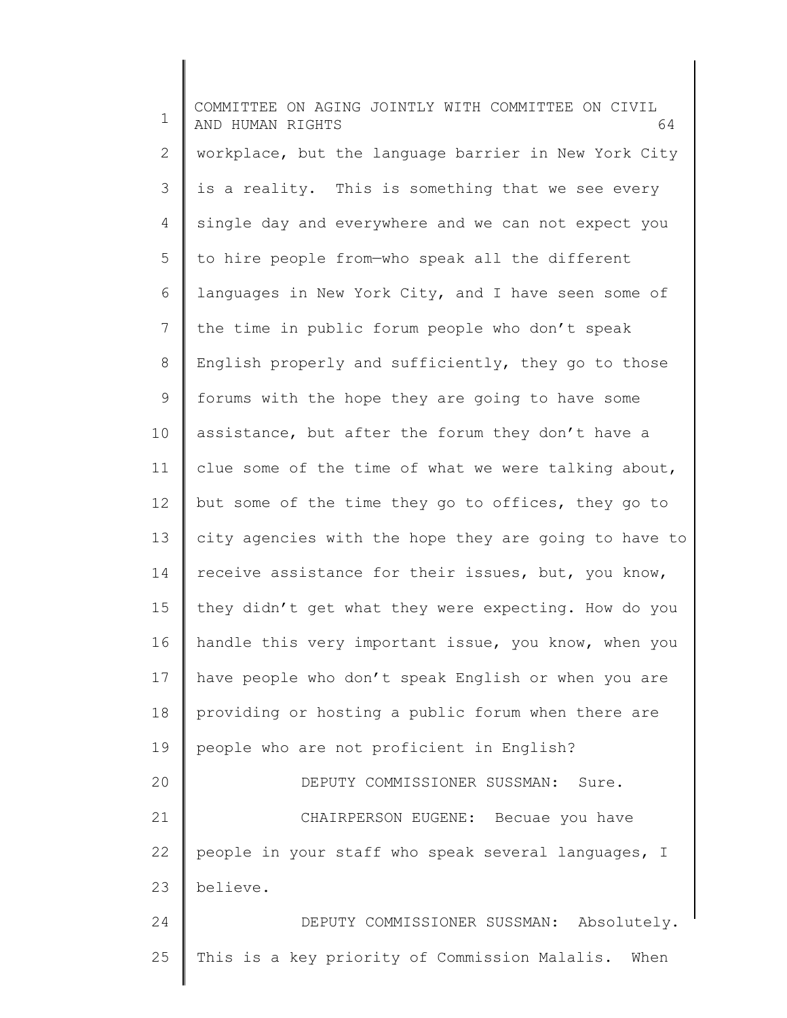1 2 3 4 5 6 7 8 9 10 11 12 13 14 15 16 17 18 19 20 21 22 23 24 25 COMMITTEE ON AGING JOINTLY WITH COMMITTEE ON CIVIL AND HUMAN RIGHTS 64 workplace, but the language barrier in New York City is a reality. This is something that we see every single day and everywhere and we can not expect you to hire people from—who speak all the different languages in New York City, and I have seen some of the time in public forum people who don't speak English properly and sufficiently, they go to those forums with the hope they are going to have some assistance, but after the forum they don't have a clue some of the time of what we were talking about, but some of the time they go to offices, they go to city agencies with the hope they are going to have to receive assistance for their issues, but, you know, they didn't get what they were expecting. How do you handle this very important issue, you know, when you have people who don't speak English or when you are providing or hosting a public forum when there are people who are not proficient in English? DEPUTY COMMISSIONER SUSSMAN: Sure. CHAIRPERSON EUGENE: Becuae you have people in your staff who speak several languages, I believe. DEPUTY COMMISSIONER SUSSMAN: Absolutely. This is a key priority of Commission Malalis. When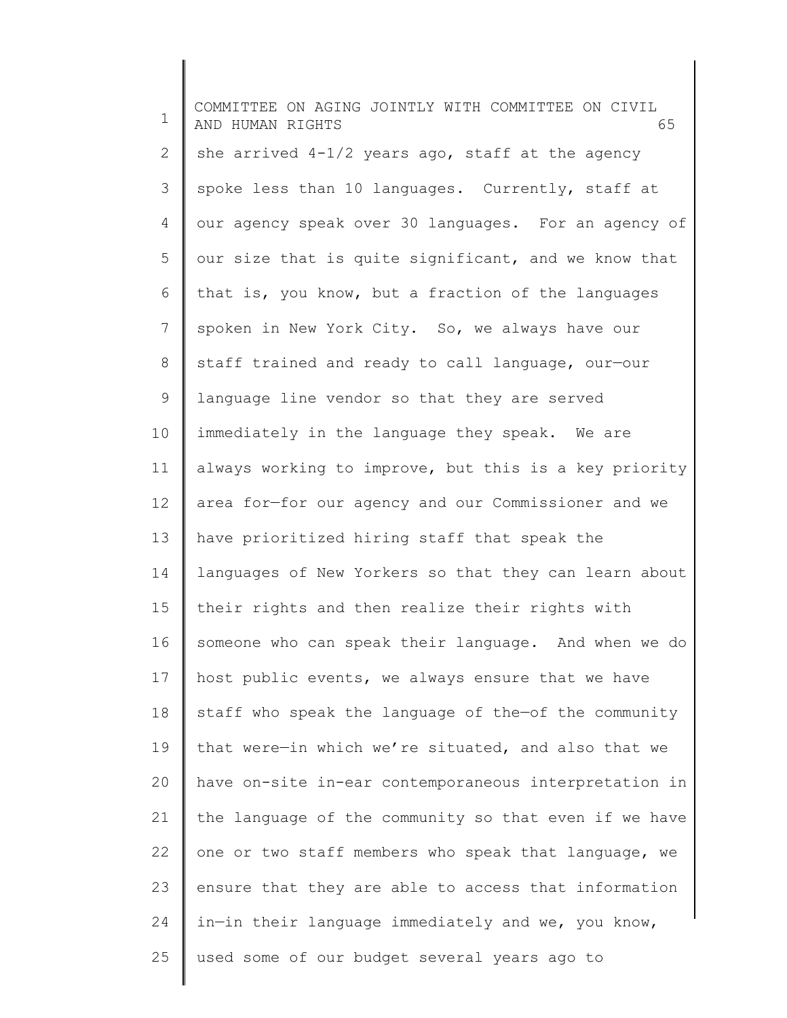| 1  | COMMITTEE ON AGING JOINTLY WITH COMMITTEE ON CIVIL<br>AND HUMAN RIGHTS<br>65 |
|----|------------------------------------------------------------------------------|
| 2  | she arrived $4-1/2$ years ago, staff at the agency                           |
| 3  | spoke less than 10 languages. Currently, staff at                            |
| 4  | our agency speak over 30 languages. For an agency of                         |
| 5  | our size that is quite significant, and we know that                         |
| 6  | that is, you know, but a fraction of the languages                           |
| 7  | spoken in New York City. So, we always have our                              |
| 8  | staff trained and ready to call language, our-our                            |
| 9  | language line vendor so that they are served                                 |
| 10 | immediately in the language they speak. We are                               |
| 11 | always working to improve, but this is a key priority                        |
| 12 | area for-for our agency and our Commissioner and we                          |
| 13 | have prioritized hiring staff that speak the                                 |
| 14 | languages of New Yorkers so that they can learn about                        |
| 15 | their rights and then realize their rights with                              |
| 16 | someone who can speak their language. And when we do                         |
| 17 | host public events, we always ensure that we have                            |
| 18 | staff who speak the language of the-of the community                         |
| 19 | that were-in which we're situated, and also that we                          |
| 20 | have on-site in-ear contemporaneous interpretation in                        |
| 21 | the language of the community so that even if we have                        |
| 22 | one or two staff members who speak that language, we                         |
| 23 | ensure that they are able to access that information                         |
| 24 | in-in their language immediately and we, you know,                           |
| 25 | used some of our budget several years ago to                                 |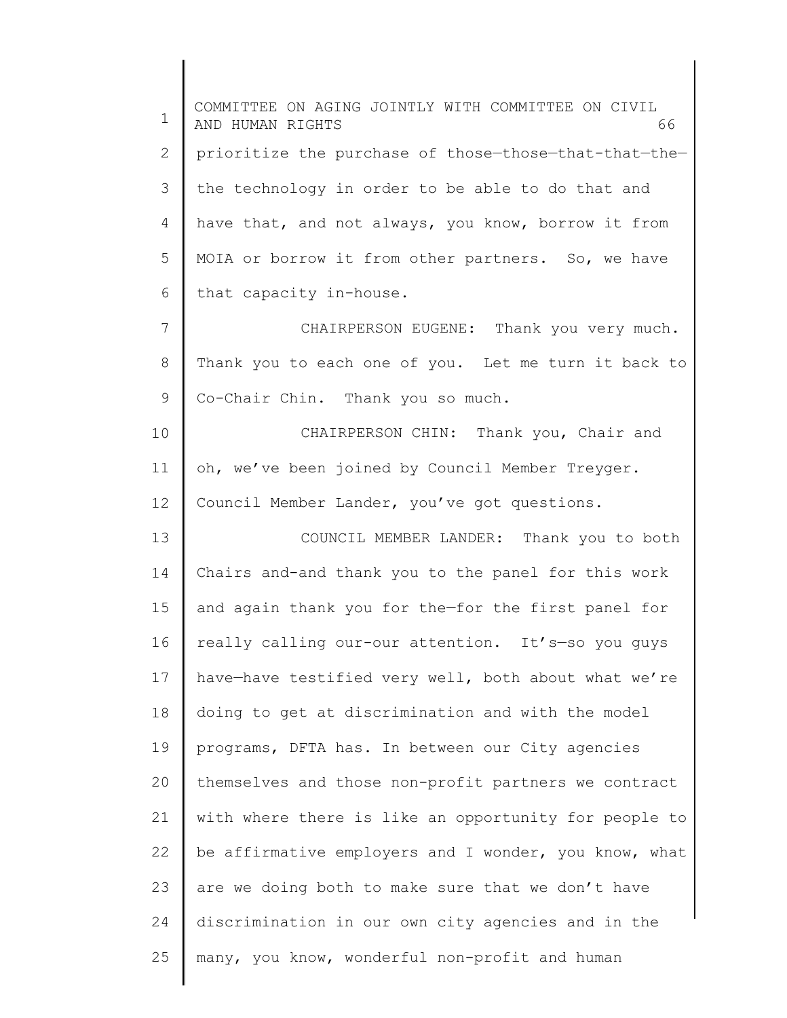1 2 3 4 5 6 7 8 9 10 11 12 13 14 15 16 17 18 19 20 21 22 23 24 25 COMMITTEE ON AGING JOINTLY WITH COMMITTEE ON CIVIL AND HUMAN RIGHTS 66 prioritize the purchase of those—those—that-that—the the technology in order to be able to do that and have that, and not always, you know, borrow it from MOIA or borrow it from other partners. So, we have that capacity in-house. CHAIRPERSON EUGENE: Thank you very much. Thank you to each one of you. Let me turn it back to Co-Chair Chin. Thank you so much. CHAIRPERSON CHIN: Thank you, Chair and oh, we've been joined by Council Member Treyger. Council Member Lander, you've got questions. COUNCIL MEMBER LANDER: Thank you to both Chairs and-and thank you to the panel for this work and again thank you for the—for the first panel for really calling our-our attention. It's—so you guys have—have testified very well, both about what we're doing to get at discrimination and with the model programs, DFTA has. In between our City agencies themselves and those non-profit partners we contract with where there is like an opportunity for people to be affirmative employers and I wonder, you know, what are we doing both to make sure that we don't have discrimination in our own city agencies and in the many, you know, wonderful non-profit and human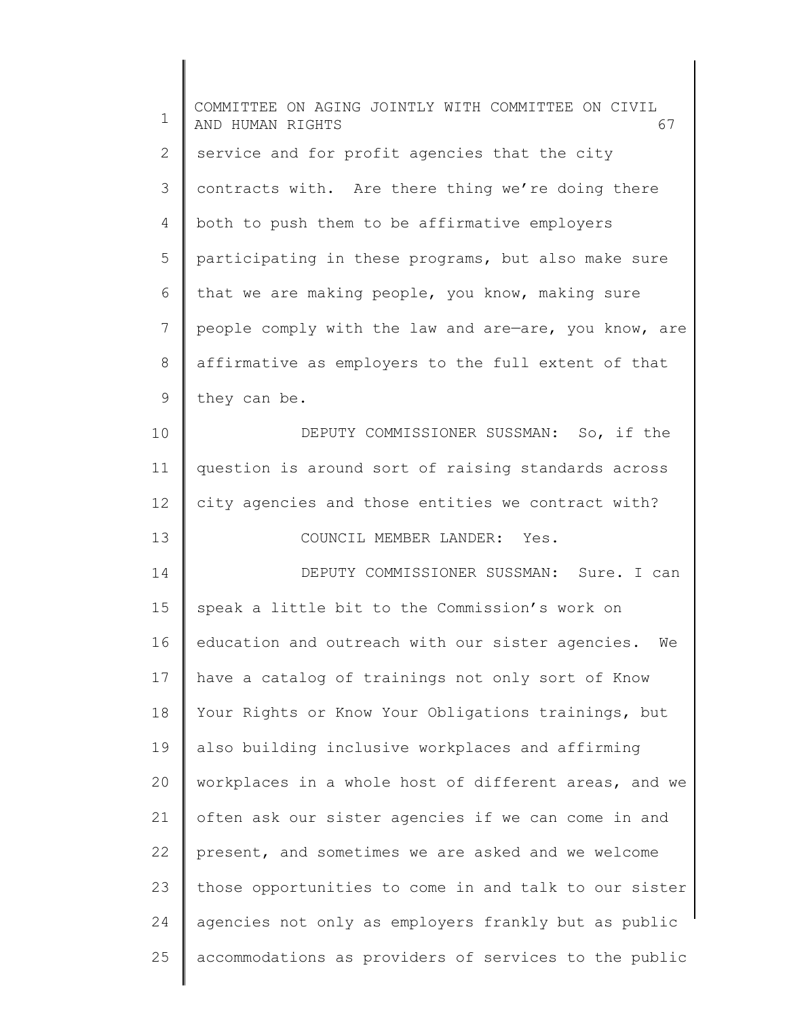| COMMITTEE ON AGING JOINTLY WITH COMMITTEE ON CIVIL<br>AND HUMAN RIGHTS<br>67 |
|------------------------------------------------------------------------------|
| service and for profit agencies that the city                                |
| contracts with. Are there thing we're doing there                            |
| both to push them to be affirmative employers                                |
| participating in these programs, but also make sure                          |
| that we are making people, you know, making sure                             |
| people comply with the law and are-are, you know, are                        |
| affirmative as employers to the full extent of that                          |
| they can be.                                                                 |
| DEPUTY COMMISSIONER SUSSMAN: So, if the                                      |
| question is around sort of raising standards across                          |
| city agencies and those entities we contract with?                           |
| COUNCIL MEMBER LANDER: Yes.                                                  |
| DEPUTY COMMISSIONER SUSSMAN: Sure. I can                                     |
| speak a little bit to the Commission's work on                               |
| education and outreach with our sister agencies.<br>We                       |
| have a catalog of trainings not only sort of Know                            |
| Your Rights or Know Your Obligations trainings, but                          |
| also building inclusive workplaces and affirming                             |
| workplaces in a whole host of different areas, and we                        |
| often ask our sister agencies if we can come in and                          |
| present, and sometimes we are asked and we welcome                           |
| those opportunities to come in and talk to our sister                        |
| agencies not only as employers frankly but as public                         |
| accommodations as providers of services to the public                        |
|                                                                              |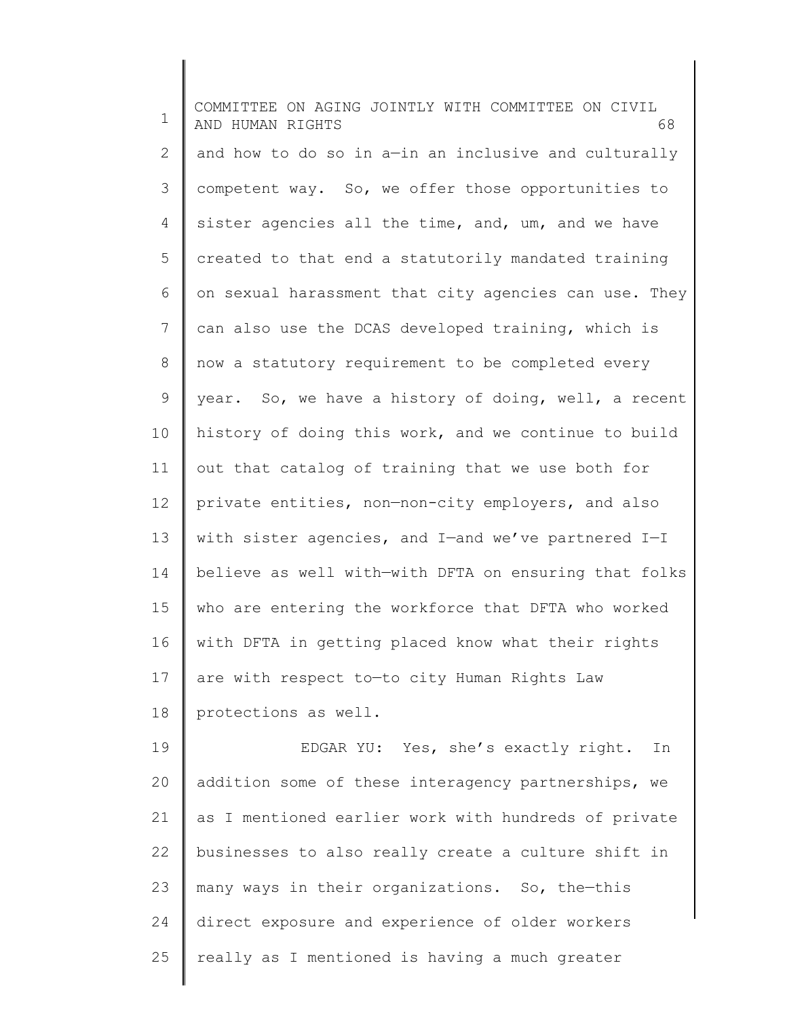1 2 3 4 5 6 7 8 9 10 11 12 13 14 15 16 17 18 19 20 21 22 COMMITTEE ON AGING JOINTLY WITH COMMITTEE ON CIVIL AND HUMAN RIGHTS 68 and how to do so in a—in an inclusive and culturally competent way. So, we offer those opportunities to sister agencies all the time, and, um, and we have created to that end a statutorily mandated training on sexual harassment that city agencies can use. They can also use the DCAS developed training, which is now a statutory requirement to be completed every year. So, we have a history of doing, well, a recent history of doing this work, and we continue to build out that catalog of training that we use both for private entities, non—non-city employers, and also with sister agencies, and I—and we've partnered I—I believe as well with—with DFTA on ensuring that folks who are entering the workforce that DFTA who worked with DFTA in getting placed know what their rights are with respect to—to city Human Rights Law protections as well. EDGAR YU: Yes, she's exactly right. In addition some of these interagency partnerships, we as I mentioned earlier work with hundreds of private businesses to also really create a culture shift in

23 24 25 many ways in their organizations. So, the—this direct exposure and experience of older workers really as I mentioned is having a much greater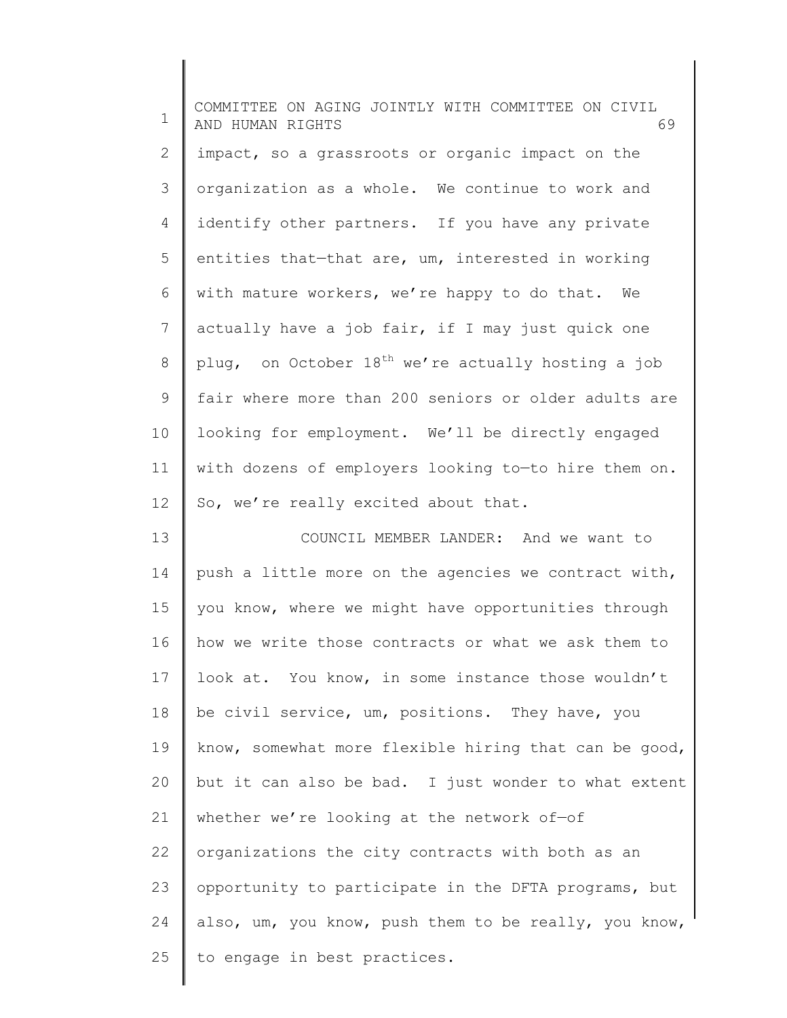1 2 3 4 5 6 7 8 9 10 11 12 13 14 15 16 17 18 19 20 21 22 23 24 25 COMMITTEE ON AGING JOINTLY WITH COMMITTEE ON CIVIL AND HUMAN RIGHTS 69 impact, so a grassroots or organic impact on the organization as a whole. We continue to work and identify other partners. If you have any private entities that—that are, um, interested in working with mature workers, we're happy to do that. We actually have a job fair, if I may just quick one plug, on October  $18^{th}$  we're actually hosting a job fair where more than 200 seniors or older adults are looking for employment. We'll be directly engaged with dozens of employers looking to—to hire them on. So, we're really excited about that. COUNCIL MEMBER LANDER: And we want to push a little more on the agencies we contract with, you know, where we might have opportunities through how we write those contracts or what we ask them to look at. You know, in some instance those wouldn't be civil service, um, positions. They have, you know, somewhat more flexible hiring that can be good, but it can also be bad. I just wonder to what extent whether we're looking at the network of-of organizations the city contracts with both as an opportunity to participate in the DFTA programs, but also, um, you know, push them to be really, you know, to engage in best practices.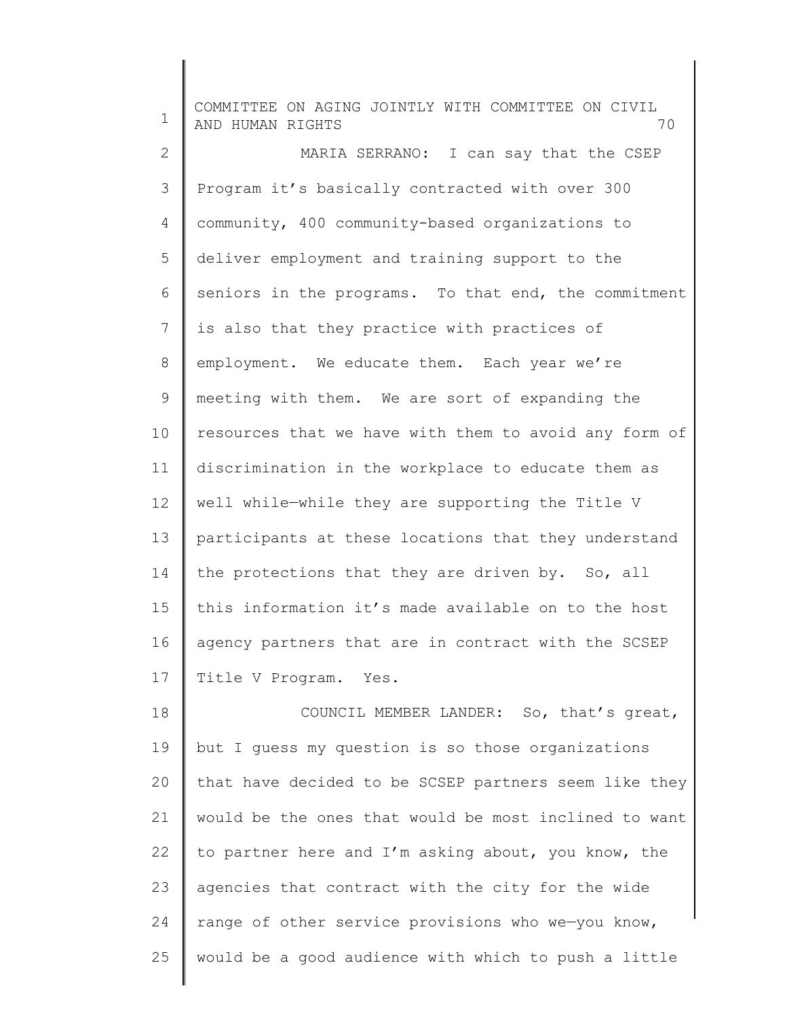1 2 3 4 5 6 7 8 9 10 11 12 13 14 15 16 17 18 19 20 COMMITTEE ON AGING JOINTLY WITH COMMITTEE ON CIVIL AND HUMAN RIGHTS 70 MARIA SERRANO: I can say that the CSEP Program it's basically contracted with over 300 community, 400 community-based organizations to deliver employment and training support to the seniors in the programs. To that end, the commitment is also that they practice with practices of employment. We educate them. Each year we're meeting with them. We are sort of expanding the resources that we have with them to avoid any form of discrimination in the workplace to educate them as well while—while they are supporting the Title V participants at these locations that they understand the protections that they are driven by. So, all this information it's made available on to the host agency partners that are in contract with the SCSEP Title V Program. Yes. COUNCIL MEMBER LANDER: So, that's great, but I guess my question is so those organizations that have decided to be SCSEP partners seem like they

21 22 23 24 25 would be the ones that would be most inclined to want to partner here and I'm asking about, you know, the agencies that contract with the city for the wide range of other service provisions who we—you know, would be a good audience with which to push a little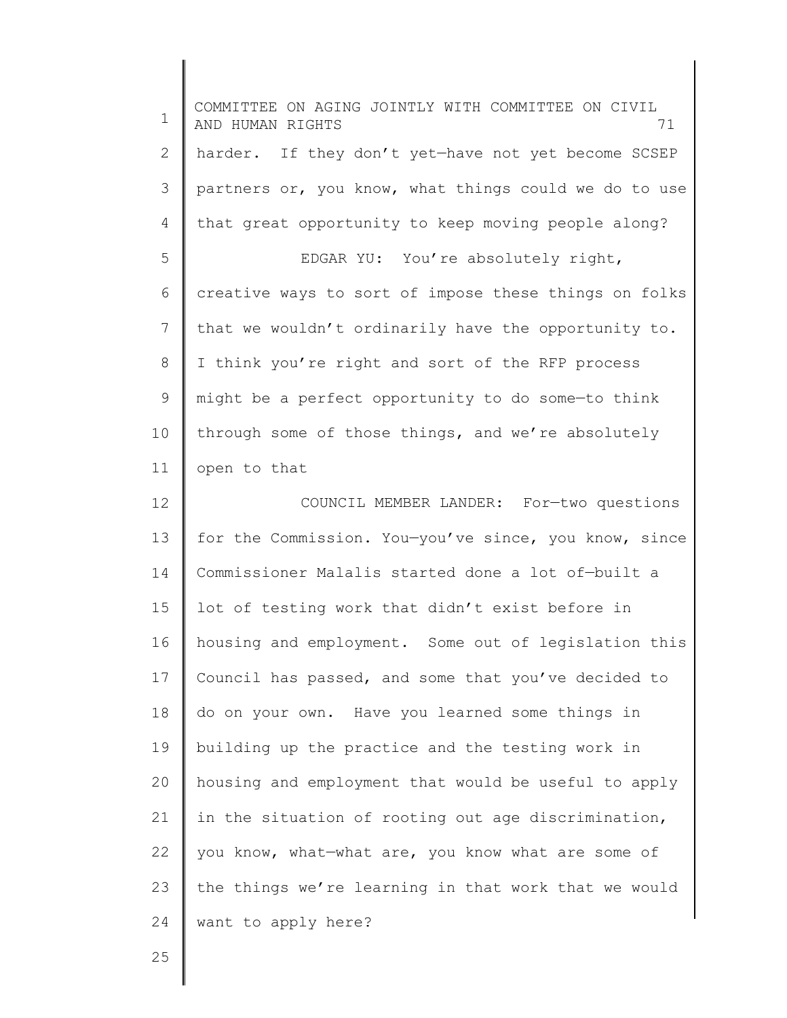| 1  | COMMITTEE ON AGING JOINTLY WITH COMMITTEE ON CIVIL<br>71<br>AND HUMAN RIGHTS |
|----|------------------------------------------------------------------------------|
| 2  | harder. If they don't yet-have not yet become SCSEP                          |
| 3  | partners or, you know, what things could we do to use                        |
| 4  | that great opportunity to keep moving people along?                          |
| 5  | EDGAR YU: You're absolutely right,                                           |
| 6  | creative ways to sort of impose these things on folks                        |
| 7  | that we wouldn't ordinarily have the opportunity to.                         |
| 8  | I think you're right and sort of the RFP process                             |
| 9  | might be a perfect opportunity to do some-to think                           |
| 10 | through some of those things, and we're absolutely                           |
| 11 | open to that                                                                 |
| 12 | COUNCIL MEMBER LANDER: For-two questions                                     |
| 13 | for the Commission. You-you've since, you know, since                        |
| 14 | Commissioner Malalis started done a lot of-built a                           |
| 15 | lot of testing work that didn't exist before in                              |
| 16 | housing and employment. Some out of legislation this                         |
| 17 | Council has passed, and some that you've decided to                          |
| 18 | do on your own. Have you learned some things in                              |
| 19 | building up the practice and the testing work in                             |
| 20 | housing and employment that would be useful to apply                         |
| 21 | in the situation of rooting out age discrimination,                          |
| 22 | you know, what-what are, you know what are some of                           |
| 23 | the things we're learning in that work that we would                         |
| 24 | want to apply here?                                                          |

25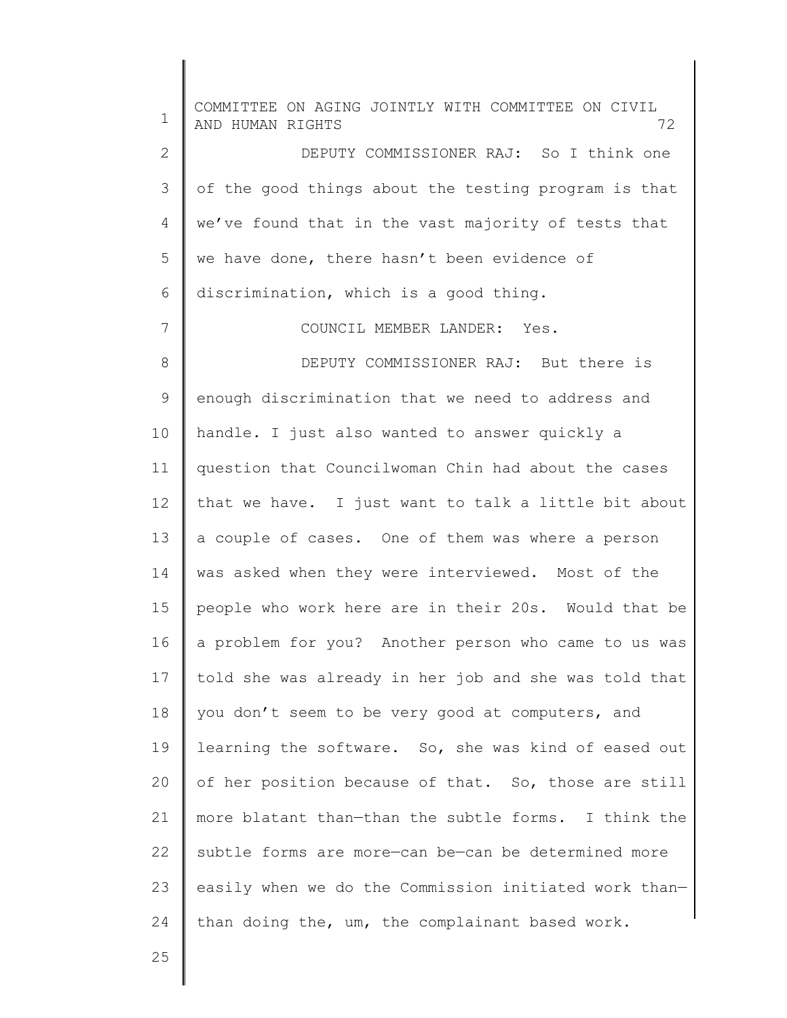1 2 3 4 5 6 7 8 9 10 11 12 13 14 15 16 17 18 19 20 21 22 23 24 COMMITTEE ON AGING JOINTLY WITH COMMITTEE ON CIVIL AND HUMAN RIGHTS 72 DEPUTY COMMISSIONER RAJ: So I think one of the good things about the testing program is that we've found that in the vast majority of tests that we have done, there hasn't been evidence of discrimination, which is a good thing. COUNCIL MEMBER LANDER: Yes. DEPUTY COMMISSIONER RAJ: But there is enough discrimination that we need to address and handle. I just also wanted to answer quickly a question that Councilwoman Chin had about the cases that we have. I just want to talk a little bit about a couple of cases. One of them was where a person was asked when they were interviewed. Most of the people who work here are in their 20s. Would that be a problem for you? Another person who came to us was told she was already in her job and she was told that you don't seem to be very good at computers, and learning the software. So, she was kind of eased out of her position because of that. So, those are still more blatant than—than the subtle forms. I think the subtle forms are more—can be—can be determined more easily when we do the Commission initiated work than than doing the, um, the complainant based work.

25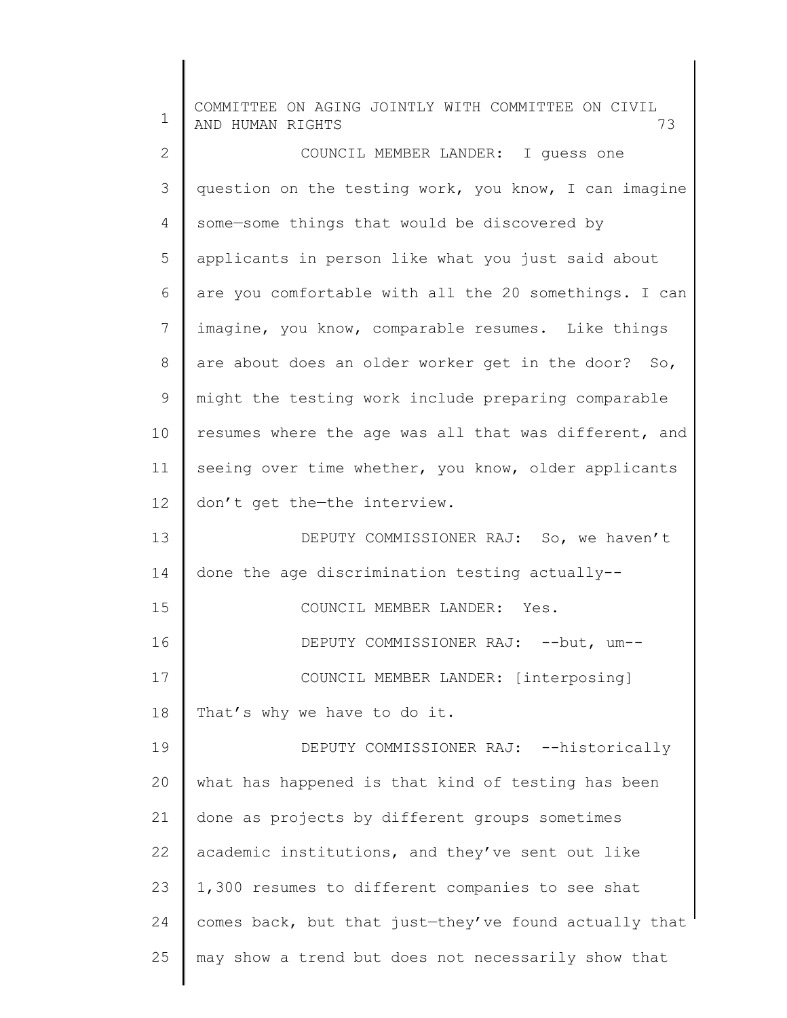| $\mathbf 1$  | COMMITTEE ON AGING JOINTLY WITH COMMITTEE ON CIVIL<br>AND HUMAN RIGHTS<br>73 |
|--------------|------------------------------------------------------------------------------|
| $\mathbf{2}$ | COUNCIL MEMBER LANDER: I quess one                                           |
| 3            | question on the testing work, you know, I can imagine                        |
| 4            | some-some things that would be discovered by                                 |
| 5            | applicants in person like what you just said about                           |
| 6            | are you comfortable with all the 20 somethings. I can                        |
| 7            | imagine, you know, comparable resumes. Like things                           |
| $\,8\,$      | are about does an older worker get in the door? So,                          |
| 9            | might the testing work include preparing comparable                          |
| 10           | resumes where the age was all that was different, and                        |
| 11           | seeing over time whether, you know, older applicants                         |
| 12           | don't get the-the interview.                                                 |
| 13           | DEPUTY COMMISSIONER RAJ: So, we haven't                                      |
| 14           | done the age discrimination testing actually--                               |
| 15           | COUNCIL MEMBER LANDER: Yes.                                                  |
| 16           | DEPUTY COMMISSIONER RAJ: -- but, um--                                        |
| 17           | COUNCIL MEMBER LANDER: [interposing]                                         |
| 18           | That's why we have to do it.                                                 |
| 19           | DEPUTY COMMISSIONER RAJ: -- historically                                     |
| 20           | what has happened is that kind of testing has been                           |
| 21           | done as projects by different groups sometimes                               |
| 22           | academic institutions, and they've sent out like                             |
| 23           | 1,300 resumes to different companies to see shat                             |
| 24           | comes back, but that just-they've found actually that                        |
| 25           | may show a trend but does not necessarily show that                          |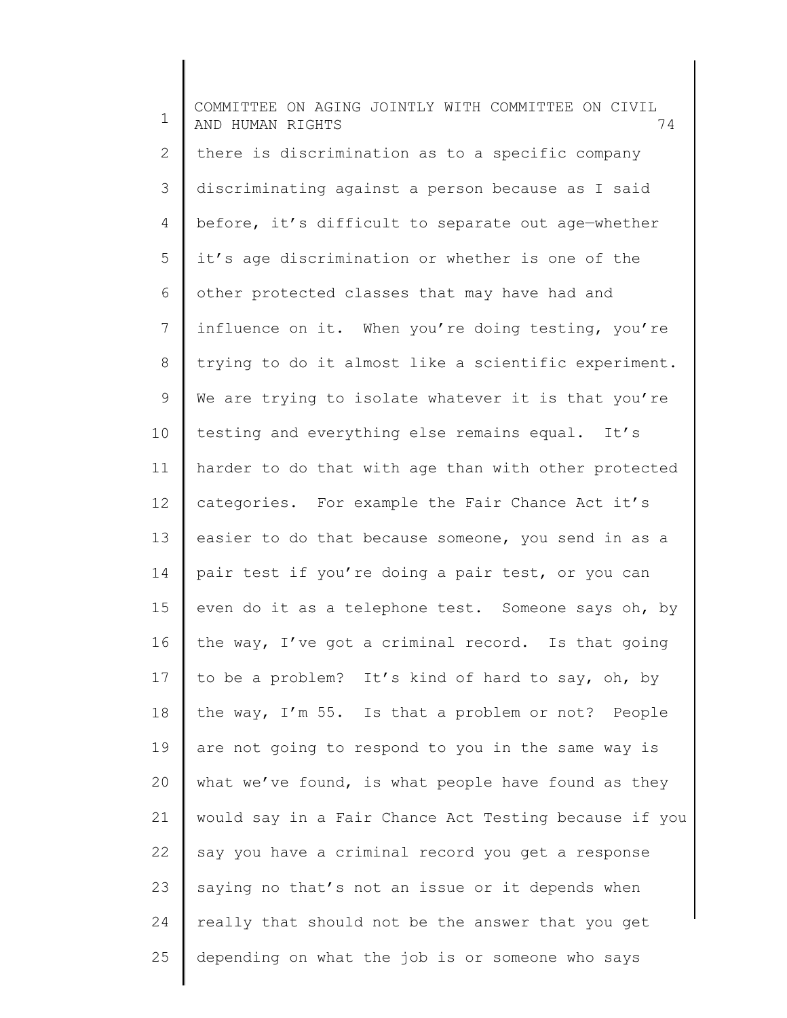1 2 3 4 5 6 7 8 9 10 11 12 13 14 15 16 17 18 19 20 21 22 23 24 25 COMMITTEE ON AGING JOINTLY WITH COMMITTEE ON CIVIL AND HUMAN RIGHTS 74 there is discrimination as to a specific company discriminating against a person because as I said before, it's difficult to separate out age—whether it's age discrimination or whether is one of the other protected classes that may have had and influence on it. When you're doing testing, you're trying to do it almost like a scientific experiment. We are trying to isolate whatever it is that you're testing and everything else remains equal. It's harder to do that with age than with other protected categories. For example the Fair Chance Act it's easier to do that because someone, you send in as a pair test if you're doing a pair test, or you can even do it as a telephone test. Someone says oh, by the way, I've got a criminal record. Is that going to be a problem? It's kind of hard to say, oh, by the way, I'm 55. Is that a problem or not? People are not going to respond to you in the same way is what we've found, is what people have found as they would say in a Fair Chance Act Testing because if you say you have a criminal record you get a response saying no that's not an issue or it depends when really that should not be the answer that you get depending on what the job is or someone who says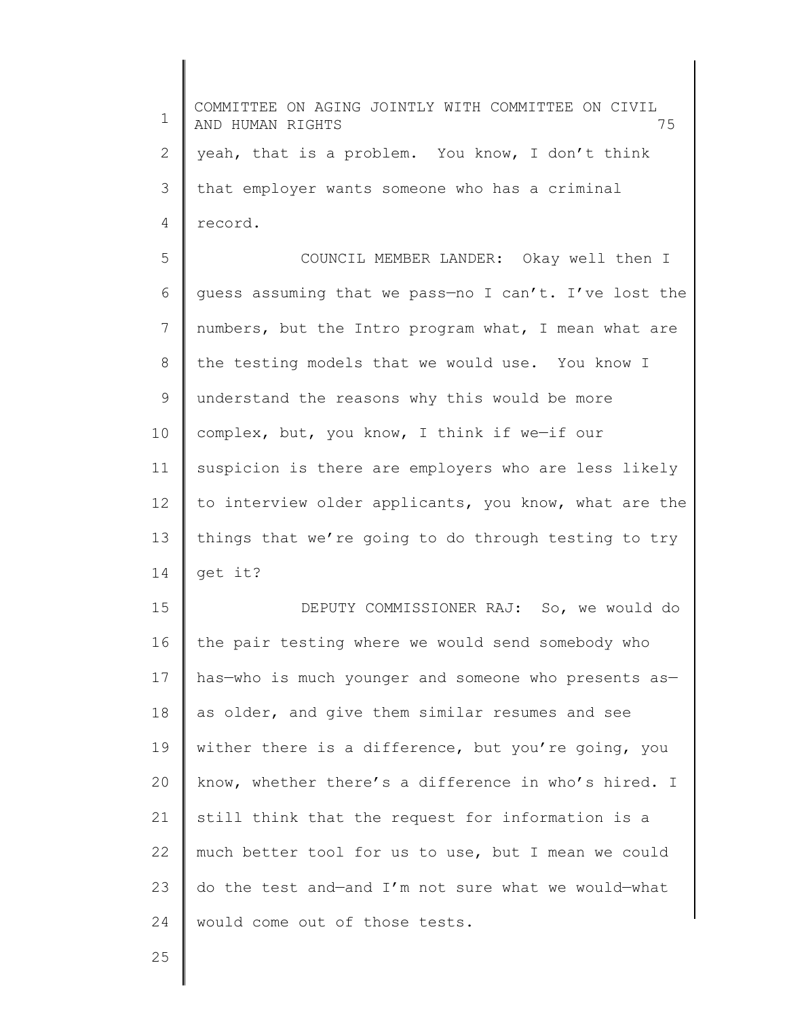1 2 3 4 5 6 7 8 9 10 11 12 13 14 15 16 17 18 19 20 21 22 23 24 25 COMMITTEE ON AGING JOINTLY WITH COMMITTEE ON CIVIL AND HUMAN RIGHTS 75 yeah, that is a problem. You know, I don't think that employer wants someone who has a criminal record. COUNCIL MEMBER LANDER: Okay well then I guess assuming that we pass—no I can't. I've lost the numbers, but the Intro program what, I mean what are the testing models that we would use. You know I understand the reasons why this would be more complex, but, you know, I think if we—if our suspicion is there are employers who are less likely to interview older applicants, you know, what are the things that we're going to do through testing to try get it? DEPUTY COMMISSIONER RAJ: So, we would do the pair testing where we would send somebody who has-who is much younger and someone who presents asas older, and give them similar resumes and see wither there is a difference, but you're going, you know, whether there's a difference in who's hired. I still think that the request for information is a much better tool for us to use, but I mean we could do the test and—and I'm not sure what we would—what would come out of those tests.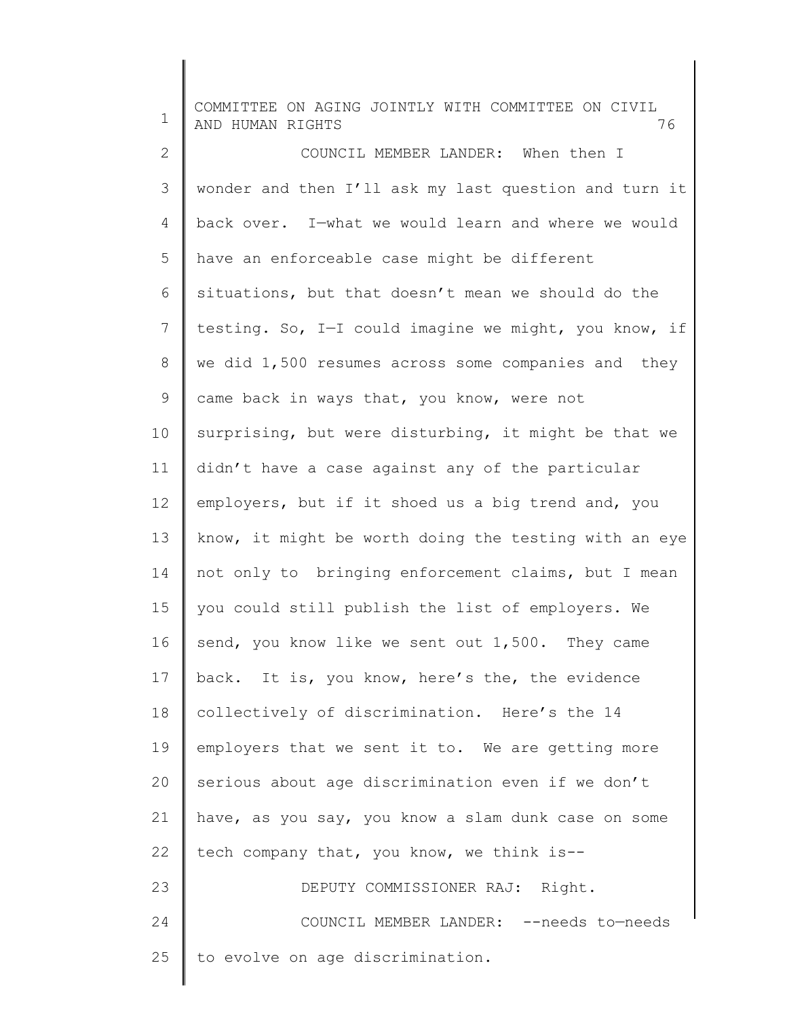| $\mathbf 1$ | COMMITTEE ON AGING JOINTLY WITH COMMITTEE ON CIVIL<br>76<br>AND HUMAN RIGHTS |
|-------------|------------------------------------------------------------------------------|
| 2           | COUNCIL MEMBER LANDER: When then I                                           |
| 3           | wonder and then I'll ask my last question and turn it                        |
| 4           | back over. I-what we would learn and where we would                          |
| 5           | have an enforceable case might be different                                  |
| 6           | situations, but that doesn't mean we should do the                           |
| 7           | testing. So, I-I could imagine we might, you know, if                        |
| 8           | we did 1,500 resumes across some companies and they                          |
| 9           | came back in ways that, you know, were not                                   |
| 10          | surprising, but were disturbing, it might be that we                         |
| 11          | didn't have a case against any of the particular                             |
| 12          | employers, but if it shoed us a big trend and, you                           |
| 13          | know, it might be worth doing the testing with an eye                        |
| 14          | not only to bringing enforcement claims, but I mean                          |
| 15          | you could still publish the list of employers. We                            |
| 16          | send, you know like we sent out 1,500. They came                             |
| 17          | back. It is, you know, here's the, the evidence                              |
| 18          | collectively of discrimination. Here's the 14                                |
| 19          | employers that we sent it to. We are getting more                            |
| 20          | serious about age discrimination even if we don't                            |
| 21          | have, as you say, you know a slam dunk case on some                          |
| 22          | tech company that, you know, we think is--                                   |
| 23          | DEPUTY COMMISSIONER RAJ: Right.                                              |
| 24          | COUNCIL MEMBER LANDER: -- needs to-needs                                     |
| 25          | to evolve on age discrimination.                                             |
|             |                                                                              |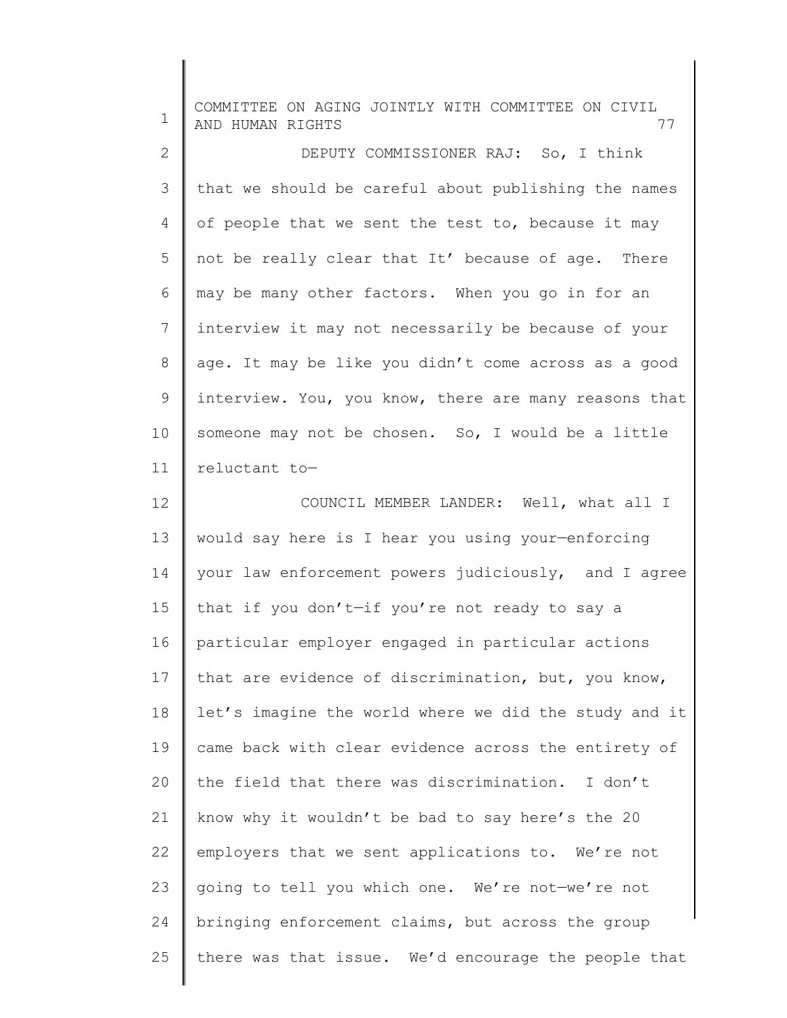| 1            | COMMITTEE ON AGING JOINTLY WITH COMMITTEE ON CIVIL<br>AND HUMAN RIGHTS<br>77 |
|--------------|------------------------------------------------------------------------------|
| $\mathbf{2}$ | DEPUTY COMMISSIONER RAJ: So, I think                                         |
| 3            | that we should be careful about publishing the names                         |
| 4            | of people that we sent the test to, because it may                           |
| 5            | not be really clear that It' because of age. There                           |
| 6            | may be many other factors. When you go in for an                             |
| 7            | interview it may not necessarily be because of your                          |
| $8\,$        | age. It may be like you didn't come across as a good                         |
| $\mathsf 9$  | interview. You, you know, there are many reasons that                        |
| 10           | someone may not be chosen. So, I would be a little                           |
| 11           | reluctant to-                                                                |
| 12           | COUNCIL MEMBER LANDER: Well, what all I                                      |
| 13           | would say here is I hear you using your-enforcing                            |
| 14           | your law enforcement powers judiciously, and I agree                         |
| 15           | that if you don't-if you're not ready to say a                               |
| 16           | particular employer engaged in particular actions                            |
| 17           | that are evidence of discrimination, but, you know,                          |
| 18           | let's imagine the world where we did the study and it                        |
| 19           | came back with clear evidence across the entirety of                         |
| 20           | the field that there was discrimination. I don't                             |
| 21           | know why it wouldn't be bad to say here's the 20                             |
| 22           | employers that we sent applications to. We're not                            |
| 23           | going to tell you which one. We're not-we're not                             |
| 24           | bringing enforcement claims, but across the group                            |
| 25           | there was that issue. We'd encourage the people that                         |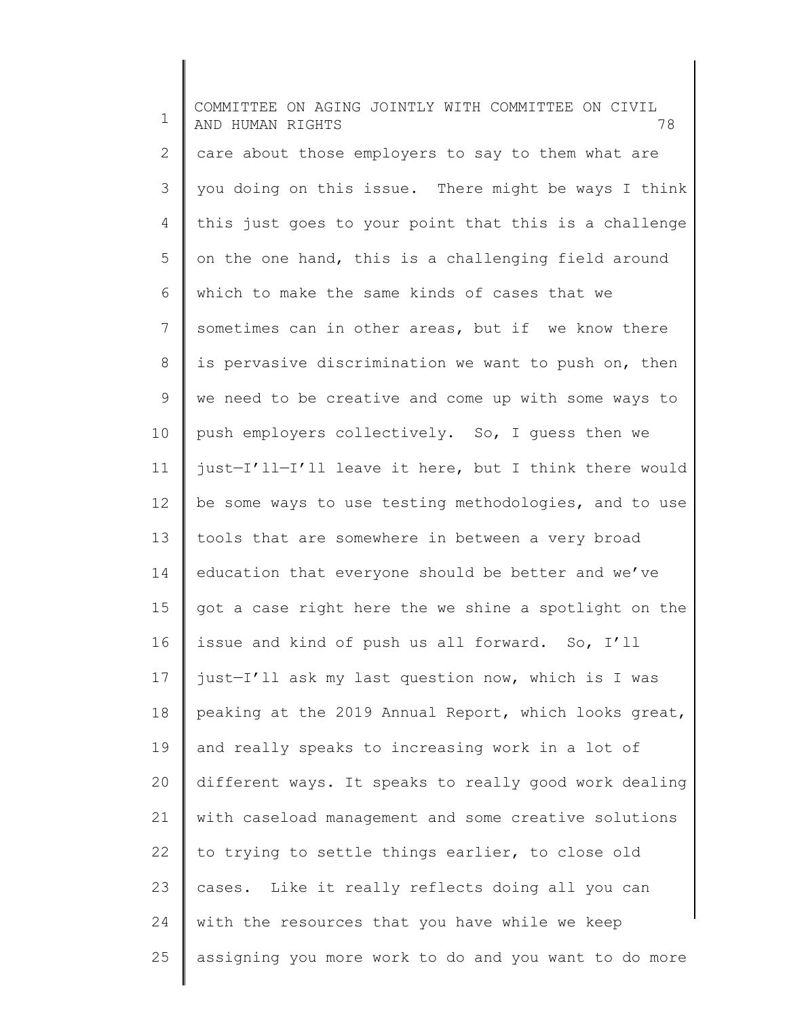1 2 3 4 5 6 7 8 9 10 11 12 13 14 15 16 17 18 19 20 21 22 23 24 25 COMMITTEE ON AGING JOINTLY WITH COMMITTEE ON CIVIL AND HUMAN RIGHTS 78 care about those employers to say to them what are you doing on this issue. There might be ways I think this just goes to your point that this is a challenge on the one hand, this is a challenging field around which to make the same kinds of cases that we sometimes can in other areas, but if we know there is pervasive discrimination we want to push on, then we need to be creative and come up with some ways to push employers collectively. So, I guess then we just—I'll—I'll leave it here, but I think there would be some ways to use testing methodologies, and to use tools that are somewhere in between a very broad education that everyone should be better and we've got a case right here the we shine a spotlight on the issue and kind of push us all forward. So, I'll just—I'll ask my last question now, which is I was peaking at the 2019 Annual Report, which looks great, and really speaks to increasing work in a lot of different ways. It speaks to really good work dealing with caseload management and some creative solutions to trying to settle things earlier, to close old cases. Like it really reflects doing all you can with the resources that you have while we keep assigning you more work to do and you want to do more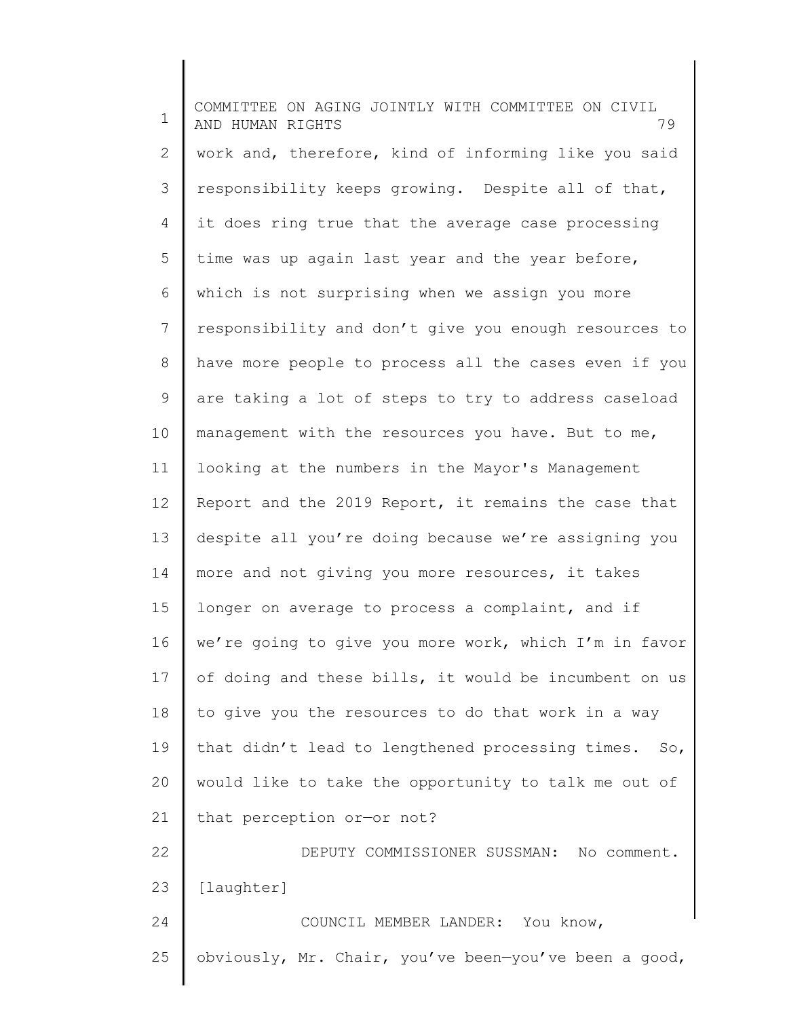1 2 3 4 5 6 7 8 9 10 11 12 13 14 15 16 17 18 19 20 21 22 23 24 25 COMMITTEE ON AGING JOINTLY WITH COMMITTEE ON CIVIL AND HUMAN RIGHTS 79 work and, therefore, kind of informing like you said responsibility keeps growing. Despite all of that, it does ring true that the average case processing time was up again last year and the year before, which is not surprising when we assign you more responsibility and don't give you enough resources to have more people to process all the cases even if you are taking a lot of steps to try to address caseload management with the resources you have. But to me, looking at the numbers in the Mayor's Management Report and the 2019 Report, it remains the case that despite all you're doing because we're assigning you more and not giving you more resources, it takes longer on average to process a complaint, and if we're going to give you more work, which I'm in favor of doing and these bills, it would be incumbent on us to give you the resources to do that work in a way that didn't lead to lengthened processing times. So, would like to take the opportunity to talk me out of that perception or—or not? DEPUTY COMMISSIONER SUSSMAN: No comment. [laughter] COUNCIL MEMBER LANDER: You know, obviously, Mr. Chair, you've been—you've been a good,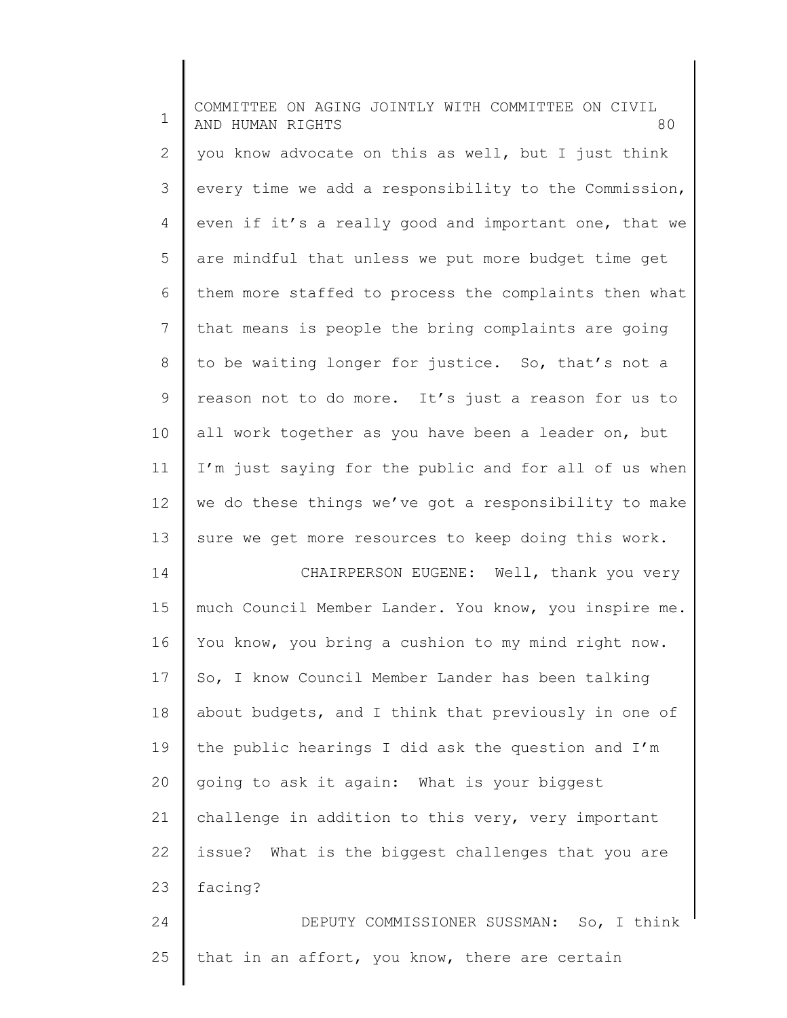| $\mathbf 1$ | COMMITTEE ON AGING JOINTLY WITH COMMITTEE ON CIVIL<br>80<br>AND HUMAN RIGHTS |
|-------------|------------------------------------------------------------------------------|
| 2           | you know advocate on this as well, but I just think                          |
| 3           | every time we add a responsibility to the Commission,                        |
| 4           | even if it's a really good and important one, that we                        |
| 5           | are mindful that unless we put more budget time get                          |
| 6           | them more staffed to process the complaints then what                        |
| 7           | that means is people the bring complaints are going                          |
| 8           | to be waiting longer for justice. So, that's not a                           |
| 9           | reason not to do more. It's just a reason for us to                          |
| 10          | all work together as you have been a leader on, but                          |
| 11          | I'm just saying for the public and for all of us when                        |
| 12          | we do these things we've got a responsibility to make                        |
| 13          | sure we get more resources to keep doing this work.                          |
| 14          | CHAIRPERSON EUGENE: Well, thank you very                                     |
| 15          | much Council Member Lander. You know, you inspire me.                        |
| 16          | You know, you bring a cushion to my mind right now.                          |
| 17          | So, I know Council Member Lander has been talking                            |
| 18          | about budgets, and I think that previously in one of                         |
| 19          | the public hearings I did ask the question and I'm                           |
| 20          | going to ask it again: What is your biggest                                  |
| 21          | challenge in addition to this very, very important                           |
| 22          | issue? What is the biggest challenges that you are                           |
| 23          | facing?                                                                      |
| 24          | DEPUTY COMMISSIONER SUSSMAN: So, I think                                     |
|             |                                                                              |

 $\Big\|$ 

25 | that in an affort, you know, there are certain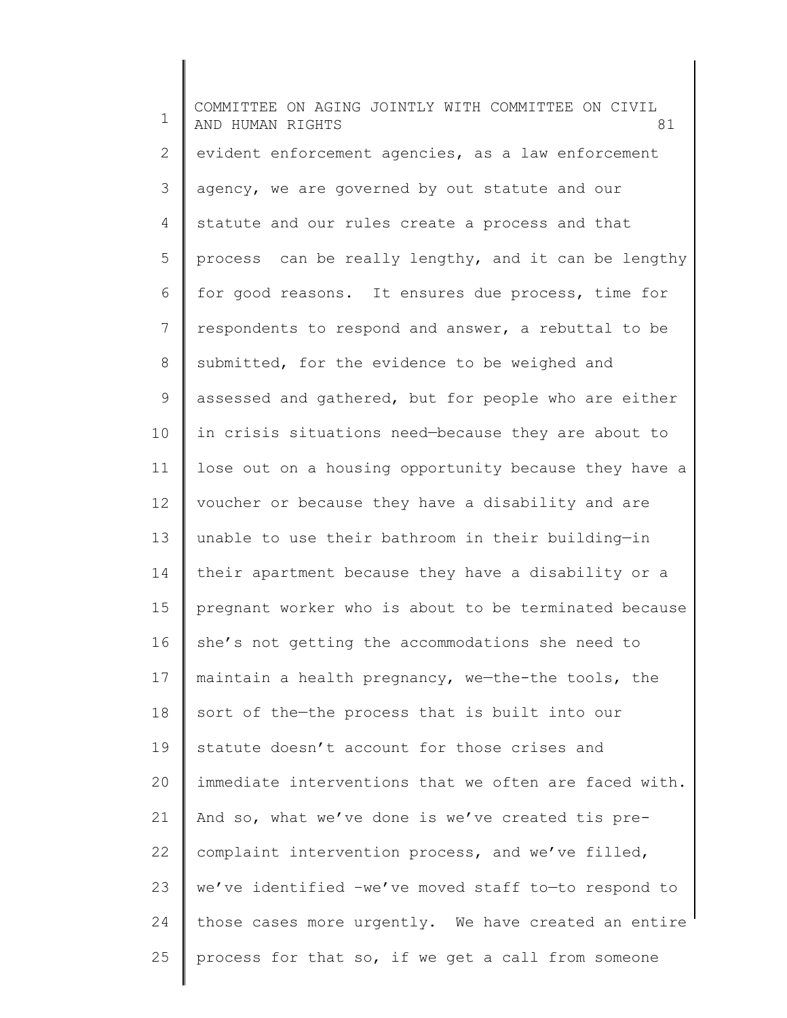1 2 3 4 5 6 7 8 9 10 11 12 13 14 15 16 17 18 19 20 21 22 23 24 25 COMMITTEE ON AGING JOINTLY WITH COMMITTEE ON CIVIL AND HUMAN RIGHTS 81 evident enforcement agencies, as a law enforcement agency, we are governed by out statute and our statute and our rules create a process and that process can be really lengthy, and it can be lengthy for good reasons. It ensures due process, time for respondents to respond and answer, a rebuttal to be submitted, for the evidence to be weighed and assessed and gathered, but for people who are either in crisis situations need—because they are about to lose out on a housing opportunity because they have a voucher or because they have a disability and are unable to use their bathroom in their building—in their apartment because they have a disability or a pregnant worker who is about to be terminated because she's not getting the accommodations she need to maintain a health pregnancy, we—the-the tools, the sort of the—the process that is built into our statute doesn't account for those crises and immediate interventions that we often are faced with. And so, what we've done is we've created tis precomplaint intervention process, and we've filled, we've identified –we've moved staff to—to respond to those cases more urgently. We have created an entire process for that so, if we get a call from someone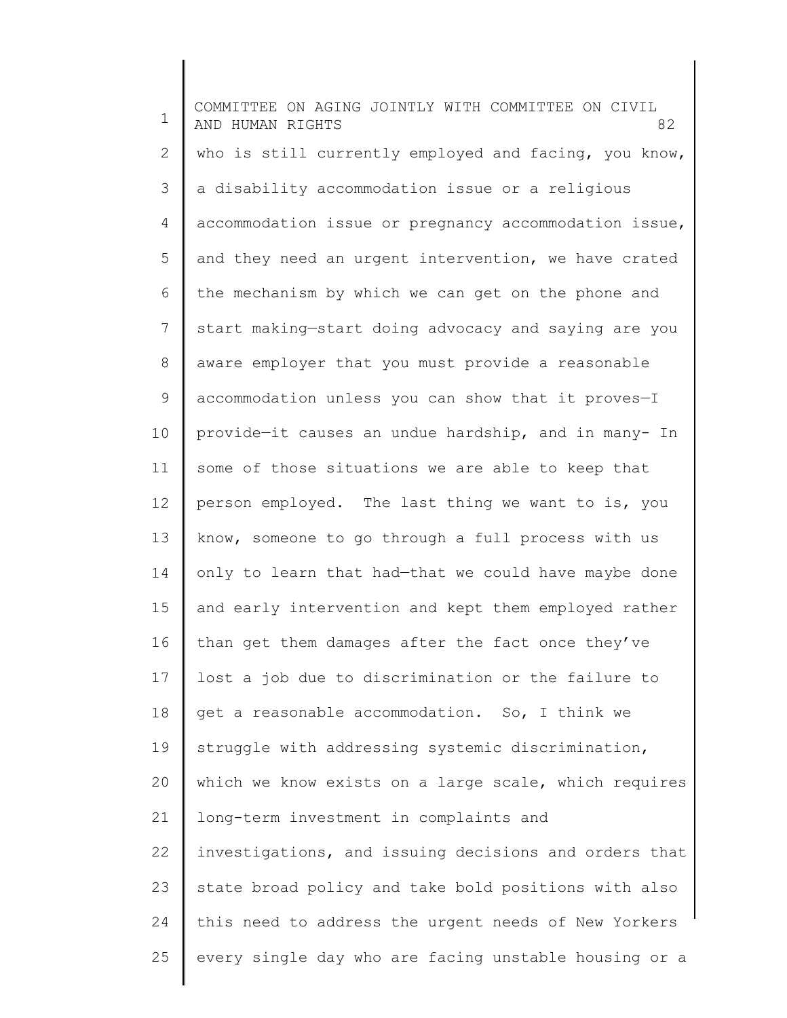1 2 3 4 5 6 7 8 9 10 11 12 13 14 15 16 17 18 19 20 21 22 23 24 25 COMMITTEE ON AGING JOINTLY WITH COMMITTEE ON CIVIL AND HUMAN RIGHTS 82 who is still currently employed and facing, you know, a disability accommodation issue or a religious accommodation issue or pregnancy accommodation issue, and they need an urgent intervention, we have crated the mechanism by which we can get on the phone and start making—start doing advocacy and saying are you aware employer that you must provide a reasonable accommodation unless you can show that it proves—I provide—it causes an undue hardship, and in many- In some of those situations we are able to keep that person employed. The last thing we want to is, you know, someone to go through a full process with us only to learn that had—that we could have maybe done and early intervention and kept them employed rather than get them damages after the fact once they've lost a job due to discrimination or the failure to get a reasonable accommodation. So, I think we struggle with addressing systemic discrimination, which we know exists on a large scale, which requires long-term investment in complaints and investigations, and issuing decisions and orders that state broad policy and take bold positions with also this need to address the urgent needs of New Yorkers every single day who are facing unstable housing or a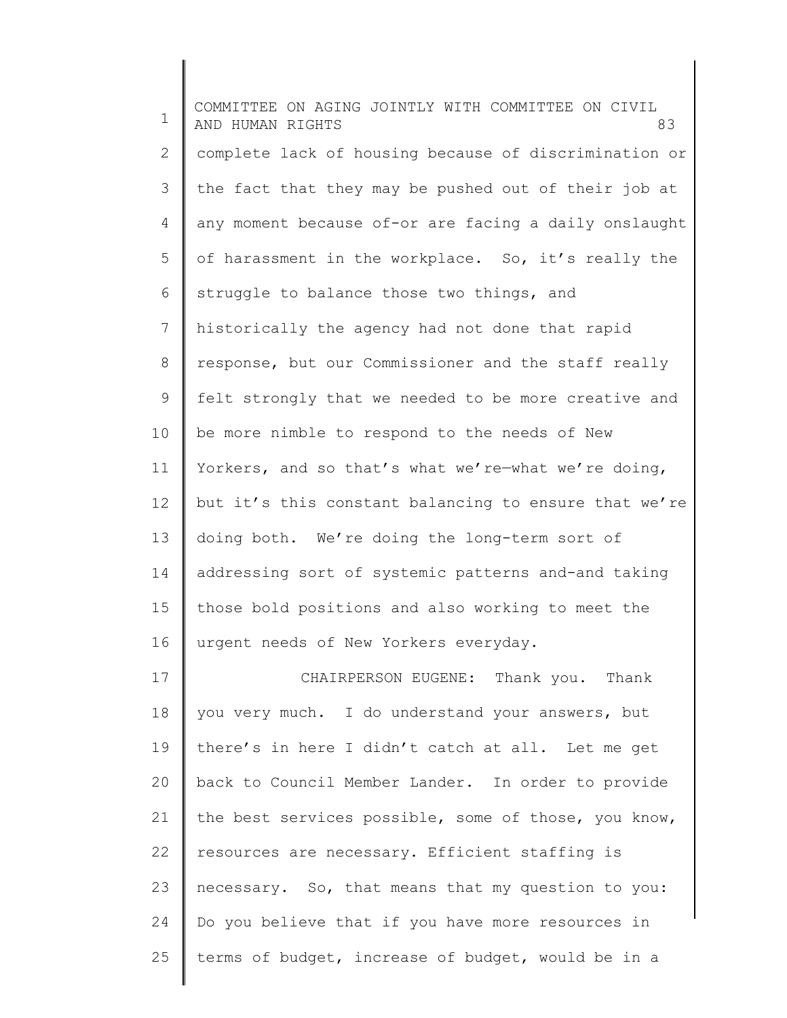1 2 3 4 5 6 7 8 9 10 11 12 13 14 15 16 17 18 19 20 21 22 23 COMMITTEE ON AGING JOINTLY WITH COMMITTEE ON CIVIL AND HUMAN RIGHTS 83 complete lack of housing because of discrimination or the fact that they may be pushed out of their job at any moment because of-or are facing a daily onslaught of harassment in the workplace. So, it's really the struggle to balance those two things, and historically the agency had not done that rapid response, but our Commissioner and the staff really felt strongly that we needed to be more creative and be more nimble to respond to the needs of New Yorkers, and so that's what we're—what we're doing, but it's this constant balancing to ensure that we're doing both. We're doing the long-term sort of addressing sort of systemic patterns and-and taking those bold positions and also working to meet the urgent needs of New Yorkers everyday. CHAIRPERSON EUGENE: Thank you. Thank you very much. I do understand your answers, but there's in here I didn't catch at all. Let me get back to Council Member Lander. In order to provide the best services possible, some of those, you know, resources are necessary. Efficient staffing is necessary. So, that means that my question to you:

25 terms of budget, increase of budget, would be in a

Do you believe that if you have more resources in

24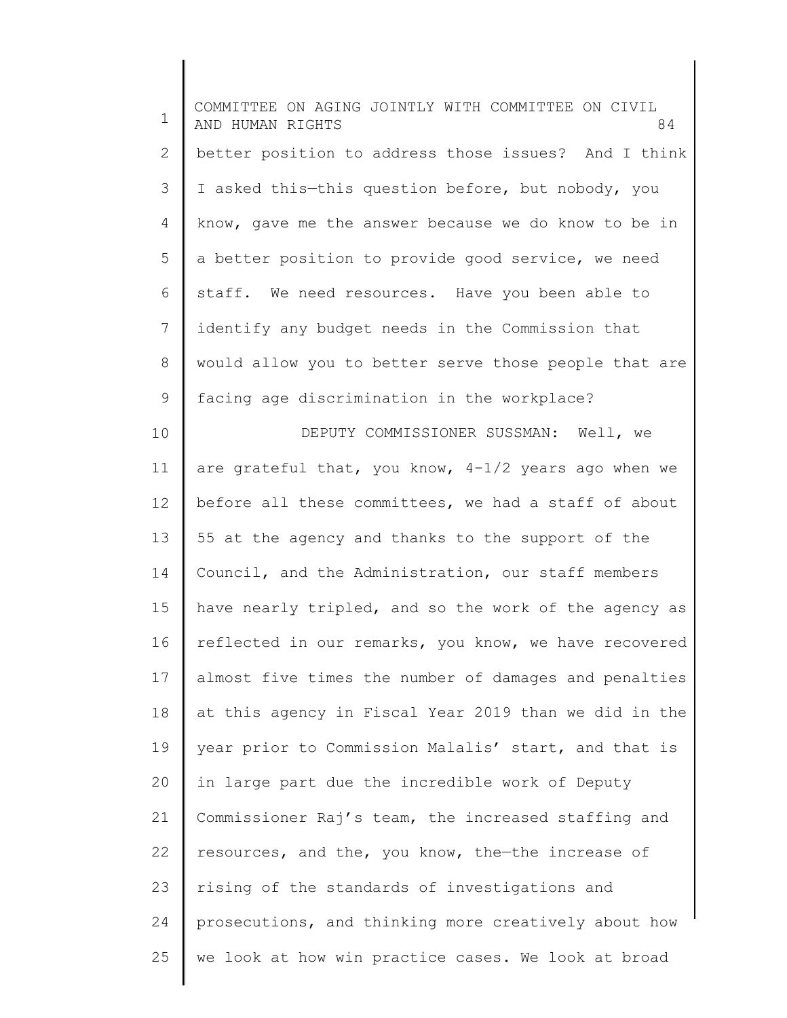1 2 3 4 5 6 7 8 9 10 11 12 13 14 15 16 17 18 19 20 21 22 23 24 25 COMMITTEE ON AGING JOINTLY WITH COMMITTEE ON CIVIL AND HUMAN RIGHTS 84 better position to address those issues? And I think I asked this—this question before, but nobody, you know, gave me the answer because we do know to be in a better position to provide good service, we need staff. We need resources. Have you been able to identify any budget needs in the Commission that would allow you to better serve those people that are facing age discrimination in the workplace? DEPUTY COMMISSIONER SUSSMAN: Well, we are grateful that, you know, 4-1/2 years ago when we before all these committees, we had a staff of about 55 at the agency and thanks to the support of the Council, and the Administration, our staff members have nearly tripled, and so the work of the agency as reflected in our remarks, you know, we have recovered almost five times the number of damages and penalties at this agency in Fiscal Year 2019 than we did in the year prior to Commission Malalis' start, and that is in large part due the incredible work of Deputy Commissioner Raj's team, the increased staffing and resources, and the, you know, the—the increase of rising of the standards of investigations and prosecutions, and thinking more creatively about how we look at how win practice cases. We look at broad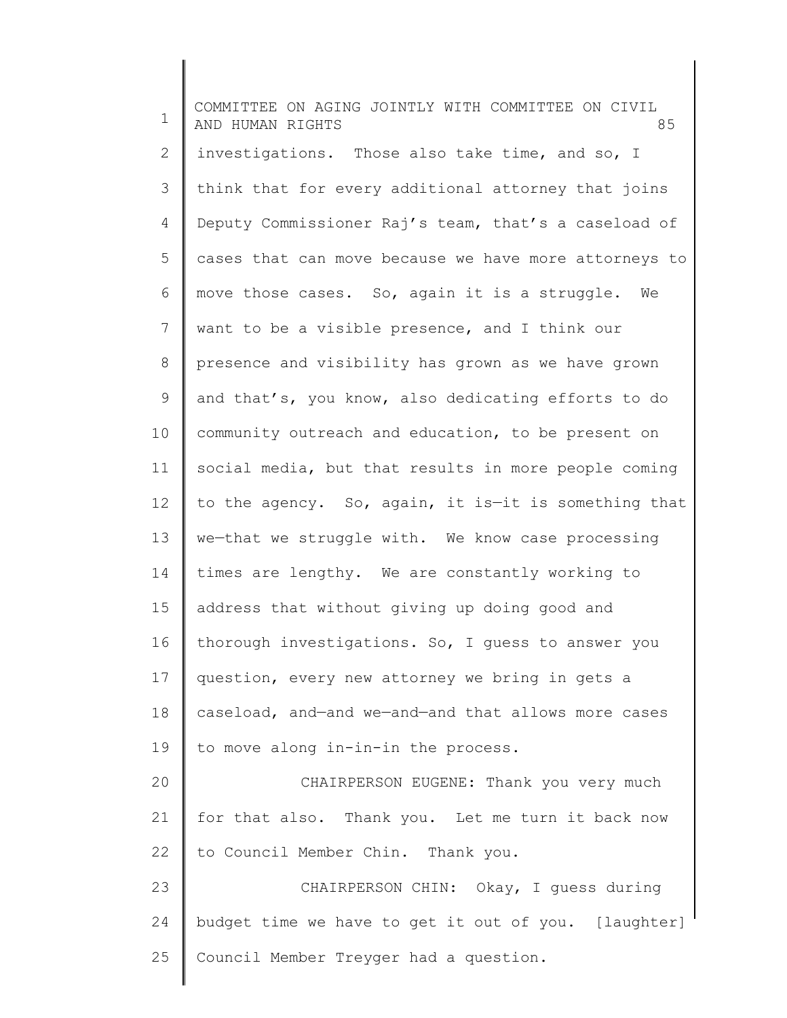1 2 3 4 5 6 7 8 9 10 11 12 13 14 15 16 17 18 19 20 21 22 23 24 25 COMMITTEE ON AGING JOINTLY WITH COMMITTEE ON CIVIL AND HUMAN RIGHTS 85 investigations. Those also take time, and so, I think that for every additional attorney that joins Deputy Commissioner Raj's team, that's a caseload of cases that can move because we have more attorneys to move those cases. So, again it is a struggle. We want to be a visible presence, and I think our presence and visibility has grown as we have grown and that's, you know, also dedicating efforts to do community outreach and education, to be present on social media, but that results in more people coming to the agency. So, again, it is—it is something that we—that we struggle with. We know case processing times are lengthy. We are constantly working to address that without giving up doing good and thorough investigations. So, I guess to answer you question, every new attorney we bring in gets a caseload, and—and we—and—and that allows more cases to move along in-in-in the process. CHAIRPERSON EUGENE: Thank you very much for that also. Thank you. Let me turn it back now to Council Member Chin. Thank you. CHAIRPERSON CHIN: Okay, I guess during budget time we have to get it out of you. [laughter] Council Member Treyger had a question.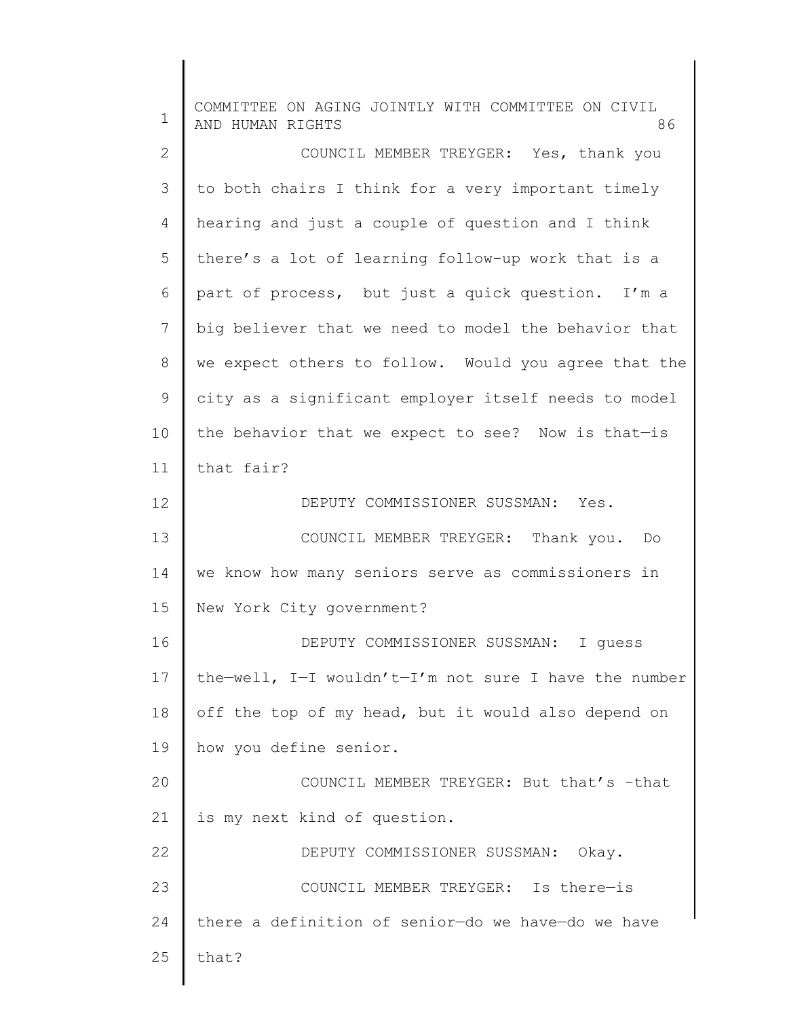| $\mathbf 1$    | COMMITTEE ON AGING JOINTLY WITH COMMITTEE ON CIVIL<br>AND HUMAN RIGHTS<br>86 |
|----------------|------------------------------------------------------------------------------|
| $\overline{2}$ | COUNCIL MEMBER TREYGER: Yes, thank you                                       |
| 3              | to both chairs I think for a very important timely                           |
| 4              | hearing and just a couple of question and I think                            |
| 5              | there's a lot of learning follow-up work that is a                           |
| 6              | part of process, but just a quick question. I'm a                            |
| 7              | big believer that we need to model the behavior that                         |
| 8              | we expect others to follow. Would you agree that the                         |
| 9              | city as a significant employer itself needs to model                         |
| 10             | the behavior that we expect to see? Now is that-is                           |
| 11             | that fair?                                                                   |
| 12             | DEPUTY COMMISSIONER SUSSMAN: Yes.                                            |
| 13             | COUNCIL MEMBER TREYGER: Thank you.<br>Do                                     |
| 14             | we know how many seniors serve as commissioners in                           |
| 15             | New York City government?                                                    |
| 16             | DEPUTY COMMISSIONER SUSSMAN: I guess                                         |
| 17             | the-well, I-I wouldn't-I'm not sure I have the number                        |
| 18             | off the top of my head, but it would also depend on                          |
| 19             | how you define senior.                                                       |
| 20             | COUNCIL MEMBER TREYGER: But that's -that                                     |
| 21             | is my next kind of question.                                                 |
| 22             | DEPUTY COMMISSIONER SUSSMAN: Okay.                                           |
| 23             | COUNCIL MEMBER TREYGER: Is there-is                                          |
| 24             | there a definition of senior-do we have-do we have                           |
| 25             | that?                                                                        |
|                |                                                                              |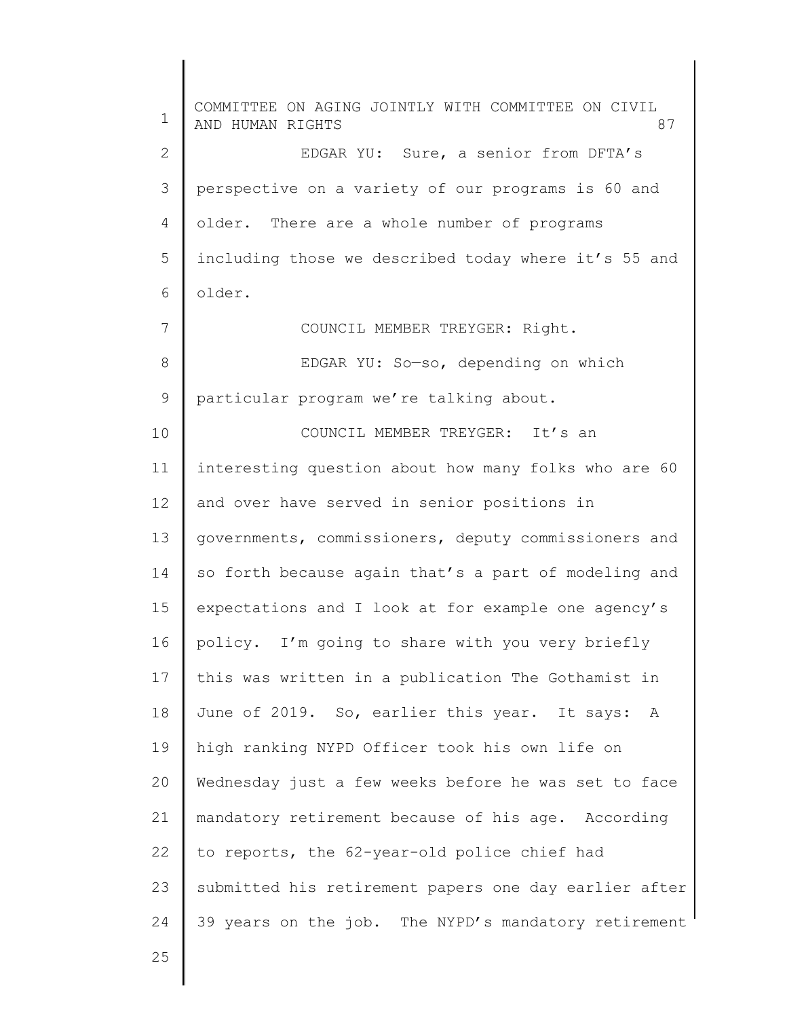1 2 3 4 5 6 7 8 9 10 11 12 13 14 15 16 17 18 19 20 21 22 23 24 25 COMMITTEE ON AGING JOINTLY WITH COMMITTEE ON CIVIL AND HUMAN RIGHTS 87 EDGAR YU: Sure, a senior from DFTA's perspective on a variety of our programs is 60 and older. There are a whole number of programs including those we described today where it's 55 and older. COUNCIL MEMBER TREYGER: Right. EDGAR YU: So—so, depending on which particular program we're talking about. COUNCIL MEMBER TREYGER: It's an interesting question about how many folks who are 60 and over have served in senior positions in governments, commissioners, deputy commissioners and so forth because again that's a part of modeling and expectations and I look at for example one agency's policy. I'm going to share with you very briefly this was written in a publication The Gothamist in June of 2019. So, earlier this year. It says: A high ranking NYPD Officer took his own life on Wednesday just a few weeks before he was set to face mandatory retirement because of his age. According to reports, the 62-year-old police chief had submitted his retirement papers one day earlier after 39 years on the job. The NYPD's mandatory retirement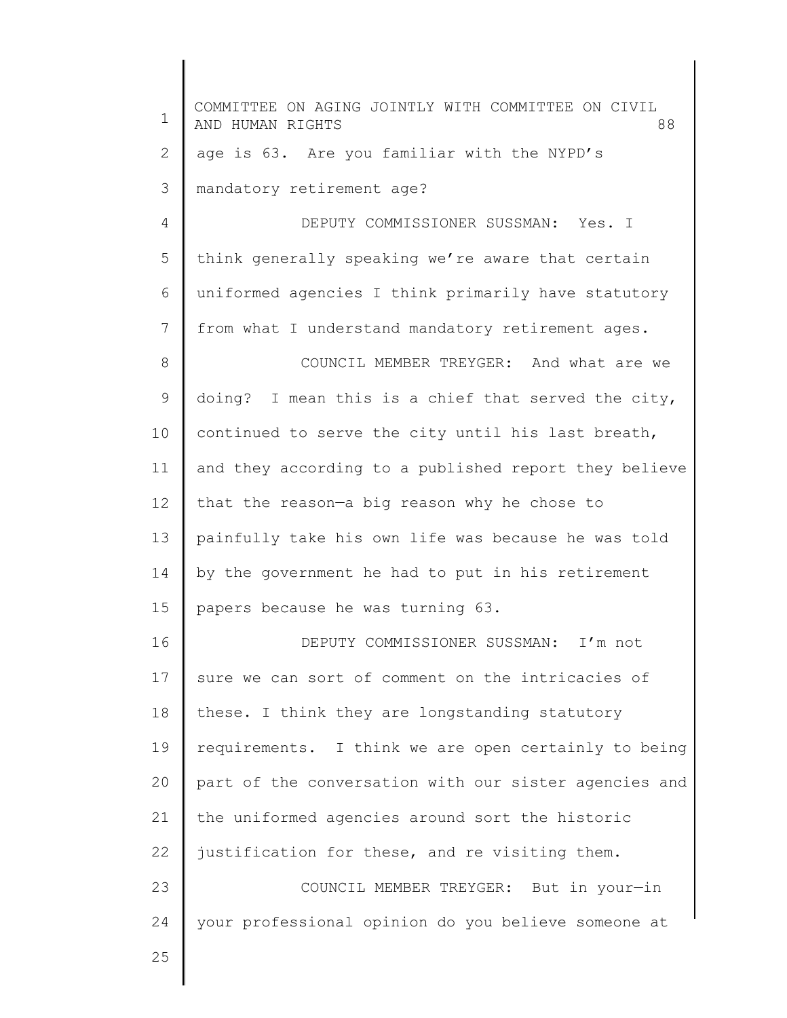| $\mathbf 1$ | COMMITTEE ON AGING JOINTLY WITH COMMITTEE ON CIVIL<br>AND HUMAN RIGHTS<br>88 |
|-------------|------------------------------------------------------------------------------|
| 2           | age is 63. Are you familiar with the NYPD's                                  |
| 3           | mandatory retirement age?                                                    |
| 4           | DEPUTY COMMISSIONER SUSSMAN: Yes. I                                          |
| 5           | think generally speaking we're aware that certain                            |
| 6           | uniformed agencies I think primarily have statutory                          |
| 7           | from what I understand mandatory retirement ages.                            |
| 8           | COUNCIL MEMBER TREYGER: And what are we                                      |
| 9           | doing? I mean this is a chief that served the city,                          |
| 10          | continued to serve the city until his last breath,                           |
| 11          | and they according to a published report they believe                        |
| 12          | that the reason-a big reason why he chose to                                 |
| 13          | painfully take his own life was because he was told                          |
| 14          | by the government he had to put in his retirement                            |
| 15          | papers because he was turning 63.                                            |
| 16          | DEPUTY COMMISSIONER SUSSMAN: I'm not                                         |
| 17          | sure we can sort of comment on the intricacies of                            |
| 18          | these. I think they are longstanding statutory                               |
| 19          | requirements. I think we are open certainly to being                         |
| 20          | part of the conversation with our sister agencies and                        |
| 21          | the uniformed agencies around sort the historic                              |
| 22          | justification for these, and re visiting them.                               |
| 23          | COUNCIL MEMBER TREYGER: But in your-in                                       |
| 24          | your professional opinion do you believe someone at                          |
| 25          |                                                                              |
|             |                                                                              |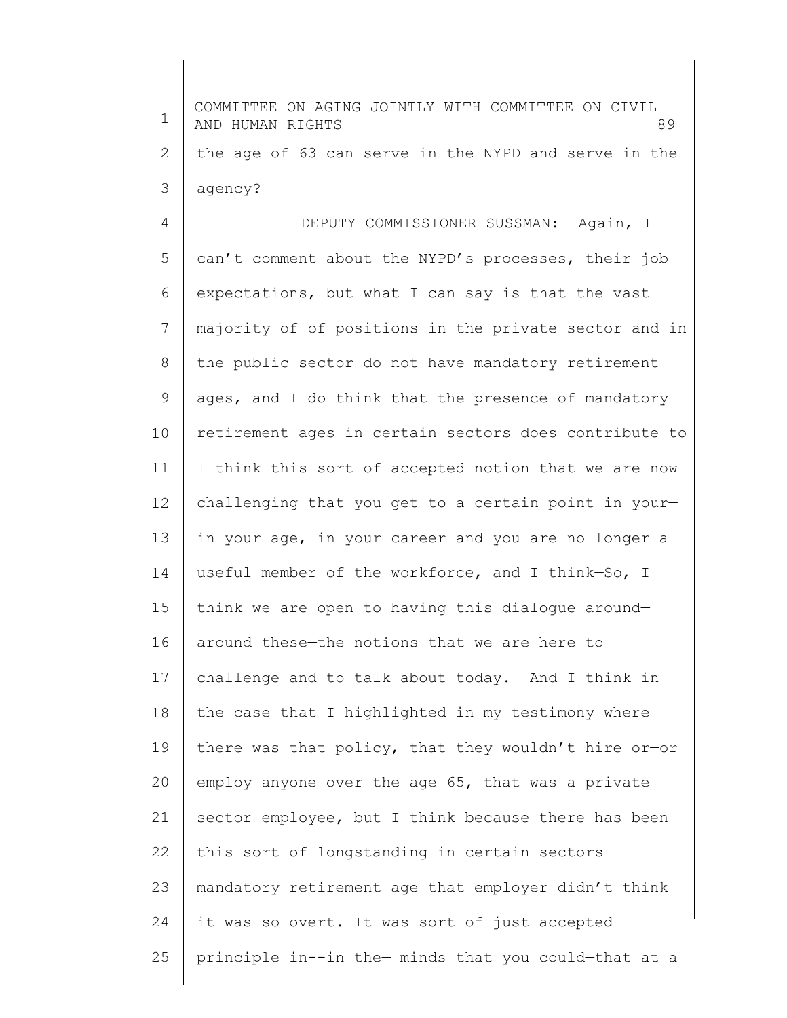| $\mathbf 1$    | COMMITTEE ON AGING JOINTLY WITH COMMITTEE ON CIVIL<br>AND HUMAN RIGHTS<br>89 |
|----------------|------------------------------------------------------------------------------|
| $\mathbf{2}$   | the age of 63 can serve in the NYPD and serve in the                         |
| 3              | agency?                                                                      |
| $\overline{4}$ | DEPUTY COMMISSIONER SUSSMAN: Again, I                                        |
| 5              | can't comment about the NYPD's processes, their job                          |
| 6              | expectations, but what I can say is that the vast                            |
| 7              | majority of-of positions in the private sector and in                        |
| $\,8\,$        | the public sector do not have mandatory retirement                           |
| $\mathsf 9$    | ages, and I do think that the presence of mandatory                          |
| 10             | retirement ages in certain sectors does contribute to                        |
| 11             | I think this sort of accepted notion that we are now                         |
| 12             | challenging that you get to a certain point in your-                         |
| 13             | in your age, in your career and you are no longer a                          |
| 14             | useful member of the workforce, and I think-So, I                            |
| 15             | think we are open to having this dialogue around-                            |
| 16             | around these-the notions that we are here to                                 |
| 17             | challenge and to talk about today. And I think in                            |
| 18             | the case that I highlighted in my testimony where                            |
| 19             | there was that policy, that they wouldn't hire or-or                         |
| 20             | employ anyone over the age 65, that was a private                            |
| 21             | sector employee, but I think because there has been                          |
| 22             | this sort of longstanding in certain sectors                                 |
| 23             | mandatory retirement age that employer didn't think                          |
| 24             | it was so overt. It was sort of just accepted                                |
| 25             | principle in--in the- minds that you could-that at a                         |
|                |                                                                              |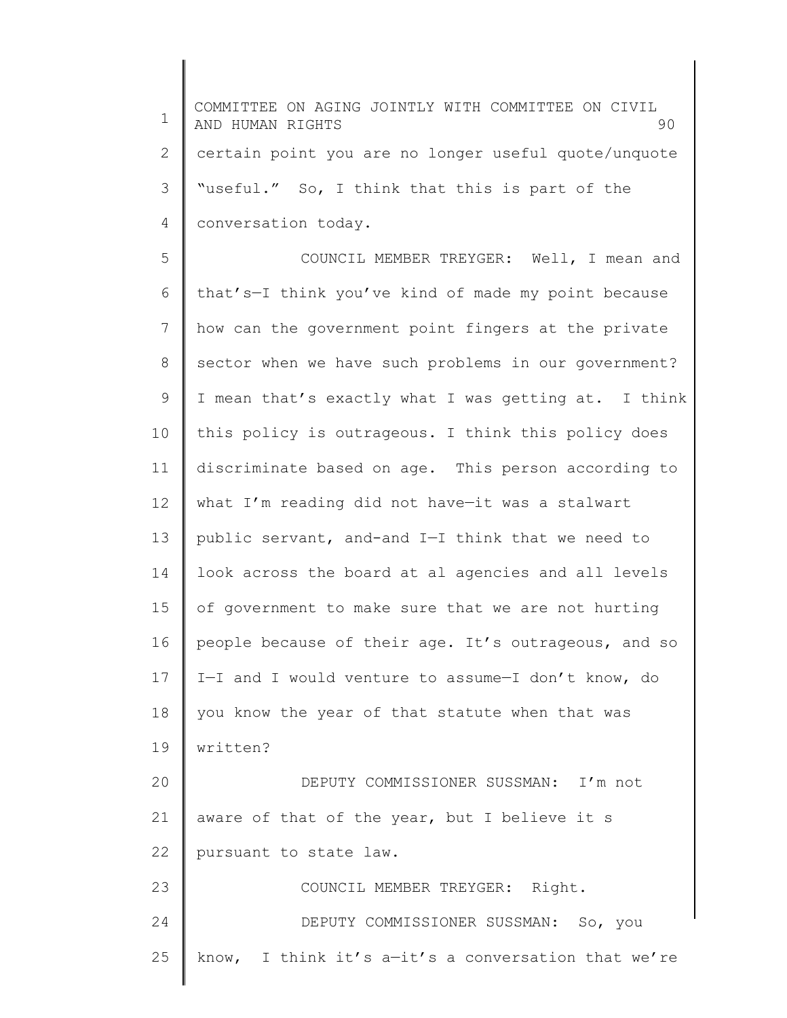1 2 3 4 5 6 7 8 9 10 11 12 13 14 15 16 17 18 19 20 21 22 23 24 25 COMMITTEE ON AGING JOINTLY WITH COMMITTEE ON CIVIL AND HUMAN RIGHTS 90 certain point you are no longer useful quote/unquote "useful." So, I think that this is part of the conversation today. COUNCIL MEMBER TREYGER: Well, I mean and that's—I think you've kind of made my point because how can the government point fingers at the private sector when we have such problems in our government? I mean that's exactly what I was getting at. I think this policy is outrageous. I think this policy does discriminate based on age. This person according to what I'm reading did not have—it was a stalwart public servant, and-and I—I think that we need to look across the board at al agencies and all levels of government to make sure that we are not hurting people because of their age. It's outrageous, and so I—I and I would venture to assume—I don't know, do you know the year of that statute when that was written? DEPUTY COMMISSIONER SUSSMAN: I'm not aware of that of the year, but I believe it s pursuant to state law. COUNCIL MEMBER TREYGER: Right. DEPUTY COMMISSIONER SUSSMAN: So, you know, I think it's  $a-it's$  a conversation that we're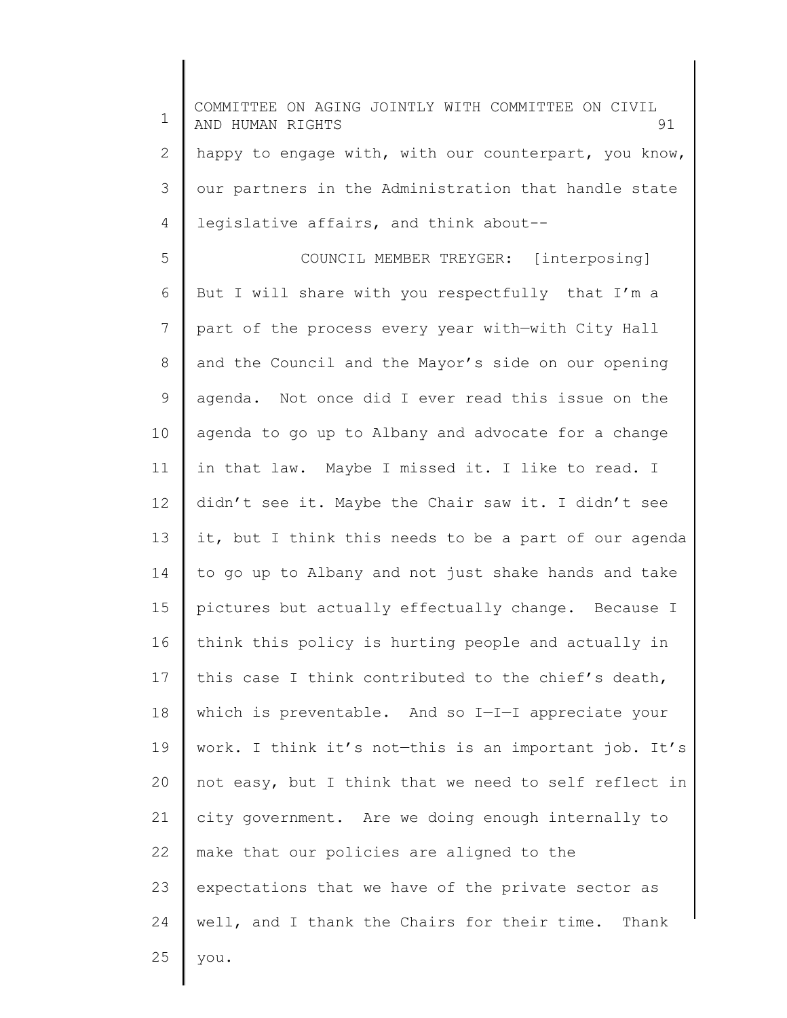| $\mathbf 1$ | COMMITTEE ON AGING JOINTLY WITH COMMITTEE ON CIVIL<br>91<br>AND HUMAN RIGHTS |
|-------------|------------------------------------------------------------------------------|
| 2           | happy to engage with, with our counterpart, you know,                        |
| 3           | our partners in the Administration that handle state                         |
| 4           | legislative affairs, and think about--                                       |
| 5           | COUNCIL MEMBER TREYGER: [interposing]                                        |
| 6           | But I will share with you respectfully that I'm a                            |
| 7           | part of the process every year with-with City Hall                           |
| 8           | and the Council and the Mayor's side on our opening                          |
| 9           | agenda. Not once did I ever read this issue on the                           |
| 10          | agenda to go up to Albany and advocate for a change                          |
| 11          | in that law. Maybe I missed it. I like to read. I                            |
| 12          | didn't see it. Maybe the Chair saw it. I didn't see                          |
| 13          | it, but I think this needs to be a part of our agenda                        |
| 14          | to go up to Albany and not just shake hands and take                         |
| 15          | pictures but actually effectually change. Because I                          |
| 16          | think this policy is hurting people and actually in                          |
| 17          | this case I think contributed to the chief's death,                          |
| 18          | which is preventable. And so I-I-I appreciate your                           |
| 19          | work. I think it's not-this is an important job. It's                        |
| 20          | not easy, but I think that we need to self reflect in                        |
| 21          | city government. Are we doing enough internally to                           |
| 22          | make that our policies are aligned to the                                    |
| 23          | expectations that we have of the private sector as                           |
| 24          | well, and I thank the Chairs for their time. Thank                           |
| 25          | you.                                                                         |
|             |                                                                              |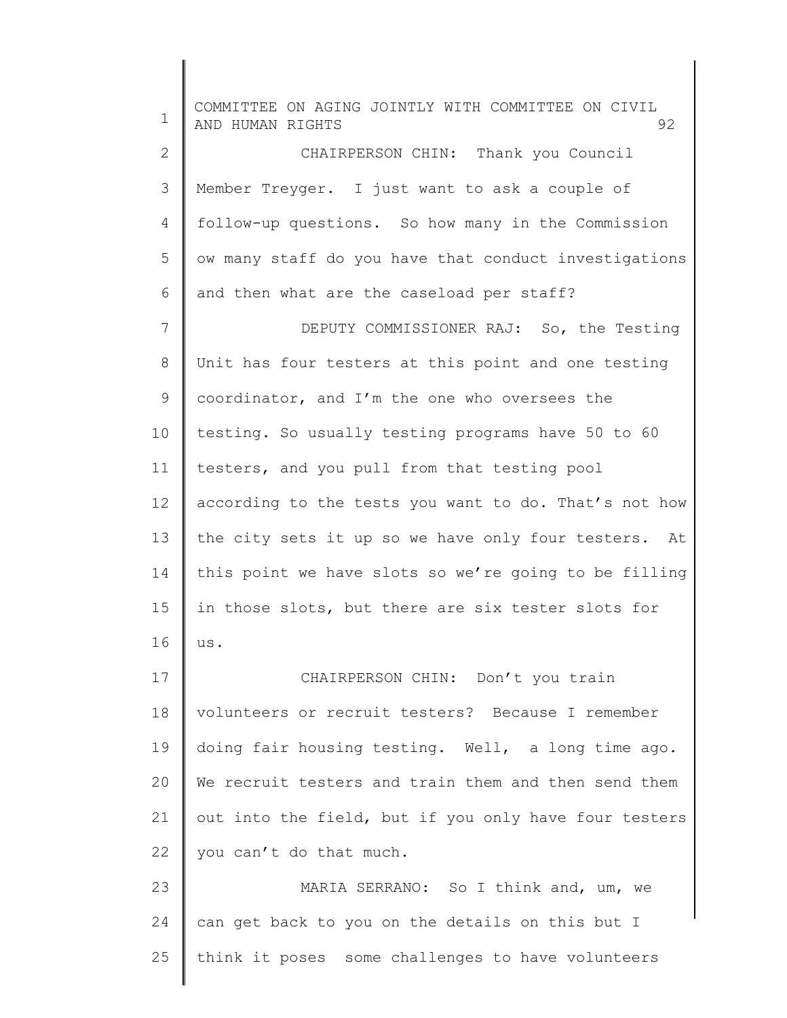1 2 3 4 5 6 7 8 9 10 11 12 13 14 15 16 17 18 19 20 21 22 23 24 25 COMMITTEE ON AGING JOINTLY WITH COMMITTEE ON CIVIL AND HUMAN RIGHTS 92 CHAIRPERSON CHIN: Thank you Council Member Treyger. I just want to ask a couple of follow-up questions. So how many in the Commission ow many staff do you have that conduct investigations and then what are the caseload per staff? DEPUTY COMMISSIONER RAJ: So, the Testing Unit has four testers at this point and one testing coordinator, and I'm the one who oversees the testing. So usually testing programs have 50 to 60 testers, and you pull from that testing pool according to the tests you want to do. That's not how the city sets it up so we have only four testers. At this point we have slots so we're going to be filling in those slots, but there are six tester slots for us. CHAIRPERSON CHIN: Don't you train volunteers or recruit testers? Because I remember doing fair housing testing. Well, a long time ago. We recruit testers and train them and then send them out into the field, but if you only have four testers you can't do that much. MARIA SERRANO: So I think and, um, we can get back to you on the details on this but I think it poses some challenges to have volunteers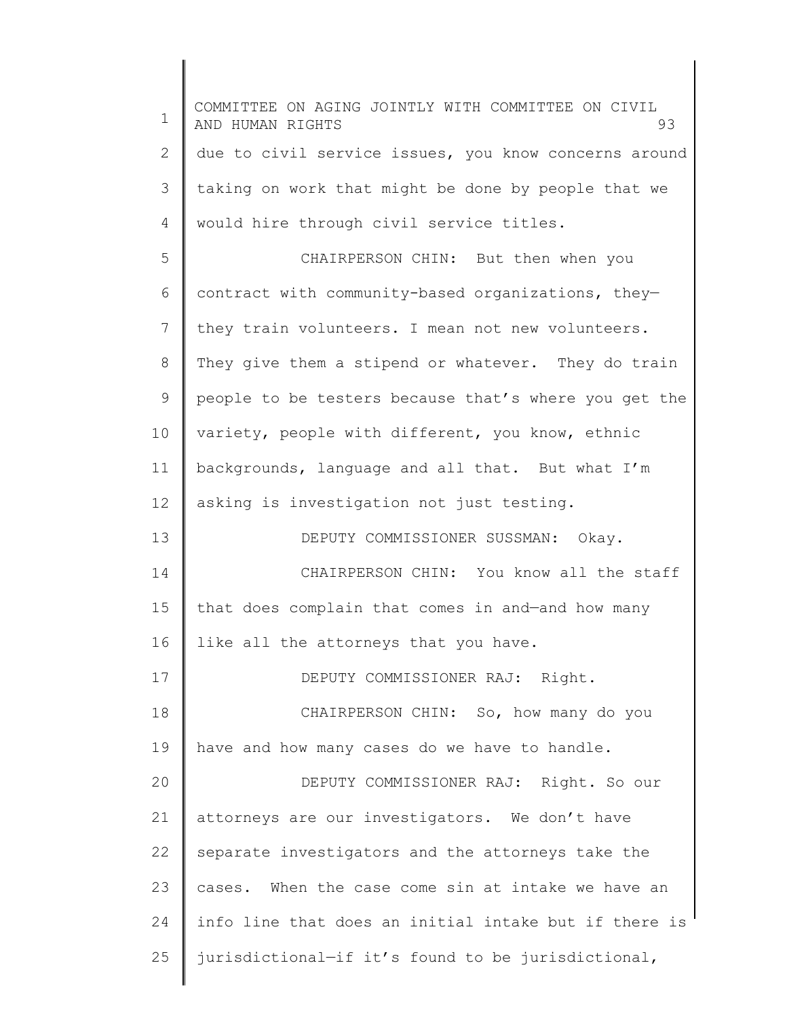| $\mathbf 1$    | COMMITTEE ON AGING JOINTLY WITH COMMITTEE ON CIVIL<br>AND HUMAN RIGHTS<br>93 |
|----------------|------------------------------------------------------------------------------|
| 2              | due to civil service issues, you know concerns around                        |
| 3              | taking on work that might be done by people that we                          |
| $\overline{4}$ | would hire through civil service titles.                                     |
| 5              | CHAIRPERSON CHIN: But then when you                                          |
| 6              | contract with community-based organizations, they-                           |
| 7              | they train volunteers. I mean not new volunteers.                            |
| 8              | They give them a stipend or whatever. They do train                          |
| 9              | people to be testers because that's where you get the                        |
| 10             | variety, people with different, you know, ethnic                             |
| 11             | backgrounds, language and all that. But what I'm                             |
| 12             | asking is investigation not just testing.                                    |
| 13             | DEPUTY COMMISSIONER SUSSMAN: Okay.                                           |
| 14             | CHAIRPERSON CHIN: You know all the staff                                     |
| 15             | that does complain that comes in and-and how many                            |
| 16             | like all the attorneys that you have.                                        |
| 17             | DEPUTY COMMISSIONER RAJ: Right.                                              |
| 18             | CHAIRPERSON CHIN: So, how many do you                                        |
| 19             | have and how many cases do we have to handle.                                |
| 20             | DEPUTY COMMISSIONER RAJ: Right. So our                                       |
| 21             | attorneys are our investigators. We don't have                               |
| 22             | separate investigators and the attorneys take the                            |
| 23             | cases. When the case come sin at intake we have an                           |
| 24             | info line that does an initial intake but if there is                        |
| 25             | jurisdictional-if it's found to be jurisdictional,                           |
|                |                                                                              |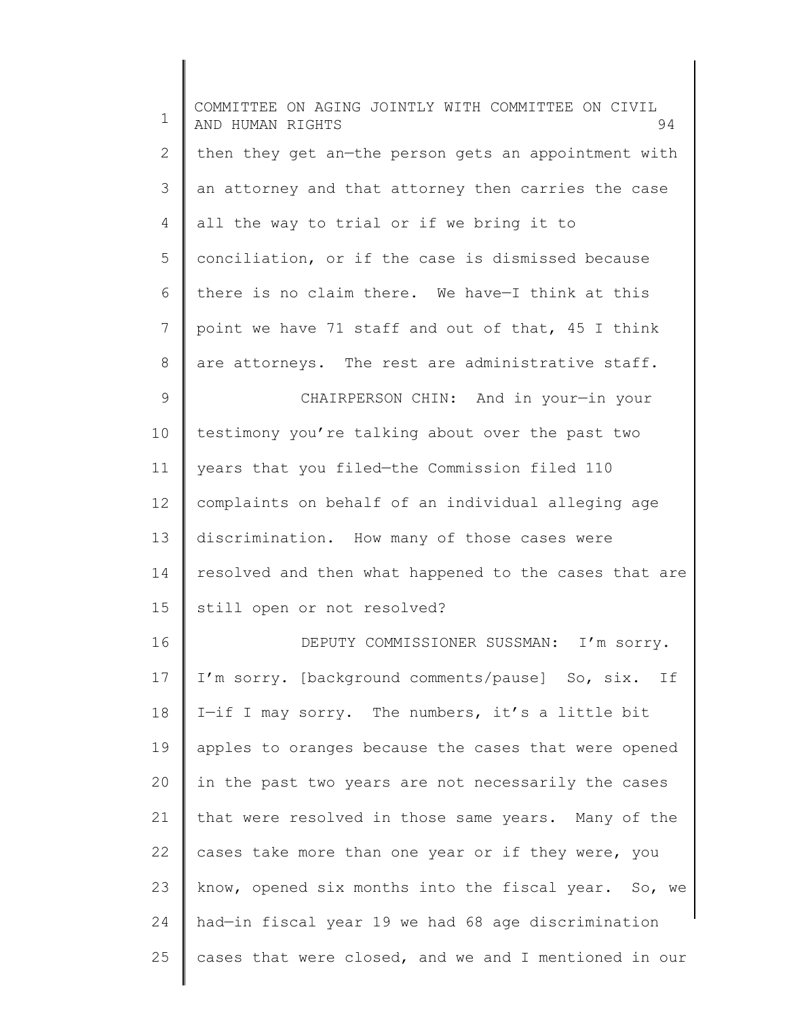| $\mathbf 1$  | COMMITTEE ON AGING JOINTLY WITH COMMITTEE ON CIVIL<br>AND HUMAN RIGHTS<br>94 |
|--------------|------------------------------------------------------------------------------|
| $\mathbf{2}$ | then they get an-the person gets an appointment with                         |
| 3            | an attorney and that attorney then carries the case                          |
| 4            | all the way to trial or if we bring it to                                    |
| 5            | conciliation, or if the case is dismissed because                            |
| 6            | there is no claim there. We have-I think at this                             |
| 7            | point we have 71 staff and out of that, 45 I think                           |
| 8            | are attorneys. The rest are administrative staff.                            |
| 9            | CHAIRPERSON CHIN: And in your-in your                                        |
| 10           | testimony you're talking about over the past two                             |
| 11           | years that you filed-the Commission filed 110                                |
| 12           | complaints on behalf of an individual alleging age                           |
| 13           | discrimination. How many of those cases were                                 |
| 14           | resolved and then what happened to the cases that are                        |
| 15           | still open or not resolved?                                                  |
| 16           | DEPUTY COMMISSIONER SUSSMAN: I'm sorry.                                      |
| 17           | I'm sorry. [background comments/pause] So, six.<br>If                        |
| 18           | I-if I may sorry. The numbers, it's a little bit                             |
| 19           | apples to oranges because the cases that were opened                         |
| 20           | in the past two years are not necessarily the cases                          |
| 21           | that were resolved in those same years. Many of the                          |
| 22           | cases take more than one year or if they were, you                           |
| 23           | know, opened six months into the fiscal year. So, we                         |
| 24           | had-in fiscal year 19 we had 68 age discrimination                           |
| 25           | cases that were closed, and we and I mentioned in our                        |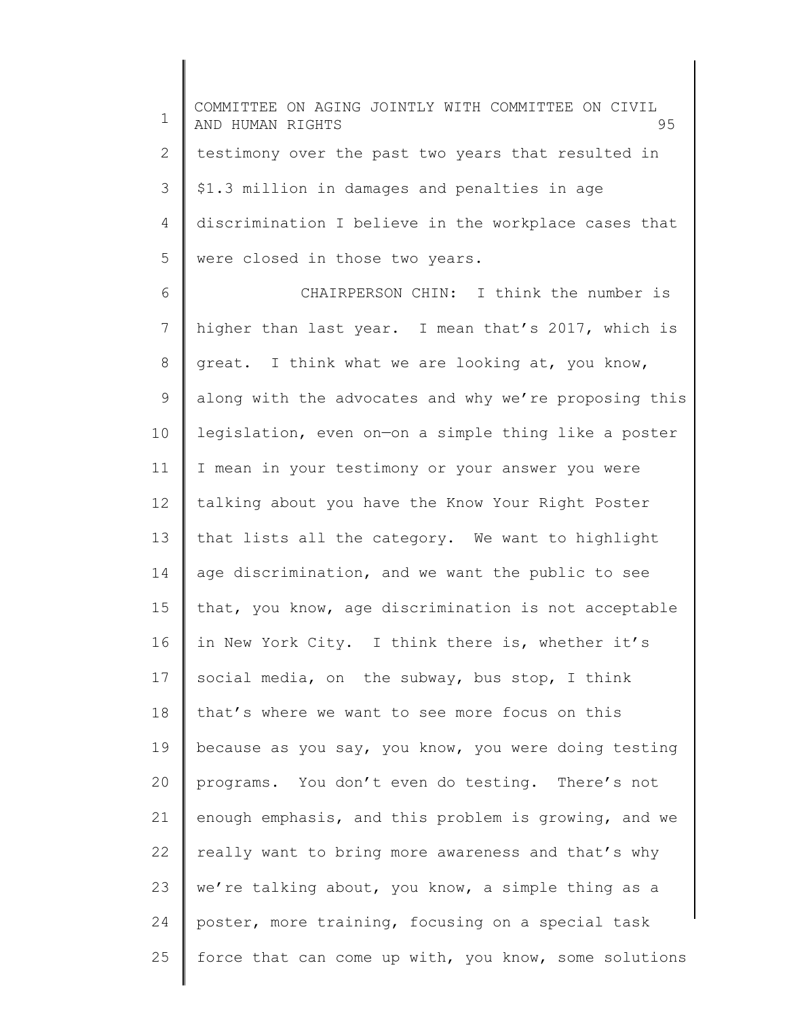1 2 3 4 5 COMMITTEE ON AGING JOINTLY WITH COMMITTEE ON CIVIL AND HUMAN RIGHTS 95 testimony over the past two years that resulted in \$1.3 million in damages and penalties in age discrimination I believe in the workplace cases that were closed in those two years.

6 7 8 9 10 11 12 13 14 15 16 17 18 19 20 21 22 23 24 25 CHAIRPERSON CHIN: I think the number is higher than last year. I mean that's 2017, which is great. I think what we are looking at, you know, along with the advocates and why we're proposing this legislation, even on—on a simple thing like a poster I mean in your testimony or your answer you were talking about you have the Know Your Right Poster that lists all the category. We want to highlight age discrimination, and we want the public to see that, you know, age discrimination is not acceptable in New York City. I think there is, whether it's social media, on the subway, bus stop, I think that's where we want to see more focus on this because as you say, you know, you were doing testing programs. You don't even do testing. There's not enough emphasis, and this problem is growing, and we really want to bring more awareness and that's why we're talking about, you know, a simple thing as a poster, more training, focusing on a special task force that can come up with, you know, some solutions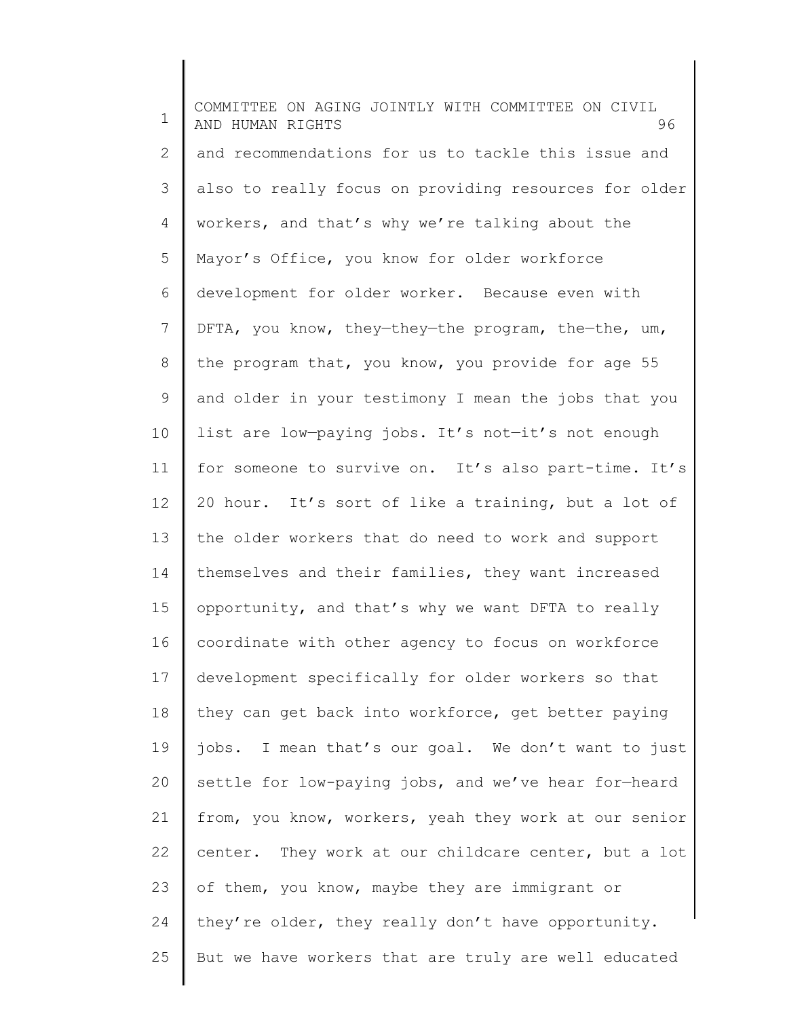1 2 3 4 5 6 7 8 9 10 11 12 13 14 15 16 17 18 19 20 21 22 23 24 25 COMMITTEE ON AGING JOINTLY WITH COMMITTEE ON CIVIL AND HUMAN RIGHTS 96 and recommendations for us to tackle this issue and also to really focus on providing resources for older workers, and that's why we're talking about the Mayor's Office, you know for older workforce development for older worker. Because even with DFTA, you know, they—they—the program, the—the, um, the program that, you know, you provide for age 55 and older in your testimony I mean the jobs that you list are low—paying jobs. It's not—it's not enough for someone to survive on. It's also part-time. It's 20 hour. It's sort of like a training, but a lot of the older workers that do need to work and support themselves and their families, they want increased opportunity, and that's why we want DFTA to really coordinate with other agency to focus on workforce development specifically for older workers so that they can get back into workforce, get better paying jobs. I mean that's our goal. We don't want to just settle for low-paying jobs, and we've hear for—heard from, you know, workers, yeah they work at our senior center. They work at our childcare center, but a lot of them, you know, maybe they are immigrant or they're older, they really don't have opportunity. But we have workers that are truly are well educated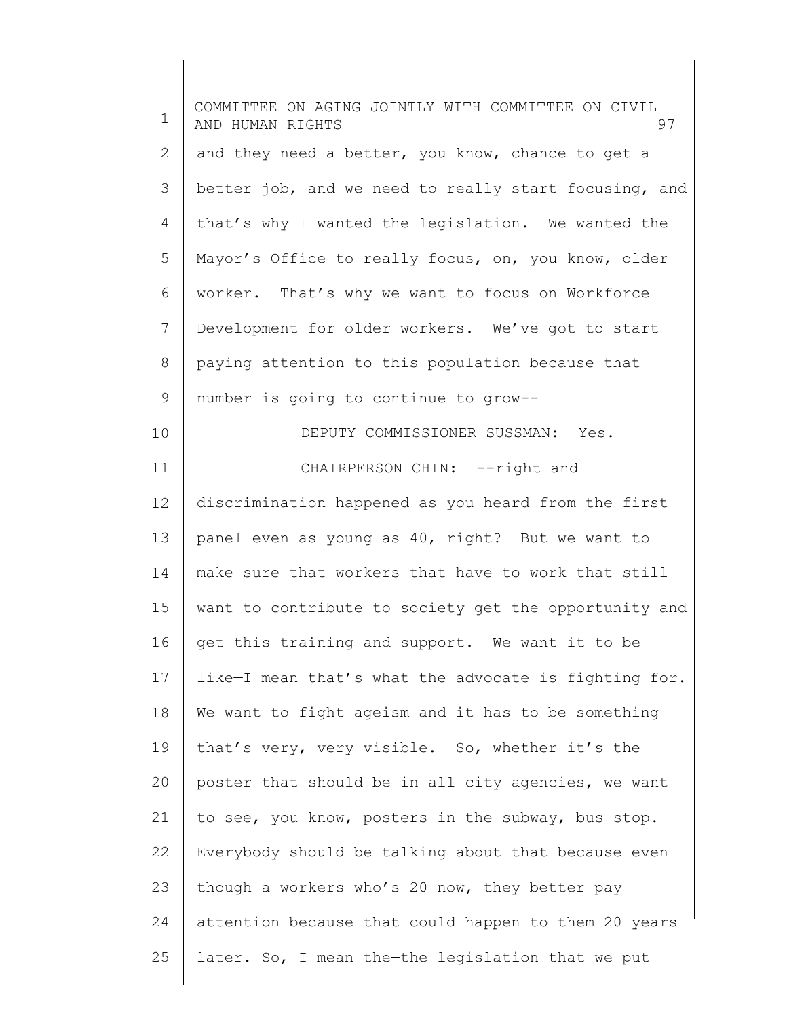| $\mathbf 1$    | COMMITTEE ON AGING JOINTLY WITH COMMITTEE ON CIVIL<br>97<br>AND HUMAN RIGHTS |
|----------------|------------------------------------------------------------------------------|
| $\mathbf{2}$   | and they need a better, you know, chance to get a                            |
| 3              | better job, and we need to really start focusing, and                        |
| $\overline{4}$ | that's why I wanted the legislation. We wanted the                           |
| 5              | Mayor's Office to really focus, on, you know, older                          |
| 6              | worker. That's why we want to focus on Workforce                             |
| 7              | Development for older workers. We've got to start                            |
| 8              | paying attention to this population because that                             |
| 9              | number is going to continue to grow--                                        |
| 10             | DEPUTY COMMISSIONER SUSSMAN: Yes.                                            |
| 11             | CHAIRPERSON CHIN: --right and                                                |
| 12             | discrimination happened as you heard from the first                          |
| 13             | panel even as young as 40, right? But we want to                             |
| 14             | make sure that workers that have to work that still                          |
| 15             | want to contribute to society get the opportunity and                        |
| 16             | get this training and support. We want it to be                              |
| 17             | like-I mean that's what the advocate is fighting for.                        |
| 18             | We want to fight ageism and it has to be something                           |
| 19             | that's very, very visible. So, whether it's the                              |
| 20             | poster that should be in all city agencies, we want                          |
| 21             | to see, you know, posters in the subway, bus stop.                           |
| 22             | Everybody should be talking about that because even                          |
| 23             | though a workers who's 20 now, they better pay                               |
| 24             | attention because that could happen to them 20 years                         |
| 25             | later. So, I mean the-the legislation that we put                            |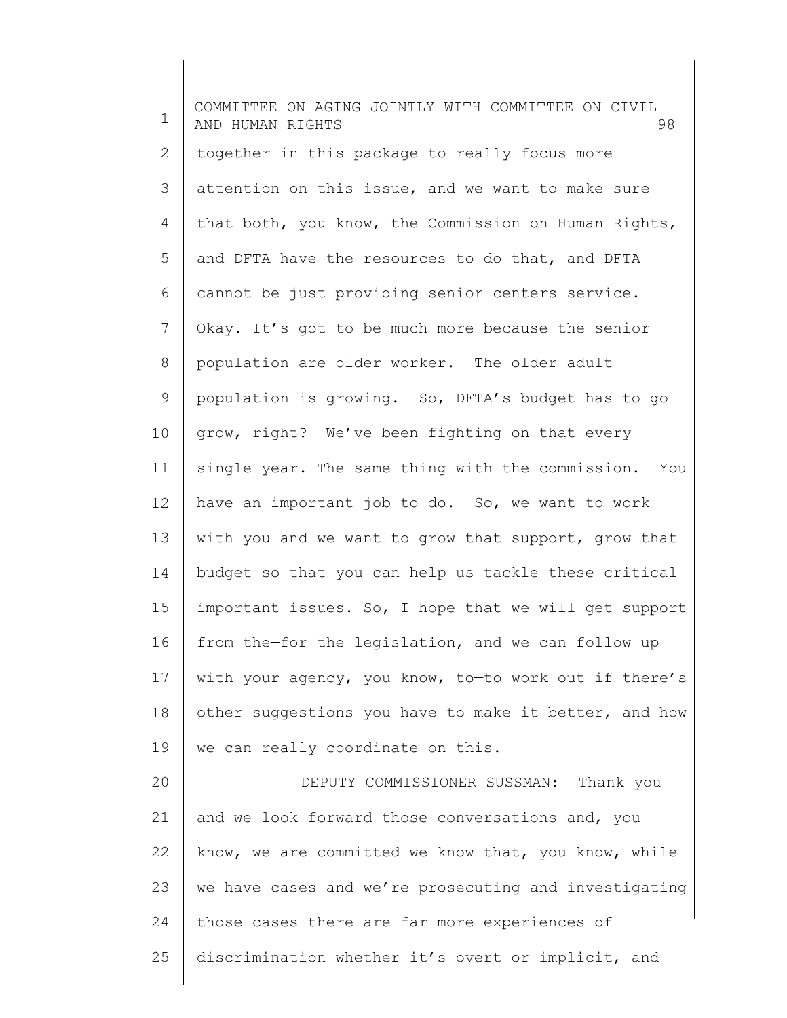1 2 3 4 5 6 7 8 9 10 11 12 13 14 15 16 17 18 19 20 21 22 23 24 25 COMMITTEE ON AGING JOINTLY WITH COMMITTEE ON CIVIL AND HUMAN RIGHTS 98 together in this package to really focus more attention on this issue, and we want to make sure that both, you know, the Commission on Human Rights, and DFTA have the resources to do that, and DFTA cannot be just providing senior centers service. Okay. It's got to be much more because the senior population are older worker. The older adult population is growing. So, DFTA's budget has to go grow, right? We've been fighting on that every single year. The same thing with the commission. You have an important job to do. So, we want to work with you and we want to grow that support, grow that budget so that you can help us tackle these critical important issues. So, I hope that we will get support from the—for the legislation, and we can follow up with your agency, you know, to—to work out if there's other suggestions you have to make it better, and how we can really coordinate on this. DEPUTY COMMISSIONER SUSSMAN: Thank you and we look forward those conversations and, you know, we are committed we know that, you know, while we have cases and we're prosecuting and investigating those cases there are far more experiences of discrimination whether it's overt or implicit, and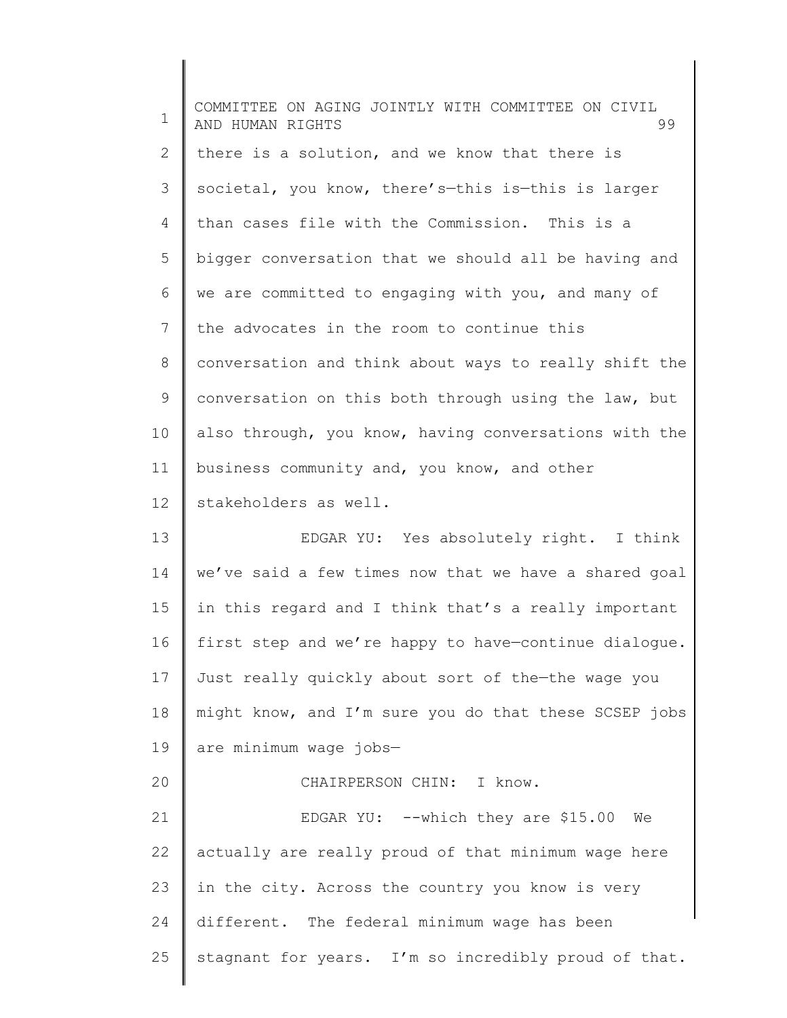1 2 3 4 5 6 7 8 9 10 11 12 13 14 15 16 17 18 19 20 21 22 23 24 25 COMMITTEE ON AGING JOINTLY WITH COMMITTEE ON CIVIL AND HUMAN RIGHTS 99 there is a solution, and we know that there is societal, you know, there's-this is-this is larger than cases file with the Commission. This is a bigger conversation that we should all be having and we are committed to engaging with you, and many of the advocates in the room to continue this conversation and think about ways to really shift the conversation on this both through using the law, but also through, you know, having conversations with the business community and, you know, and other stakeholders as well. EDGAR YU: Yes absolutely right. I think we've said a few times now that we have a shared goal in this regard and I think that's a really important first step and we're happy to have—continue dialogue. Just really quickly about sort of the—the wage you might know, and I'm sure you do that these SCSEP jobs are minimum wage jobs— CHAIRPERSON CHIN: I know. EDGAR YU: --which they are \$15.00 We actually are really proud of that minimum wage here in the city. Across the country you know is very different. The federal minimum wage has been stagnant for years. I'm so incredibly proud of that.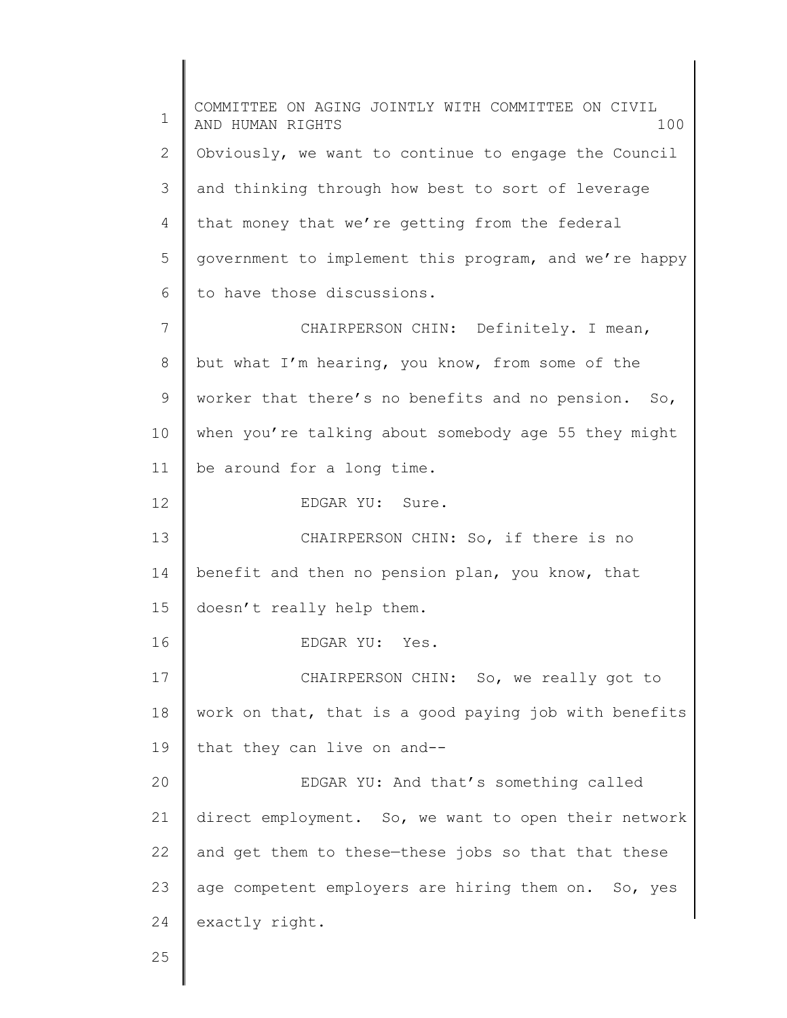1 2 3 4 5 6 7 8 9 10 11 12 13 14 15 16 17 18 19 20 21 22 23 24 25 COMMITTEE ON AGING JOINTLY WITH COMMITTEE ON CIVIL AND HUMAN RIGHTS 100 Obviously, we want to continue to engage the Council and thinking through how best to sort of leverage that money that we're getting from the federal government to implement this program, and we're happy to have those discussions. CHAIRPERSON CHIN: Definitely. I mean, but what I'm hearing, you know, from some of the worker that there's no benefits and no pension. So, when you're talking about somebody age 55 they might be around for a long time. EDGAR YU: Sure. CHAIRPERSON CHIN: So, if there is no benefit and then no pension plan, you know, that doesn't really help them. EDGAR YU: Yes. CHAIRPERSON CHIN: So, we really got to work on that, that is a good paying job with benefits that they can live on and-- EDGAR YU: And that's something called direct employment. So, we want to open their network and get them to these—these jobs so that that these age competent employers are hiring them on. So, yes exactly right.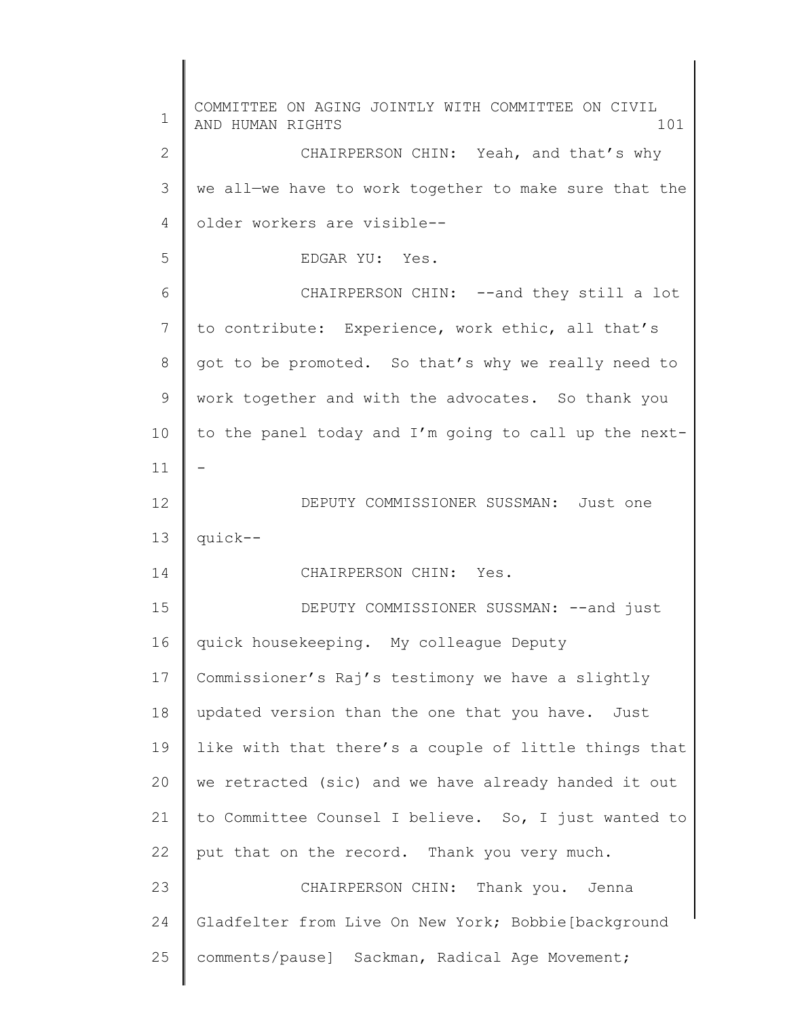1 2 3 4 5 6 7 8 9 10 11 12 13 14 15 16 17 18 19 20 21 22 23 24 25 COMMITTEE ON AGING JOINTLY WITH COMMITTEE ON CIVIL AND HUMAN RIGHTS 101 CHAIRPERSON CHIN: Yeah, and that's why we all—we have to work together to make sure that the older workers are visible-- EDGAR YU: Yes. CHAIRPERSON CHIN: --and they still a lot to contribute: Experience, work ethic, all that's got to be promoted. So that's why we really need to work together and with the advocates. So thank you to the panel today and I'm going to call up the next- - DEPUTY COMMISSIONER SUSSMAN: Just one quick-- CHAIRPERSON CHIN: Yes. DEPUTY COMMISSIONER SUSSMAN: -- and just quick housekeeping. My colleague Deputy Commissioner's Raj's testimony we have a slightly updated version than the one that you have. Just like with that there's a couple of little things that we retracted (sic) and we have already handed it out to Committee Counsel I believe. So, I just wanted to put that on the record. Thank you very much. CHAIRPERSON CHIN: Thank you. Jenna Gladfelter from Live On New York; Bobbie[background comments/pause] Sackman, Radical Age Movement;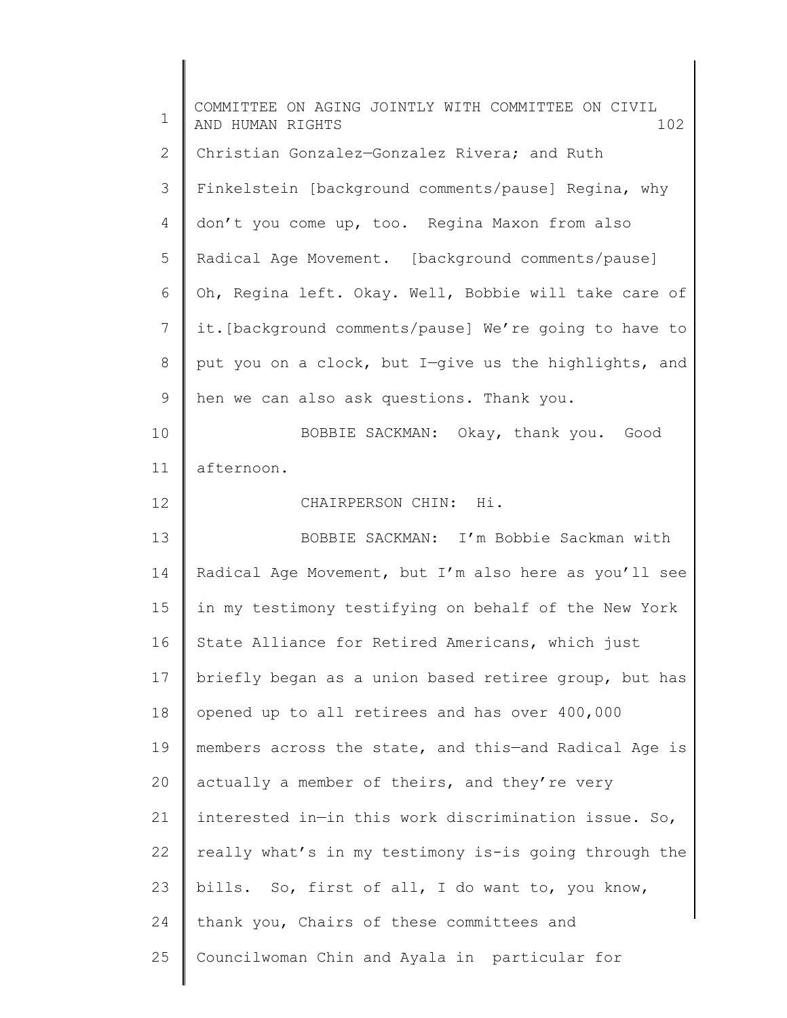| $\mathbf 1$    | COMMITTEE ON AGING JOINTLY WITH COMMITTEE ON CIVIL<br>102<br>AND HUMAN RIGHTS |
|----------------|-------------------------------------------------------------------------------|
| $\mathbf{2}$   | Christian Gonzalez-Gonzalez Rivera; and Ruth                                  |
| 3              | Finkelstein [background comments/pause] Regina, why                           |
| $\overline{4}$ | don't you come up, too. Regina Maxon from also                                |
| 5              | Radical Age Movement. [background comments/pause]                             |
| 6              | Oh, Regina left. Okay. Well, Bobbie will take care of                         |
| 7              | it. [background comments/pause] We're going to have to                        |
| $\,8\,$        | put you on a clock, but I-give us the highlights, and                         |
| 9              | hen we can also ask questions. Thank you.                                     |
| 10             | BOBBIE SACKMAN: Okay, thank you. Good                                         |
| 11             | afternoon.                                                                    |
| 12             | CHAIRPERSON CHIN: Hi.                                                         |
| 13             | BOBBIE SACKMAN: I'm Bobbie Sackman with                                       |
| 14             | Radical Age Movement, but I'm also here as you'll see                         |
| 15             | in my testimony testifying on behalf of the New York                          |
| 16             | State Alliance for Retired Americans, which just                              |
| 17             | briefly began as a union based retiree group, but has                         |
| 18             | opened up to all retirees and has over 400,000                                |
| 19             | members across the state, and this-and Radical Age is                         |
| 20             | actually a member of theirs, and they're very                                 |
| 21             | interested in-in this work discrimination issue. So,                          |
| 22             | really what's in my testimony is-is going through the                         |
| 23             | bills. So, first of all, I do want to, you know,                              |
| 24             | thank you, Chairs of these committees and                                     |
| 25             | Councilwoman Chin and Ayala in particular for                                 |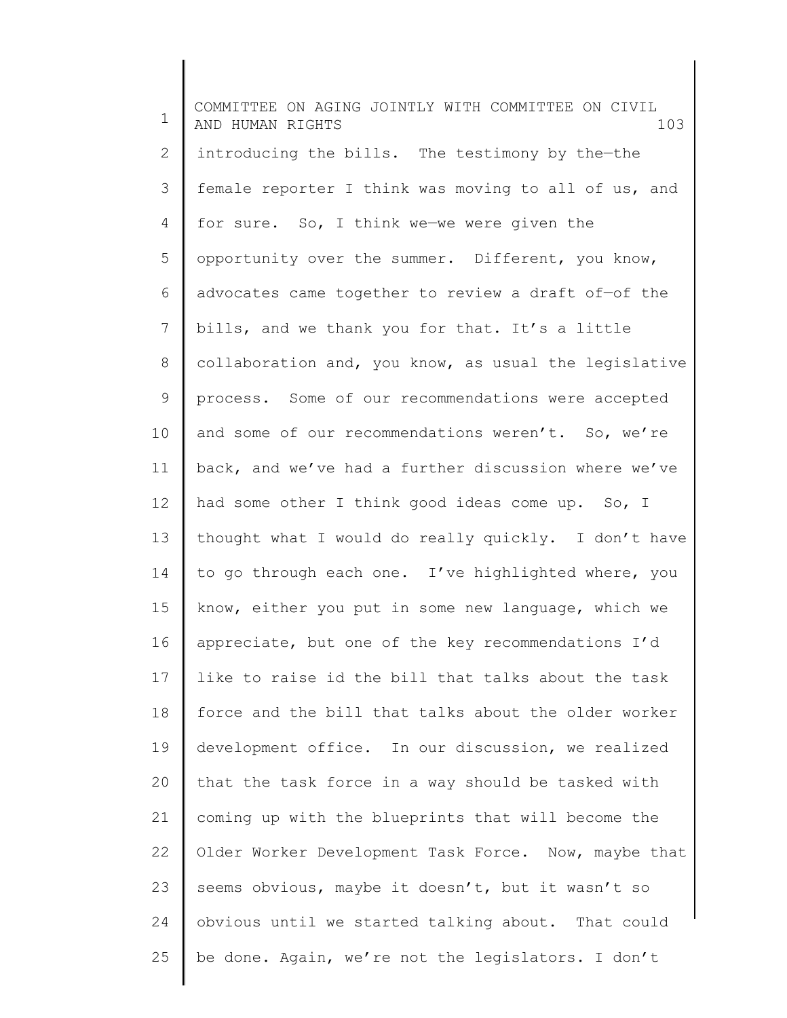1 2 3 4 5 6 7 8 9 10 11 12 13 14 15 16 17 18 19 20 21 22 23 24 25 COMMITTEE ON AGING JOINTLY WITH COMMITTEE ON CIVIL AND HUMAN RIGHTS 103 introducing the bills. The testimony by the—the female reporter I think was moving to all of us, and for sure. So, I think we—we were given the opportunity over the summer. Different, you know, advocates came together to review a draft of—of the bills, and we thank you for that. It's a little collaboration and, you know, as usual the legislative process. Some of our recommendations were accepted and some of our recommendations weren't. So, we're back, and we've had a further discussion where we've had some other I think good ideas come up. So, I thought what I would do really quickly. I don't have to go through each one. I've highlighted where, you know, either you put in some new language, which we appreciate, but one of the key recommendations I'd like to raise id the bill that talks about the task force and the bill that talks about the older worker development office. In our discussion, we realized that the task force in a way should be tasked with coming up with the blueprints that will become the Older Worker Development Task Force. Now, maybe that seems obvious, maybe it doesn't, but it wasn't so obvious until we started talking about. That could be done. Again, we're not the legislators. I don't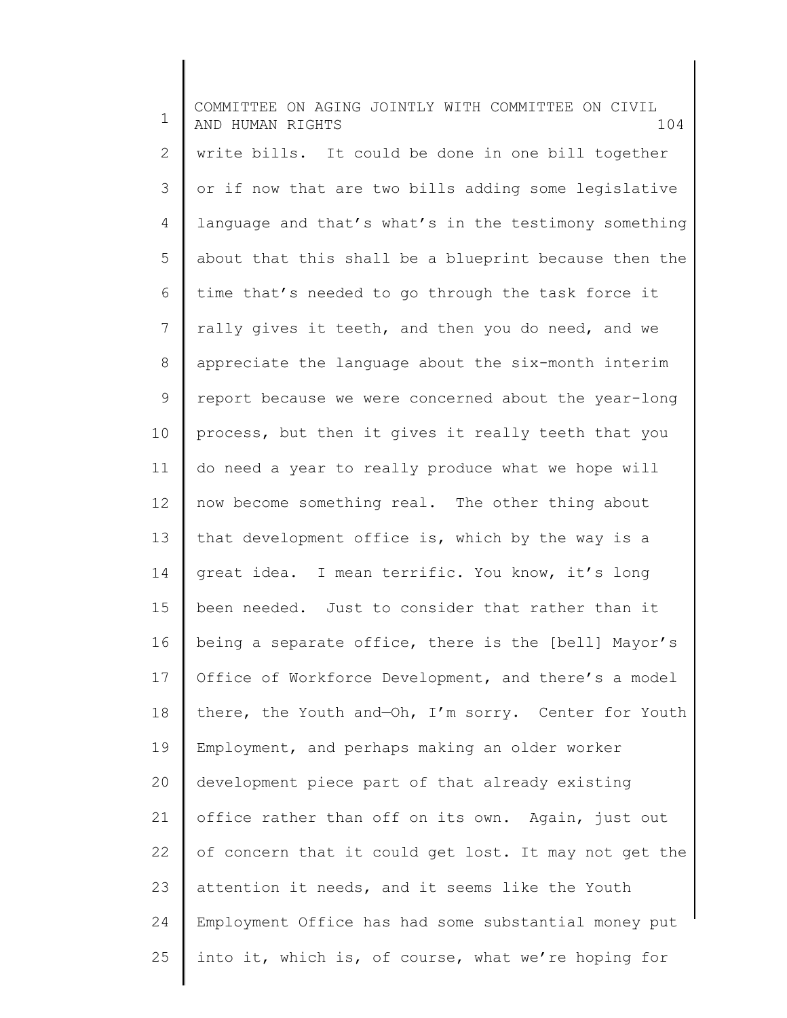1 2 3 4 5 6 7 8 9 10 11 12 13 14 15 16 17 18 19 20 21 22 23 24 25 COMMITTEE ON AGING JOINTLY WITH COMMITTEE ON CIVIL AND HUMAN RIGHTS 104 write bills. It could be done in one bill together or if now that are two bills adding some legislative language and that's what's in the testimony something about that this shall be a blueprint because then the time that's needed to go through the task force it rally gives it teeth, and then you do need, and we appreciate the language about the six-month interim report because we were concerned about the year-long process, but then it gives it really teeth that you do need a year to really produce what we hope will now become something real. The other thing about that development office is, which by the way is a great idea. I mean terrific. You know, it's long been needed. Just to consider that rather than it being a separate office, there is the [bell] Mayor's Office of Workforce Development, and there's a model there, the Youth and—Oh, I'm sorry. Center for Youth Employment, and perhaps making an older worker development piece part of that already existing office rather than off on its own. Again, just out of concern that it could get lost. It may not get the attention it needs, and it seems like the Youth Employment Office has had some substantial money put into it, which is, of course, what we're hoping for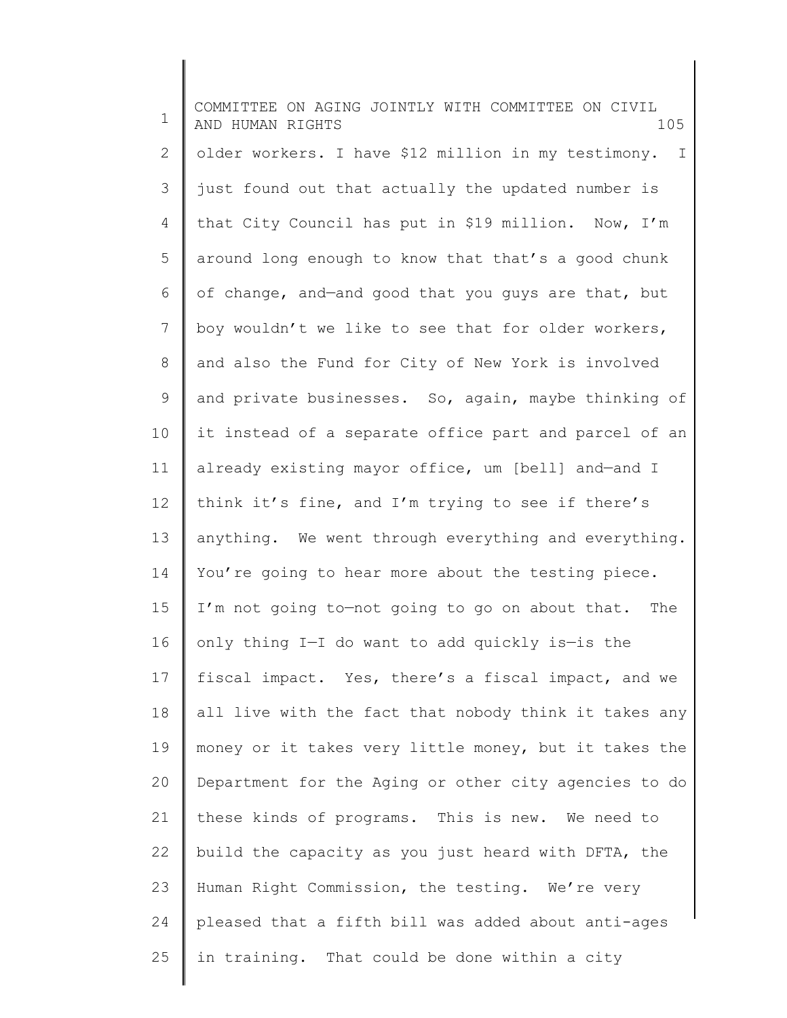1 2 3 4 5 6 7 8 9 10 11 12 13 14 15 16 17 18 19 20 21 22 23 24 25 COMMITTEE ON AGING JOINTLY WITH COMMITTEE ON CIVIL AND HUMAN RIGHTS 105 older workers. I have \$12 million in my testimony. I just found out that actually the updated number is that City Council has put in \$19 million. Now, I'm around long enough to know that that's a good chunk of change, and—and good that you guys are that, but boy wouldn't we like to see that for older workers, and also the Fund for City of New York is involved and private businesses. So, again, maybe thinking of it instead of a separate office part and parcel of an already existing mayor office, um [bell] and—and I think it's fine, and I'm trying to see if there's anything. We went through everything and everything. You're going to hear more about the testing piece. I'm not going to—not going to go on about that. The only thing I—I do want to add quickly is—is the fiscal impact. Yes, there's a fiscal impact, and we all live with the fact that nobody think it takes any money or it takes very little money, but it takes the Department for the Aging or other city agencies to do these kinds of programs. This is new. We need to build the capacity as you just heard with DFTA, the Human Right Commission, the testing. We're very pleased that a fifth bill was added about anti-ages in training. That could be done within a city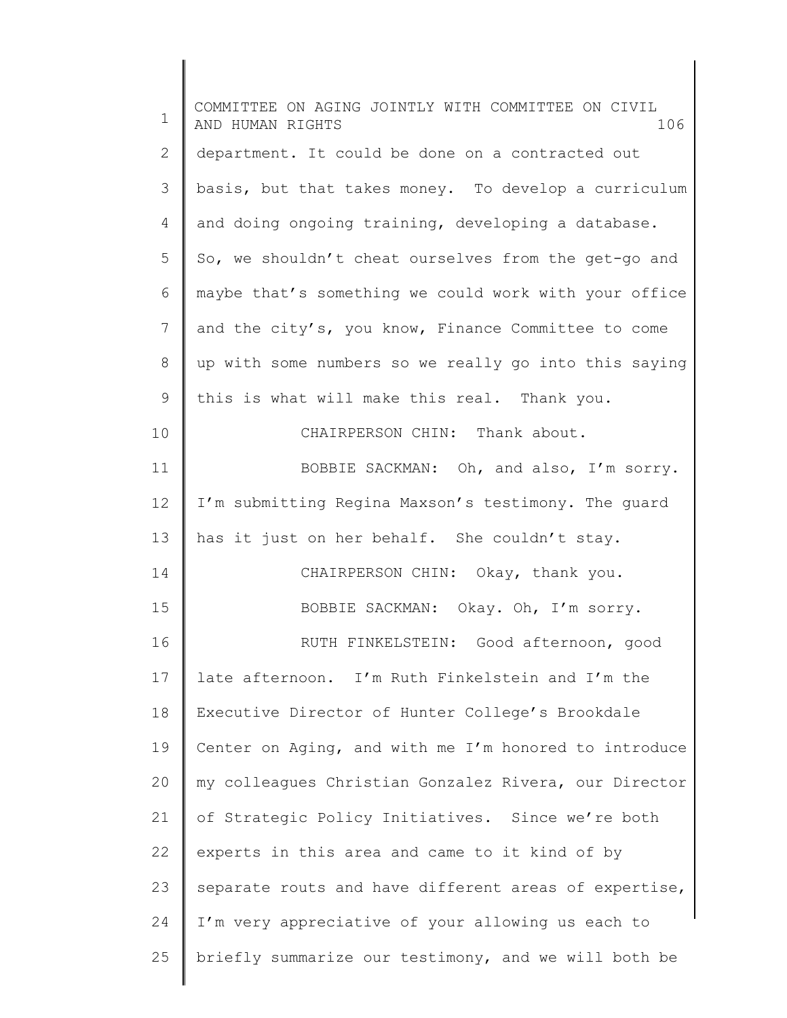| $\mathbf 1$    | COMMITTEE ON AGING JOINTLY WITH COMMITTEE ON CIVIL<br>AND HUMAN RIGHTS<br>106 |
|----------------|-------------------------------------------------------------------------------|
| $\mathbf{2}$   | department. It could be done on a contracted out                              |
| 3              | basis, but that takes money. To develop a curriculum                          |
| 4              | and doing ongoing training, developing a database.                            |
| 5              | So, we shouldn't cheat ourselves from the get-go and                          |
| 6              | maybe that's something we could work with your office                         |
| $\overline{7}$ | and the city's, you know, Finance Committee to come                           |
| $\,8\,$        | up with some numbers so we really go into this saying                         |
| 9              | this is what will make this real. Thank you.                                  |
| 10             | CHAIRPERSON CHIN: Thank about.                                                |
| 11             | BOBBIE SACKMAN: Oh, and also, I'm sorry.                                      |
| 12             | I'm submitting Regina Maxson's testimony. The quard                           |
| 13             | has it just on her behalf. She couldn't stay.                                 |
| 14             | CHAIRPERSON CHIN: Okay, thank you.                                            |
| 15             | BOBBIE SACKMAN: Okay. Oh, I'm sorry.                                          |
| 16             | RUTH FINKELSTEIN: Good afternoon, good                                        |
| 17             | late afternoon. I'm Ruth Finkelstein and I'm the                              |
| 18             | Executive Director of Hunter College's Brookdale                              |
| 19             | Center on Aging, and with me I'm honored to introduce                         |
| 20             | my colleagues Christian Gonzalez Rivera, our Director                         |
| 21             | of Strategic Policy Initiatives. Since we're both                             |
| 22             | experts in this area and came to it kind of by                                |
| 23             | separate routs and have different areas of expertise,                         |
| 24             | I'm very appreciative of your allowing us each to                             |
| 25             | briefly summarize our testimony, and we will both be                          |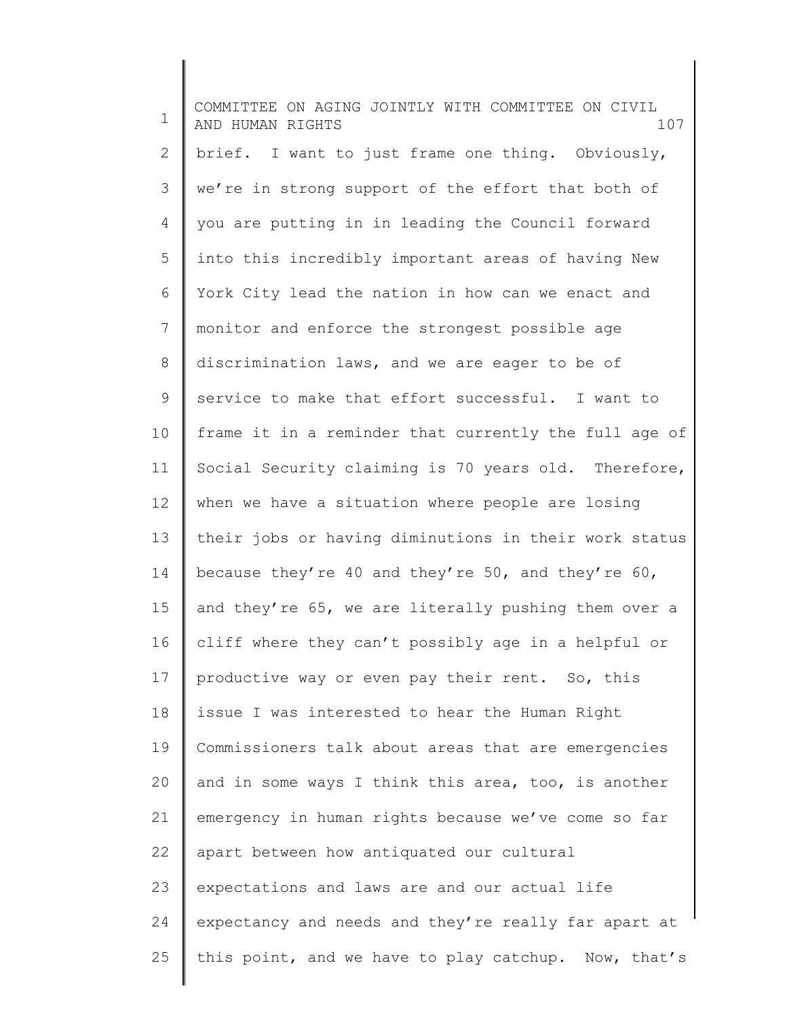1 2 3 4 5 6 7 8 9 10 11 12 13 14 15 16 17 18 19 20 21 22 23 24 25 COMMITTEE ON AGING JOINTLY WITH COMMITTEE ON CIVIL AND HUMAN RIGHTS 107 brief. I want to just frame one thing. Obviously, we're in strong support of the effort that both of you are putting in in leading the Council forward into this incredibly important areas of having New York City lead the nation in how can we enact and monitor and enforce the strongest possible age discrimination laws, and we are eager to be of service to make that effort successful. I want to frame it in a reminder that currently the full age of Social Security claiming is 70 years old. Therefore, when we have a situation where people are losing their jobs or having diminutions in their work status because they're 40 and they're 50, and they're 60, and they're 65, we are literally pushing them over a cliff where they can't possibly age in a helpful or productive way or even pay their rent. So, this issue I was interested to hear the Human Right Commissioners talk about areas that are emergencies and in some ways I think this area, too, is another emergency in human rights because we've come so far apart between how antiquated our cultural expectations and laws are and our actual life expectancy and needs and they're really far apart at this point, and we have to play catchup. Now, that's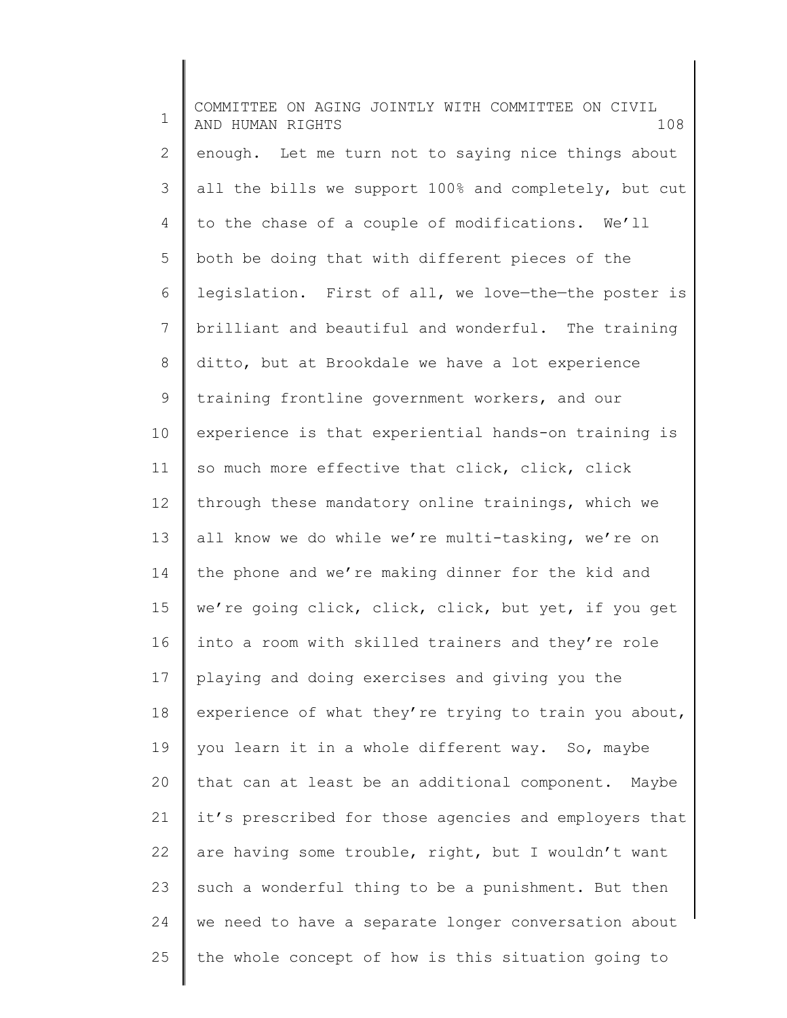1 2 3 4 5 6 7 8 9 10 11 12 13 14 15 16 17 18 19 20 21 22 23 24 25 COMMITTEE ON AGING JOINTLY WITH COMMITTEE ON CIVIL AND HUMAN RIGHTS 108 enough. Let me turn not to saying nice things about all the bills we support 100% and completely, but cut to the chase of a couple of modifications. We'll both be doing that with different pieces of the legislation. First of all, we love—the—the poster is brilliant and beautiful and wonderful. The training ditto, but at Brookdale we have a lot experience training frontline government workers, and our experience is that experiential hands-on training is so much more effective that click, click, click through these mandatory online trainings, which we all know we do while we're multi-tasking, we're on the phone and we're making dinner for the kid and we're going click, click, click, but yet, if you get into a room with skilled trainers and they're role playing and doing exercises and giving you the experience of what they're trying to train you about, you learn it in a whole different way. So, maybe that can at least be an additional component. Maybe it's prescribed for those agencies and employers that are having some trouble, right, but I wouldn't want such a wonderful thing to be a punishment. But then we need to have a separate longer conversation about the whole concept of how is this situation going to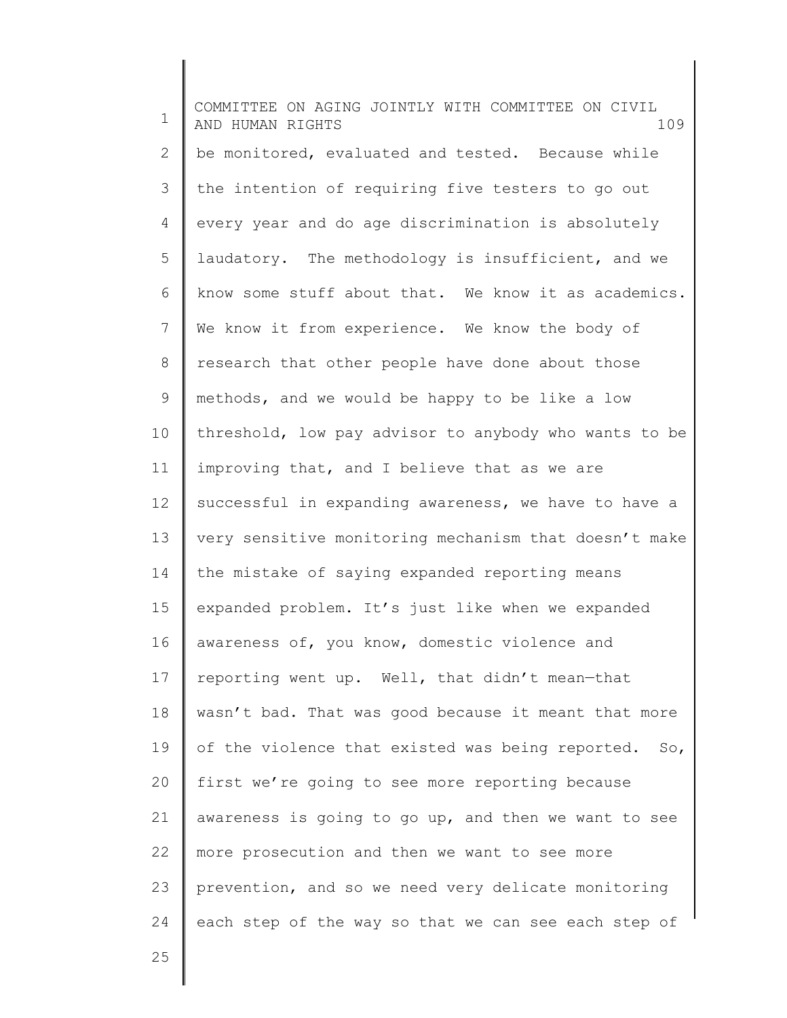1 2 3 4 5 6 7 8 9 10 11 12 13 14 15 16 17 18 19 20 21 22 23 24 COMMITTEE ON AGING JOINTLY WITH COMMITTEE ON CIVIL AND HUMAN RIGHTS 109 be monitored, evaluated and tested. Because while the intention of requiring five testers to go out every year and do age discrimination is absolutely laudatory. The methodology is insufficient, and we know some stuff about that. We know it as academics. We know it from experience. We know the body of research that other people have done about those methods, and we would be happy to be like a low threshold, low pay advisor to anybody who wants to be improving that, and I believe that as we are successful in expanding awareness, we have to have a very sensitive monitoring mechanism that doesn't make the mistake of saying expanded reporting means expanded problem. It's just like when we expanded awareness of, you know, domestic violence and reporting went up. Well, that didn't mean—that wasn't bad. That was good because it meant that more of the violence that existed was being reported. So, first we're going to see more reporting because awareness is going to go up, and then we want to see more prosecution and then we want to see more prevention, and so we need very delicate monitoring each step of the way so that we can see each step of

25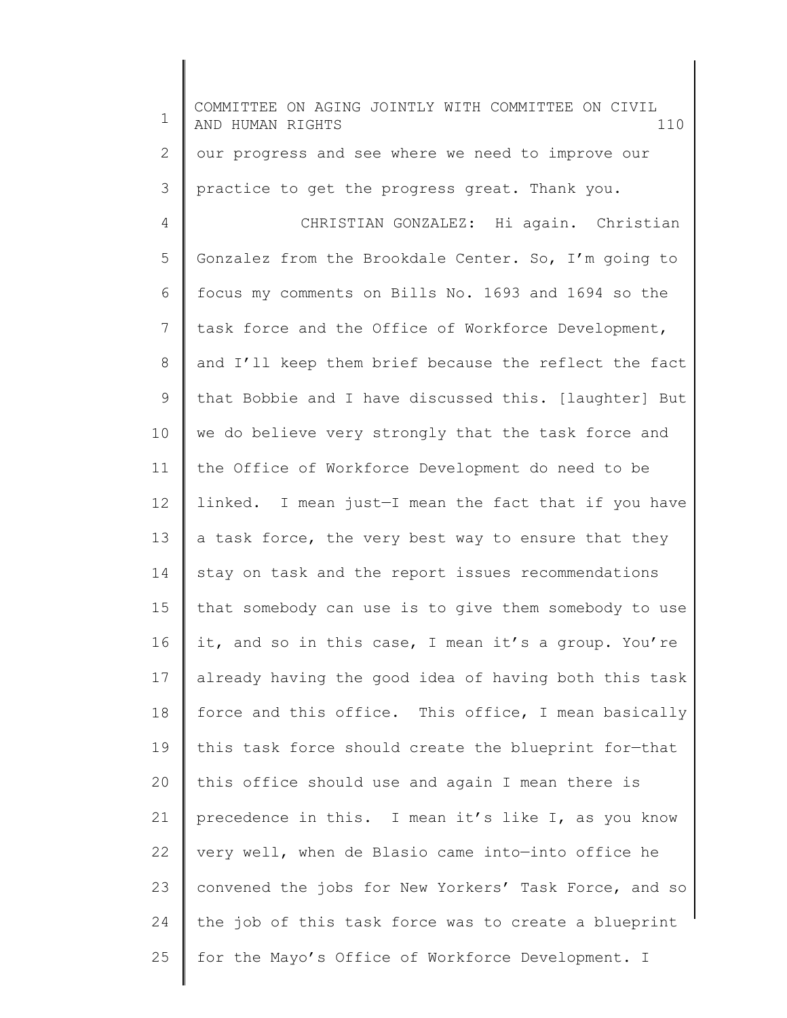1 2 3 4 5 6 7 8 9 10 11 12 13 14 15 16 17 18 19 20 21 22 23 24 25 COMMITTEE ON AGING JOINTLY WITH COMMITTEE ON CIVIL AND HUMAN RIGHTS 110 our progress and see where we need to improve our practice to get the progress great. Thank you. CHRISTIAN GONZALEZ: Hi again. Christian Gonzalez from the Brookdale Center. So, I'm going to focus my comments on Bills No. 1693 and 1694 so the task force and the Office of Workforce Development, and I'll keep them brief because the reflect the fact that Bobbie and I have discussed this. [laughter] But we do believe very strongly that the task force and the Office of Workforce Development do need to be linked. I mean just—I mean the fact that if you have a task force, the very best way to ensure that they stay on task and the report issues recommendations that somebody can use is to give them somebody to use it, and so in this case, I mean it's a group. You're already having the good idea of having both this task force and this office. This office, I mean basically this task force should create the blueprint for—that this office should use and again I mean there is precedence in this. I mean it's like I, as you know very well, when de Blasio came into—into office he convened the jobs for New Yorkers' Task Force, and so the job of this task force was to create a blueprint for the Mayo's Office of Workforce Development. I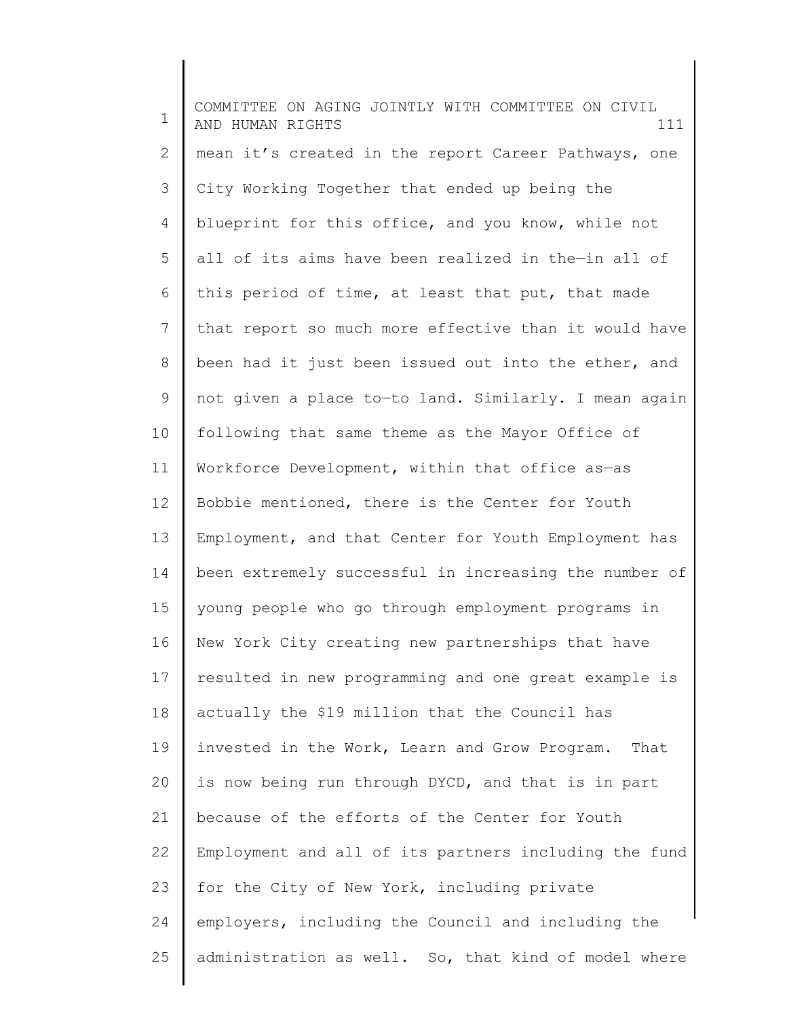1 2 3 4 5 6 7 8 9 10 11 12 13 14 15 16 17 18 19 20 21 22 23 24 25 COMMITTEE ON AGING JOINTLY WITH COMMITTEE ON CIVIL AND HUMAN RIGHTS 111 mean it's created in the report Career Pathways, one City Working Together that ended up being the blueprint for this office, and you know, while not all of its aims have been realized in the—in all of this period of time, at least that put, that made that report so much more effective than it would have been had it just been issued out into the ether, and not given a place to—to land. Similarly. I mean again following that same theme as the Mayor Office of Workforce Development, within that office as—as Bobbie mentioned, there is the Center for Youth Employment, and that Center for Youth Employment has been extremely successful in increasing the number of young people who go through employment programs in New York City creating new partnerships that have resulted in new programming and one great example is actually the \$19 million that the Council has invested in the Work, Learn and Grow Program. That is now being run through DYCD, and that is in part because of the efforts of the Center for Youth Employment and all of its partners including the fund for the City of New York, including private employers, including the Council and including the administration as well. So, that kind of model where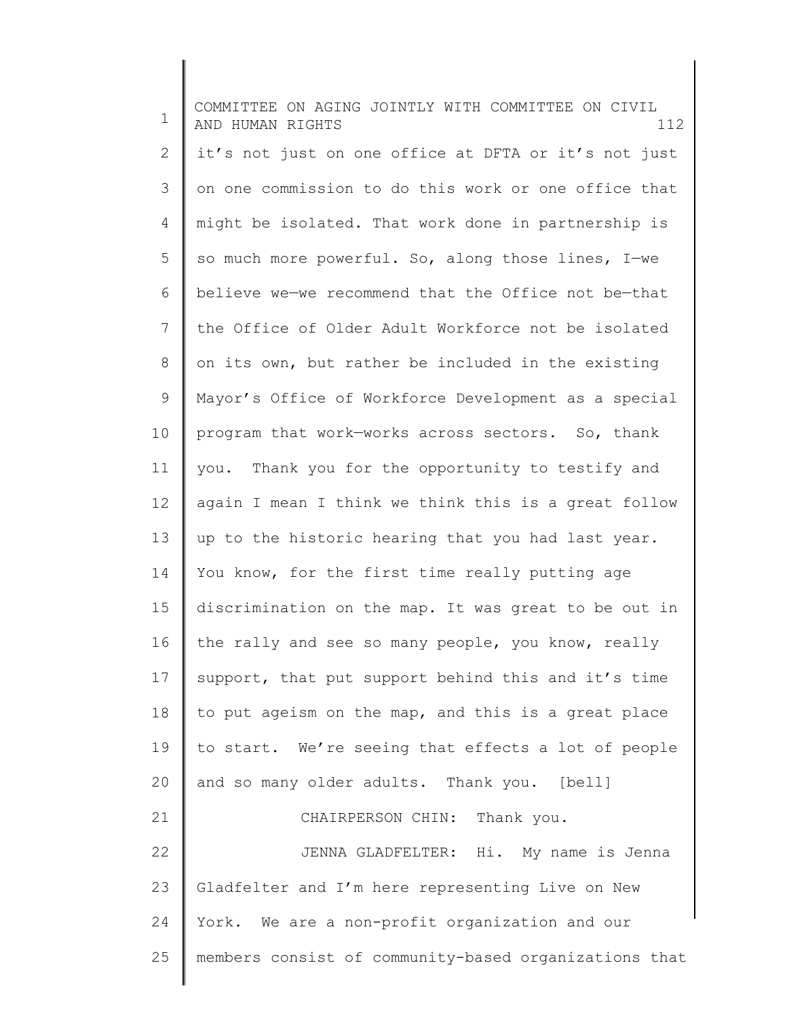1 2 3 4 5 6 7 8 9 10 11 12 13 14 15 16 17 18 19 20 21 22 23 24 25 COMMITTEE ON AGING JOINTLY WITH COMMITTEE ON CIVIL AND HUMAN RIGHTS 112 it's not just on one office at DFTA or it's not just on one commission to do this work or one office that might be isolated. That work done in partnership is so much more powerful. So, along those lines, I—we believe we—we recommend that the Office not be—that the Office of Older Adult Workforce not be isolated on its own, but rather be included in the existing Mayor's Office of Workforce Development as a special program that work—works across sectors. So, thank you. Thank you for the opportunity to testify and again I mean I think we think this is a great follow up to the historic hearing that you had last year. You know, for the first time really putting age discrimination on the map. It was great to be out in the rally and see so many people, you know, really support, that put support behind this and it's time to put ageism on the map, and this is a great place to start. We're seeing that effects a lot of people and so many older adults. Thank you. [bell] CHAIRPERSON CHIN: Thank you. JENNA GLADFELTER: Hi. My name is Jenna Gladfelter and I'm here representing Live on New York. We are a non-profit organization and our members consist of community-based organizations that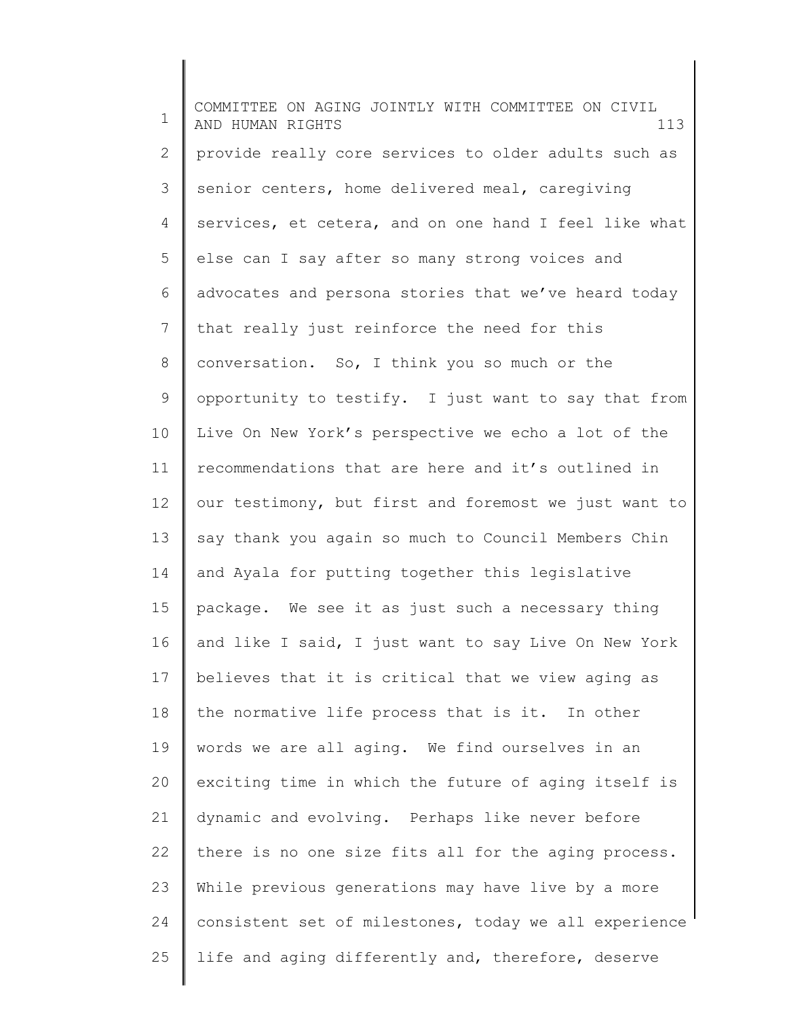1 2 3 4 5 6 7 8 9 10 11 12 13 14 15 16 17 18 19 20 21 22 23 24 25 COMMITTEE ON AGING JOINTLY WITH COMMITTEE ON CIVIL AND HUMAN RIGHTS 113 provide really core services to older adults such as senior centers, home delivered meal, caregiving services, et cetera, and on one hand I feel like what else can I say after so many strong voices and advocates and persona stories that we've heard today that really just reinforce the need for this conversation. So, I think you so much or the opportunity to testify. I just want to say that from Live On New York's perspective we echo a lot of the recommendations that are here and it's outlined in our testimony, but first and foremost we just want to say thank you again so much to Council Members Chin and Ayala for putting together this legislative package. We see it as just such a necessary thing and like I said, I just want to say Live On New York believes that it is critical that we view aging as the normative life process that is it. In other words we are all aging. We find ourselves in an exciting time in which the future of aging itself is dynamic and evolving. Perhaps like never before there is no one size fits all for the aging process. While previous generations may have live by a more consistent set of milestones, today we all experience life and aging differently and, therefore, deserve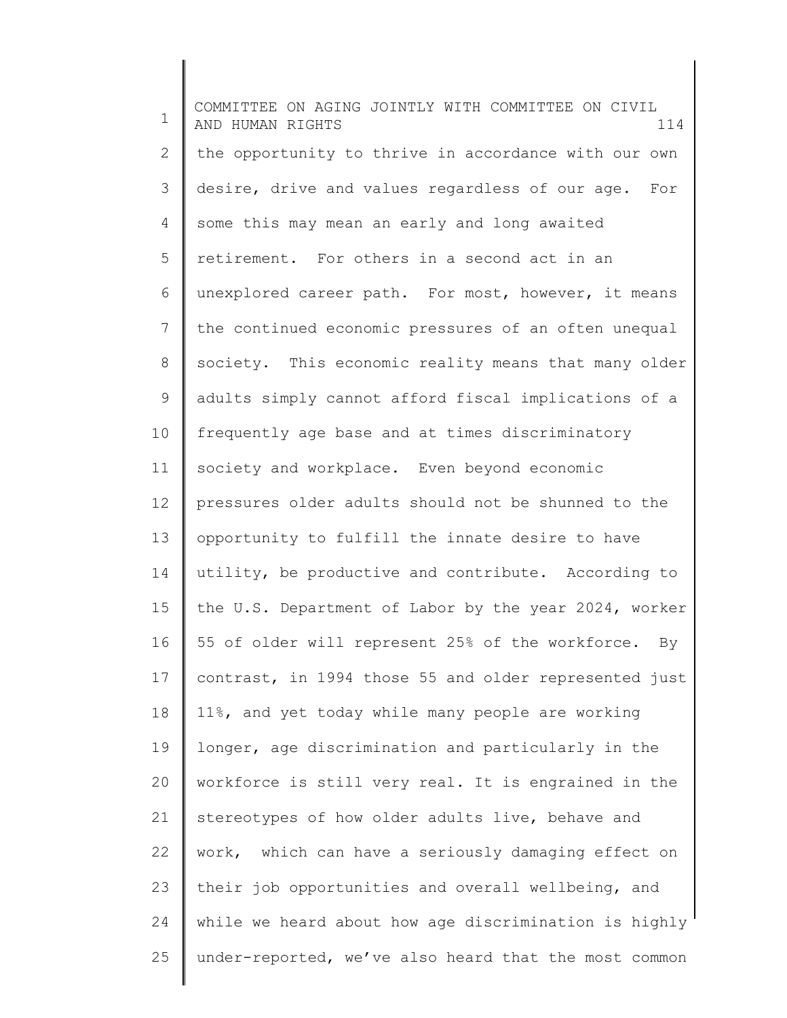1 2 3 4 5 6 7 8 9 10 11 12 13 14 15 16 17 18 19 20 21 22 23 24 25 COMMITTEE ON AGING JOINTLY WITH COMMITTEE ON CIVIL AND HUMAN RIGHTS 114 the opportunity to thrive in accordance with our own desire, drive and values regardless of our age. For some this may mean an early and long awaited retirement. For others in a second act in an unexplored career path. For most, however, it means the continued economic pressures of an often unequal society. This economic reality means that many older adults simply cannot afford fiscal implications of a frequently age base and at times discriminatory society and workplace. Even beyond economic pressures older adults should not be shunned to the opportunity to fulfill the innate desire to have utility, be productive and contribute. According to the U.S. Department of Labor by the year 2024, worker 55 of older will represent 25% of the workforce. By contrast, in 1994 those 55 and older represented just 11%, and yet today while many people are working longer, age discrimination and particularly in the workforce is still very real. It is engrained in the stereotypes of how older adults live, behave and work, which can have a seriously damaging effect on their job opportunities and overall wellbeing, and while we heard about how age discrimination is highly under-reported, we've also heard that the most common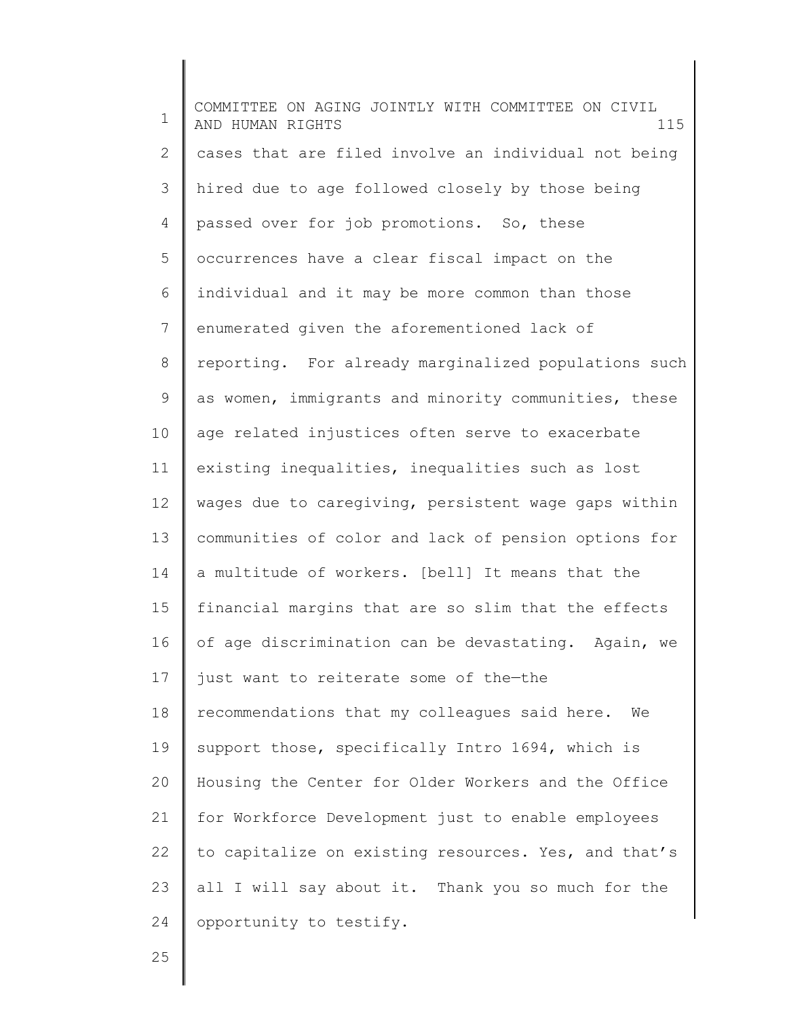1 2 3 4 5 6 7 8 9 10 11 12 13 14 15 16 17 18 19 20 21 22 23 24 COMMITTEE ON AGING JOINTLY WITH COMMITTEE ON CIVIL AND HUMAN RIGHTS 115 cases that are filed involve an individual not being hired due to age followed closely by those being passed over for job promotions. So, these occurrences have a clear fiscal impact on the individual and it may be more common than those enumerated given the aforementioned lack of reporting. For already marginalized populations such as women, immigrants and minority communities, these age related injustices often serve to exacerbate existing inequalities, inequalities such as lost wages due to caregiving, persistent wage gaps within communities of color and lack of pension options for a multitude of workers. [bell] It means that the financial margins that are so slim that the effects of age discrimination can be devastating. Again, we just want to reiterate some of the—the recommendations that my colleagues said here. We support those, specifically Intro 1694, which is Housing the Center for Older Workers and the Office for Workforce Development just to enable employees to capitalize on existing resources. Yes, and that's all I will say about it. Thank you so much for the opportunity to testify.

25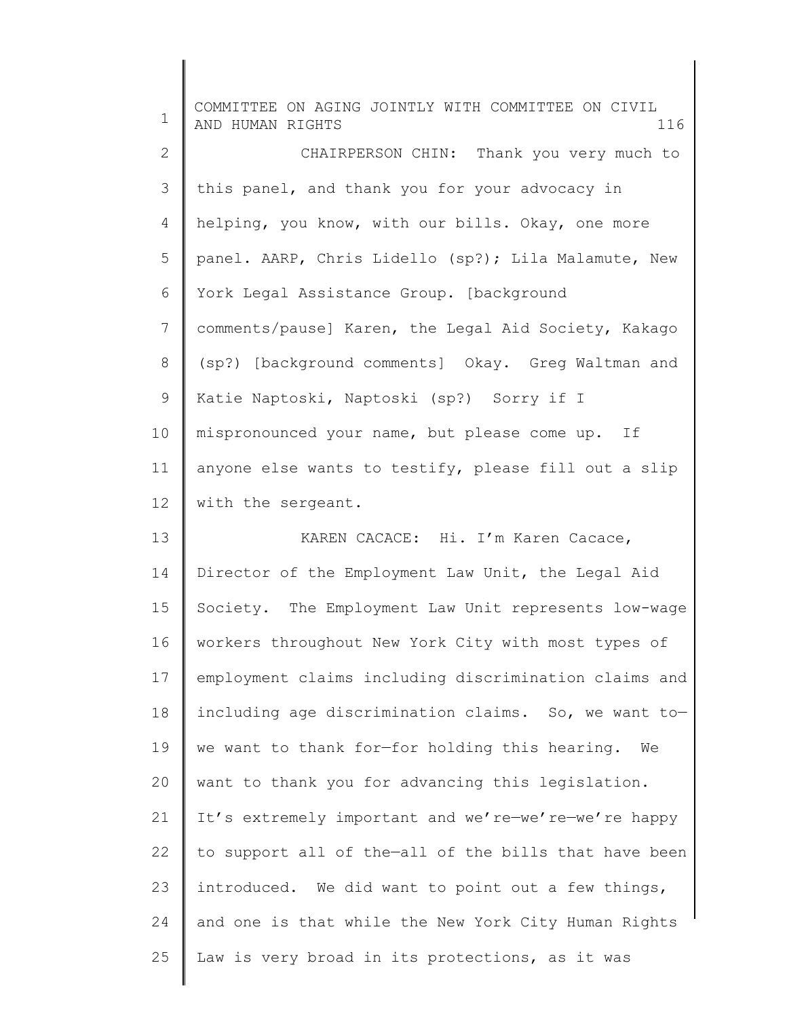| $\mathbf 1$ | COMMITTEE ON AGING JOINTLY WITH COMMITTEE ON CIVIL<br>AND HUMAN RIGHTS<br>116 |
|-------------|-------------------------------------------------------------------------------|
| 2           | CHAIRPERSON CHIN: Thank you very much to                                      |
| 3           | this panel, and thank you for your advocacy in                                |
| 4           | helping, you know, with our bills. Okay, one more                             |
| 5           | panel. AARP, Chris Lidello (sp?); Lila Malamute, New                          |
| 6           | York Legal Assistance Group. [background                                      |
| 7           | comments/pause] Karen, the Legal Aid Society, Kakago                          |
| 8           | (sp?) [background comments] Okay. Greg Waltman and                            |
| 9           | Katie Naptoski, Naptoski (sp?) Sorry if I                                     |
| 10          | mispronounced your name, but please come up. If                               |
| 11          | anyone else wants to testify, please fill out a slip                          |
| 12          | with the sergeant.                                                            |
| 13          | KAREN CACACE: Hi. I'm Karen Cacace,                                           |
| 14          | Director of the Employment Law Unit, the Legal Aid                            |
| 15          | Society. The Employment Law Unit represents low-wage                          |
| 16          | workers throughout New York City with most types of                           |
| 17          | employment claims including discrimination claims and                         |
| 18          | including age discrimination claims. So, we want to-                          |
| 19          | we want to thank for-for holding this hearing.<br>We                          |
| 20          | want to thank you for advancing this legislation.                             |
| 21          | It's extremely important and we're-we're-we're happy                          |
| 22          | to support all of the-all of the bills that have been                         |
| 23          | introduced. We did want to point out a few things,                            |
| 24          | and one is that while the New York City Human Rights                          |
| 25          | Law is very broad in its protections, as it was                               |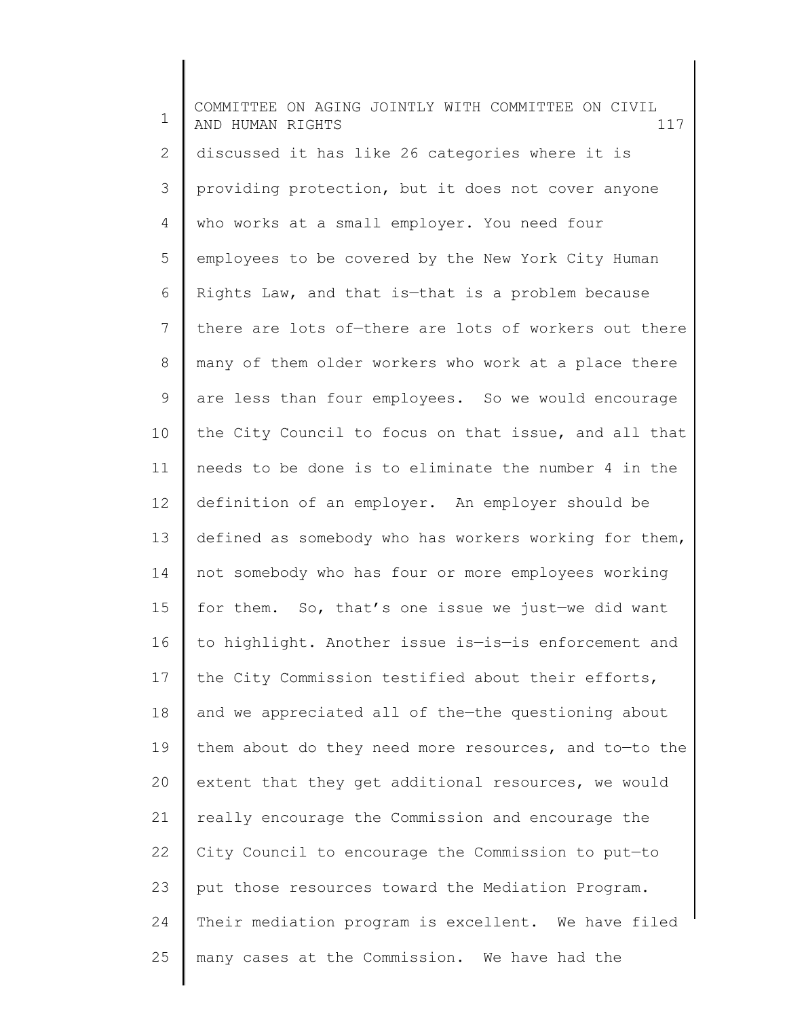1 2 3 4 5 6 7 8 9 10 11 12 13 14 15 16 17 18 19 20 21 22 23 24 25 COMMITTEE ON AGING JOINTLY WITH COMMITTEE ON CIVIL AND HUMAN RIGHTS 117 discussed it has like 26 categories where it is providing protection, but it does not cover anyone who works at a small employer. You need four employees to be covered by the New York City Human Rights Law, and that is—that is a problem because there are lots of—there are lots of workers out there many of them older workers who work at a place there are less than four employees. So we would encourage the City Council to focus on that issue, and all that needs to be done is to eliminate the number 4 in the definition of an employer. An employer should be defined as somebody who has workers working for them, not somebody who has four or more employees working for them. So, that's one issue we just—we did want to highlight. Another issue is—is—is enforcement and the City Commission testified about their efforts, and we appreciated all of the—the questioning about them about do they need more resources, and to—to the extent that they get additional resources, we would really encourage the Commission and encourage the City Council to encourage the Commission to put—to put those resources toward the Mediation Program. Their mediation program is excellent. We have filed many cases at the Commission. We have had the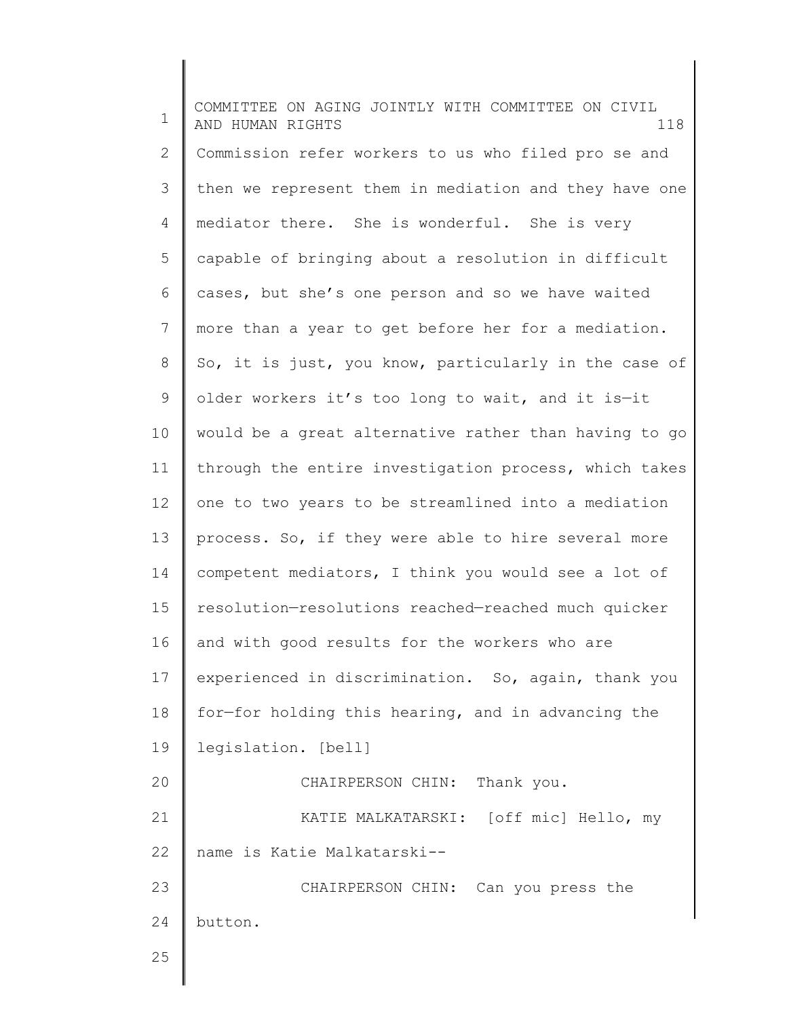1 2 3 4 5 6 7 8 9 10 11 12 13 14 15 16 17 18 19 20 21 22 23 24 25 COMMITTEE ON AGING JOINTLY WITH COMMITTEE ON CIVIL AND HUMAN RIGHTS 118 Commission refer workers to us who filed pro se and then we represent them in mediation and they have one mediator there. She is wonderful. She is very capable of bringing about a resolution in difficult cases, but she's one person and so we have waited more than a year to get before her for a mediation. So, it is just, you know, particularly in the case of older workers it's too long to wait, and it is—it would be a great alternative rather than having to go through the entire investigation process, which takes one to two years to be streamlined into a mediation process. So, if they were able to hire several more competent mediators, I think you would see a lot of resolution—resolutions reached—reached much quicker and with good results for the workers who are experienced in discrimination. So, again, thank you for—for holding this hearing, and in advancing the legislation. [bell] CHAIRPERSON CHIN: Thank you. KATIE MALKATARSKI: [off mic] Hello, my name is Katie Malkatarski-- CHAIRPERSON CHIN: Can you press the button.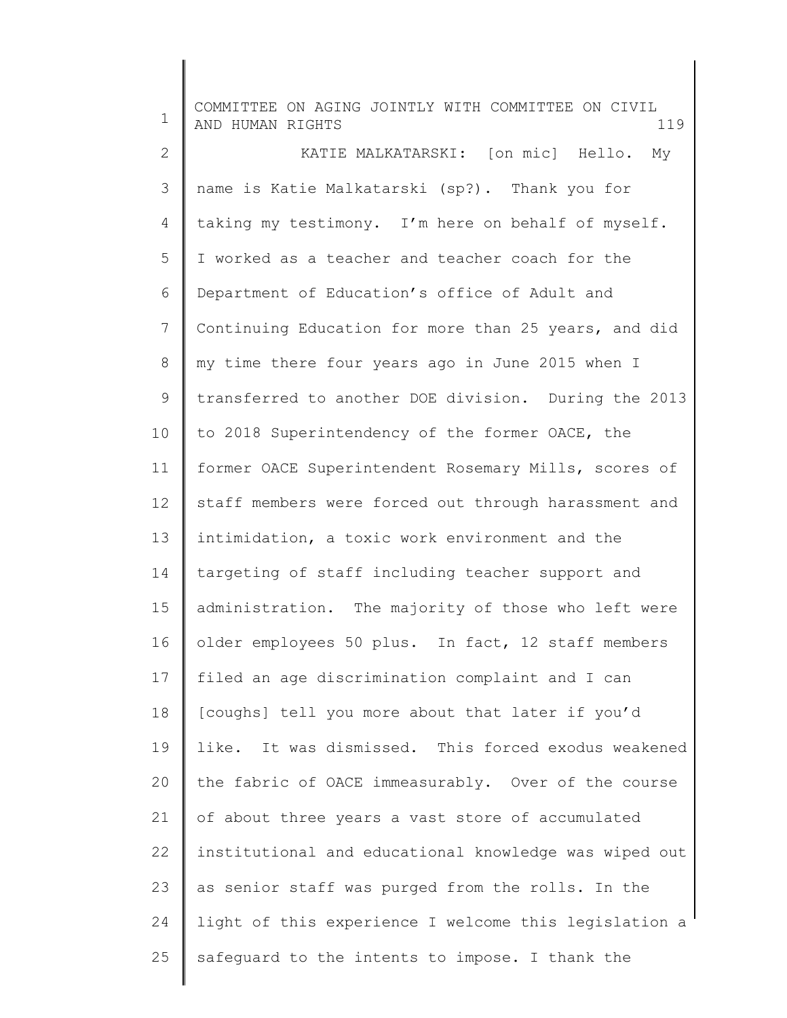| $\mathbf 1$  | COMMITTEE ON AGING JOINTLY WITH COMMITTEE ON CIVIL<br>AND HUMAN RIGHTS<br>119 |
|--------------|-------------------------------------------------------------------------------|
| $\mathbf{2}$ | KATIE MALKATARSKI: [on mic] Hello. My                                         |
| 3            | name is Katie Malkatarski (sp?). Thank you for                                |
| 4            | taking my testimony. I'm here on behalf of myself.                            |
| 5            | I worked as a teacher and teacher coach for the                               |
| 6            | Department of Education's office of Adult and                                 |
| 7            | Continuing Education for more than 25 years, and did                          |
| 8            | my time there four years ago in June 2015 when I                              |
| 9            | transferred to another DOE division. During the 2013                          |
| 10           | to 2018 Superintendency of the former OACE, the                               |
| 11           | former OACE Superintendent Rosemary Mills, scores of                          |
| 12           | staff members were forced out through harassment and                          |
| 13           | intimidation, a toxic work environment and the                                |
| 14           | targeting of staff including teacher support and                              |
| 15           | administration. The majority of those who left were                           |
| 16           | older employees 50 plus. In fact, 12 staff members                            |
| 17           | filed an age discrimination complaint and I can                               |
| 18           | [coughs] tell you more about that later if you'd                              |
| 19           | like. It was dismissed. This forced exodus weakened                           |
| 20           | the fabric of OACE immeasurably. Over of the course                           |
| 21           | of about three years a vast store of accumulated                              |
| 22           | institutional and educational knowledge was wiped out                         |
| 23           | as senior staff was purged from the rolls. In the                             |
| 24           | light of this experience I welcome this legislation a                         |
| 25           | safeguard to the intents to impose. I thank the                               |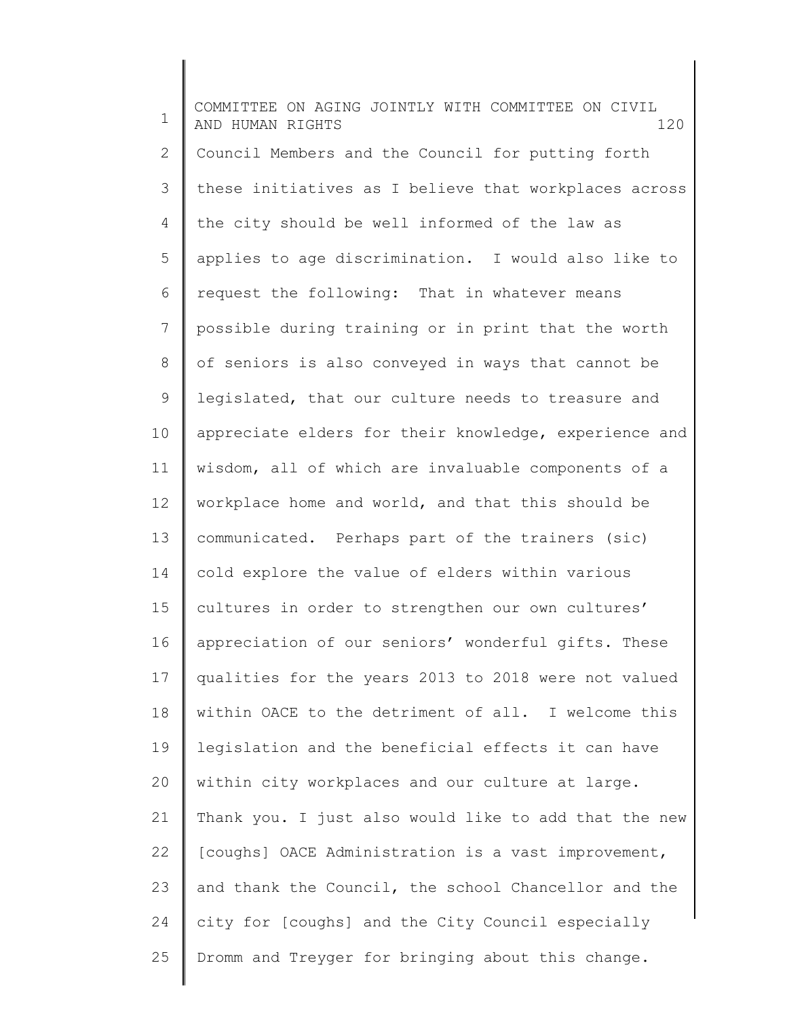1 2 3 4 5 6 7 8 9 10 11 12 13 14 15 16 17 18 19 20 21 22 23 24 25 COMMITTEE ON AGING JOINTLY WITH COMMITTEE ON CIVIL AND HUMAN RIGHTS 120 Council Members and the Council for putting forth these initiatives as I believe that workplaces across the city should be well informed of the law as applies to age discrimination. I would also like to request the following: That in whatever means possible during training or in print that the worth of seniors is also conveyed in ways that cannot be legislated, that our culture needs to treasure and appreciate elders for their knowledge, experience and wisdom, all of which are invaluable components of a workplace home and world, and that this should be communicated. Perhaps part of the trainers (sic) cold explore the value of elders within various cultures in order to strengthen our own cultures' appreciation of our seniors' wonderful gifts. These qualities for the years 2013 to 2018 were not valued within OACE to the detriment of all. I welcome this legislation and the beneficial effects it can have within city workplaces and our culture at large. Thank you. I just also would like to add that the new [coughs] OACE Administration is a vast improvement, and thank the Council, the school Chancellor and the city for [coughs] and the City Council especially Dromm and Treyger for bringing about this change.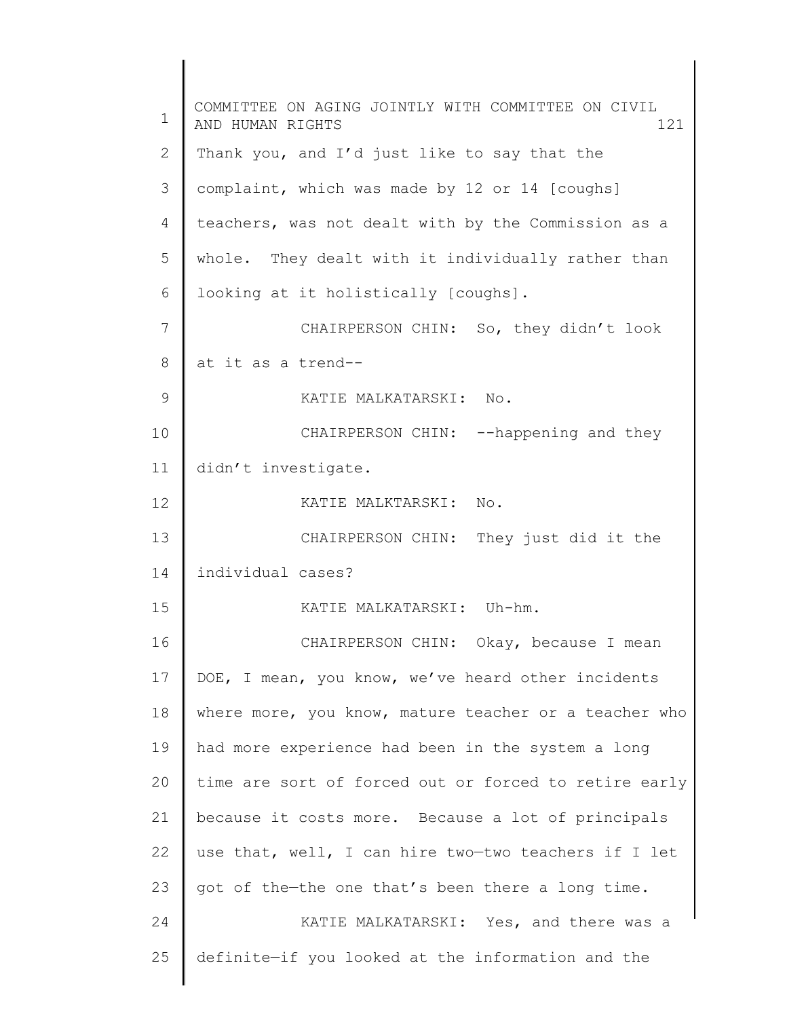1 2 3 4 5 6 7 8 9 10 11 12 13 14 15 16 17 18 19 20 21 22 23 24 25 COMMITTEE ON AGING JOINTLY WITH COMMITTEE ON CIVIL AND HUMAN RIGHTS 121 Thank you, and I'd just like to say that the complaint, which was made by 12 or 14 [coughs] teachers, was not dealt with by the Commission as a whole. They dealt with it individually rather than looking at it holistically [coughs]. CHAIRPERSON CHIN: So, they didn't look at it as a trend-- KATIE MALKATARSKI: No. CHAIRPERSON CHIN: --happening and they didn't investigate. KATIE MALKTARSKI: No. CHAIRPERSON CHIN: They just did it the individual cases? KATIE MALKATARSKI: Uh-hm. CHAIRPERSON CHIN: Okay, because I mean DOE, I mean, you know, we've heard other incidents where more, you know, mature teacher or a teacher who had more experience had been in the system a long time are sort of forced out or forced to retire early because it costs more. Because a lot of principals use that, well, I can hire two—two teachers if I let got of the—the one that's been there a long time. KATIE MALKATARSKI: Yes, and there was a definite—if you looked at the information and the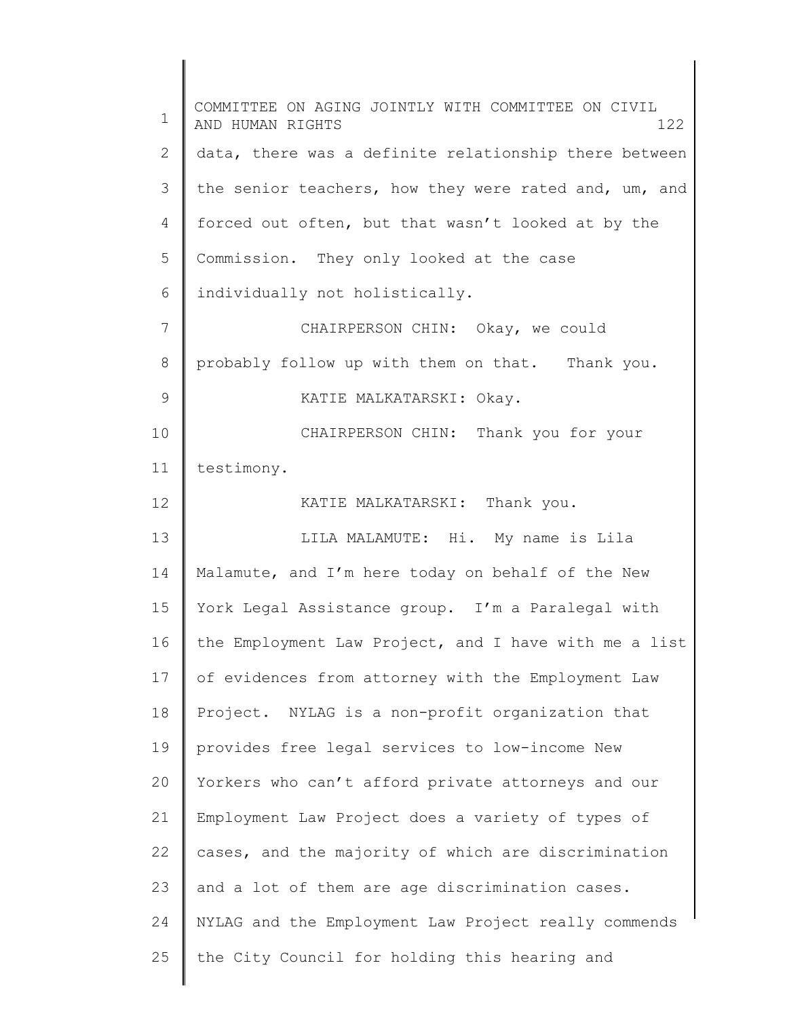1 2 3 4 5 6 7 8 9 10 11 12 13 14 15 16 17 18 19 20 21 22 23 24 25 COMMITTEE ON AGING JOINTLY WITH COMMITTEE ON CIVIL AND HUMAN RIGHTS 122 data, there was a definite relationship there between the senior teachers, how they were rated and, um, and forced out often, but that wasn't looked at by the Commission. They only looked at the case individually not holistically. CHAIRPERSON CHIN: Okay, we could probably follow up with them on that. Thank you. KATIE MALKATARSKI: Okay. CHAIRPERSON CHIN: Thank you for your testimony. KATIE MALKATARSKI: Thank you. LILA MALAMUTE: Hi. My name is Lila Malamute, and I'm here today on behalf of the New York Legal Assistance group. I'm a Paralegal with the Employment Law Project, and I have with me a list of evidences from attorney with the Employment Law Project. NYLAG is a non-profit organization that provides free legal services to low-income New Yorkers who can't afford private attorneys and our Employment Law Project does a variety of types of cases, and the majority of which are discrimination and a lot of them are age discrimination cases. NYLAG and the Employment Law Project really commends the City Council for holding this hearing and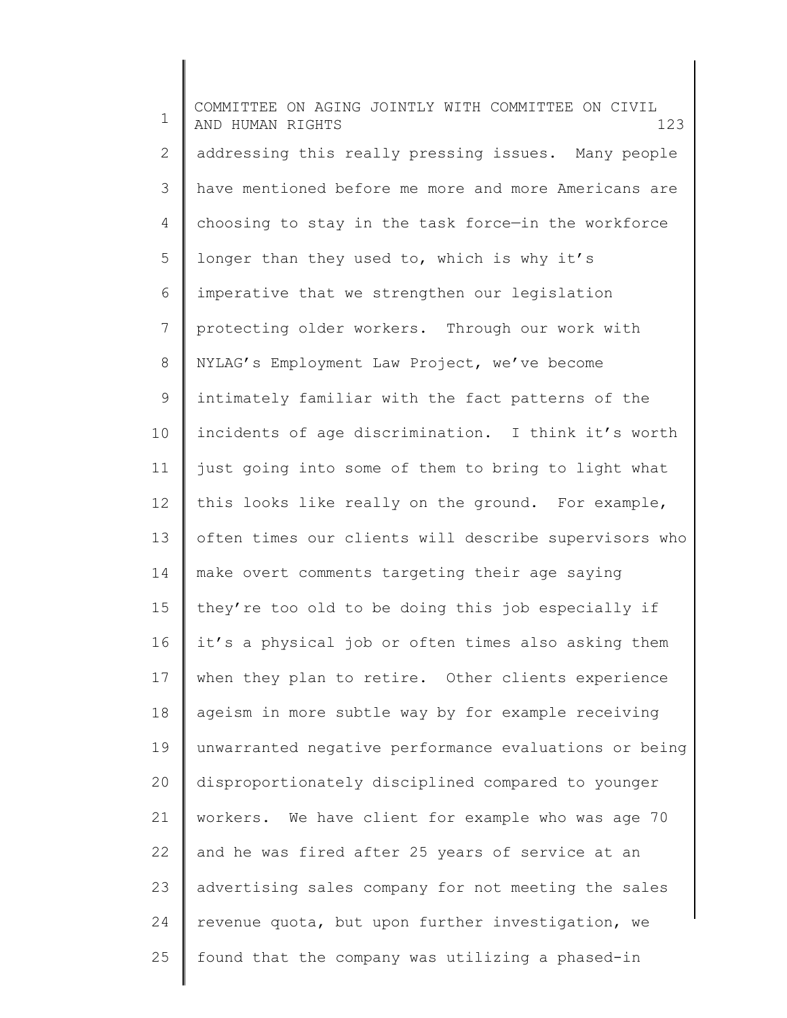1 2 3 4 5 6 7 8 9 10 11 12 13 14 15 16 17 18 19 20 21 22 23 24 25 COMMITTEE ON AGING JOINTLY WITH COMMITTEE ON CIVIL AND HUMAN RIGHTS 123 addressing this really pressing issues. Many people have mentioned before me more and more Americans are choosing to stay in the task force—in the workforce longer than they used to, which is why it's imperative that we strengthen our legislation protecting older workers. Through our work with NYLAG's Employment Law Project, we've become intimately familiar with the fact patterns of the incidents of age discrimination. I think it's worth just going into some of them to bring to light what this looks like really on the ground. For example, often times our clients will describe supervisors who make overt comments targeting their age saying they're too old to be doing this job especially if it's a physical job or often times also asking them when they plan to retire. Other clients experience ageism in more subtle way by for example receiving unwarranted negative performance evaluations or being disproportionately disciplined compared to younger workers. We have client for example who was age 70 and he was fired after 25 years of service at an advertising sales company for not meeting the sales revenue quota, but upon further investigation, we found that the company was utilizing a phased-in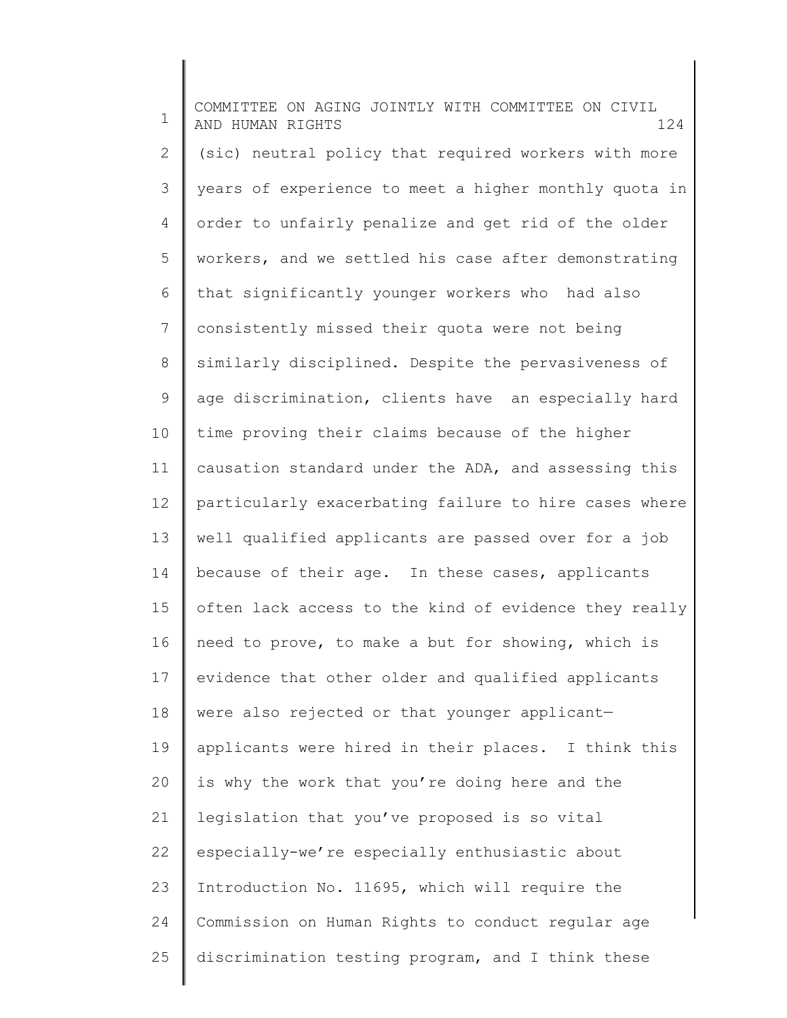1 2 3 4 5 6 7 8 9 10 11 12 13 14 15 16 17 18 19 20 21 22 23 24 25 COMMITTEE ON AGING JOINTLY WITH COMMITTEE ON CIVIL AND HUMAN RIGHTS 124 (sic) neutral policy that required workers with more years of experience to meet a higher monthly quota in order to unfairly penalize and get rid of the older workers, and we settled his case after demonstrating that significantly younger workers who had also consistently missed their quota were not being similarly disciplined. Despite the pervasiveness of age discrimination, clients have an especially hard time proving their claims because of the higher causation standard under the ADA, and assessing this particularly exacerbating failure to hire cases where well qualified applicants are passed over for a job because of their age. In these cases, applicants often lack access to the kind of evidence they really need to prove, to make a but for showing, which is evidence that other older and qualified applicants were also rejected or that younger applicant applicants were hired in their places. I think this is why the work that you're doing here and the legislation that you've proposed is so vital especially-we're especially enthusiastic about Introduction No. 11695, which will require the Commission on Human Rights to conduct regular age discrimination testing program, and I think these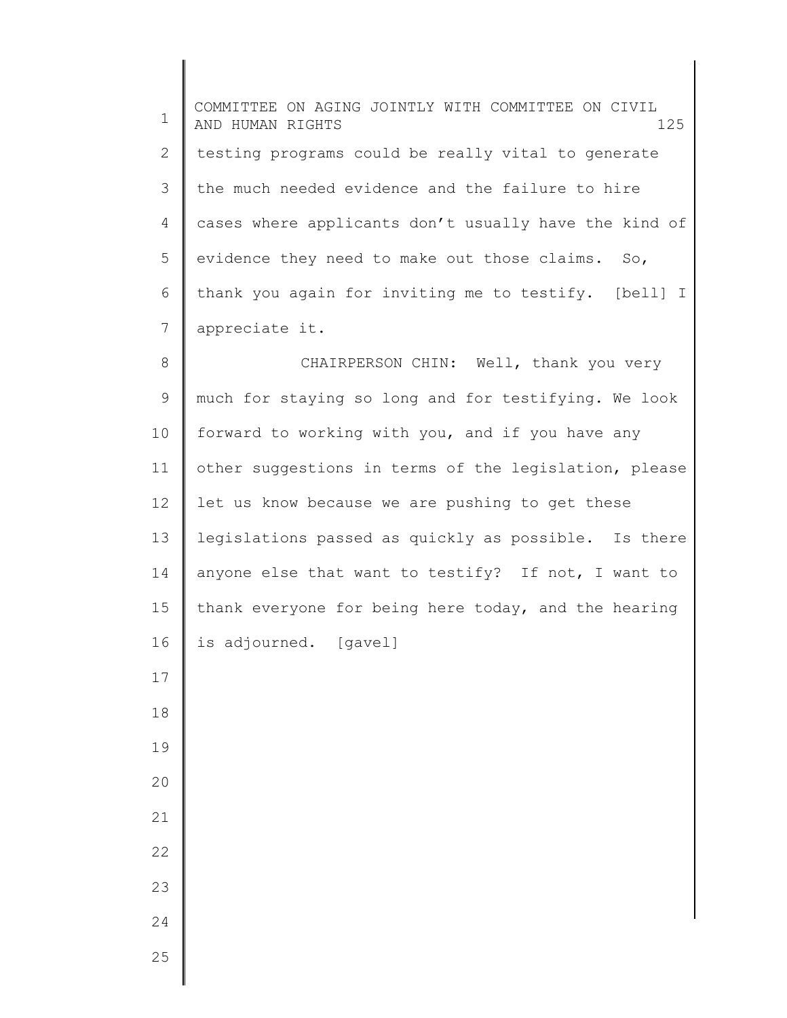1 2 3 4 5 6 7 8 COMMITTEE ON AGING JOINTLY WITH COMMITTEE ON CIVIL AND HUMAN RIGHTS 125 testing programs could be really vital to generate the much needed evidence and the failure to hire cases where applicants don't usually have the kind of evidence they need to make out those claims. So, thank you again for inviting me to testify. [bell] I appreciate it. CHAIRPERSON CHIN: Well, thank you very

9 10 11 12 13 14 15 16 much for staying so long and for testifying. We look forward to working with you, and if you have any other suggestions in terms of the legislation, please let us know because we are pushing to get these legislations passed as quickly as possible. Is there anyone else that want to testify? If not, I want to thank everyone for being here today, and the hearing is adjourned. [gavel]

> 23 24

25